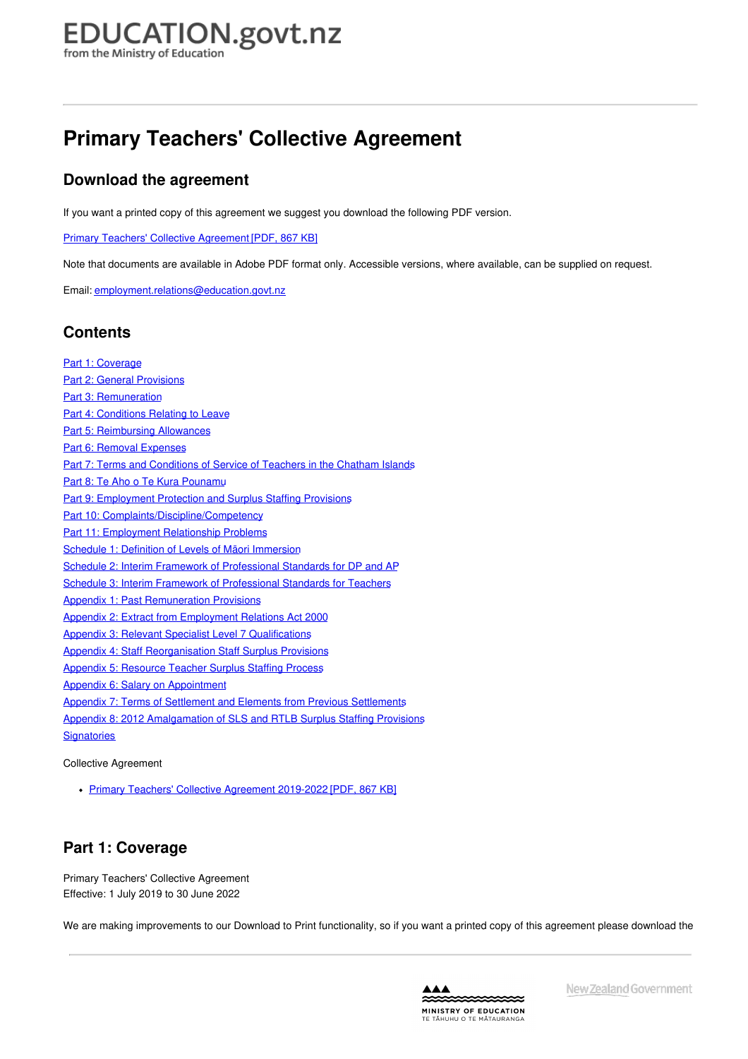## **Primary Teachers' Collective Agreement**

## **Download the agreement**

If you want a printed copy of this agreement we suggest you download the following PDF version.

Primary Teachers' Collective [Agreement](https://assets.education.govt.nz/public/Documents/School/Collective-Employment-Agreements/Primary-Teachers-Collective-Agreement/Primary-Teachers-Collective-Agreement-2019-2022.pdf) [PDF, 867 KB]

Note that documents are available in Adobe PDF format only. Accessible versions, where available, can be supplied on request.

Email: [employment.relations@education.govt.nz](mailto:employment.relations@education.govt.nz)

## **Contents**

Part 1: [Coverage](#page-1-0) Part 2: General [Provisions](#page-5-0) Part 3: [Remuneration](#page-15-0) Part 4: [Conditions](#page-27-0) Relating to Leave Part 5: [Reimbursing](#page-31-0) Allowances Part 6: Removal [Expenses](#page-33-0) Part 7: Terms and [Conditions](#page-35-0) of Service of Teachers in the Chatham Islands Part 8: Te Aho o Te Kura [Pounamu](#page-38-0) Part 9: [Employment](#page-42-0) Protection and Surplus Staffing Provisions Part 10: [Complaints/Discipline/Competency](#page-45-0) Part 11: [Employment](#page-47-0) Relationship Problems Schedule 1: Definition of Levels of Māori [Immersion](#page-48-0) Schedule 2: Interim Framework of [Professional](#page-49-0) Standards for DP and AP Schedule 3: Interim Framework of [Professional](#page-50-0) Standards for Teachers Appendix 1: Past [Remuneration](#page-51-0) Provisions Appendix 2: Extract from [Employment](#page-54-0) Relations Act 2000 Appendix 3: Relevant Specialist Level 7 [Qualifications](#page-56-0) Appendix 4: Staff [Reorganisation](#page-60-0) Staff Surplus Provisions Appendix 5: [Resource](#page-65-0) Teacher Surplus Staffing Process Appendix 6: Salary on [Appointment](#page-67-0) Appendix 7: Terms of Settlement and Elements from Previous [Settlements](#page-70-0) Appendix 8: 2012 [Amalgamation](#page-74-0) of SLS and RTLB Surplus Staffing Provisions **[Signatories](#page-76-0)** 

Collective Agreement

• Primary Teachers' Collective [Agreement](https://assets.education.govt.nz/public/Documents/School/Collective-Employment-Agreements/Primary-Teachers-Collective-Agreement/Primary-Teachers-Collective-Agreement-2019-2022.pdf) 2019-2022 [PDF, 867 KB]

## **Part 1: Coverage**

Primary Teachers' Collective Agreement Effective: 1 July 2019 to 30 June 2022

We are making improvements to our Download to Print functionality, so if you want a printed copy of this agreement please download the

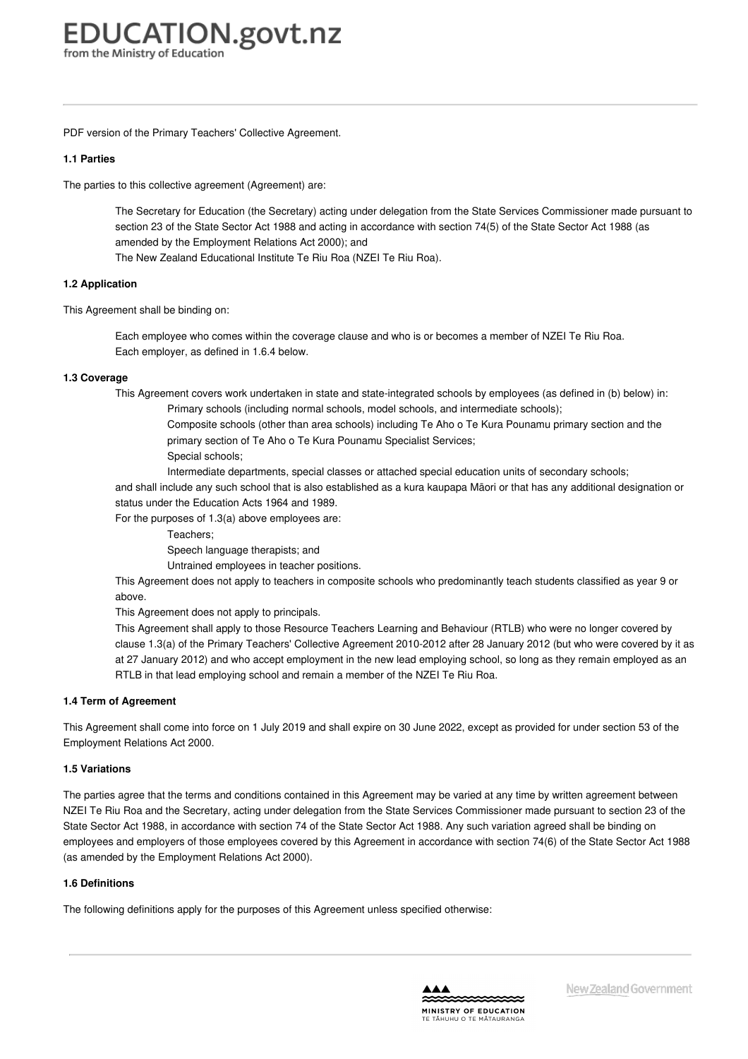<span id="page-1-0"></span>PDF version of the Primary Teachers' Collective Agreement.

#### **1.1 [Parties](https://www.education.govt.nz/school/people-and-employment/employment-agreements/collective-agreements/primary-teachers-collective-agreement/part-1-coverage/#cd_3621_1-1-parties_Education%5CComplexDocuments%5CModel%5CComplexDocumentAccordionSection)**

The parties to this collective agreement (Agreement) are:

The Secretary for Education (the Secretary) acting under delegation from the State Services Commissioner made pursuant to section 23 of the State Sector Act 1988 and acting in accordance with section 74(5) of the State Sector Act 1988 (as amended by the Employment Relations Act 2000); and The New Zealand Educational Institute Te Riu Roa (NZEI Te Riu Roa).

#### **1.2 [Application](https://www.education.govt.nz/school/people-and-employment/employment-agreements/collective-agreements/primary-teachers-collective-agreement/part-1-coverage/#cd_3622_1-2-application_Education%5CComplexDocuments%5CModel%5CComplexDocumentAccordionSection)**

This Agreement shall be binding on:

Each employee who comes within the coverage clause and who is or becomes a member of NZEI Te Riu Roa. Each employer, as defined in 1.6.4 below.

#### **1.3 [Coverage](https://www.education.govt.nz/school/people-and-employment/employment-agreements/collective-agreements/primary-teachers-collective-agreement/part-1-coverage/#cd_3623_1-3-coverage_Education%5CComplexDocuments%5CModel%5CComplexDocumentAccordionSection)**

This Agreement covers work undertaken in state and state-integrated schools by employees (as defined in (b) below) in:

Primary schools (including normal schools, model schools, and intermediate schools); Composite schools (other than area schools) including Te Aho o Te Kura Pounamu primary section and the primary section of Te Aho o Te Kura Pounamu Specialist Services;

Special schools;

Intermediate departments, special classes or attached special education units of secondary schools;

and shall include any such school that is also established as a kura kaupapa Māori or that has any additional designation or status under the Education Acts 1964 and 1989.

For the purposes of 1.3(a) above employees are:

Teachers;

Speech language therapists; and

Untrained employees in teacher positions.

This Agreement does not apply to teachers in composite schools who predominantly teach students classified as year 9 or above.

This Agreement does not apply to principals.

This Agreement shall apply to those Resource Teachers Learning and Behaviour (RTLB) who were no longer covered by clause 1.3(a) of the Primary Teachers' Collective Agreement 2010-2012 after 28 January 2012 (but who were covered by it as at 27 January 2012) and who accept employment in the new lead employing school, so long as they remain employed as an RTLB in that lead employing school and remain a member of the NZEI Te Riu Roa.

#### **1.4 Term of [Agreement](https://www.education.govt.nz/school/people-and-employment/employment-agreements/collective-agreements/primary-teachers-collective-agreement/part-1-coverage/#cd_3624_1-4-term-of-agreement_Education%5CComplexDocuments%5CModel%5CComplexDocumentAccordionSection)**

This Agreement shall come into force on 1 July 2019 and shall expire on 30 June 2022, except as provided for under section 53 of the Employment Relations Act 2000.

#### **1.5 [Variations](https://www.education.govt.nz/school/people-and-employment/employment-agreements/collective-agreements/primary-teachers-collective-agreement/part-1-coverage/#cd_3625_1-5-variations_Education%5CComplexDocuments%5CModel%5CComplexDocumentAccordionSection)**

The parties agree that the terms and conditions contained in this Agreement may be varied at any time by written agreement between NZEI Te Riu Roa and the Secretary, acting under delegation from the State Services Commissioner made pursuant to section 23 of the State Sector Act 1988, in accordance with section 74 of the State Sector Act 1988. Any such variation agreed shall be binding on employees and employers of those employees covered by this Agreement in accordance with section 74(6) of the State Sector Act 1988 (as amended by the Employment Relations Act 2000).

#### **1.6 [Definitions](https://www.education.govt.nz/school/people-and-employment/employment-agreements/collective-agreements/primary-teachers-collective-agreement/part-1-coverage/#cd_3626_1-6-definitions_Education%5CComplexDocuments%5CModel%5CComplexDocumentAccordionSection)**

The following definitions apply for the purposes of this Agreement unless specified otherwise:

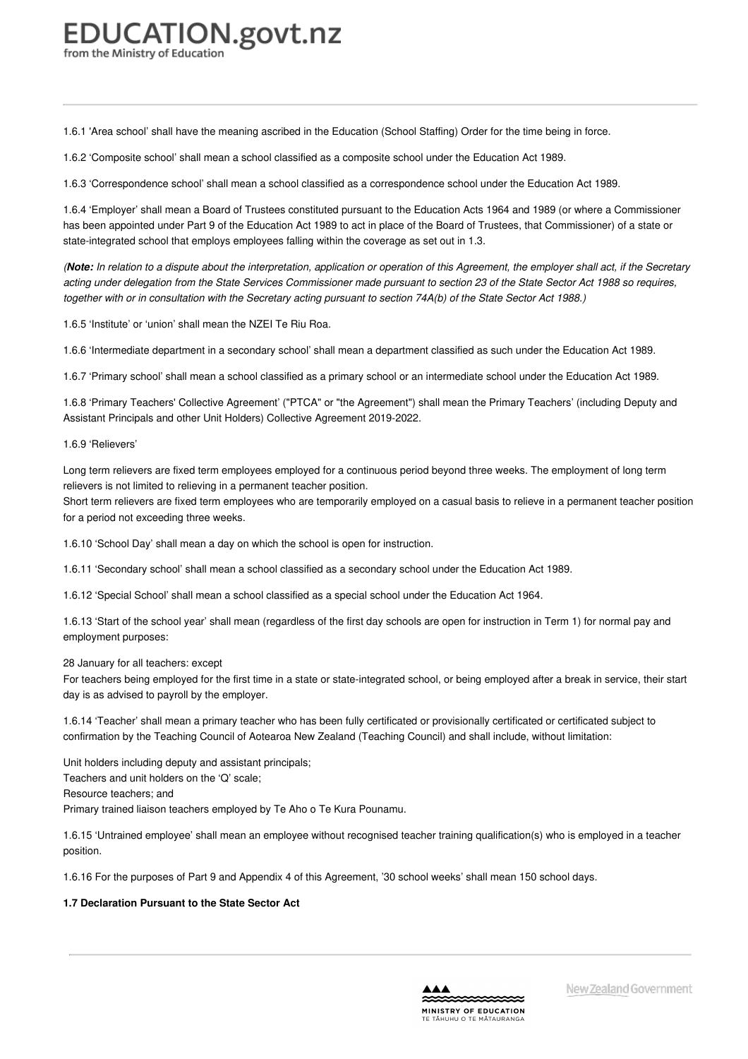1.6.1 'Area school' shall have the meaning ascribed in the Education (School Staffing) Order for the time being in force.

1.6.2 'Composite school' shall mean a school classified as a composite school under the Education Act 1989.

1.6.3 'Correspondence school' shall mean a school classified as a correspondence school under the Education Act 1989.

1.6.4 'Employer' shall mean a Board of Trustees constituted pursuant to the Education Acts 1964 and 1989 (or where a Commissioner has been appointed under Part 9 of the Education Act 1989 to act in place of the Board of Trustees, that Commissioner) of a state or state-integrated school that employs employees falling within the coverage as set out in 1.3.

(Note: In relation to a dispute about the interpretation, application or operation of this Agreement, the employer shall act, if the Secretary acting under delegation from the State Services Commissioner made pursuant to section 23 of the State Sector Act 1988 so requires, together with or in consultation with the Secretary acting pursuant to section 74A(b) of the State Sector Act 1988.)

1.6.5 'Institute' or 'union' shall mean the NZEI Te Riu Roa.

1.6.6 'Intermediate department in a secondary school' shall mean a department classified as such under the Education Act 1989.

1.6.7 'Primary school' shall mean a school classified as a primary school or an intermediate school under the Education Act 1989.

1.6.8 'Primary Teachers' Collective Agreement' ("PTCA" or "the Agreement") shall mean the Primary Teachers' (including Deputy and Assistant Principals and other Unit Holders) Collective Agreement 2019-2022.

#### 1.6.9 'Relievers'

Long term relievers are fixed term employees employed for a continuous period beyond three weeks. The employment of long term relievers is not limited to relieving in a permanent teacher position.

Short term relievers are fixed term employees who are temporarily employed on a casual basis to relieve in a permanent teacher position for a period not exceeding three weeks.

1.6.10 'School Day' shall mean a day on which the school is open for instruction.

1.6.11 'Secondary school' shall mean a school classified as a secondary school under the Education Act 1989.

1.6.12 'Special School' shall mean a school classified as a special school under the Education Act 1964.

1.6.13 'Start of the school year' shall mean (regardless of the first day schools are open for instruction in Term 1) for normal pay and employment purposes:

#### 28 January for all teachers: except

For teachers being employed for the first time in a state or state-integrated school, or being employed after a break in service, their start day is as advised to payroll by the employer.

1.6.14 'Teacher' shall mean a primary teacher who has been fully certificated or provisionally certificated or certificated subject to confirmation by the Teaching Council of Aotearoa New Zealand (Teaching Council) and shall include, without limitation:

Unit holders including deputy and assistant principals;

Teachers and unit holders on the 'Q' scale;

Resource teachers; and

Primary trained liaison teachers employed by Te Aho o Te Kura Pounamu.

1.6.15 'Untrained employee' shall mean an employee without recognised teacher training qualification(s) who is employed in a teacher position.

1.6.16 For the purposes of Part 9 and Appendix 4 of this Agreement, '30 school weeks' shall mean 150 school days.

#### **1.7 [Declaration](https://www.education.govt.nz/school/people-and-employment/employment-agreements/collective-agreements/primary-teachers-collective-agreement/part-1-coverage/#cd_3628_1-7-declaration-pursuant-to-the-state-sector-act_Education%5CComplexDocuments%5CModel%5CComplexDocumentAccordionSection) Pursuant to the State Sector Act**

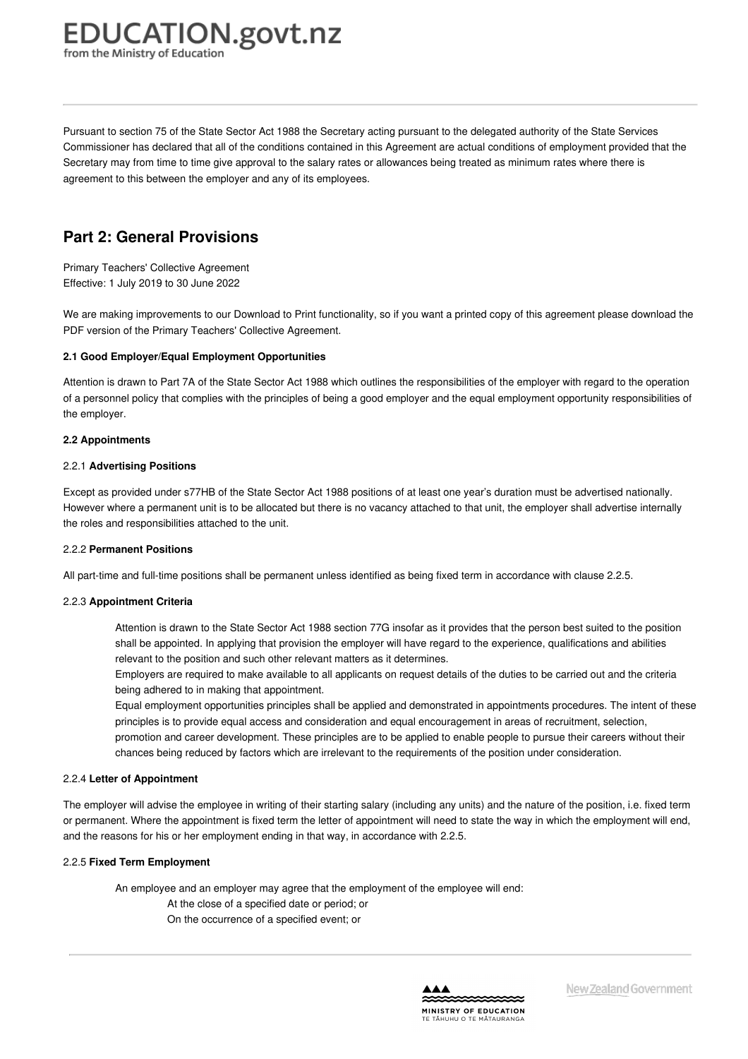## **EDUCATION.govt.nz**

from the Ministry of Education

Pursuant to section 75 of the State Sector Act 1988 the Secretary acting pursuant to the delegated authority of the State Services Commissioner has declared that all of the conditions contained in this Agreement are actual conditions of employment provided that the Secretary may from time to time give approval to the salary rates or allowances being treated as minimum rates where there is agreement to this between the employer and any of its employees.

## **Part 2: General Provisions**

Primary Teachers' Collective Agreement Effective: 1 July 2019 to 30 June 2022

We are making improvements to our Download to Print functionality, so if you want a printed copy of this agreement please download the PDF version of the Primary Teachers' Collective Agreement.

#### **2.1 Good [Employer/Equal](https://www.education.govt.nz/school/people-and-employment/employment-agreements/collective-agreements/primary-teachers-collective-agreement/part-2-general-provisions/#cd_3631_2-1-good-employerequal-employment-opportunities_Education%5CComplexDocuments%5CModel%5CComplexDocumentAccordionSection) Employment Opportunities**

Attention is drawn to Part 7A of the State Sector Act 1988 which outlines the responsibilities of the employer with regard to the operation of a personnel policy that complies with the principles of being a good employer and the equal employment opportunity responsibilities of the employer.

#### **2.2 [Appointments](https://www.education.govt.nz/school/people-and-employment/employment-agreements/collective-agreements/primary-teachers-collective-agreement/part-2-general-provisions/#cd_3632_2-2-appointments_Education%5CComplexDocuments%5CModel%5CComplexDocumentAccordionSection)**

#### 2.2.1 **Advertising Positions**

Except as provided under s77HB of the State Sector Act 1988 positions of at least one year's duration must be advertised nationally. However where a permanent unit is to be allocated but there is no vacancy attached to that unit, the employer shall advertise internally the roles and responsibilities attached to the unit.

#### 2.2.2 **Permanent Positions**

All part-time and full-time positions shall be permanent unless identified as being fixed term in accordance with clause 2.2.5.

#### 2.2.3 **Appointment Criteria**

Attention is drawn to the State Sector Act 1988 section 77G insofar as it provides that the person best suited to the position shall be appointed. In applying that provision the employer will have regard to the experience, qualifications and abilities relevant to the position and such other relevant matters as it determines.

Employers are required to make available to all applicants on request details of the duties to be carried out and the criteria being adhered to in making that appointment.

Equal employment opportunities principles shall be applied and demonstrated in appointments procedures. The intent of these principles is to provide equal access and consideration and equal encouragement in areas of recruitment, selection,

promotion and career development. These principles are to be applied to enable people to pursue their careers without their chances being reduced by factors which are irrelevant to the requirements of the position under consideration.

#### 2.2.4 **Letter of Appointment**

The employer will advise the employee in writing of their starting salary (including any units) and the nature of the position, i.e. fixed term or permanent. Where the appointment is fixed term the letter of appointment will need to state the way in which the employment will end, and the reasons for his or her employment ending in that way, in accordance with 2.2.5.

#### 2.2.5 **Fixed Term Employment**

An employee and an employer may agree that the employment of the employee will end: At the close of a specified date or period; or On the occurrence of a specified event; or

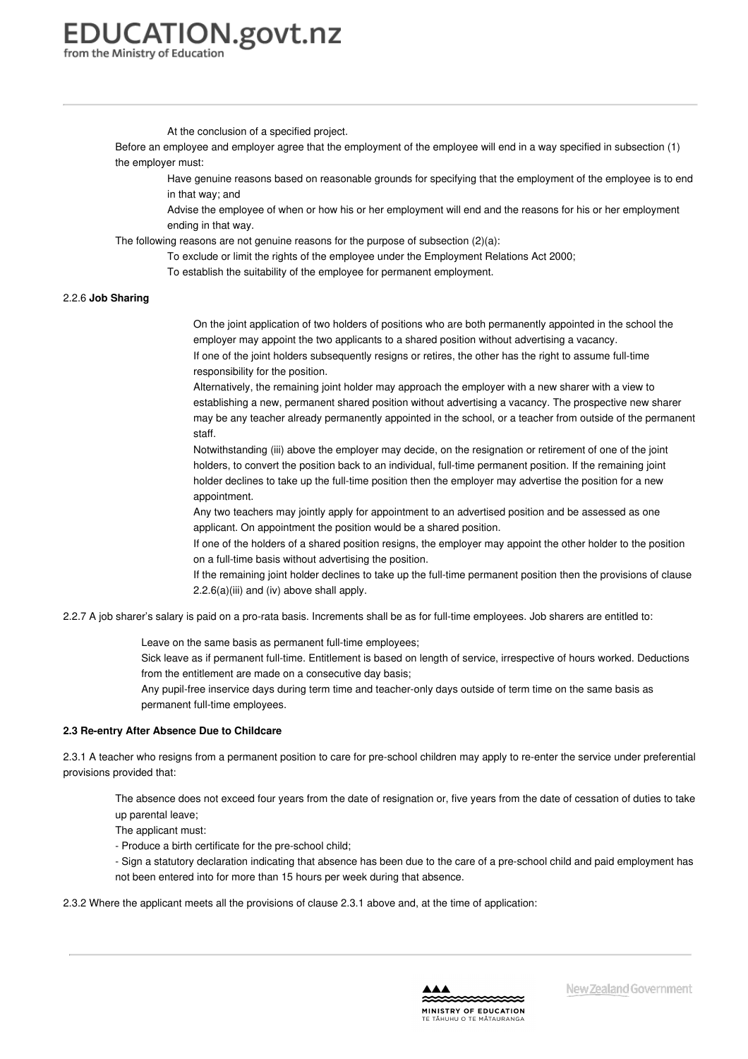# **EDUCATION.govt.nz**

from the Ministry of Education

At the conclusion of a specified project.

Before an employee and employer agree that the employment of the employee will end in a way specified in subsection (1) the employer must:

Have genuine reasons based on reasonable grounds for specifying that the employment of the employee is to end in that way; and

Advise the employee of when or how his or her employment will end and the reasons for his or her employment ending in that way.

The following reasons are not genuine reasons for the purpose of subsection (2)(a):

- To exclude or limit the rights of the employee under the Employment Relations Act 2000;
	- To establish the suitability of the employee for permanent employment.

#### 2.2.6 **Job Sharing**

On the joint application of two holders of positions who are both permanently appointed in the school the employer may appoint the two applicants to a shared position without advertising a vacancy. If one of the joint holders subsequently resigns or retires, the other has the right to assume full-time responsibility for the position.

Alternatively, the remaining joint holder may approach the employer with a new sharer with a view to establishing a new, permanent shared position without advertising a vacancy. The prospective new sharer may be any teacher already permanently appointed in the school, or a teacher from outside of the permanent staff.

Notwithstanding (iii) above the employer may decide, on the resignation or retirement of one of the joint holders, to convert the position back to an individual, full-time permanent position. If the remaining joint holder declines to take up the full-time position then the employer may advertise the position for a new appointment.

Any two teachers may jointly apply for appointment to an advertised position and be assessed as one applicant. On appointment the position would be a shared position.

If one of the holders of a shared position resigns, the employer may appoint the other holder to the position on a full-time basis without advertising the position.

If the remaining joint holder declines to take up the full-time permanent position then the provisions of clause 2.2.6(a)(iii) and (iv) above shall apply.

2.2.7 A job sharer's salary is paid on a pro-rata basis. Increments shall be as for full-time employees. Job sharers are entitled to:

Leave on the same basis as permanent full-time employees;

Sick leave as if permanent full-time. Entitlement is based on length of service, irrespective of hours worked. Deductions from the entitlement are made on a consecutive day basis;

Any pupil-free inservice days during term time and teacher-only days outside of term time on the same basis as permanent full-time employees.

#### **2.3 Re-entry After Absence Due to [Childcare](https://www.education.govt.nz/school/people-and-employment/employment-agreements/collective-agreements/primary-teachers-collective-agreement/part-2-general-provisions/#cd_3633_2-3-re-entry-after-absence-due-to-childcare_Education%5CComplexDocuments%5CModel%5CComplexDocumentAccordionSection)**

2.3.1 A teacher who resigns from a permanent position to care for pre-school children may apply to re-enter the service under preferential provisions provided that:

The absence does not exceed four years from the date of resignation or, five years from the date of cessation of duties to take up parental leave;

The applicant must:

- Produce a birth certificate for the pre-school child;

- Sign a statutory declaration indicating that absence has been due to the care of a pre-school child and paid employment has not been entered into for more than 15 hours per week during that absence.

2.3.2 Where the applicant meets all the provisions of clause 2.3.1 above and, at the time of application:

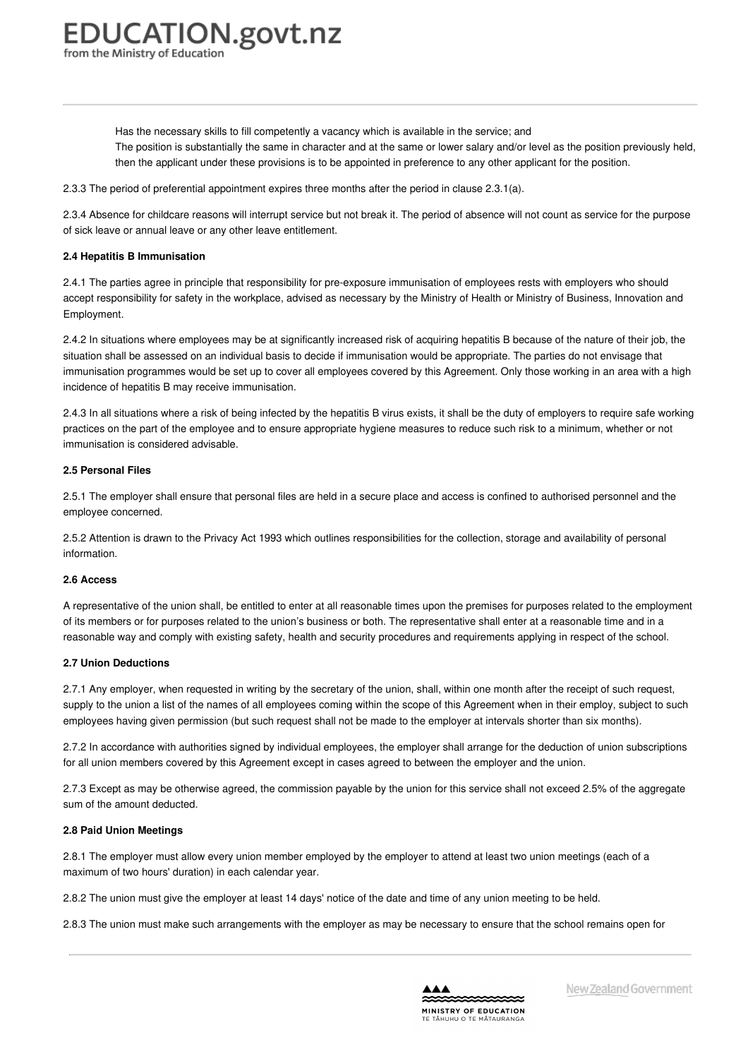<span id="page-5-0"></span>Has the necessary skills to fill competently a vacancy which is available in the service; and

The position is substantially the same in character and at the same or lower salary and/or level as the position previously held, then the applicant under these provisions is to be appointed in preference to any other applicant for the position.

2.3.3 The period of preferential appointment expires three months after the period in clause 2.3.1(a).

2.3.4 Absence for childcare reasons will interrupt service but not break it. The period of absence will not count as service for the purpose of sick leave or annual leave or any other leave entitlement.

#### **2.4 Hepatitis B [Immunisation](https://www.education.govt.nz/school/people-and-employment/employment-agreements/collective-agreements/primary-teachers-collective-agreement/part-2-general-provisions/#cd_3634_2-4-hepatitis-b-immunisation_Education%5CComplexDocuments%5CModel%5CComplexDocumentAccordionSection)**

2.4.1 The parties agree in principle that responsibility for pre-exposure immunisation of employees rests with employers who should accept responsibility for safety in the workplace, advised as necessary by the Ministry of Health or Ministry of Business, Innovation and Employment.

2.4.2 In situations where employees may be at significantly increased risk of acquiring hepatitis B because of the nature of their job, the situation shall be assessed on an individual basis to decide if immunisation would be appropriate. The parties do not envisage that immunisation programmes would be set up to cover all employees covered by this Agreement. Only those working in an area with a high incidence of hepatitis B may receive immunisation.

2.4.3 In all situations where a risk of being infected by the hepatitis B virus exists, it shall be the duty of employers to require safe working practices on the part of the employee and to ensure appropriate hygiene measures to reduce such risk to a minimum, whether or not immunisation is considered advisable.

#### **2.5 [Personal](https://www.education.govt.nz/school/people-and-employment/employment-agreements/collective-agreements/primary-teachers-collective-agreement/part-2-general-provisions/#cd_3635_2-5-personal-files_Education%5CComplexDocuments%5CModel%5CComplexDocumentAccordionSection) Files**

2.5.1 The employer shall ensure that personal files are held in a secure place and access is confined to authorised personnel and the employee concerned.

2.5.2 Attention is drawn to the Privacy Act 1993 which outlines responsibilities for the collection, storage and availability of personal information.

#### **2.6 [Access](https://www.education.govt.nz/school/people-and-employment/employment-agreements/collective-agreements/primary-teachers-collective-agreement/part-2-general-provisions/#cd_3636_2-6-access_Education%5CComplexDocuments%5CModel%5CComplexDocumentAccordionSection)**

A representative of the union shall, be entitled to enter at all reasonable times upon the premises for purposes related to the employment of its members or for purposes related to the union's business or both. The representative shall enter at a reasonable time and in a reasonable way and comply with existing safety, health and security procedures and requirements applying in respect of the school.

#### **2.7 Union [Deductions](https://www.education.govt.nz/school/people-and-employment/employment-agreements/collective-agreements/primary-teachers-collective-agreement/part-2-general-provisions/#cd_3637_2-7-union-deductions_Education%5CComplexDocuments%5CModel%5CComplexDocumentAccordionSection)**

2.7.1 Any employer, when requested in writing by the secretary of the union, shall, within one month after the receipt of such request, supply to the union a list of the names of all employees coming within the scope of this Agreement when in their employ, subject to such employees having given permission (but such request shall not be made to the employer at intervals shorter than six months).

2.7.2 In accordance with authorities signed by individual employees, the employer shall arrange for the deduction of union subscriptions for all union members covered by this Agreement except in cases agreed to between the employer and the union.

2.7.3 Except as may be otherwise agreed, the commission payable by the union for this service shall not exceed 2.5% of the aggregate sum of the amount deducted.

#### **2.8 Paid Union [Meetings](https://www.education.govt.nz/school/people-and-employment/employment-agreements/collective-agreements/primary-teachers-collective-agreement/part-2-general-provisions/#cd_3638_2-8-paid-union-meetings_Education%5CComplexDocuments%5CModel%5CComplexDocumentAccordionSection)**

2.8.1 The employer must allow every union member employed by the employer to attend at least two union meetings (each of a maximum of two hours' duration) in each calendar year.

2.8.2 The union must give the employer at least 14 days' notice of the date and time of any union meeting to be held.

2.8.3 The union must make such arrangements with the employer as may be necessary to ensure that the school remains open for

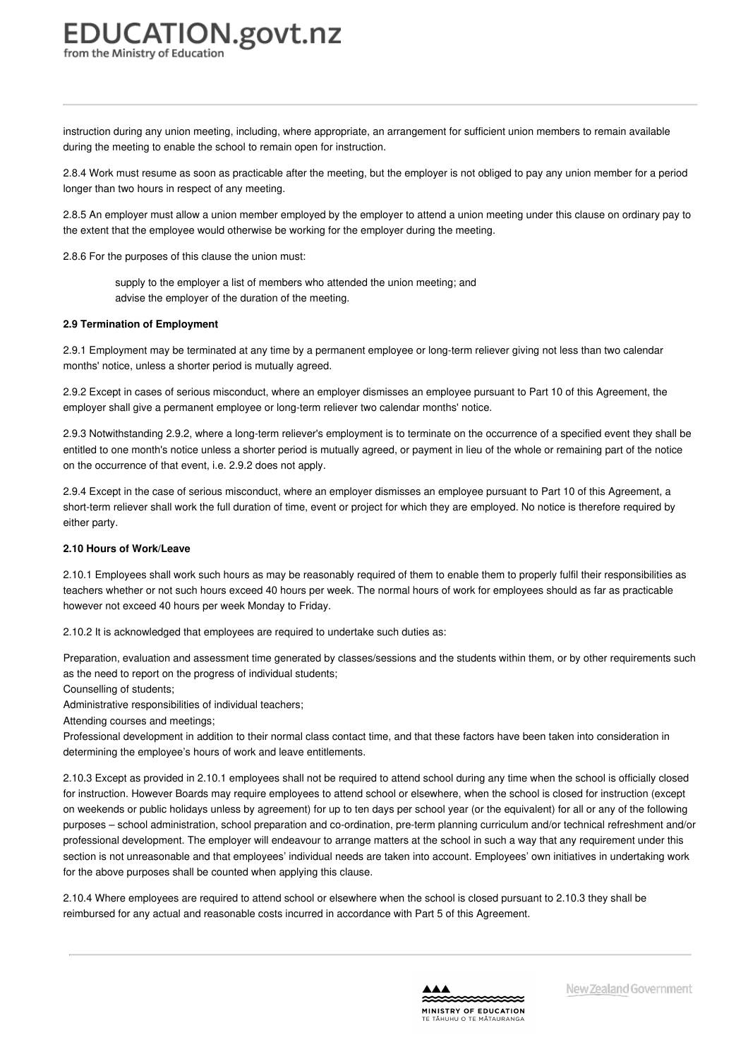instruction during any union meeting, including, where appropriate, an arrangement for sufficient union members to remain available during the meeting to enable the school to remain open for instruction.

2.8.4 Work must resume as soon as practicable after the meeting, but the employer is not obliged to pay any union member for a period longer than two hours in respect of any meeting.

2.8.5 An employer must allow a union member employed by the employer to attend a union meeting under this clause on ordinary pay to the extent that the employee would otherwise be working for the employer during the meeting.

2.8.6 For the purposes of this clause the union must:

supply to the employer a list of members who attended the union meeting; and advise the employer of the duration of the meeting.

#### **2.9 Termination of [Employment](https://www.education.govt.nz/school/people-and-employment/employment-agreements/collective-agreements/primary-teachers-collective-agreement/part-2-general-provisions/#cd_3639_2-9-termination-of-employment_Education%5CComplexDocuments%5CModel%5CComplexDocumentAccordionSection)**

2.9.1 Employment may be terminated at any time by a permanent employee or long-term reliever giving not less than two calendar months' notice, unless a shorter period is mutually agreed.

2.9.2 Except in cases of serious misconduct, where an employer dismisses an employee pursuant to Part 10 of this Agreement, the employer shall give a permanent employee or long-term reliever two calendar months' notice.

2.9.3 Notwithstanding 2.9.2, where a long-term reliever's employment is to terminate on the occurrence of a specified event they shall be entitled to one month's notice unless a shorter period is mutually agreed, or payment in lieu of the whole or remaining part of the notice on the occurrence of that event, i.e. 2.9.2 does not apply.

2.9.4 Except in the case of serious misconduct, where an employer dismisses an employee pursuant to Part 10 of this Agreement, a short-term reliever shall work the full duration of time, event or project for which they are employed. No notice is therefore required by either party.

#### **2.10 Hours of [Work/Leave](https://www.education.govt.nz/school/people-and-employment/employment-agreements/collective-agreements/primary-teachers-collective-agreement/part-2-general-provisions/#cd_3640_2-10-hours-of-workleave_Education%5CComplexDocuments%5CModel%5CComplexDocumentAccordionSection)**

2.10.1 Employees shall work such hours as may be reasonably required of them to enable them to properly fulfil their responsibilities as teachers whether or not such hours exceed 40 hours per week. The normal hours of work for employees should as far as practicable however not exceed 40 hours per week Monday to Friday.

2.10.2 It is acknowledged that employees are required to undertake such duties as:

Preparation, evaluation and assessment time generated by classes/sessions and the students within them, or by other requirements such as the need to report on the progress of individual students;

Counselling of students;

Administrative responsibilities of individual teachers;

Attending courses and meetings;

Professional development in addition to their normal class contact time, and that these factors have been taken into consideration in determining the employee's hours of work and leave entitlements.

2.10.3 Except as provided in 2.10.1 employees shall not be required to attend school during any time when the school is officially closed for instruction. However Boards may require employees to attend school or elsewhere, when the school is closed for instruction (except on weekends or public holidays unless by agreement) for up to ten days per school year (or the equivalent) for all or any of the following purposes – school administration, school preparation and co-ordination, pre-term planning curriculum and/or technical refreshment and/or professional development. The employer will endeavour to arrange matters at the school in such a way that any requirement under this section is not unreasonable and that employees' individual needs are taken into account. Employees' own initiatives in undertaking work for the above purposes shall be counted when applying this clause.

2.10.4 Where employees are required to attend school or elsewhere when the school is closed pursuant to 2.10.3 they shall be reimbursed for any actual and reasonable costs incurred in accordance with Part 5 of this Agreement.

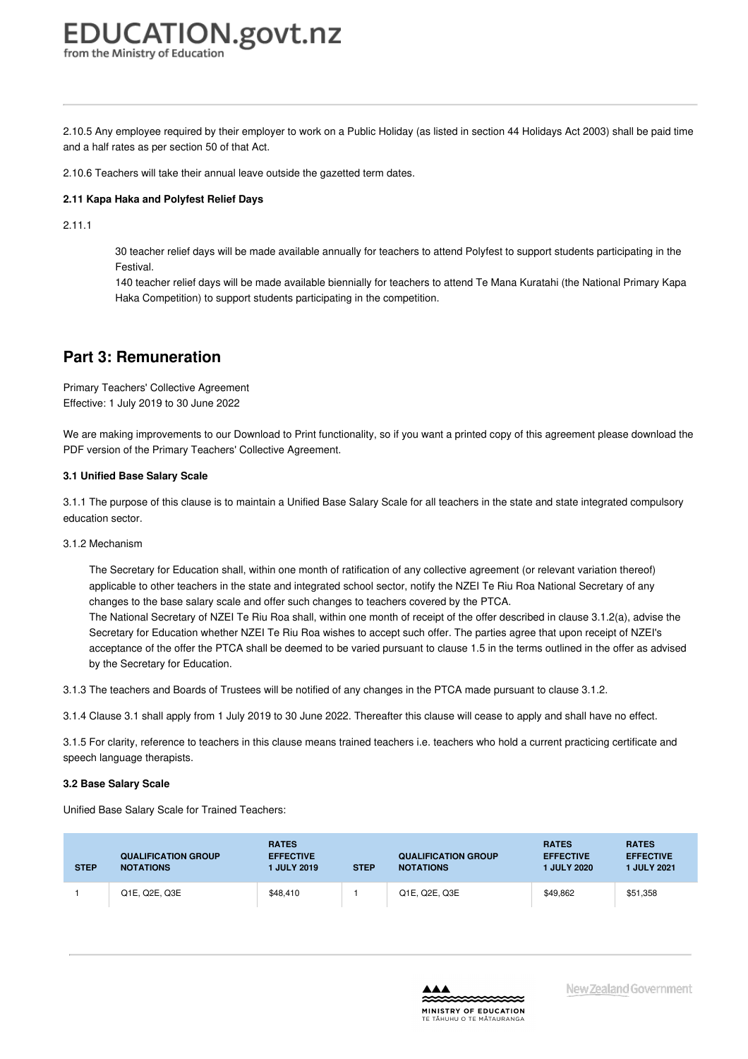2.10.5 Any employee required by their employer to work on a Public Holiday (as listed in section 44 Holidays Act 2003) shall be paid time and a half rates as per section 50 of that Act.

2.10.6 Teachers will take their annual leave outside the gazetted term dates.

#### **2.11 Kapa Haka and [Polyfest](https://www.education.govt.nz/school/people-and-employment/employment-agreements/collective-agreements/primary-teachers-collective-agreement/part-2-general-provisions/#cd_11168_2-11-kapa-haka-and-polyfest-relief-days_Education%5CComplexDocuments%5CModel%5CComplexDocumentAccordionSection) Relief Days**

2.11.1

30 teacher relief days will be made available annually for teachers to attend Polyfest to support students participating in the Festival.

140 teacher relief days will be made available biennially for teachers to attend Te Mana Kuratahi (the National Primary Kapa Haka Competition) to support students participating in the competition.

### **Part 3: Remuneration**

Primary Teachers' Collective Agreement Effective: 1 July 2019 to 30 June 2022

We are making improvements to our Download to Print functionality, so if you want a printed copy of this agreement please download the PDF version of the Primary Teachers' Collective Agreement.

#### **3.1 [Unified](https://www.education.govt.nz/school/people-and-employment/employment-agreements/collective-agreements/primary-teachers-collective-agreement/part-3-remuneration/#cd_3643_3-1-unified-base-salary-scale_Education%5CComplexDocuments%5CModel%5CComplexDocumentAccordionSection) Base Salary Scale**

3.1.1 The purpose of this clause is to maintain a Unified Base Salary Scale for all teachers in the state and state integrated compulsory education sector.

#### 3.1.2 Mechanism

The Secretary for Education shall, within one month of ratification of any collective agreement (or relevant variation thereof) applicable to other teachers in the state and integrated school sector, notify the NZEI Te Riu Roa National Secretary of any changes to the base salary scale and offer such changes to teachers covered by the PTCA. The National Secretary of NZEI Te Riu Roa shall, within one month of receipt of the offer described in clause 3.1.2(a), advise the Secretary for Education whether NZEI Te Riu Roa wishes to accept such offer. The parties agree that upon receipt of NZEI's acceptance of the offer the PTCA shall be deemed to be varied pursuant to clause 1.5 in the terms outlined in the offer as advised

3.1.3 The teachers and Boards of Trustees will be notified of any changes in the PTCA made pursuant to clause 3.1.2.

3.1.4 Clause 3.1 shall apply from 1 July 2019 to 30 June 2022. Thereafter this clause will cease to apply and shall have no effect.

3.1.5 For clarity, reference to teachers in this clause means trained teachers i.e. teachers who hold a current practicing certificate and speech language therapists.

#### **3.2 Base [Salary](https://www.education.govt.nz/school/people-and-employment/employment-agreements/collective-agreements/primary-teachers-collective-agreement/part-3-remuneration/#cd_3645_3-2-base-salary-scale_Education%5CComplexDocuments%5CModel%5CComplexDocumentAccordionSection) Scale**

Unified Base Salary Scale for Trained Teachers:

by the Secretary for Education.

| <b>STEP</b> | <b>QUALIFICATION GROUP</b><br><b>NOTATIONS</b> | <b>RATES</b><br><b>EFFECTIVE</b><br><b>I JULY 2019</b> | <b>STEP</b> | <b>QUALIFICATION GROUP</b><br><b>NOTATIONS</b> | <b>RATES</b><br><b>EFFECTIVE</b><br>1 JULY 2020 | <b>RATES</b><br><b>EFFECTIVE</b><br><b>1 JULY 2021</b> |
|-------------|------------------------------------------------|--------------------------------------------------------|-------------|------------------------------------------------|-------------------------------------------------|--------------------------------------------------------|
|             | Q1E, Q2E, Q3E                                  | \$48,410                                               |             | Q1E, Q2E, Q3E                                  | \$49,862                                        | \$51,358                                               |

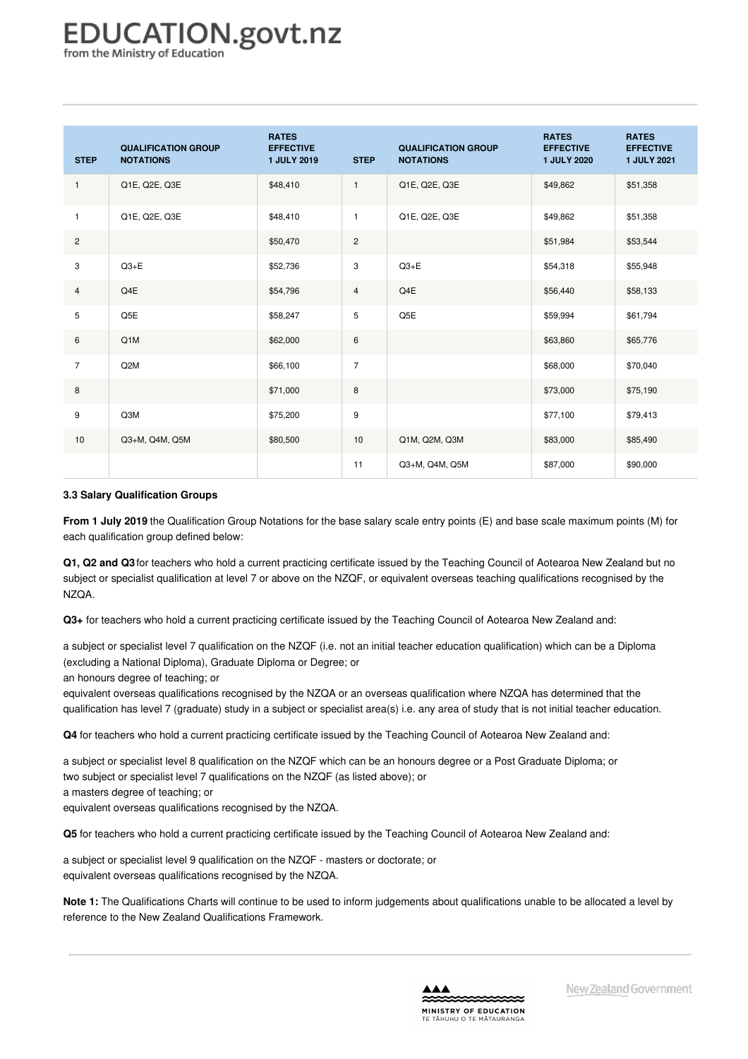## **EDUCATION.govt.nz**

from the Ministry of Education

| <b>STEP</b>    | <b>QUALIFICATION GROUP</b><br><b>NOTATIONS</b> | <b>RATES</b><br><b>EFFECTIVE</b><br><b>1 JULY 2019</b> | <b>STEP</b>    | <b>QUALIFICATION GROUP</b><br><b>NOTATIONS</b> | <b>RATES</b><br><b>EFFECTIVE</b><br><b>1 JULY 2020</b> | <b>RATES</b><br><b>EFFECTIVE</b><br><b>1 JULY 2021</b> |
|----------------|------------------------------------------------|--------------------------------------------------------|----------------|------------------------------------------------|--------------------------------------------------------|--------------------------------------------------------|
| $\mathbf{1}$   | Q1E, Q2E, Q3E                                  | \$48,410                                               | $\mathbf{1}$   | Q1E, Q2E, Q3E                                  | \$49,862                                               | \$51,358                                               |
| $\mathbf{1}$   | Q1E, Q2E, Q3E                                  | \$48,410                                               | $\mathbf{1}$   | Q1E, Q2E, Q3E                                  | \$49,862                                               | \$51,358                                               |
| $\overline{c}$ |                                                | \$50,470                                               | $\overline{c}$ |                                                | \$51,984                                               | \$53,544                                               |
| 3              | $Q3 + E$                                       | \$52,736                                               | 3              | $Q3 + E$                                       | \$54,318                                               | \$55,948                                               |
| $\overline{4}$ | Q4E                                            | \$54,796                                               | $\overline{4}$ | Q4E                                            | \$56,440                                               | \$58,133                                               |
| 5              | Q5E                                            | \$58,247                                               | $\sqrt{5}$     | Q5E                                            | \$59,994                                               | \$61,794                                               |
| 6              | Q1M                                            | \$62,000                                               | $\,6\,$        |                                                | \$63,860                                               | \$65,776                                               |
| $\overline{7}$ | Q <sub>2</sub> M                               | \$66,100                                               | $\overline{7}$ |                                                | \$68,000                                               | \$70,040                                               |
| 8              |                                                | \$71,000                                               | $\,8\,$        |                                                | \$73,000                                               | \$75,190                                               |
| 9              | Q3M                                            | \$75,200                                               | 9              |                                                | \$77,100                                               | \$79,413                                               |
| 10             | Q3+M, Q4M, Q5M                                 | \$80,500                                               | 10             | Q1M, Q2M, Q3M                                  | \$83,000                                               | \$85,490                                               |
|                |                                                |                                                        | 11             | Q3+M, Q4M, Q5M                                 | \$87,000                                               | \$90,000                                               |

#### **3.3 Salary [Qualification](https://www.education.govt.nz/school/people-and-employment/employment-agreements/collective-agreements/primary-teachers-collective-agreement/part-3-remuneration/#cd_3646_3-3-salary-on-appointment_Education%5CComplexDocuments%5CModel%5CComplexDocumentAccordionSection) Groups**

**From 1 July 2019** the Qualification Group Notations for the base salary scale entry points (E) and base scale maximum points (M) for each qualification group defined below:

**Q1, Q2 and Q3** for teachers who hold a current practicing certificate issued by the Teaching Council of Aotearoa New Zealand but no subject or specialist qualification at level 7 or above on the NZQF, or equivalent overseas teaching qualifications recognised by the NZQA.

**Q3+** for teachers who hold a current practicing certificate issued by the Teaching Council of Aotearoa New Zealand and:

a subject or specialist level 7 qualification on the NZQF (i.e. not an initial teacher education qualification) which can be a Diploma (excluding a National Diploma), Graduate Diploma or Degree; or

an honours degree of teaching; or

equivalent overseas qualifications recognised by the NZQA or an overseas qualification where NZQA has determined that the qualification has level 7 (graduate) study in a subject or specialist area(s) i.e. any area of study that is not initial teacher education.

**Q4** for teachers who hold a current practicing certificate issued by the Teaching Council of Aotearoa New Zealand and:

a subject or specialist level 8 qualification on the NZQF which can be an honours degree or a Post Graduate Diploma; or two subject or specialist level 7 qualifications on the NZQF (as listed above); or a masters degree of teaching; or equivalent overseas qualifications recognised by the NZQA.

**Q5** for teachers who hold a current practicing certificate issued by the Teaching Council of Aotearoa New Zealand and:

a subject or specialist level 9 qualification on the NZQF - masters or doctorate; or equivalent overseas qualifications recognised by the NZQA.

**Note 1:** The Qualifications Charts will continue to be used to inform judgements about qualifications unable to be allocated a level by reference to the New Zealand Qualifications Framework.

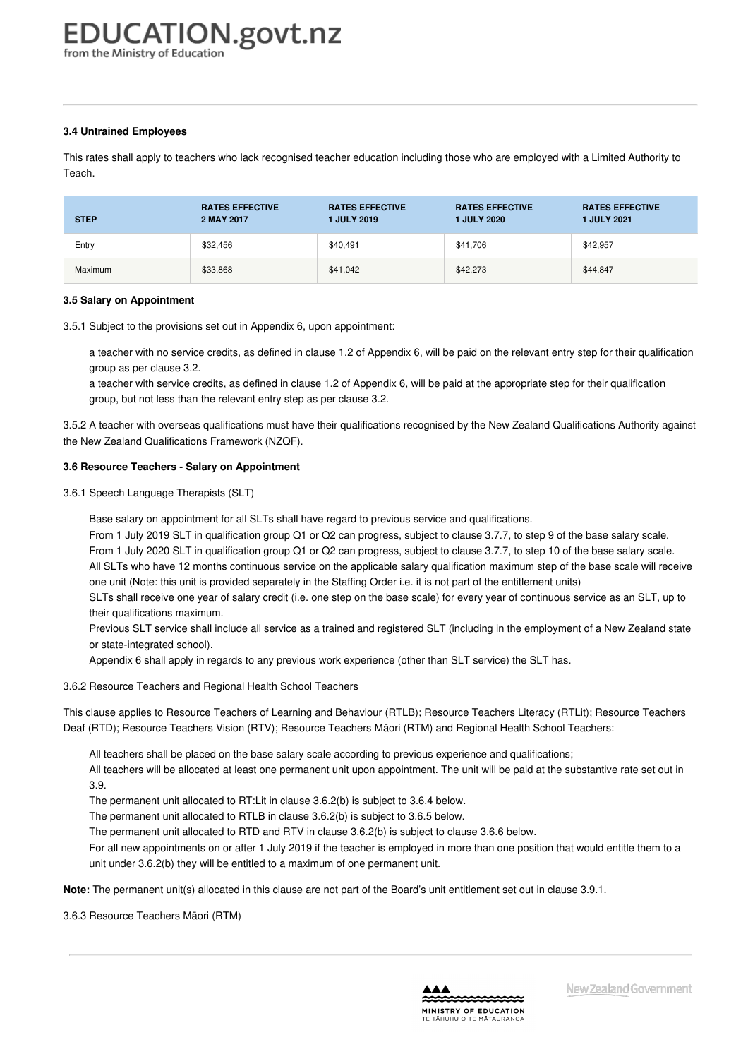#### **3.4 Untrained [Employees](https://www.education.govt.nz/school/people-and-employment/employment-agreements/collective-agreements/primary-teachers-collective-agreement/part-3-remuneration/#cd_3649_3-4-progression_Education%5CComplexDocuments%5CModel%5CComplexDocumentAccordionSection)**

This rates shall apply to teachers who lack recognised teacher education including those who are employed with a Limited Authority to Teach.

| <b>STEP</b> | <b>RATES EFFECTIVE</b><br>2 MAY 2017 | <b>RATES EFFECTIVE</b><br><b>1 JULY 2019</b> | <b>RATES EFFECTIVE</b><br><b>1 JULY 2020</b> | <b>RATES EFFECTIVE</b><br><b>1 JULY 2021</b> |
|-------------|--------------------------------------|----------------------------------------------|----------------------------------------------|----------------------------------------------|
| Entry       | \$32,456                             | \$40,491                                     | \$41,706                                     | \$42,957                                     |
| Maximum     | \$33,868                             | \$41,042                                     | \$42,273                                     | \$44,847                                     |

#### **3.5 Salary on [Appointment](https://www.education.govt.nz/school/people-and-employment/employment-agreements/collective-agreements/primary-teachers-collective-agreement/part-3-remuneration/#cd_3650_3-5-progression-for-resource-teachers_Education%5CComplexDocuments%5CModel%5CComplexDocumentAccordionSection)**

3.5.1 Subject to the provisions set out in Appendix 6, upon appointment:

a teacher with no service credits, as defined in clause 1.2 of Appendix 6, will be paid on the relevant entry step for their qualification group as per clause 3.2.

a teacher with service credits, as defined in clause 1.2 of Appendix 6, will be paid at the appropriate step for their qualification group, but not less than the relevant entry step as per clause 3.2.

3.5.2 A teacher with overseas qualifications must have their qualifications recognised by the New Zealand Qualifications Authority against the New Zealand Qualifications Framework (NZQF).

#### **3.6 Resource Teachers - Salary on [Appointment](https://www.education.govt.nz/school/people-and-employment/employment-agreements/collective-agreements/primary-teachers-collective-agreement/part-3-remuneration/#cd_3651_3-6-progression-for-speech-language-therapists-slts_Education%5CComplexDocuments%5CModel%5CComplexDocumentAccordionSection)**

3.6.1 Speech Language Therapists (SLT)

Base salary on appointment for all SLTs shall have regard to previous service and qualifications.

From 1 July 2019 SLT in qualification group Q1 or Q2 can progress, subject to clause 3.7.7, to step 9 of the base salary scale.

From 1 July 2020 SLT in qualification group Q1 or Q2 can progress, subject to clause 3.7.7, to step 10 of the base salary scale.

All SLTs who have 12 months continuous service on the applicable salary qualification maximum step of the base scale will receive one unit (Note: this unit is provided separately in the Staffing Order i.e. it is not part of the entitlement units)

SLTs shall receive one year of salary credit (i.e. one step on the base scale) for every year of continuous service as an SLT, up to their qualifications maximum.

Previous SLT service shall include all service as a trained and registered SLT (including in the employment of a New Zealand state or state-integrated school).

Appendix 6 shall apply in regards to any previous work experience (other than SLT service) the SLT has.

3.6.2 Resource Teachers and Regional Health School Teachers

This clause applies to Resource Teachers of Learning and Behaviour (RTLB); Resource Teachers Literacy (RTLit); Resource Teachers Deaf (RTD); Resource Teachers Vision (RTV); Resource Teachers Māori (RTM) and Regional Health School Teachers:

All teachers shall be placed on the base salary scale according to previous experience and qualifications;

All teachers will be allocated at least one permanent unit upon appointment. The unit will be paid at the substantive rate set out in 3.9.

The permanent unit allocated to RT:Lit in clause 3.6.2(b) is subject to 3.6.4 below.

The permanent unit allocated to RTLB in clause 3.6.2(b) is subject to 3.6.5 below.

The permanent unit allocated to RTD and RTV in clause 3.6.2(b) is subject to clause 3.6.6 below.

For all new appointments on or after 1 July 2019 if the teacher is employed in more than one position that would entitle them to a unit under 3.6.2(b) they will be entitled to a maximum of one permanent unit.

**Note:** The permanent unit(s) allocated in this clause are not part of the Board's unit entitlement set out in clause 3.9.1.

3.6.3 Resource Teachers Māori (RTM)

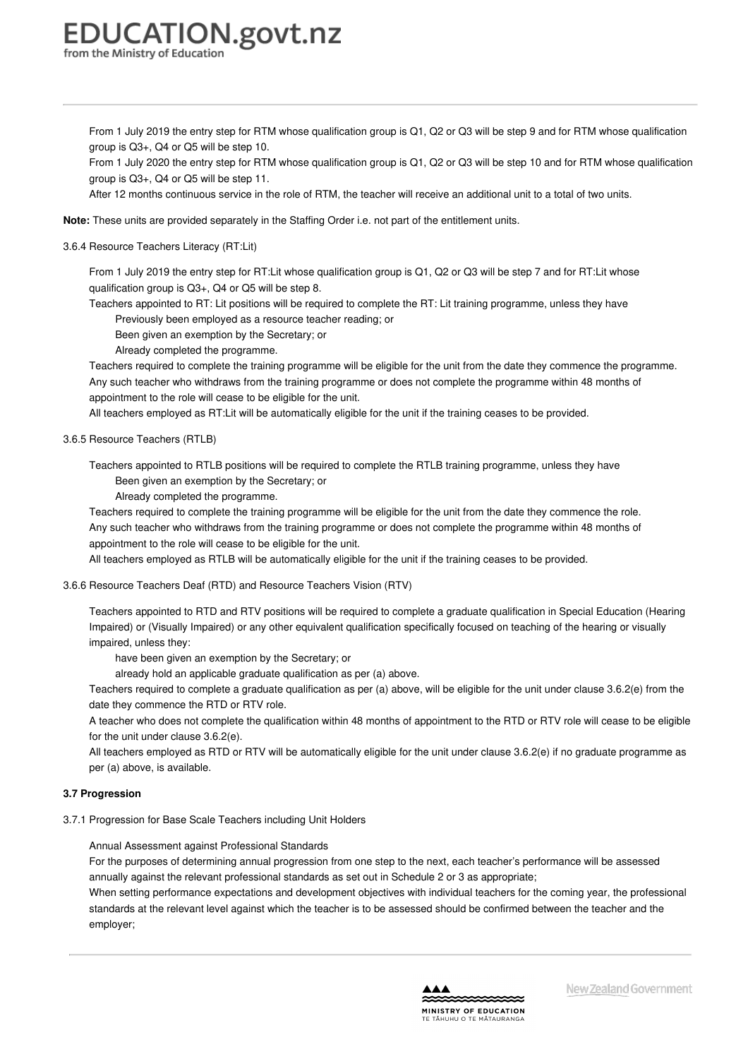## **EDUCATION.govt.nz**

from the Ministry of Educatior

From 1 July 2019 the entry step for RTM whose qualification group is Q1, Q2 or Q3 will be step 9 and for RTM whose qualification group is Q3+, Q4 or Q5 will be step 10.

From 1 July 2020 the entry step for RTM whose qualification group is Q1, Q2 or Q3 will be step 10 and for RTM whose qualification group is Q3+, Q4 or Q5 will be step 11.

After 12 months continuous service in the role of RTM, the teacher will receive an additional unit to a total of two units.

**Note:** These units are provided separately in the Staffing Order i.e. not part of the entitlement units.

3.6.4 Resource Teachers Literacy (RT:Lit)

From 1 July 2019 the entry step for RT:Lit whose qualification group is Q1, Q2 or Q3 will be step 7 and for RT:Lit whose qualification group is Q3+, Q4 or Q5 will be step 8.

Teachers appointed to RT: Lit positions will be required to complete the RT: Lit training programme, unless they have Previously been employed as a resource teacher reading; or

Been given an exemption by the Secretary; or

Already completed the programme.

Teachers required to complete the training programme will be eligible for the unit from the date they commence the programme. Any such teacher who withdraws from the training programme or does not complete the programme within 48 months of appointment to the role will cease to be eligible for the unit.

All teachers employed as RT:Lit will be automatically eligible for the unit if the training ceases to be provided.

#### 3.6.5 Resource Teachers (RTLB)

Teachers appointed to RTLB positions will be required to complete the RTLB training programme, unless they have Been given an exemption by the Secretary; or

Already completed the programme.

Teachers required to complete the training programme will be eligible for the unit from the date they commence the role. Any such teacher who withdraws from the training programme or does not complete the programme within 48 months of appointment to the role will cease to be eligible for the unit.

All teachers employed as RTLB will be automatically eligible for the unit if the training ceases to be provided.

#### 3.6.6 Resource Teachers Deaf (RTD) and Resource Teachers Vision (RTV)

Teachers appointed to RTD and RTV positions will be required to complete a graduate qualification in Special Education (Hearing Impaired) or (Visually Impaired) or any other equivalent qualification specifically focused on teaching of the hearing or visually impaired, unless they:

have been given an exemption by the Secretary; or

already hold an applicable graduate qualification as per (a) above.

Teachers required to complete a graduate qualification as per (a) above, will be eligible for the unit under clause 3.6.2(e) from the date they commence the RTD or RTV role.

A teacher who does not complete the qualification within 48 months of appointment to the RTD or RTV role will cease to be eligible for the unit under clause 3.6.2(e).

All teachers employed as RTD or RTV will be automatically eligible for the unit under clause 3.6.2(e) if no graduate programme as per (a) above, is available.

#### **3.7 [Progression](https://www.education.govt.nz/school/people-and-employment/employment-agreements/collective-agreements/primary-teachers-collective-agreement/part-3-remuneration/#cd_3652_3-7-salary-maxima_Education%5CComplexDocuments%5CModel%5CComplexDocumentAccordionSection)**

3.7.1 Progression for Base Scale Teachers including Unit Holders

Annual Assessment against Professional Standards

For the purposes of determining annual progression from one step to the next, each teacher's performance will be assessed annually against the relevant professional standards as set out in Schedule 2 or 3 as appropriate;

When setting performance expectations and development objectives with individual teachers for the coming year, the professional standards at the relevant level against which the teacher is to be assessed should be confirmed between the teacher and the employer;

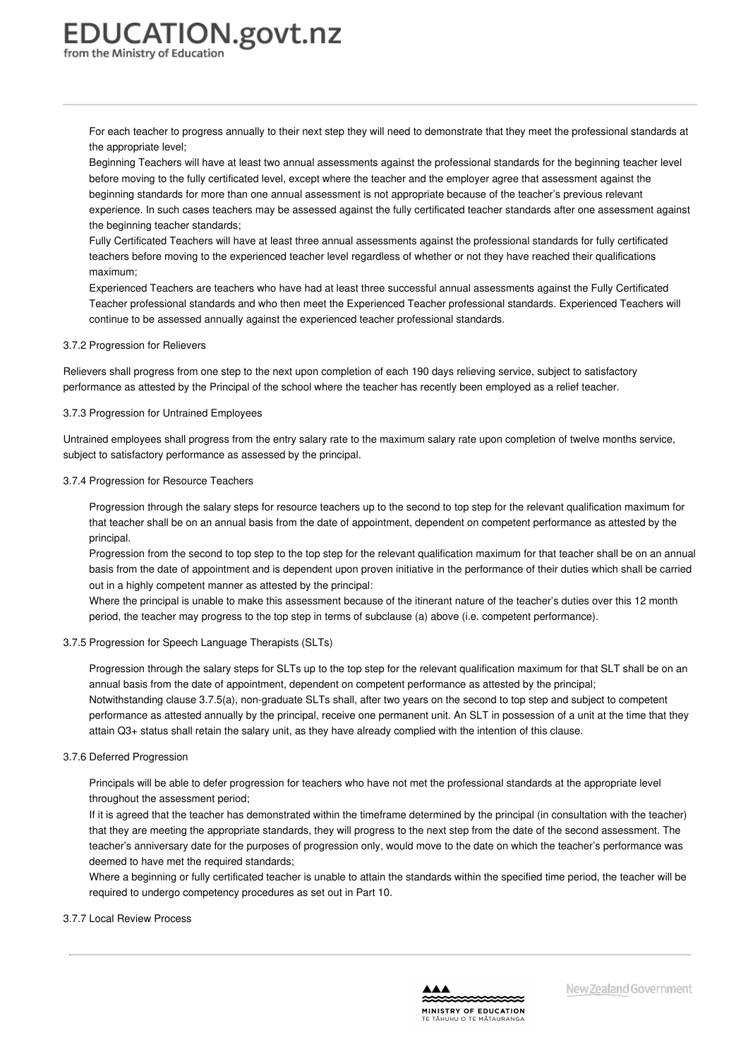For each teacher to progress annually to their next step they will need to demonstrate that they meet the professional standards at the appropriate level;

Beginning Teachers will have at least two annual assessments against the professional standards for the beginning teacher level before moving to the fully certificated level, except where the teacher and the employer agree that assessment against the beginning standards for more than one annual assessment is not appropriate because of the teacher's previous relevant experience. In such cases teachers may be assessed against the fully certificated teacher standards after one assessment against the beginning teacher standards;

Fully Certificated Teachers will have at least three annual assessments against the professional standards for fully certificated teachers before moving to the experienced teacher level regardless of whether or not they have reached their qualifications maximum;

Experienced Teachers are teachers who have had at least three successful annual assessments against the Fully Certificated Teacher professional standards and who then meet the Experienced Teacher professional standards. Experienced Teachers will continue to be assessed annually against the experienced teacher professional standards.

#### 3.7.2 Progression for Relievers

Relievers shall progress from one step to the next upon completion of each 190 days relieving service, subject to satisfactory performance as attested by the Principal of the school where the teacher has recently been employed as a relief teacher.

#### 3.7.3 Progression for Untrained Employees

Untrained employees shall progress from the entry salary rate to the maximum salary rate upon completion of twelve months service, subject to satisfactory performance as assessed by the principal.

#### 3.7.4 Progression for Resource Teachers

Progression through the salary steps for resource teachers up to the second to top step for the relevant qualification maximum for that teacher shall be on an annual basis from the date of appointment, dependent on competent performance as attested by the principal.

Progression from the second to top step to the top step for the relevant qualification maximum for that teacher shall be on an annual basis from the date of appointment and is dependent upon proven initiative in the performance of their duties which shall be carried out in a highly competent manner as attested by the principal:

Where the principal is unable to make this assessment because of the itinerant nature of the teacher's duties over this 12 month period, the teacher may progress to the top step in terms of subclause (a) above (i.e. competent performance).

#### 3.7.5 Progression for Speech Language Therapists (SLTs)

Progression through the salary steps for SLTs up to the top step for the relevant qualification maximum for that SLT shall be on an annual basis from the date of appointment, dependent on competent performance as attested by the principal; Notwithstanding clause 3.7.5(a), non-graduate SLTs shall, after two years on the second to top step and subject to competent performance as attested annually by the principal, receive one permanent unit. An SLT in possession of a unit at the time that they attain Q3+ status shall retain the salary unit, as they have already complied with the intention of this clause.

#### 3.7.6 Deferred Progression

Principals will be able to defer progression for teachers who have not met the professional standards at the appropriate level throughout the assessment period;

If it is agreed that the teacher has demonstrated within the timeframe determined by the principal (in consultation with the teacher) that they are meeting the appropriate standards, they will progress to the next step from the date of the second assessment. The teacher's anniversary date for the purposes of progression only, would move to the date on which the teacher's performance was deemed to have met the required standards;

Where a beginning or fully certificated teacher is unable to attain the standards within the specified time period, the teacher will be required to undergo competency procedures as set out in Part 10.

#### 3.7.7 Local Review Process

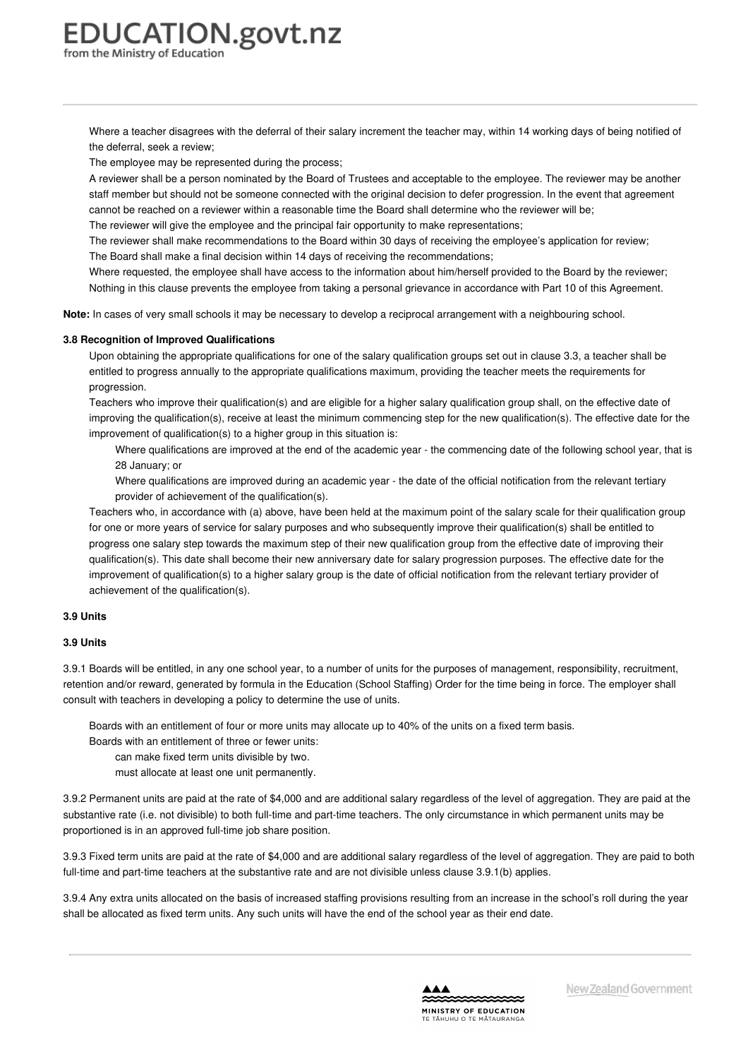Where a teacher disagrees with the deferral of their salary increment the teacher may, within 14 working days of being notified of the deferral, seek a review;

The employee may be represented during the process;

A reviewer shall be a person nominated by the Board of Trustees and acceptable to the employee. The reviewer may be another staff member but should not be someone connected with the original decision to defer progression. In the event that agreement cannot be reached on a reviewer within a reasonable time the Board shall determine who the reviewer will be;

The reviewer will give the employee and the principal fair opportunity to make representations;

The reviewer shall make recommendations to the Board within 30 days of receiving the employee's application for review; The Board shall make a final decision within 14 days of receiving the recommendations;

Where requested, the employee shall have access to the information about him/herself provided to the Board by the reviewer; Nothing in this clause prevents the employee from taking a personal grievance in accordance with Part 10 of this Agreement.

**Note:** In cases of very small schools it may be necessary to develop a reciprocal arrangement with a neighbouring school.

#### **3.8 Recognition of Improved [Qualifications](https://www.education.govt.nz/school/people-and-employment/employment-agreements/collective-agreements/primary-teachers-collective-agreement/part-3-remuneration/#cd_3653_3-8-recognised-qualifications_Education%5CComplexDocuments%5CModel%5CComplexDocumentAccordionSection)**

Upon obtaining the appropriate qualifications for one of the salary qualification groups set out in clause 3.3, a teacher shall be entitled to progress annually to the appropriate qualifications maximum, providing the teacher meets the requirements for progression.

Teachers who improve their qualification(s) and are eligible for a higher salary qualification group shall, on the effective date of improving the qualification(s), receive at least the minimum commencing step for the new qualification(s). The effective date for the improvement of qualification(s) to a higher group in this situation is:

Where qualifications are improved at the end of the academic year - the commencing date of the following school year, that is 28 January; or

Where qualifications are improved during an academic year - the date of the official notification from the relevant tertiary provider of achievement of the qualification(s).

Teachers who, in accordance with (a) above, have been held at the maximum point of the salary scale for their qualification group for one or more years of service for salary purposes and who subsequently improve their qualification(s) shall be entitled to progress one salary step towards the maximum step of their new qualification group from the effective date of improving their qualification(s). This date shall become their new anniversary date for salary progression purposes. The effective date for the improvement of qualification(s) to a higher salary group is the date of official notification from the relevant tertiary provider of achievement of the qualification(s).

#### **3.9 [Units](https://www.education.govt.nz/school/people-and-employment/employment-agreements/collective-agreements/primary-teachers-collective-agreement/part-3-remuneration/#cd_3654_3-9-recognition-of-improved-qualifications_Education%5CComplexDocuments%5CModel%5CComplexDocumentAccordionSection)**

#### **3.9 Units**

3.9.1 Boards will be entitled, in any one school year, to a number of units for the purposes of management, responsibility, recruitment, retention and/or reward, generated by formula in the Education (School Staffing) Order for the time being in force. The employer shall consult with teachers in developing a policy to determine the use of units.

Boards with an entitlement of four or more units may allocate up to 40% of the units on a fixed term basis.

Boards with an entitlement of three or fewer units:

can make fixed term units divisible by two.

must allocate at least one unit permanently.

3.9.2 Permanent units are paid at the rate of \$4,000 and are additional salary regardless of the level of aggregation. They are paid at the substantive rate (i.e. not divisible) to both full-time and part-time teachers. The only circumstance in which permanent units may be proportioned is in an approved full-time job share position.

3.9.3 Fixed term units are paid at the rate of \$4,000 and are additional salary regardless of the level of aggregation. They are paid to both full-time and part-time teachers at the substantive rate and are not divisible unless clause 3.9.1(b) applies.

3.9.4 Any extra units allocated on the basis of increased staffing provisions resulting from an increase in the school's roll during the year shall be allocated as fixed term units. Any such units will have the end of the school year as their end date.

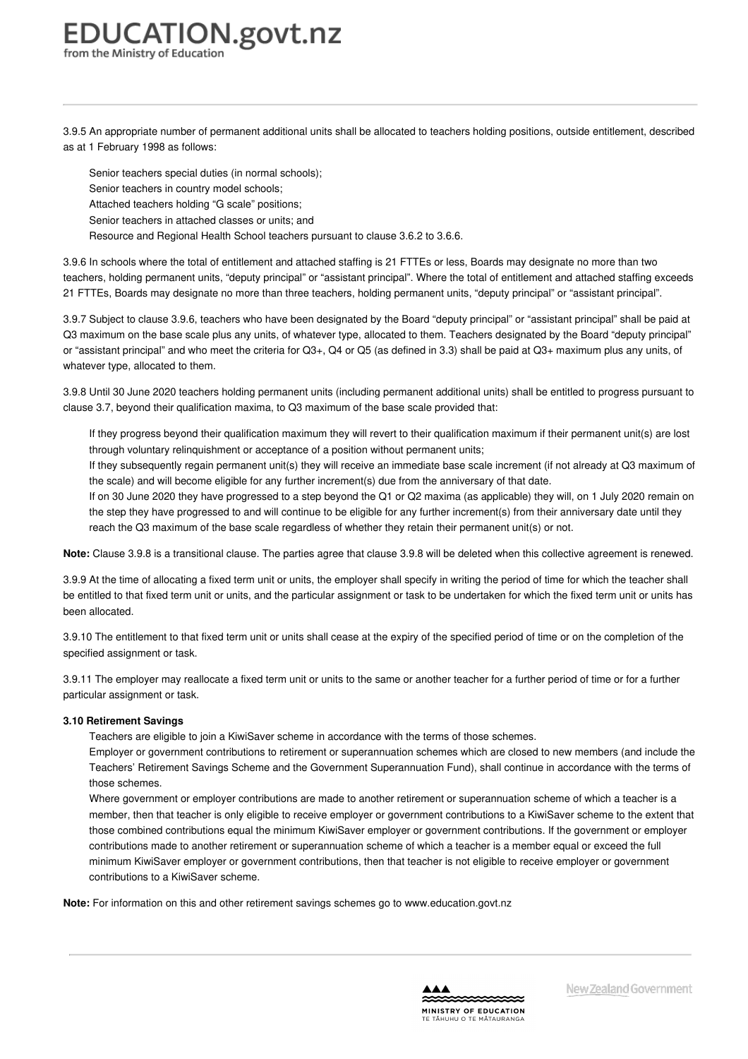3.9.5 An appropriate number of permanent additional units shall be allocated to teachers holding positions, outside entitlement, described as at 1 February 1998 as follows:

Senior teachers special duties (in normal schools); Senior teachers in country model schools; Attached teachers holding "G scale" positions; Senior teachers in attached classes or units; and Resource and Regional Health School teachers pursuant to clause 3.6.2 to 3.6.6.

3.9.6 In schools where the total of entitlement and attached staffing is 21 FTTEs or less, Boards may designate no more than two teachers, holding permanent units, "deputy principal" or "assistant principal". Where the total of entitlement and attached staffing exceeds 21 FTTEs, Boards may designate no more than three teachers, holding permanent units, "deputy principal" or "assistant principal".

3.9.7 Subject to clause 3.9.6, teachers who have been designated by the Board "deputy principal" or "assistant principal" shall be paid at Q3 maximum on the base scale plus any units, of whatever type, allocated to them. Teachers designated by the Board "deputy principal" or "assistant principal" and who meet the criteria for Q3+, Q4 or Q5 (as defined in 3.3) shall be paid at Q3+ maximum plus any units, of whatever type, allocated to them.

3.9.8 Until 30 June 2020 teachers holding permanent units (including permanent additional units) shall be entitled to progress pursuant to clause 3.7, beyond their qualification maxima, to Q3 maximum of the base scale provided that:

If they progress beyond their qualification maximum they will revert to their qualification maximum if their permanent unit(s) are lost through voluntary relinquishment or acceptance of a position without permanent units;

If they subsequently regain permanent unit(s) they will receive an immediate base scale increment (if not already at Q3 maximum of the scale) and will become eligible for any further increment(s) due from the anniversary of that date.

If on 30 June 2020 they have progressed to a step beyond the Q1 or Q2 maxima (as applicable) they will, on 1 July 2020 remain on the step they have progressed to and will continue to be eligible for any further increment(s) from their anniversary date until they reach the Q3 maximum of the base scale regardless of whether they retain their permanent unit(s) or not.

Note: Clause 3.9.8 is a transitional clause. The parties agree that clause 3.9.8 will be deleted when this collective agreement is renewed.

3.9.9 At the time of allocating a fixed term unit or units, the employer shall specify in writing the period of time for which the teacher shall be entitled to that fixed term unit or units, and the particular assignment or task to be undertaken for which the fixed term unit or units has been allocated.

3.9.10 The entitlement to that fixed term unit or units shall cease at the expiry of the specified period of time or on the completion of the specified assignment or task.

3.9.11 The employer may reallocate a fixed term unit or units to the same or another teacher for a further period of time or for a further particular assignment or task.

#### **3.10 [Retirement](https://www.education.govt.nz/school/people-and-employment/employment-agreements/collective-agreements/primary-teachers-collective-agreement/part-3-remuneration/#cd_3655_3-10-units_Education%5CComplexDocuments%5CModel%5CComplexDocumentAccordionSection) Savings**

Teachers are eligible to join a KiwiSaver scheme in accordance with the terms of those schemes.

Employer or government contributions to retirement or superannuation schemes which are closed to new members (and include the Teachers' Retirement Savings Scheme and the Government Superannuation Fund), shall continue in accordance with the terms of those schemes.

Where government or employer contributions are made to another retirement or superannuation scheme of which a teacher is a member, then that teacher is only eligible to receive employer or government contributions to a KiwiSaver scheme to the extent that those combined contributions equal the minimum KiwiSaver employer or government contributions. If the government or employer contributions made to another retirement or superannuation scheme of which a teacher is a member equal or exceed the full minimum KiwiSaver employer or government contributions, then that teacher is not eligible to receive employer or government contributions to a KiwiSaver scheme.

**Note:** For information on this and other retirement savings schemes go to www.education.govt.nz

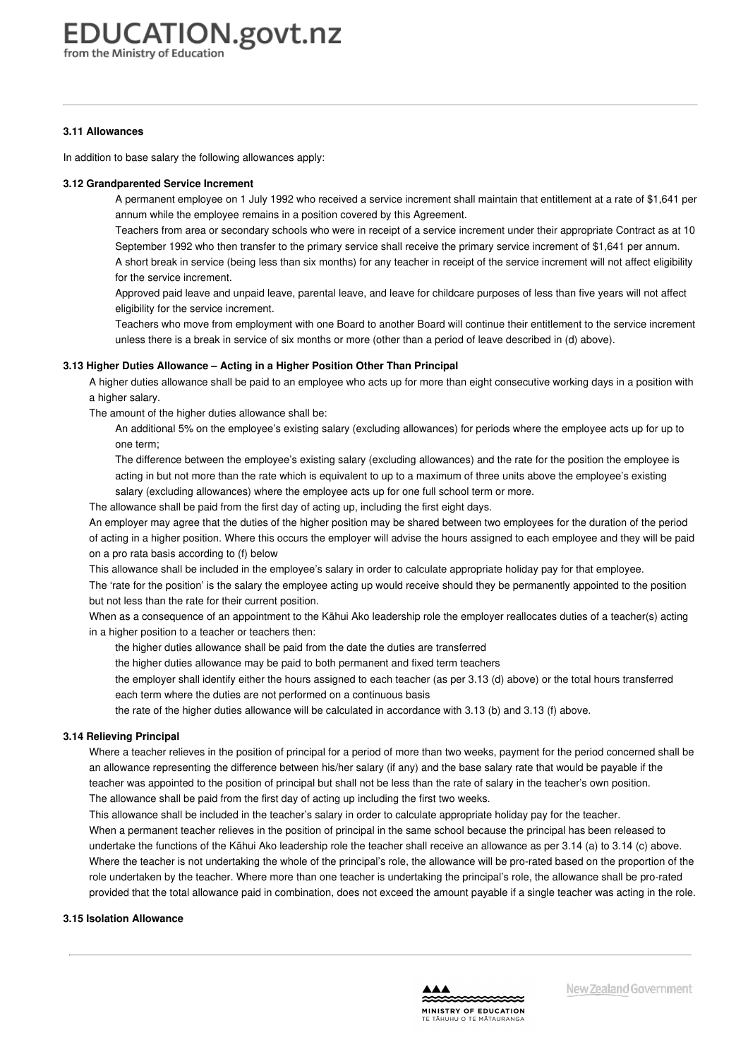# **EDUCATION.govt.nz**

from the Ministry of Education

#### **3.11 [Allowances](https://www.education.govt.nz/school/people-and-employment/employment-agreements/collective-agreements/primary-teachers-collective-agreement/part-3-remuneration/#cd_3656_3-11-allowances_Education%5CComplexDocuments%5CModel%5CComplexDocumentAccordionSection)**

In addition to base salary the following allowances apply:

#### **3.12 [Grandparented](https://www.education.govt.nz/school/people-and-employment/employment-agreements/collective-agreements/primary-teachers-collective-agreement/part-3-remuneration/#cd_3658_3-12-grandparented-service-increment_Education%5CComplexDocuments%5CModel%5CComplexDocumentAccordionSection) Service Increment**

A permanent employee on 1 July 1992 who received a service increment shall maintain that entitlement at a rate of \$1,641 per annum while the employee remains in a position covered by this Agreement.

Teachers from area or secondary schools who were in receipt of a service increment under their appropriate Contract as at 10 September 1992 who then transfer to the primary service shall receive the primary service increment of \$1,641 per annum.

A short break in service (being less than six months) for any teacher in receipt of the service increment will not affect eligibility for the service increment.

Approved paid leave and unpaid leave, parental leave, and leave for childcare purposes of less than five years will not affect eligibility for the service increment.

Teachers who move from employment with one Board to another Board will continue their entitlement to the service increment unless there is a break in service of six months or more (other than a period of leave described in (d) above).

#### **3.13 Higher Duties [Allowance](https://www.education.govt.nz/school/people-and-employment/employment-agreements/collective-agreements/primary-teachers-collective-agreement/part-3-remuneration/#cd_3659_3-13-higher-duties-allowance-acting-in-a-higher-position-other-than-principal_Education%5CComplexDocuments%5CModel%5CComplexDocumentAccordionSection) – Acting in a Higher Position Other Than Principal**

A higher duties allowance shall be paid to an employee who acts up for more than eight consecutive working days in a position with a higher salary.

The amount of the higher duties allowance shall be:

An additional 5% on the employee's existing salary (excluding allowances) for periods where the employee acts up for up to one term;

The difference between the employee's existing salary (excluding allowances) and the rate for the position the employee is acting in but not more than the rate which is equivalent to up to a maximum of three units above the employee's existing

salary (excluding allowances) where the employee acts up for one full school term or more.

The allowance shall be paid from the first day of acting up, including the first eight days.

An employer may agree that the duties of the higher position may be shared between two employees for the duration of the period of acting in a higher position. Where this occurs the employer will advise the hours assigned to each employee and they will be paid on a pro rata basis according to (f) below

This allowance shall be included in the employee's salary in order to calculate appropriate holiday pay for that employee.

The 'rate for the position' is the salary the employee acting up would receive should they be permanently appointed to the position but not less than the rate for their current position.

When as a consequence of an appointment to the Kāhui Ako leadership role the employer reallocates duties of a teacher(s) acting in a higher position to a teacher or teachers then:

- the higher duties allowance shall be paid from the date the duties are transferred
- the higher duties allowance may be paid to both permanent and fixed term teachers
- the employer shall identify either the hours assigned to each teacher (as per 3.13 (d) above) or the total hours transferred each term where the duties are not performed on a continuous basis

the rate of the higher duties allowance will be calculated in accordance with 3.13 (b) and 3.13 (f) above.

#### **3.14 [Relieving](https://www.education.govt.nz/school/people-and-employment/employment-agreements/collective-agreements/primary-teachers-collective-agreement/part-3-remuneration/#cd_3660_3-14-relieving-principal_Education%5CComplexDocuments%5CModel%5CComplexDocumentAccordionSection) Principal**

Where a teacher relieves in the position of principal for a period of more than two weeks, payment for the period concerned shall be an allowance representing the difference between his/her salary (if any) and the base salary rate that would be payable if the teacher was appointed to the position of principal but shall not be less than the rate of salary in the teacher's own position. The allowance shall be paid from the first day of acting up including the first two weeks.

This allowance shall be included in the teacher's salary in order to calculate appropriate holiday pay for the teacher. When a permanent teacher relieves in the position of principal in the same school because the principal has been released to undertake the functions of the Kāhui Ako leadership role the teacher shall receive an allowance as per 3.14 (a) to 3.14 (c) above. Where the teacher is not undertaking the whole of the principal's role, the allowance will be pro-rated based on the proportion of the role undertaken by the teacher. Where more than one teacher is undertaking the principal's role, the allowance shall be pro-rated

provided that the total allowance paid in combination, does not exceed the amount payable if a single teacher was acting in the role.

#### **3.15 Isolation [Allowance](https://www.education.govt.nz/school/people-and-employment/employment-agreements/collective-agreements/primary-teachers-collective-agreement/part-3-remuneration/#cd_3661_3-15-isolation-allowance_Education%5CComplexDocuments%5CModel%5CComplexDocumentAccordionSection)**

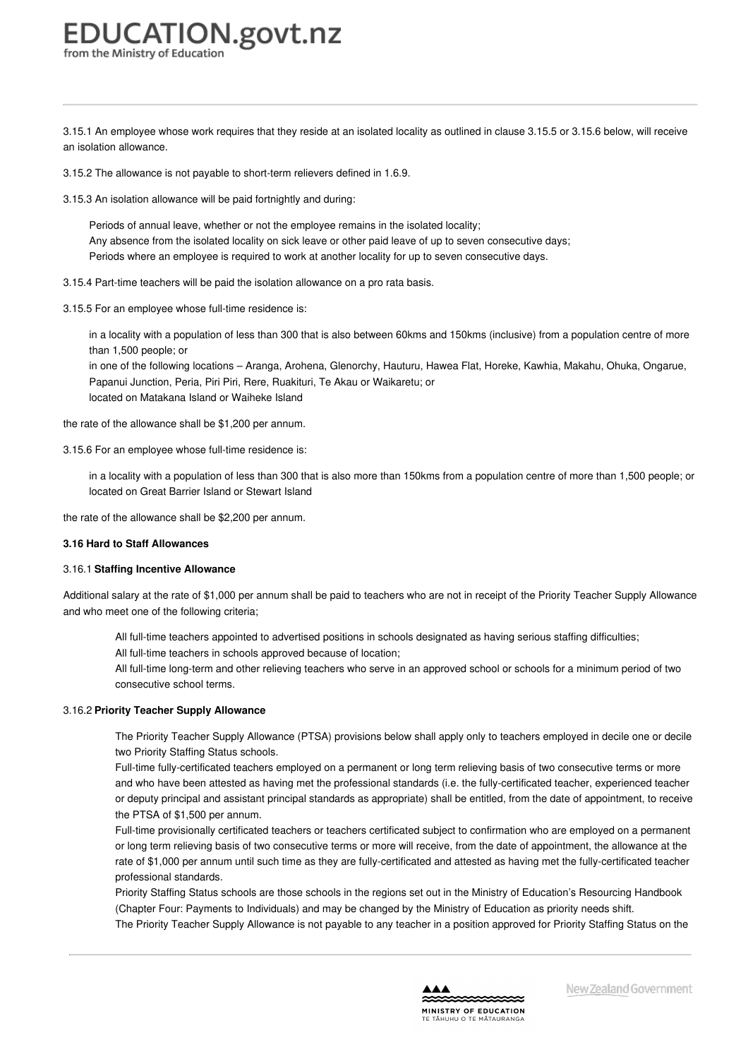<span id="page-15-0"></span>3.15.1 An employee whose work requires that they reside at an isolated locality as outlined in clause 3.15.5 or 3.15.6 below, will receive an isolation allowance.

3.15.2 The allowance is not payable to short-term relievers defined in 1.6.9.

3.15.3 An isolation allowance will be paid fortnightly and during:

Periods of annual leave, whether or not the employee remains in the isolated locality; Any absence from the isolated locality on sick leave or other paid leave of up to seven consecutive days; Periods where an employee is required to work at another locality for up to seven consecutive days.

3.15.4 Part-time teachers will be paid the isolation allowance on a pro rata basis.

3.15.5 For an employee whose full-time residence is:

in a locality with a population of less than 300 that is also between 60kms and 150kms (inclusive) from a population centre of more than 1,500 people; or

in one of the following locations – Aranga, Arohena, Glenorchy, Hauturu, Hawea Flat, Horeke, Kawhia, Makahu, Ohuka, Ongarue, Papanui Junction, Peria, Piri Piri, Rere, Ruakituri, Te Akau or Waikaretu; or located on Matakana Island or Waiheke Island

the rate of the allowance shall be \$1,200 per annum.

3.15.6 For an employee whose full-time residence is:

in a locality with a population of less than 300 that is also more than 150kms from a population centre of more than 1,500 people; or located on Great Barrier Island or Stewart Island

the rate of the allowance shall be \$2,200 per annum.

#### **3.16 Hard to Staff [Allowances](https://www.education.govt.nz/school/people-and-employment/employment-agreements/collective-agreements/primary-teachers-collective-agreement/part-3-remuneration/#cd_3662_3-16-hard-to-staff-allowances_Education%5CComplexDocuments%5CModel%5CComplexDocumentAccordionSection)**

#### 3.16.1 **Staffing Incentive Allowance**

Additional salary at the rate of \$1,000 per annum shall be paid to teachers who are not in receipt of the Priority Teacher Supply Allowance and who meet one of the following criteria;

All full-time teachers appointed to advertised positions in schools designated as having serious staffing difficulties;

All full-time teachers in schools approved because of location;

All full-time long-term and other relieving teachers who serve in an approved school or schools for a minimum period of two consecutive school terms.

#### 3.16.2 **Priority Teacher Supply Allowance**

The Priority Teacher Supply Allowance (PTSA) provisions below shall apply only to teachers employed in decile one or decile two Priority Staffing Status schools.

Full-time fully-certificated teachers employed on a permanent or long term relieving basis of two consecutive terms or more and who have been attested as having met the professional standards (i.e. the fully-certificated teacher, experienced teacher or deputy principal and assistant principal standards as appropriate) shall be entitled, from the date of appointment, to receive the PTSA of \$1,500 per annum.

Full-time provisionally certificated teachers or teachers certificated subject to confirmation who are employed on a permanent or long term relieving basis of two consecutive terms or more will receive, from the date of appointment, the allowance at the rate of \$1,000 per annum until such time as they are fully-certificated and attested as having met the fully-certificated teacher professional standards.

Priority Staffing Status schools are those schools in the regions set out in the Ministry of Education's Resourcing Handbook (Chapter Four: Payments to Individuals) and may be changed by the Ministry of Education as priority needs shift.

The Priority Teacher Supply Allowance is not payable to any teacher in a position approved for Priority Staffing Status on the

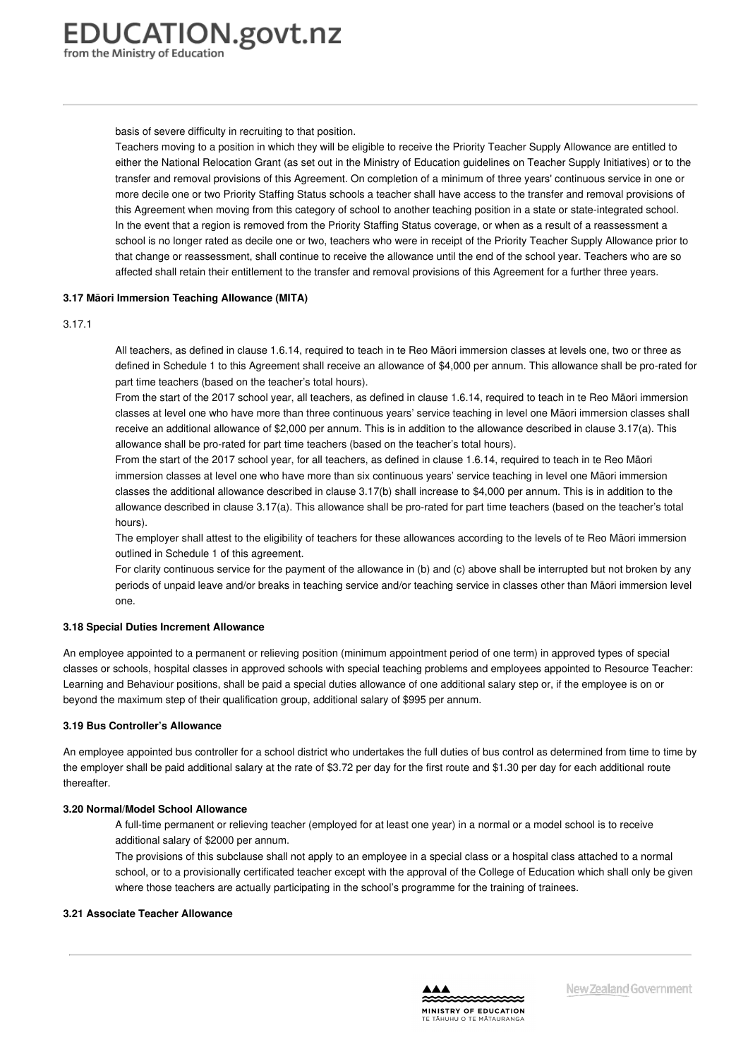basis of severe difficulty in recruiting to that position.

Teachers moving to a position in which they will be eligible to receive the Priority Teacher Supply Allowance are entitled to either the National Relocation Grant (as set out in the Ministry of Education guidelines on Teacher Supply Initiatives) or to the transfer and removal provisions of this Agreement. On completion of a minimum of three years' continuous service in one or more decile one or two Priority Staffing Status schools a teacher shall have access to the transfer and removal provisions of this Agreement when moving from this category of school to another teaching position in a state or state-integrated school. In the event that a region is removed from the Priority Staffing Status coverage, or when as a result of a reassessment a school is no longer rated as decile one or two, teachers who were in receipt of the Priority Teacher Supply Allowance prior to that change or reassessment, shall continue to receive the allowance until the end of the school year. Teachers who are so affected shall retain their entitlement to the transfer and removal provisions of this Agreement for a further three years.

#### **3.17 Māori [Immersion](https://www.education.govt.nz/school/people-and-employment/employment-agreements/collective-agreements/primary-teachers-collective-agreement/part-3-remuneration/#cd_3664_3-18-maori-immersion-teaching-allowance-mita_Education%5CComplexDocuments%5CModel%5CComplexDocumentAccordionSection) Teaching Allowance (MITA)**

#### 3.17.1

All teachers, as defined in clause 1.6.14, required to teach in te Reo Māori immersion classes at levels one, two or three as defined in Schedule 1 to this Agreement shall receive an allowance of \$4,000 per annum. This allowance shall be pro-rated for part time teachers (based on the teacher's total hours).

From the start of the 2017 school year, all teachers, as defined in clause 1.6.14, required to teach in te Reo Māori immersion classes at level one who have more than three continuous years' service teaching in level one Māori immersion classes shall receive an additional allowance of \$2,000 per annum. This is in addition to the allowance described in clause 3.17(a). This allowance shall be pro-rated for part time teachers (based on the teacher's total hours).

From the start of the 2017 school year, for all teachers, as defined in clause 1.6.14, required to teach in te Reo Māori immersion classes at level one who have more than six continuous years' service teaching in level one Māori immersion classes the additional allowance described in clause 3.17(b) shall increase to \$4,000 per annum. This is in addition to the allowance described in clause 3.17(a). This allowance shall be pro-rated for part time teachers (based on the teacher's total hours).

The employer shall attest to the eligibility of teachers for these allowances according to the levels of te Reo Māori immersion outlined in Schedule 1 of this agreement.

For clarity continuous service for the payment of the allowance in (b) and (c) above shall be interrupted but not broken by any periods of unpaid leave and/or breaks in teaching service and/or teaching service in classes other than Māori immersion level one.

#### **3.18 Special Duties Increment [Allowance](https://www.education.govt.nz/school/people-and-employment/employment-agreements/collective-agreements/primary-teachers-collective-agreement/part-3-remuneration/#cd_3665_3-18-special-duties-increment-allowance_Education%5CComplexDocuments%5CModel%5CComplexDocumentAccordionSection)**

An employee appointed to a permanent or relieving position (minimum appointment period of one term) in approved types of special classes or schools, hospital classes in approved schools with special teaching problems and employees appointed to Resource Teacher: Learning and Behaviour positions, shall be paid a special duties allowance of one additional salary step or, if the employee is on or beyond the maximum step of their qualification group, additional salary of \$995 per annum.

#### **3.19 Bus [Controller's](https://www.education.govt.nz/school/people-and-employment/employment-agreements/collective-agreements/primary-teachers-collective-agreement/part-3-remuneration/#cd_3666_3-19-bus-controllers-allowance_Education%5CComplexDocuments%5CModel%5CComplexDocumentAccordionSection) Allowance**

An employee appointed bus controller for a school district who undertakes the full duties of bus control as determined from time to time by the employer shall be paid additional salary at the rate of \$3.72 per day for the first route and \$1.30 per day for each additional route thereafter.

#### **3.20 [Normal/Model](https://www.education.govt.nz/school/people-and-employment/employment-agreements/collective-agreements/primary-teachers-collective-agreement/part-3-remuneration/#cd_3668_3-20-normalmodel-school-allowance_Education%5CComplexDocuments%5CModel%5CComplexDocumentAccordionSection) School Allowance**

A full-time permanent or relieving teacher (employed for at least one year) in a normal or a model school is to receive additional salary of \$2000 per annum.

The provisions of this subclause shall not apply to an employee in a special class or a hospital class attached to a normal school, or to a provisionally certificated teacher except with the approval of the College of Education which shall only be given where those teachers are actually participating in the school's programme for the training of trainees.

#### **3.21 Associate Teacher [Allowance](https://www.education.govt.nz/school/people-and-employment/employment-agreements/collective-agreements/primary-teachers-collective-agreement/part-3-remuneration/#cd_3669_3-21-associate-teacher-allowance_Education%5CComplexDocuments%5CModel%5CComplexDocumentAccordionSection)**

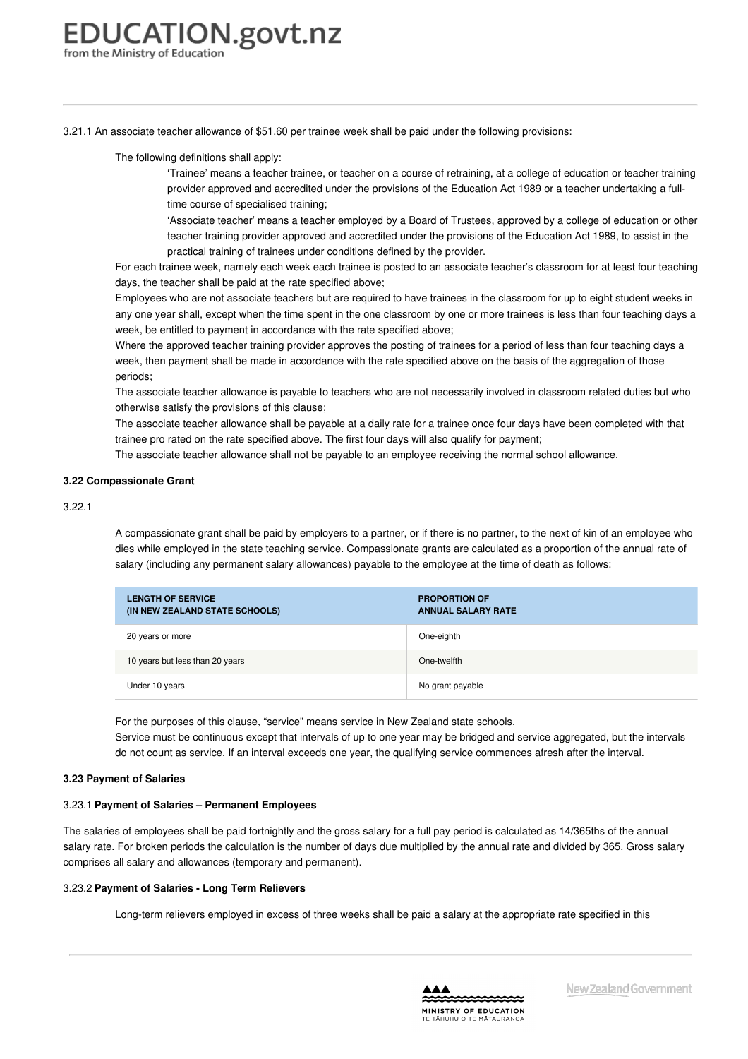3.21.1 An associate teacher allowance of \$51.60 per trainee week shall be paid under the following provisions:

The following definitions shall apply:

'Trainee' means a teacher trainee, or teacher on a course of retraining, at a college of education or teacher training provider approved and accredited under the provisions of the Education Act 1989 or a teacher undertaking a fulltime course of specialised training;

'Associate teacher' means a teacher employed by a Board of Trustees, approved by a college of education or other teacher training provider approved and accredited under the provisions of the Education Act 1989, to assist in the practical training of trainees under conditions defined by the provider.

For each trainee week, namely each week each trainee is posted to an associate teacher's classroom for at least four teaching days, the teacher shall be paid at the rate specified above;

Employees who are not associate teachers but are required to have trainees in the classroom for up to eight student weeks in any one year shall, except when the time spent in the one classroom by one or more trainees is less than four teaching days a week, be entitled to payment in accordance with the rate specified above;

Where the approved teacher training provider approves the posting of trainees for a period of less than four teaching days a week, then payment shall be made in accordance with the rate specified above on the basis of the aggregation of those periods;

The associate teacher allowance is payable to teachers who are not necessarily involved in classroom related duties but who otherwise satisfy the provisions of this clause;

The associate teacher allowance shall be payable at a daily rate for a trainee once four days have been completed with that trainee pro rated on the rate specified above. The first four days will also qualify for payment;

The associate teacher allowance shall not be payable to an employee receiving the normal school allowance.

#### **3.22 [Compassionate](https://www.education.govt.nz/school/people-and-employment/employment-agreements/collective-agreements/primary-teachers-collective-agreement/part-3-remuneration/#cd_3670_3-22-compassionate-grant_Education%5CComplexDocuments%5CModel%5CComplexDocumentAccordionSection) Grant**

#### 3.22.1

A compassionate grant shall be paid by employers to a partner, or if there is no partner, to the next of kin of an employee who dies while employed in the state teaching service. Compassionate grants are calculated as a proportion of the annual rate of salary (including any permanent salary allowances) payable to the employee at the time of death as follows:

| <b>LENGTH OF SERVICE</b><br>(IN NEW ZEALAND STATE SCHOOLS) | <b>PROPORTION OF</b><br><b>ANNUAL SALARY RATE</b> |
|------------------------------------------------------------|---------------------------------------------------|
| 20 years or more                                           | One-eighth                                        |
| 10 years but less than 20 years                            | One-twelfth                                       |
| Under 10 years                                             | No grant payable                                  |

For the purposes of this clause, "service" means service in New Zealand state schools.

Service must be continuous except that intervals of up to one year may be bridged and service aggregated, but the intervals do not count as service. If an interval exceeds one year, the qualifying service commences afresh after the interval.

#### **3.23 [Payment](https://www.education.govt.nz/school/people-and-employment/employment-agreements/collective-agreements/primary-teachers-collective-agreement/part-3-remuneration/#cd_3672_3-23-payment-of-salaries_Education%5CComplexDocuments%5CModel%5CComplexDocumentAccordionSection) of Salaries**

#### 3.23.1 **Payment of Salaries – Permanent Employees**

The salaries of employees shall be paid fortnightly and the gross salary for a full pay period is calculated as 14/365ths of the annual salary rate. For broken periods the calculation is the number of days due multiplied by the annual rate and divided by 365. Gross salary comprises all salary and allowances (temporary and permanent).

#### 3.23.2 **Payment of Salaries - Long Term Relievers**

Long-term relievers employed in excess of three weeks shall be paid a salary at the appropriate rate specified in this

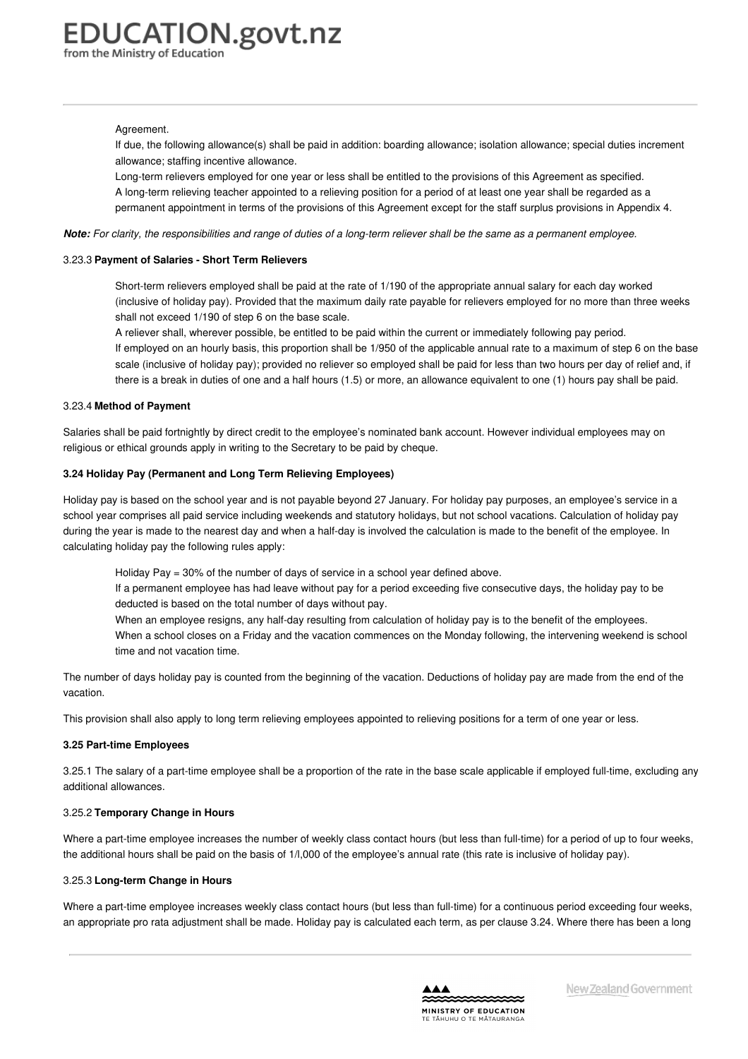#### Agreement.

If due, the following allowance(s) shall be paid in addition: boarding allowance; isolation allowance; special duties increment allowance; staffing incentive allowance.

Long-term relievers employed for one year or less shall be entitled to the provisions of this Agreement as specified. A long-term relieving teacher appointed to a relieving position for a period of at least one year shall be regarded as a permanent appointment in terms of the provisions of this Agreement except for the staff surplus provisions in Appendix 4.

Note: For clarity, the responsibilities and range of duties of a long-term reliever shall be the same as a permanent employee.

#### 3.23.3 **Payment of Salaries - Short Term Relievers**

Short-term relievers employed shall be paid at the rate of 1/190 of the appropriate annual salary for each day worked (inclusive of holiday pay). Provided that the maximum daily rate payable for relievers employed for no more than three weeks shall not exceed 1/190 of step 6 on the base scale.

A reliever shall, wherever possible, be entitled to be paid within the current or immediately following pay period. If employed on an hourly basis, this proportion shall be 1/950 of the applicable annual rate to a maximum of step 6 on the base scale (inclusive of holiday pay); provided no reliever so employed shall be paid for less than two hours per day of relief and, if there is a break in duties of one and a half hours (1.5) or more, an allowance equivalent to one (1) hours pay shall be paid.

#### 3.23.4 **Method of Payment**

Salaries shall be paid fortnightly by direct credit to the employee's nominated bank account. However individual employees may on religious or ethical grounds apply in writing to the Secretary to be paid by cheque.

#### **3.24 Holiday Pay (Permanent and Long Term Relieving [Employees\)](https://www.education.govt.nz/school/people-and-employment/employment-agreements/collective-agreements/primary-teachers-collective-agreement/part-3-remuneration/#cd_3673_3-24-holiday-pay-permanent-and-long-term-relieving-employees_Education%5CComplexDocuments%5CModel%5CComplexDocumentAccordionSection)**

Holiday pay is based on the school year and is not payable beyond 27 January. For holiday pay purposes, an employee's service in a school year comprises all paid service including weekends and statutory holidays, but not school vacations. Calculation of holiday pay during the year is made to the nearest day and when a half-day is involved the calculation is made to the benefit of the employee. In calculating holiday pay the following rules apply:

Holiday Pay = 30% of the number of days of service in a school year defined above.

- If a permanent employee has had leave without pay for a period exceeding five consecutive days, the holiday pay to be deducted is based on the total number of days without pay.
- When an employee resigns, any half-day resulting from calculation of holiday pay is to the benefit of the employees. When a school closes on a Friday and the vacation commences on the Monday following, the intervening weekend is school time and not vacation time.

The number of days holiday pay is counted from the beginning of the vacation. Deductions of holiday pay are made from the end of the vacation.

This provision shall also apply to long term relieving employees appointed to relieving positions for a term of one year or less.

#### **3.25 Part-time [Employees](https://www.education.govt.nz/school/people-and-employment/employment-agreements/collective-agreements/primary-teachers-collective-agreement/part-3-remuneration/#cd_3674_3-25-part-time-employees_Education%5CComplexDocuments%5CModel%5CComplexDocumentAccordionSection)**

3.25.1 The salary of a part-time employee shall be a proportion of the rate in the base scale applicable if employed full-time, excluding any additional allowances.

#### 3.25.2 **Temporary Change in Hours**

Where a part-time employee increases the number of weekly class contact hours (but less than full-time) for a period of up to four weeks, the additional hours shall be paid on the basis of 1/l,000 of the employee's annual rate (this rate is inclusive of holiday pay).

#### 3.25.3 **Long-term Change in Hours**

Where a part-time employee increases weekly class contact hours (but less than full-time) for a continuous period exceeding four weeks, an appropriate pro rata adjustment shall be made. Holiday pay is calculated each term, as per clause 3.24. Where there has been a long

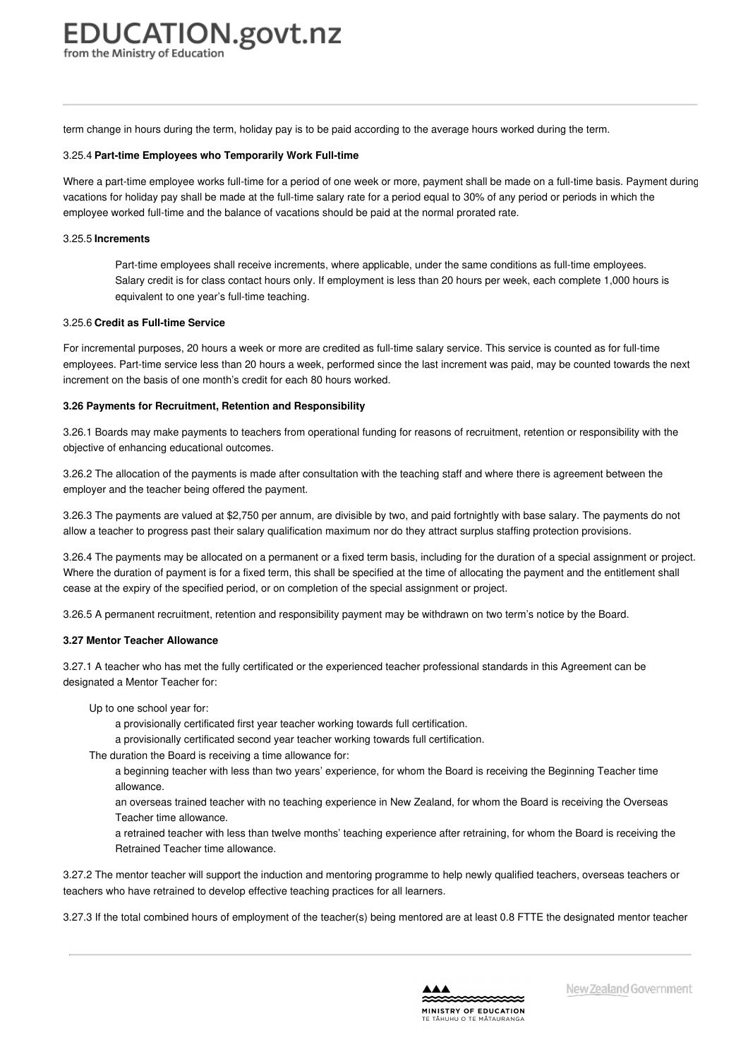term change in hours during the term, holiday pay is to be paid according to the average hours worked during the term.

#### 3.25.4 **Part-time Employees who Temporarily Work Full-time**

Where a part-time employee works full-time for a period of one week or more, payment shall be made on a full-time basis. Payment during vacations for holiday pay shall be made at the full-time salary rate for a period equal to 30% of any period or periods in which the employee worked full-time and the balance of vacations should be paid at the normal prorated rate.

#### 3.25.5 **Increments**

Part-time employees shall receive increments, where applicable, under the same conditions as full-time employees. Salary credit is for class contact hours only. If employment is less than 20 hours per week, each complete 1,000 hours is equivalent to one year's full-time teaching.

#### 3.25.6 **Credit as Full-time Service**

For incremental purposes, 20 hours a week or more are credited as full-time salary service. This service is counted as for full-time employees. Part-time service less than 20 hours a week, performed since the last increment was paid, may be counted towards the next increment on the basis of one month's credit for each 80 hours worked.

#### **3.26 Payments for Recruitment, Retention and [Responsibility](https://www.education.govt.nz/school/people-and-employment/employment-agreements/collective-agreements/primary-teachers-collective-agreement/part-3-remuneration/#cd_3675_3-26-payments-for-recruitment-retention-and-responsibility_Education%5CComplexDocuments%5CModel%5CComplexDocumentAccordionSection)**

3.26.1 Boards may make payments to teachers from operational funding for reasons of recruitment, retention or responsibility with the objective of enhancing educational outcomes.

3.26.2 The allocation of the payments is made after consultation with the teaching staff and where there is agreement between the employer and the teacher being offered the payment.

3.26.3 The payments are valued at \$2,750 per annum, are divisible by two, and paid fortnightly with base salary. The payments do not allow a teacher to progress past their salary qualification maximum nor do they attract surplus staffing protection provisions.

3.26.4 The payments may be allocated on a permanent or a fixed term basis, including for the duration of a special assignment or project. Where the duration of payment is for a fixed term, this shall be specified at the time of allocating the payment and the entitlement shall cease at the expiry of the specified period, or on completion of the special assignment or project.

3.26.5 A permanent recruitment, retention and responsibility payment may be withdrawn on two term's notice by the Board.

#### **3.27 Mentor Teacher [Allowance](https://www.education.govt.nz/school/people-and-employment/employment-agreements/collective-agreements/primary-teachers-collective-agreement/part-3-remuneration/#cd_3676_3-28-tutor-teacher-allowance_Education%5CComplexDocuments%5CModel%5CComplexDocumentAccordionSection)**

3.27.1 A teacher who has met the fully certificated or the experienced teacher professional standards in this Agreement can be designated a Mentor Teacher for:

- Up to one school year for:
	- a provisionally certificated first year teacher working towards full certification.
	- a provisionally certificated second year teacher working towards full certification.
- The duration the Board is receiving a time allowance for:
	- a beginning teacher with less than two years' experience, for whom the Board is receiving the Beginning Teacher time allowance.
	- an overseas trained teacher with no teaching experience in New Zealand, for whom the Board is receiving the Overseas Teacher time allowance.
	- a retrained teacher with less than twelve months' teaching experience after retraining, for whom the Board is receiving the Retrained Teacher time allowance.

3.27.2 The mentor teacher will support the induction and mentoring programme to help newly qualified teachers, overseas teachers or teachers who have retrained to develop effective teaching practices for all learners.

3.27.3 If the total combined hours of employment of the teacher(s) being mentored are at least 0.8 FTTE the designated mentor teacher

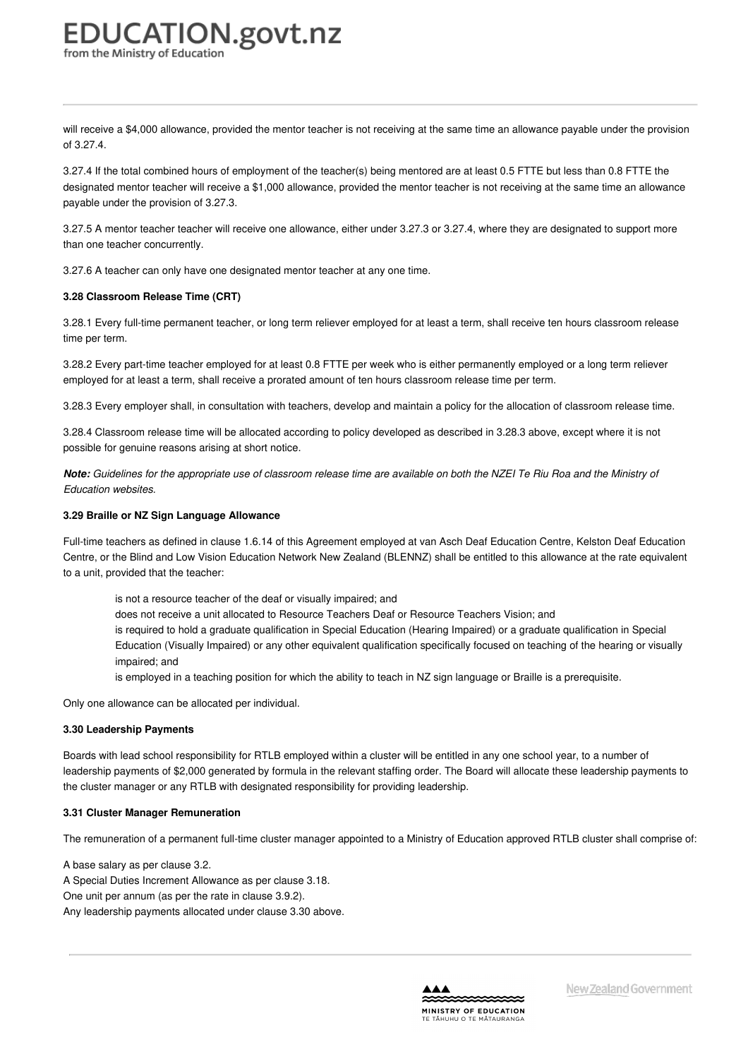will receive a \$4,000 allowance, provided the mentor teacher is not receiving at the same time an allowance payable under the provision of 3.27.4.

3.27.4 If the total combined hours of employment of the teacher(s) being mentored are at least 0.5 FTTE but less than 0.8 FTTE the designated mentor teacher will receive a \$1,000 allowance, provided the mentor teacher is not receiving at the same time an allowance payable under the provision of 3.27.3.

3.27.5 A mentor teacher teacher will receive one allowance, either under 3.27.3 or 3.27.4, where they are designated to support more than one teacher concurrently.

3.27.6 A teacher can only have one designated mentor teacher at any one time.

#### **3.28 [Classroom](https://www.education.govt.nz/school/people-and-employment/employment-agreements/collective-agreements/primary-teachers-collective-agreement/part-3-remuneration/#cd_3677_3-29-classroom-release-time-crt_Education%5CComplexDocuments%5CModel%5CComplexDocumentAccordionSection) Release Time (CRT)**

3.28.1 Every full-time permanent teacher, or long term reliever employed for at least a term, shall receive ten hours classroom release time per term.

3.28.2 Every part-time teacher employed for at least 0.8 FTTE per week who is either permanently employed or a long term reliever employed for at least a term, shall receive a prorated amount of ten hours classroom release time per term.

3.28.3 Every employer shall, in consultation with teachers, develop and maintain a policy for the allocation of classroom release time.

3.28.4 Classroom release time will be allocated according to policy developed as described in 3.28.3 above, except where it is not possible for genuine reasons arising at short notice.

Note: Guidelines for the appropriate use of classroom release time are available on both the NZEI Te Riu Roa and the Ministry of *Education websites.*

#### **3.29 Braille or NZ Sign Language [Allowance](https://www.education.govt.nz/school/people-and-employment/employment-agreements/collective-agreements/primary-teachers-collective-agreement/part-3-remuneration/#cd_3678_3-29-braille-or-nz-sign-language-allowance_Education%5CComplexDocuments%5CModel%5CComplexDocumentAccordionSection)**

Full-time teachers as defined in clause 1.6.14 of this Agreement employed at van Asch Deaf Education Centre, Kelston Deaf Education Centre, or the Blind and Low Vision Education Network New Zealand (BLENNZ) shall be entitled to this allowance at the rate equivalent to a unit, provided that the teacher:

is not a resource teacher of the deaf or visually impaired; and does not receive a unit allocated to Resource Teachers Deaf or Resource Teachers Vision; and is required to hold a graduate qualification in Special Education (Hearing Impaired) or a graduate qualification in Special Education (Visually Impaired) or any other equivalent qualification specifically focused on teaching of the hearing or visually impaired; and

is employed in a teaching position for which the ability to teach in NZ sign language or Braille is a prerequisite.

Only one allowance can be allocated per individual.

#### **3.30 [Leadership](https://www.education.govt.nz/school/people-and-employment/employment-agreements/collective-agreements/primary-teachers-collective-agreement/part-3-remuneration/#cd_3680_3-31-leadership-payments_Education%5CComplexDocuments%5CModel%5CComplexDocumentAccordionSection) Payments**

Boards with lead school responsibility for RTLB employed within a cluster will be entitled in any one school year, to a number of leadership payments of \$2,000 generated by formula in the relevant staffing order. The Board will allocate these leadership payments to the cluster manager or any RTLB with designated responsibility for providing leadership.

#### **3.31 Cluster Manager [Remuneration](https://www.education.govt.nz/school/people-and-employment/employment-agreements/collective-agreements/primary-teachers-collective-agreement/part-3-remuneration/#cd_3681_3-31-cluster-manager-remuneration_Education%5CComplexDocuments%5CModel%5CComplexDocumentAccordionSection)**

The remuneration of a permanent full-time cluster manager appointed to a Ministry of Education approved RTLB cluster shall comprise of:

A base salary as per clause 3.2. A Special Duties Increment Allowance as per clause 3.18. One unit per annum (as per the rate in clause 3.9.2). Any leadership payments allocated under clause 3.30 above.

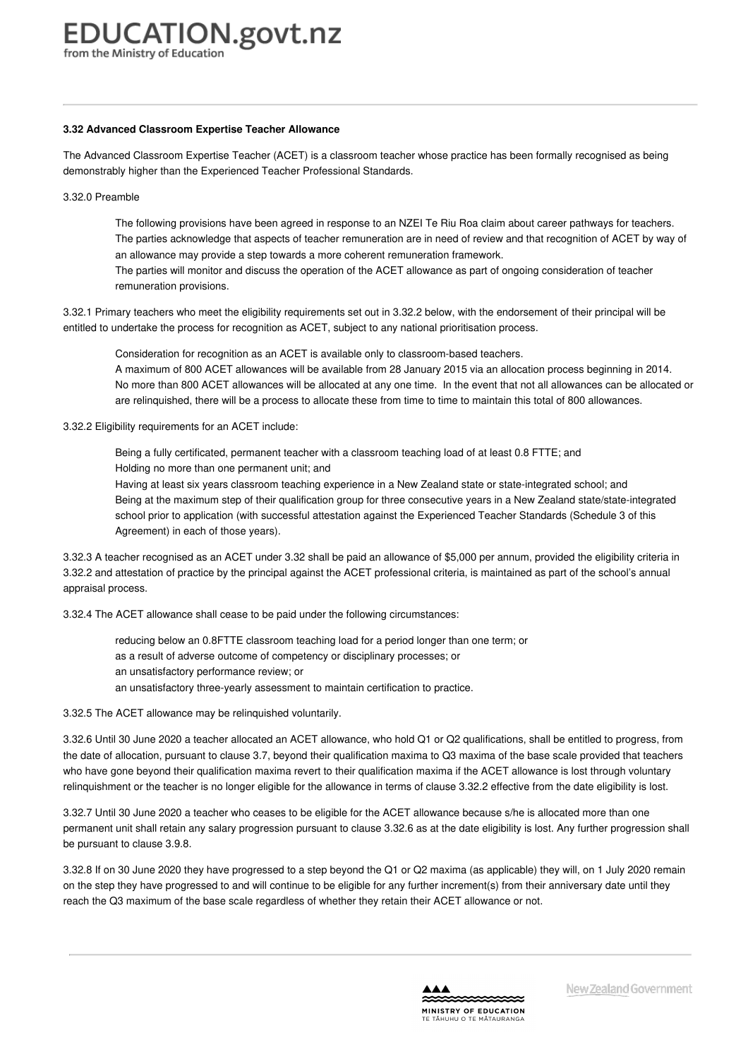#### **3.32 Advanced [Classroom](https://www.education.govt.nz/school/people-and-employment/employment-agreements/collective-agreements/primary-teachers-collective-agreement/part-3-remuneration/#cd_3682_3-32-advanced-classroom-expertise-teacher-allowance_Education%5CComplexDocuments%5CModel%5CComplexDocumentAccordionSection) Expertise Teacher Allowance**

The Advanced Classroom Expertise Teacher (ACET) is a classroom teacher whose practice has been formally recognised as being demonstrably higher than the Experienced Teacher Professional Standards.

3.32.0 Preamble

The following provisions have been agreed in response to an NZEI Te Riu Roa claim about career pathways for teachers. The parties acknowledge that aspects of teacher remuneration are in need of review and that recognition of ACET by way of an allowance may provide a step towards a more coherent remuneration framework.

The parties will monitor and discuss the operation of the ACET allowance as part of ongoing consideration of teacher remuneration provisions.

3.32.1 Primary teachers who meet the eligibility requirements set out in 3.32.2 below, with the endorsement of their principal will be entitled to undertake the process for recognition as ACET, subject to any national prioritisation process.

Consideration for recognition as an ACET is available only to classroom-based teachers.

A maximum of 800 ACET allowances will be available from 28 January 2015 via an allocation process beginning in 2014. No more than 800 ACET allowances will be allocated at any one time. In the event that not all allowances can be allocated or are relinquished, there will be a process to allocate these from time to time to maintain this total of 800 allowances.

3.32.2 Eligibility requirements for an ACET include:

Being a fully certificated, permanent teacher with a classroom teaching load of at least 0.8 FTTE; and Holding no more than one permanent unit; and

Having at least six years classroom teaching experience in a New Zealand state or state-integrated school; and Being at the maximum step of their qualification group for three consecutive years in a New Zealand state/state-integrated school prior to application (with successful attestation against the Experienced Teacher Standards (Schedule 3 of this Agreement) in each of those years).

3.32.3 A teacher recognised as an ACET under 3.32 shall be paid an allowance of \$5,000 per annum, provided the eligibility criteria in 3.32.2 and attestation of practice by the principal against the ACET professional criteria, is maintained as part of the school's annual appraisal process.

3.32.4 The ACET allowance shall cease to be paid under the following circumstances:

reducing below an 0.8FTTE classroom teaching load for a period longer than one term; or

as a result of adverse outcome of competency or disciplinary processes; or

an unsatisfactory performance review; or

an unsatisfactory three-yearly assessment to maintain certification to practice.

3.32.5 The ACET allowance may be relinquished voluntarily.

3.32.6 Until 30 June 2020 a teacher allocated an ACET allowance, who hold Q1 or Q2 qualifications, shall be entitled to progress, from the date of allocation, pursuant to clause 3.7, beyond their qualification maxima to Q3 maxima of the base scale provided that teachers who have gone beyond their qualification maxima revert to their qualification maxima if the ACET allowance is lost through voluntary relinquishment or the teacher is no longer eligible for the allowance in terms of clause 3.32.2 effective from the date eligibility is lost.

3.32.7 Until 30 June 2020 a teacher who ceases to be eligible for the ACET allowance because s/he is allocated more than one permanent unit shall retain any salary progression pursuant to clause 3.32.6 as at the date eligibility is lost. Any further progression shall be pursuant to clause 3.9.8.

3.32.8 If on 30 June 2020 they have progressed to a step beyond the Q1 or Q2 maxima (as applicable) they will, on 1 July 2020 remain on the step they have progressed to and will continue to be eligible for any further increment(s) from their anniversary date until they reach the Q3 maximum of the base scale regardless of whether they retain their ACET allowance or not.

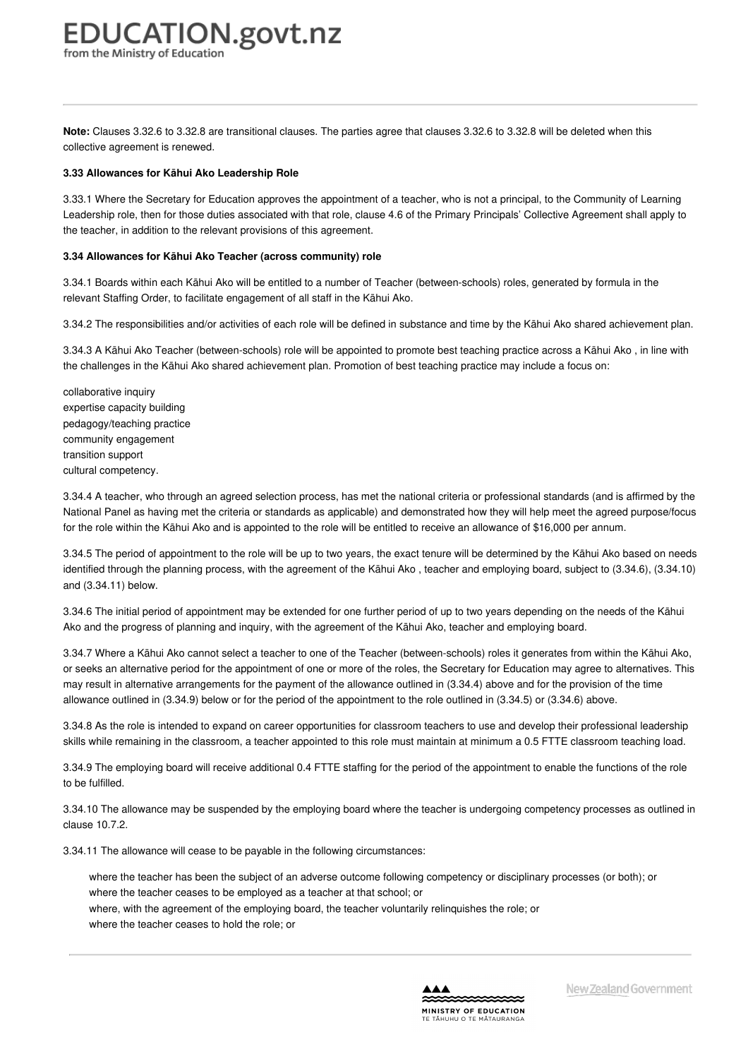**Note:** Clauses 3.32.6 to 3.32.8 are transitional clauses. The parties agree that clauses 3.32.6 to 3.32.8 will be deleted when this collective agreement is renewed.

#### **3.33 [Allowances](https://www.education.govt.nz/school/people-and-employment/employment-agreements/collective-agreements/primary-teachers-collective-agreement/part-3-remuneration/#cd_9886_3-33-allowances-for-community-of-learning-teacher-between-schools-role_Education%5CComplexDocuments%5CModel%5CComplexDocumentAccordionSection) for Kāhui Ako Leadership Role**

3.33.1 Where the Secretary for Education approves the appointment of a teacher, who is not a principal, to the Community of Learning Leadership role, then for those duties associated with that role, clause 4.6 of the Primary Principals' Collective Agreement shall apply to the teacher, in addition to the relevant provisions of this agreement.

#### **3.34 Allowances for Kāhui Ako Teacher (across [community\)](https://www.education.govt.nz/school/people-and-employment/employment-agreements/collective-agreements/primary-teachers-collective-agreement/part-3-remuneration/#cd_9887_3-35-allowances-for-community-of-learning-teacher-within-school-role_Education%5CComplexDocuments%5CModel%5CComplexDocumentAccordionSection) role**

3.34.1 Boards within each Kāhui Ako will be entitled to a number of Teacher (between-schools) roles, generated by formula in the relevant Staffing Order, to facilitate engagement of all staff in the Kāhui Ako.

3.34.2 The responsibilities and/or activities of each role will be defined in substance and time by the Kāhui Ako shared achievement plan.

3.34.3 A Kāhui Ako Teacher (between-schools) role will be appointed to promote best teaching practice across a Kāhui Ako , in line with the challenges in the Kāhui Ako shared achievement plan. Promotion of best teaching practice may include a focus on:

collaborative inquiry expertise capacity building pedagogy/teaching practice community engagement transition support cultural competency.

3.34.4 A teacher, who through an agreed selection process, has met the national criteria or professional standards (and is affirmed by the National Panel as having met the criteria or standards as applicable) and demonstrated how they will help meet the agreed purpose/focus for the role within the Kāhui Ako and is appointed to the role will be entitled to receive an allowance of \$16,000 per annum.

3.34.5 The period of appointment to the role will be up to two years, the exact tenure will be determined by the Kāhui Ako based on needs identified through the planning process, with the agreement of the Kāhui Ako , teacher and employing board, subject to (3.34.6), (3.34.10) and (3.34.11) below.

3.34.6 The initial period of appointment may be extended for one further period of up to two years depending on the needs of the Kāhui Ako and the progress of planning and inquiry, with the agreement of the Kāhui Ako, teacher and employing board.

3.34.7 Where a Kāhui Ako cannot select a teacher to one of the Teacher (between-schools) roles it generates from within the Kāhui Ako, or seeks an alternative period for the appointment of one or more of the roles, the Secretary for Education may agree to alternatives. This may result in alternative arrangements for the payment of the allowance outlined in (3.34.4) above and for the provision of the time allowance outlined in (3.34.9) below or for the period of the appointment to the role outlined in (3.34.5) or (3.34.6) above.

3.34.8 As the role is intended to expand on career opportunities for classroom teachers to use and develop their professional leadership skills while remaining in the classroom, a teacher appointed to this role must maintain at minimum a 0.5 FTTE classroom teaching load.

3.34.9 The employing board will receive additional 0.4 FTTE staffing for the period of the appointment to enable the functions of the role to be fulfilled.

3.34.10 The allowance may be suspended by the employing board where the teacher is undergoing competency processes as outlined in clause 10.7.2.

3.34.11 The allowance will cease to be payable in the following circumstances:

where the teacher has been the subject of an adverse outcome following competency or disciplinary processes (or both); or where the teacher ceases to be employed as a teacher at that school; or where, with the agreement of the employing board, the teacher voluntarily relinquishes the role; or where the teacher ceases to hold the role; or

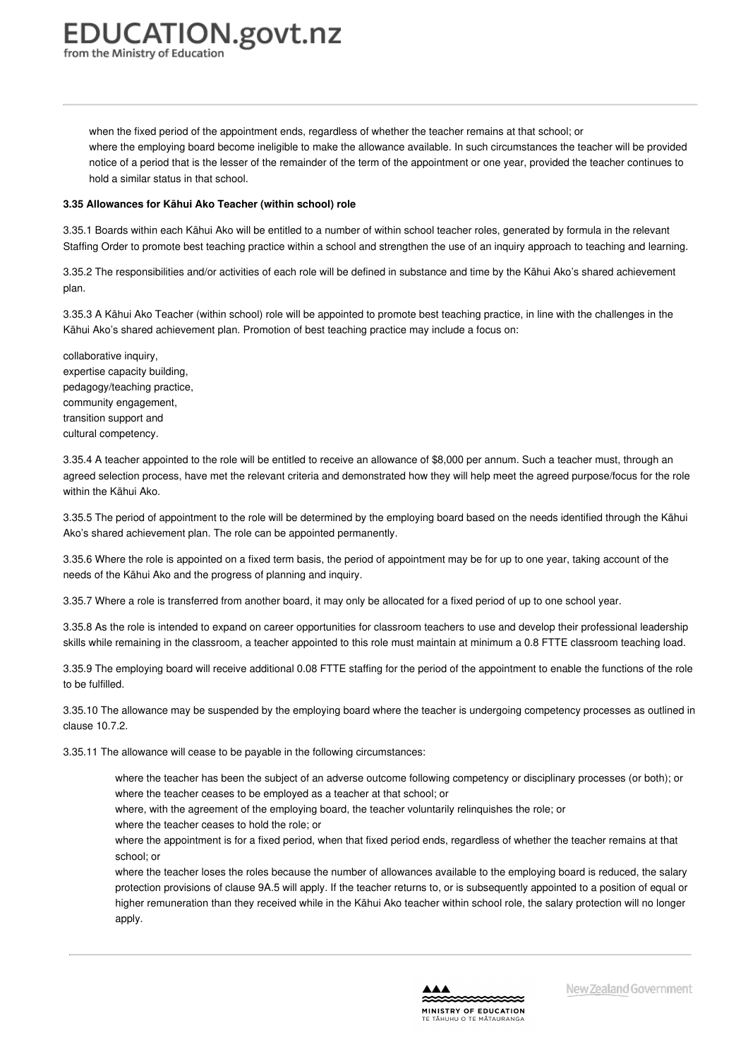from the Ministry of Education

when the fixed period of the appointment ends, regardless of whether the teacher remains at that school; or where the employing board become ineligible to make the allowance available. In such circumstances the teacher will be provided notice of a period that is the lesser of the remainder of the term of the appointment or one year, provided the teacher continues to hold a similar status in that school.

#### **3.35 [Allowances](https://www.education.govt.nz/school/people-and-employment/employment-agreements/collective-agreements/primary-teachers-collective-agreement/part-3-remuneration/#cd_17678_3-35-allowances-for-community-of-learning-teacher-within-school-role-2_Education%5CComplexDocuments%5CModel%5CComplexDocumentAccordionSection) for Kāhui Ako Teacher (within school) role**

3.35.1 Boards within each Kāhui Ako will be entitled to a number of within school teacher roles, generated by formula in the relevant Staffing Order to promote best teaching practice within a school and strengthen the use of an inquiry approach to teaching and learning.

3.35.2 The responsibilities and/or activities of each role will be defined in substance and time by the Kāhui Ako's shared achievement plan.

3.35.3 A Kāhui Ako Teacher (within school) role will be appointed to promote best teaching practice, in line with the challenges in the Kāhui Ako's shared achievement plan. Promotion of best teaching practice may include a focus on:

collaborative inquiry, expertise capacity building, pedagogy/teaching practice, community engagement, transition support and cultural competency.

3.35.4 A teacher appointed to the role will be entitled to receive an allowance of \$8,000 per annum. Such a teacher must, through an agreed selection process, have met the relevant criteria and demonstrated how they will help meet the agreed purpose/focus for the role within the Kāhui Ako.

3.35.5 The period of appointment to the role will be determined by the employing board based on the needs identified through the Kāhui Ako's shared achievement plan. The role can be appointed permanently.

3.35.6 Where the role is appointed on a fixed term basis, the period of appointment may be for up to one year, taking account of the needs of the Kāhui Ako and the progress of planning and inquiry.

3.35.7 Where a role is transferred from another board, it may only be allocated for a fixed period of up to one school year.

3.35.8 As the role is intended to expand on career opportunities for classroom teachers to use and develop their professional leadership skills while remaining in the classroom, a teacher appointed to this role must maintain at minimum a 0.8 FTTE classroom teaching load.

3.35.9 The employing board will receive additional 0.08 FTTE staffing for the period of the appointment to enable the functions of the role to be fulfilled.

3.35.10 The allowance may be suspended by the employing board where the teacher is undergoing competency processes as outlined in clause 10.7.2.

3.35.11 The allowance will cease to be payable in the following circumstances:

where the teacher has been the subject of an adverse outcome following competency or disciplinary processes (or both); or where the teacher ceases to be employed as a teacher at that school; or

where, with the agreement of the employing board, the teacher voluntarily relinquishes the role; or

where the teacher ceases to hold the role; or

where the appointment is for a fixed period, when that fixed period ends, regardless of whether the teacher remains at that school; or

where the teacher loses the roles because the number of allowances available to the employing board is reduced, the salary protection provisions of clause 9A.5 will apply. If the teacher returns to, or is subsequently appointed to a position of equal or higher remuneration than they received while in the Kāhui Ako teacher within school role, the salary protection will no longer apply.

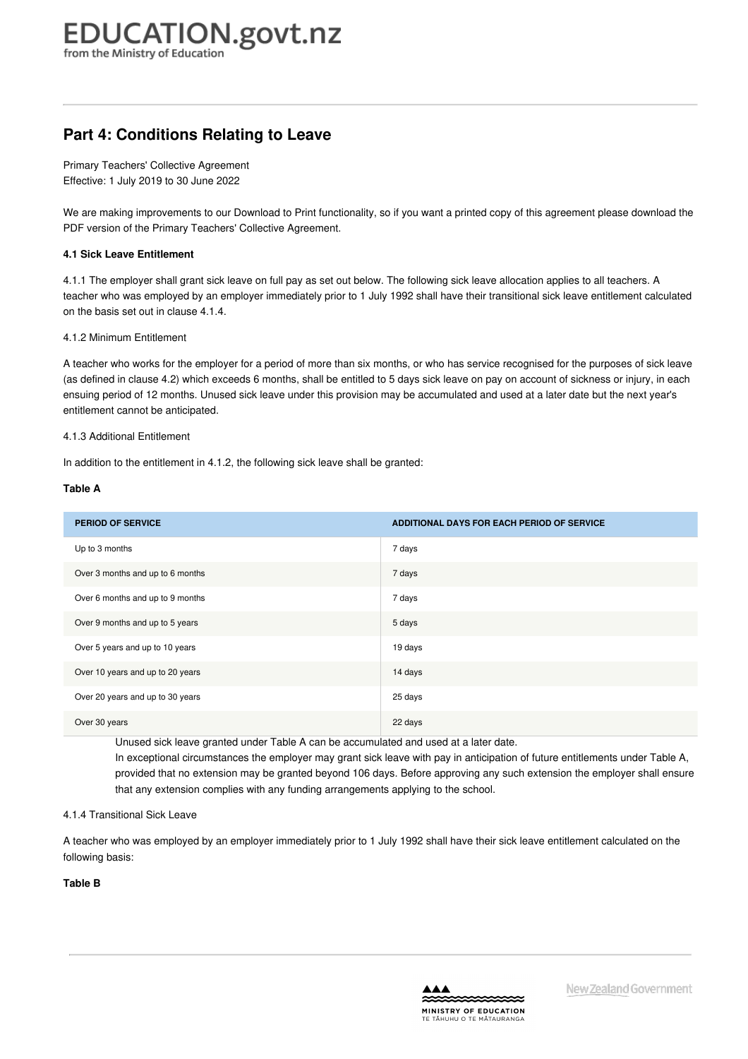## **Part 4: Conditions Relating to Leave**

Primary Teachers' Collective Agreement Effective: 1 July 2019 to 30 June 2022

We are making improvements to our Download to Print functionality, so if you want a printed copy of this agreement please download the PDF version of the Primary Teachers' Collective Agreement.

#### **4.1 Sick Leave [Entitlement](https://www.education.govt.nz/school/people-and-employment/employment-agreements/collective-agreements/primary-teachers-collective-agreement/part-4-conditions-relating-to-leave/#cd_3687_4-1-sick-leave-entitlement_Education%5CComplexDocuments%5CModel%5CComplexDocumentAccordionSection)**

4.1.1 The employer shall grant sick leave on full pay as set out below. The following sick leave allocation applies to all teachers. A teacher who was employed by an employer immediately prior to 1 July 1992 shall have their transitional sick leave entitlement calculated on the basis set out in clause 4.1.4.

4.1.2 Minimum Entitlement

A teacher who works for the employer for a period of more than six months, or who has service recognised for the purposes of sick leave (as defined in clause 4.2) which exceeds 6 months, shall be entitled to 5 days sick leave on pay on account of sickness or injury, in each ensuing period of 12 months. Unused sick leave under this provision may be accumulated and used at a later date but the next year's entitlement cannot be anticipated.

#### 4.1.3 Additional Entitlement

In addition to the entitlement in 4.1.2, the following sick leave shall be granted:

#### **Table A**

| <b>PERIOD OF SERVICE</b>         | ADDITIONAL DAYS FOR EACH PERIOD OF SERVICE |
|----------------------------------|--------------------------------------------|
| Up to 3 months                   | 7 days                                     |
| Over 3 months and up to 6 months | 7 days                                     |
| Over 6 months and up to 9 months | 7 days                                     |
| Over 9 months and up to 5 years  | 5 days                                     |
| Over 5 years and up to 10 years  | 19 days                                    |
| Over 10 years and up to 20 years | 14 days                                    |
| Over 20 years and up to 30 years | 25 days                                    |
| Over 30 years                    | 22 days                                    |

Unused sick leave granted under Table A can be accumulated and used at a later date.

In exceptional circumstances the employer may grant sick leave with pay in anticipation of future entitlements under Table A, provided that no extension may be granted beyond 106 days. Before approving any such extension the employer shall ensure that any extension complies with any funding arrangements applying to the school.

#### 4.1.4 Transitional Sick Leave

A teacher who was employed by an employer immediately prior to 1 July 1992 shall have their sick leave entitlement calculated on the following basis:

**Table B**

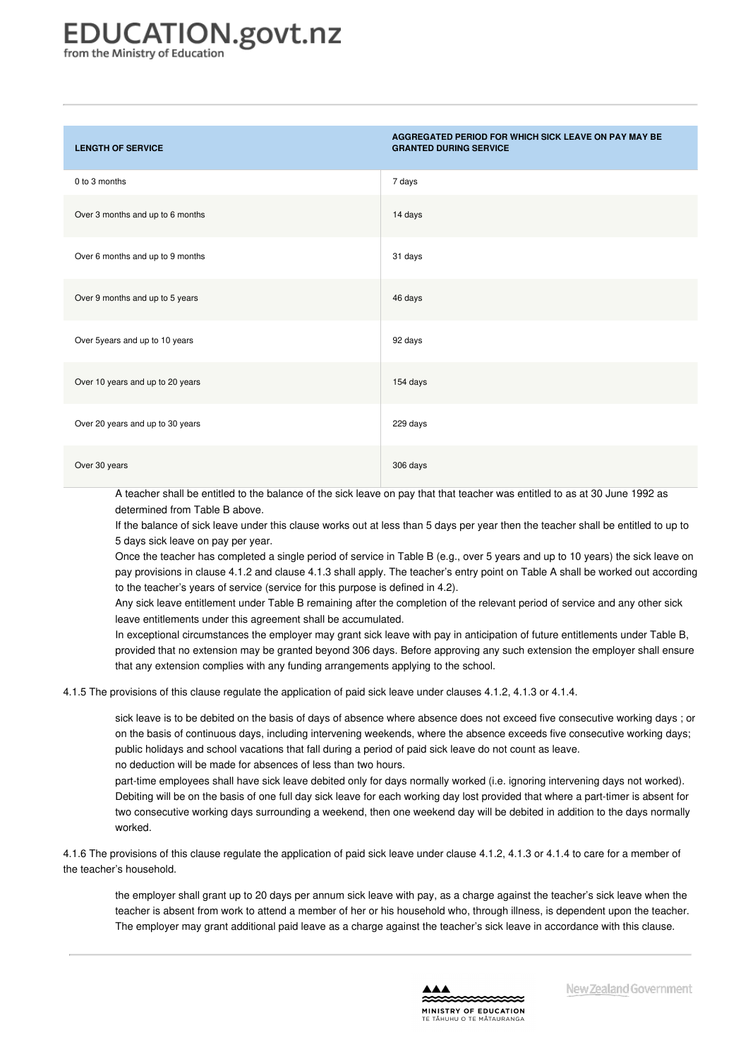# EDUCATION.govt.nz

from the Ministry of Education

| <b>LENGTH OF SERVICE</b>         | AGGREGATED PERIOD FOR WHICH SICK LEAVE ON PAY MAY BE<br><b>GRANTED DURING SERVICE</b> |
|----------------------------------|---------------------------------------------------------------------------------------|
| 0 to 3 months                    | 7 days                                                                                |
| Over 3 months and up to 6 months | 14 days                                                                               |
| Over 6 months and up to 9 months | 31 days                                                                               |
| Over 9 months and up to 5 years  | 46 days                                                                               |
| Over 5years and up to 10 years   | 92 days                                                                               |
| Over 10 years and up to 20 years | 154 days                                                                              |
| Over 20 years and up to 30 years | 229 days                                                                              |
| Over 30 years                    | 306 days                                                                              |

A teacher shall be entitled to the balance of the sick leave on pay that that teacher was entitled to as at 30 June 1992 as determined from Table B above.

If the balance of sick leave under this clause works out at less than 5 days per year then the teacher shall be entitled to up to 5 days sick leave on pay per year.

Once the teacher has completed a single period of service in Table B (e.g., over 5 years and up to 10 years) the sick leave on pay provisions in clause 4.1.2 and clause 4.1.3 shall apply. The teacher's entry point on Table A shall be worked out according to the teacher's years of service (service for this purpose is defined in 4.2).

Any sick leave entitlement under Table B remaining after the completion of the relevant period of service and any other sick leave entitlements under this agreement shall be accumulated.

In exceptional circumstances the employer may grant sick leave with pay in anticipation of future entitlements under Table B, provided that no extension may be granted beyond 306 days. Before approving any such extension the employer shall ensure that any extension complies with any funding arrangements applying to the school.

4.1.5 The provisions of this clause regulate the application of paid sick leave under clauses 4.1.2, 4.1.3 or 4.1.4.

sick leave is to be debited on the basis of days of absence where absence does not exceed five consecutive working days ; or on the basis of continuous days, including intervening weekends, where the absence exceeds five consecutive working days; public holidays and school vacations that fall during a period of paid sick leave do not count as leave. no deduction will be made for absences of less than two hours.

part-time employees shall have sick leave debited only for days normally worked (i.e. ignoring intervening days not worked). Debiting will be on the basis of one full day sick leave for each working day lost provided that where a part-timer is absent for two consecutive working days surrounding a weekend, then one weekend day will be debited in addition to the days normally worked.

4.1.6 The provisions of this clause regulate the application of paid sick leave under clause 4.1.2, 4.1.3 or 4.1.4 to care for a member of the teacher's household.

the employer shall grant up to 20 days per annum sick leave with pay, as a charge against the teacher's sick leave when the teacher is absent from work to attend a member of her or his household who, through illness, is dependent upon the teacher. The employer may grant additional paid leave as a charge against the teacher's sick leave in accordance with this clause.

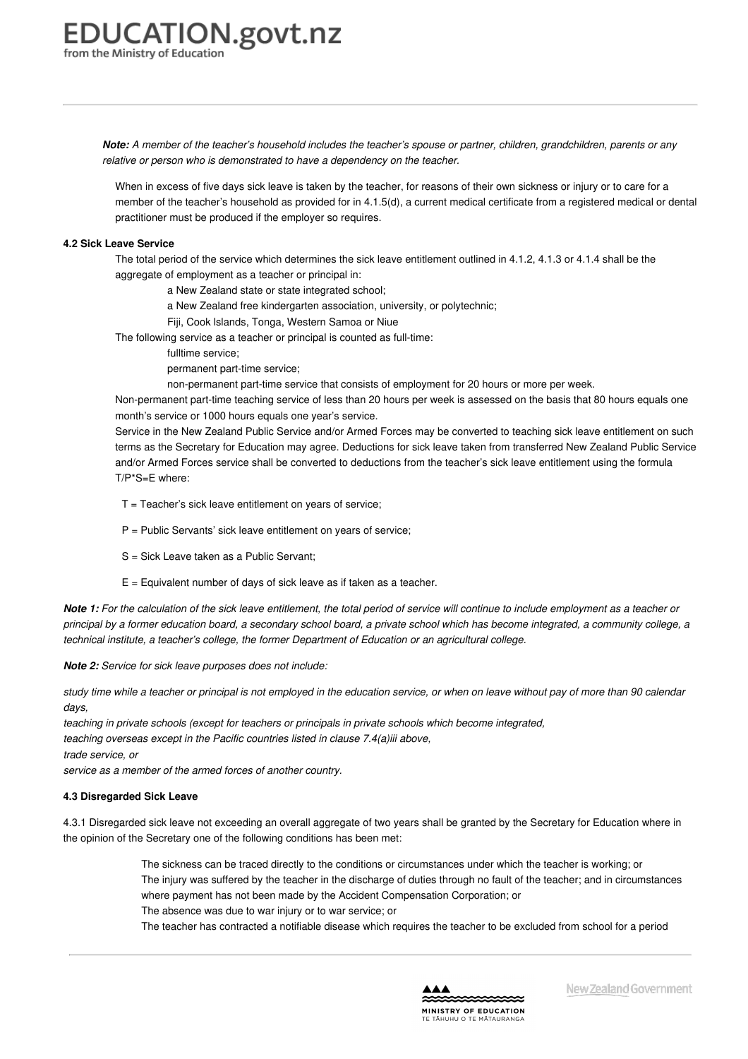Note: A member of the teacher's household includes the teacher's spouse or partner, children, grandchildren, parents or any *relative or person who is demonstrated to have a dependency on the teacher.*

When in excess of five days sick leave is taken by the teacher, for reasons of their own sickness or injury or to care for a member of the teacher's household as provided for in 4.1.5(d), a current medical certificate from a registered medical or dental practitioner must be produced if the employer so requires.

#### **4.2 Sick Leave [Service](https://www.education.govt.nz/school/people-and-employment/employment-agreements/collective-agreements/primary-teachers-collective-agreement/part-4-conditions-relating-to-leave/#cd_3689_4-2-sick-leave-service_Education%5CComplexDocuments%5CModel%5CComplexDocumentAccordionSection)**

The total period of the service which determines the sick leave entitlement outlined in 4.1.2, 4.1.3 or 4.1.4 shall be the aggregate of employment as a teacher or principal in:

a New Zealand state or state integrated school;

a New Zealand free kindergarten association, university, or polytechnic;

Fiji, Cook lslands, Tonga, Western Samoa or Niue

The following service as a teacher or principal is counted as full-time:

fulltime service;

permanent part-time service;

non-permanent part-time service that consists of employment for 20 hours or more per week.

Non-permanent part-time teaching service of less than 20 hours per week is assessed on the basis that 80 hours equals one month's service or 1000 hours equals one year's service.

Service in the New Zealand Public Service and/or Armed Forces may be converted to teaching sick leave entitlement on such terms as the Secretary for Education may agree. Deductions for sick leave taken from transferred New Zealand Public Service and/or Armed Forces service shall be converted to deductions from the teacher's sick leave entitlement using the formula T/P\*S=E where:

 $T =$  Teacher's sick leave entitlement on years of service;

 $P =$  Public Servants' sick leave entitlement on years of service;

S = Sick Leave taken as a Public Servant;

 $E =$  Equivalent number of days of sick leave as if taken as a teacher.

Note 1: For the calculation of the sick leave entitlement, the total period of service will continue to include employment as a teacher or principal by a former education board, a secondary school board, a private school which has become integrated, a community college, a *technical institute, a teacher's college, the former Department of Education or an agricultural college.*

*Note 2: Service for sick leave purposes does not include:*

study time while a teacher or principal is not employed in the education service, or when on leave without pay of more than 90 calendar *days,*

*teaching in private schools (except for teachers or principals in private schools which become integrated,*

*teaching overseas except in the Pacific countries listed in clause 7.4(a)iii above,*

*trade service, or*

*service as a member of the armed forces of another country.*

#### **4.3 [Disregarded](https://www.education.govt.nz/school/people-and-employment/employment-agreements/collective-agreements/primary-teachers-collective-agreement/part-4-conditions-relating-to-leave/#cd_11175_4-3-disregarded-sick-leave_Education%5CComplexDocuments%5CModel%5CComplexDocumentAccordionSection) Sick Leave**

4.3.1 Disregarded sick leave not exceeding an overall aggregate of two years shall be granted by the Secretary for Education where in the opinion of the Secretary one of the following conditions has been met:

> The sickness can be traced directly to the conditions or circumstances under which the teacher is working; or The injury was suffered by the teacher in the discharge of duties through no fault of the teacher; and in circumstances where payment has not been made by the Accident Compensation Corporation; or

The absence was due to war injury or to war service; or

The teacher has contracted a notifiable disease which requires the teacher to be excluded from school for a period

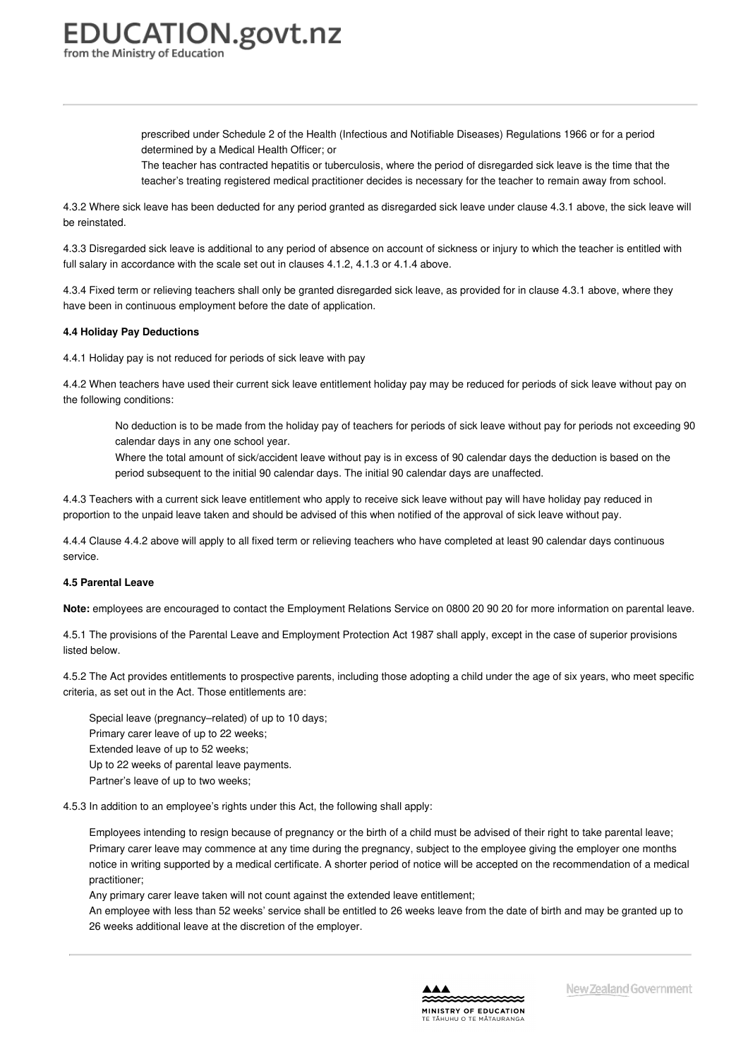> <span id="page-27-0"></span>prescribed under Schedule 2 of the Health (Infectious and Notifiable Diseases) Regulations 1966 or for a period determined by a Medical Health Officer; or

The teacher has contracted hepatitis or tuberculosis, where the period of disregarded sick leave is the time that the teacher's treating registered medical practitioner decides is necessary for the teacher to remain away from school.

4.3.2 Where sick leave has been deducted for any period granted as disregarded sick leave under clause 4.3.1 above, the sick leave will be reinstated.

4.3.3 Disregarded sick leave is additional to any period of absence on account of sickness or injury to which the teacher is entitled with full salary in accordance with the scale set out in clauses 4.1.2, 4.1.3 or 4.1.4 above.

4.3.4 Fixed term or relieving teachers shall only be granted disregarded sick leave, as provided for in clause 4.3.1 above, where they have been in continuous employment before the date of application.

#### **4.4 Holiday Pay [Deductions](https://www.education.govt.nz/school/people-and-employment/employment-agreements/collective-agreements/primary-teachers-collective-agreement/part-4-conditions-relating-to-leave/#cd_11176_4-4-holiday-pay-deductions_Education%5CComplexDocuments%5CModel%5CComplexDocumentAccordionSection)**

4.4.1 Holiday pay is not reduced for periods of sick leave with pay

4.4.2 When teachers have used their current sick leave entitlement holiday pay may be reduced for periods of sick leave without pay on the following conditions:

No deduction is to be made from the holiday pay of teachers for periods of sick leave without pay for periods not exceeding 90 calendar days in any one school year.

Where the total amount of sick/accident leave without pay is in excess of 90 calendar days the deduction is based on the period subsequent to the initial 90 calendar days. The initial 90 calendar days are unaffected.

4.4.3 Teachers with a current sick leave entitlement who apply to receive sick leave without pay will have holiday pay reduced in proportion to the unpaid leave taken and should be advised of this when notified of the approval of sick leave without pay.

4.4.4 Clause 4.4.2 above will apply to all fixed term or relieving teachers who have completed at least 90 calendar days continuous service.

#### **4.5 [Parental](https://www.education.govt.nz/school/people-and-employment/employment-agreements/collective-agreements/primary-teachers-collective-agreement/part-4-conditions-relating-to-leave/#cd_3690_4-5-parental-leave_Education%5CComplexDocuments%5CModel%5CComplexDocumentAccordionSection) Leave**

**Note:** employees are encouraged to contact the Employment Relations Service on 0800 20 90 20 for more information on parental leave.

4.5.1 The provisions of the Parental Leave and Employment Protection Act 1987 shall apply, except in the case of superior provisions listed below.

4.5.2 The Act provides entitlements to prospective parents, including those adopting a child under the age of six years, who meet specific criteria, as set out in the Act. Those entitlements are:

Special leave (pregnancy–related) of up to 10 days; Primary carer leave of up to 22 weeks; Extended leave of up to 52 weeks; Up to 22 weeks of parental leave payments. Partner's leave of up to two weeks;

4.5.3 In addition to an employee's rights under this Act, the following shall apply:

Employees intending to resign because of pregnancy or the birth of a child must be advised of their right to take parental leave; Primary carer leave may commence at any time during the pregnancy, subject to the employee giving the employer one months notice in writing supported by a medical certificate. A shorter period of notice will be accepted on the recommendation of a medical practitioner;

Any primary carer leave taken will not count against the extended leave entitlement;

An employee with less than 52 weeks' service shall be entitled to 26 weeks leave from the date of birth and may be granted up to 26 weeks additional leave at the discretion of the employer.

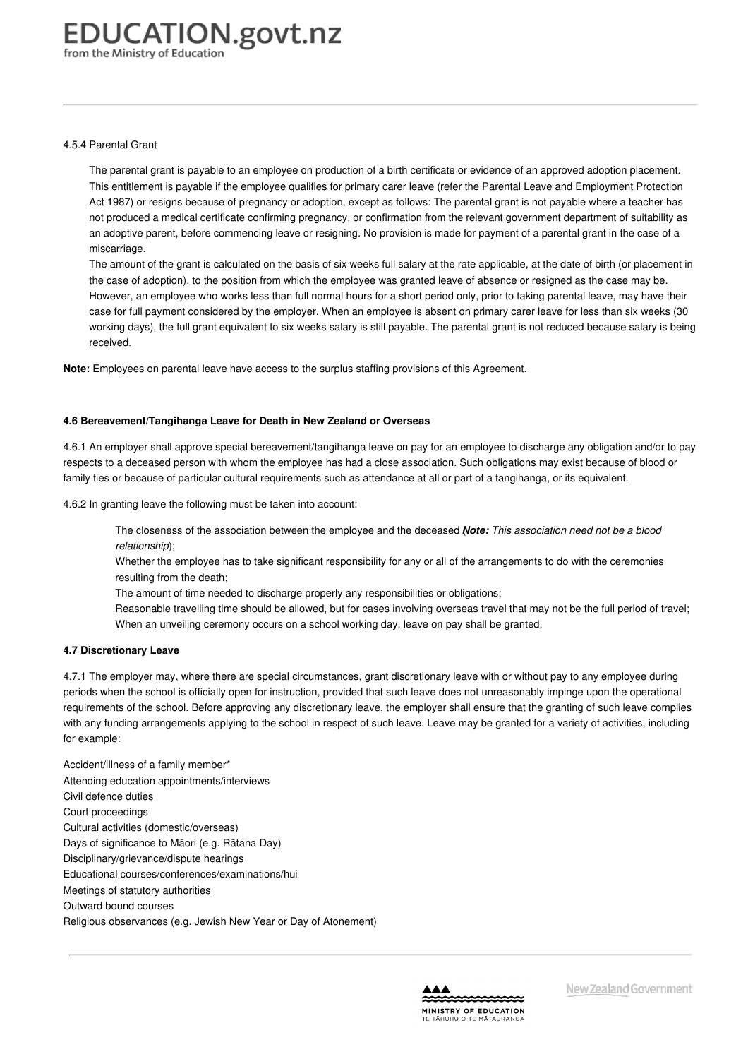#### 4.5.4 Parental Grant

The parental grant is payable to an employee on production of a birth certificate or evidence of an approved adoption placement. This entitlement is payable if the employee qualifies for primary carer leave (refer the Parental Leave and Employment Protection Act 1987) or resigns because of pregnancy or adoption, except as follows: The parental grant is not payable where a teacher has not produced a medical certificate confirming pregnancy, or confirmation from the relevant government department of suitability as an adoptive parent, before commencing leave or resigning. No provision is made for payment of a parental grant in the case of a miscarriage.

The amount of the grant is calculated on the basis of six weeks full salary at the rate applicable, at the date of birth (or placement in the case of adoption), to the position from which the employee was granted leave of absence or resigned as the case may be. However, an employee who works less than full normal hours for a short period only, prior to taking parental leave, may have their case for full payment considered by the employer. When an employee is absent on primary carer leave for less than six weeks (30 working days), the full grant equivalent to six weeks salary is still payable. The parental grant is not reduced because salary is being received.

**Note:** Employees on parental leave have access to the surplus staffing provisions of this Agreement.

#### **4.6 [Bereavement/Tangihanga](https://www.education.govt.nz/school/people-and-employment/employment-agreements/collective-agreements/primary-teachers-collective-agreement/part-4-conditions-relating-to-leave/#cd_3691_4-6-bereavementtangihanga-leave-for-death-in-new-zealand-or-overseas_Education%5CComplexDocuments%5CModel%5CComplexDocumentAccordionSection) Leave for Death in New Zealand or Overseas**

4.6.1 An employer shall approve special bereavement/tangihanga leave on pay for an employee to discharge any obligation and/or to pay respects to a deceased person with whom the employee has had a close association. Such obligations may exist because of blood or family ties or because of particular cultural requirements such as attendance at all or part of a tangihanga, or its equivalent.

4.6.2 In granting leave the following must be taken into account:

The closeness of the association between the employee and the deceased *N*( *ote: This association need not be a blood relationship*);

Whether the employee has to take significant responsibility for any or all of the arrangements to do with the ceremonies resulting from the death;

The amount of time needed to discharge properly any responsibilities or obligations;

Reasonable travelling time should be allowed, but for cases involving overseas travel that may not be the full period of travel; When an unveiling ceremony occurs on a school working day, leave on pay shall be granted.

#### **4.7 [Discretionary](https://www.education.govt.nz/school/people-and-employment/employment-agreements/collective-agreements/primary-teachers-collective-agreement/part-4-conditions-relating-to-leave/#cd_3692_4-7-discretionary-leave_Education%5CComplexDocuments%5CModel%5CComplexDocumentAccordionSection) Leave**

4.7.1 The employer may, where there are special circumstances, grant discretionary leave with or without pay to any employee during periods when the school is officially open for instruction, provided that such leave does not unreasonably impinge upon the operational requirements of the school. Before approving any discretionary leave, the employer shall ensure that the granting of such leave complies with any funding arrangements applying to the school in respect of such leave. Leave may be granted for a variety of activities, including for example:

Accident/illness of a family member\* Attending education appointments/interviews Civil defence duties Court proceedings Cultural activities (domestic/overseas) Days of significance to Māori (e.g. Rātana Day) Disciplinary/grievance/dispute hearings Educational courses/conferences/examinations/hui Meetings of statutory authorities Outward bound courses Religious observances (e.g. Jewish New Year or Day of Atonement)

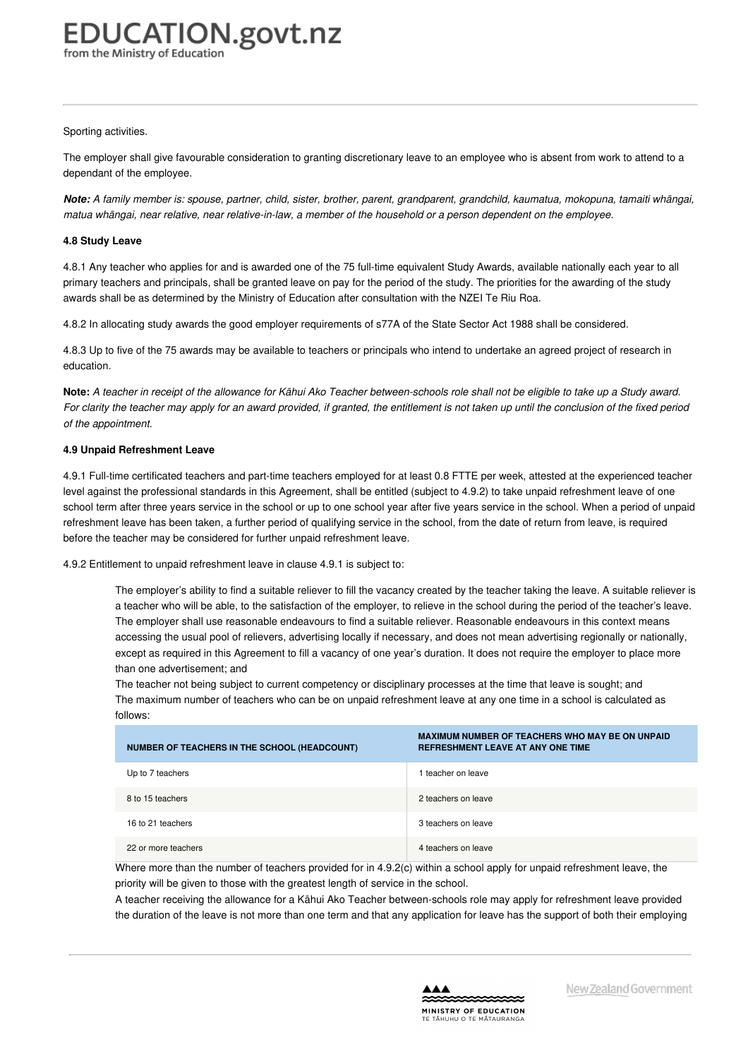#### Sporting activities.

The employer shall give favourable consideration to granting discretionary leave to an employee who is absent from work to attend to a dependant of the employee.

Note: A family member is: spouse, partner, child, sister, brother, parent, grandparent, grandchild, kaumatua, mokopuna, tamaiti whāngai, matua whangai, near relative, near relative-in-law, a member of the household or a person dependent on the employee.

#### **4.8 [Study](https://www.education.govt.nz/school/people-and-employment/employment-agreements/collective-agreements/primary-teachers-collective-agreement/part-4-conditions-relating-to-leave/#cd_3693_4-8-study-leave_Education%5CComplexDocuments%5CModel%5CComplexDocumentAccordionSection) Leave**

4.8.1 Any teacher who applies for and is awarded one of the 75 full-time equivalent Study Awards, available nationally each year to all primary teachers and principals, shall be granted leave on pay for the period of the study. The priorities for the awarding of the study awards shall be as determined by the Ministry of Education after consultation with the NZEI Te Riu Roa.

4.8.2 In allocating study awards the good employer requirements of s77A of the State Sector Act 1988 shall be considered.

4.8.3 Up to five of the 75 awards may be available to teachers or principals who intend to undertake an agreed project of research in education.

Note: A teacher in receipt of the allowance for Kāhui Ako Teacher between-schools role shall not be eligible to take up a Study award. For clarity the teacher may apply for an award provided, if granted, the entitlement is not taken up until the conclusion of the fixed period *of the appointment.*

#### **4.9 Unpaid [Refreshment](https://www.education.govt.nz/school/people-and-employment/employment-agreements/collective-agreements/primary-teachers-collective-agreement/part-4-conditions-relating-to-leave/#cd_3694_4-9-unpaid-refreshment-leave_Education%5CComplexDocuments%5CModel%5CComplexDocumentAccordionSection) Leave**

4.9.1 Full-time certificated teachers and part-time teachers employed for at least 0.8 FTTE per week, attested at the experienced teacher level against the professional standards in this Agreement, shall be entitled (subject to 4.9.2) to take unpaid refreshment leave of one school term after three years service in the school or up to one school year after five years service in the school. When a period of unpaid refreshment leave has been taken, a further period of qualifying service in the school, from the date of return from leave, is required before the teacher may be considered for further unpaid refreshment leave.

4.9.2 Entitlement to unpaid refreshment leave in clause 4.9.1 is subject to:

The employer's ability to find a suitable reliever to fill the vacancy created by the teacher taking the leave. A suitable reliever is a teacher who will be able, to the satisfaction of the employer, to relieve in the school during the period of the teacher's leave. The employer shall use reasonable endeavours to find a suitable reliever. Reasonable endeavours in this context means accessing the usual pool of relievers, advertising locally if necessary, and does not mean advertising regionally or nationally, except as required in this Agreement to fill a vacancy of one year's duration. It does not require the employer to place more than one advertisement; and

The teacher not being subject to current competency or disciplinary processes at the time that leave is sought; and The maximum number of teachers who can be on unpaid refreshment leave at any one time in a school is calculated as follows:

| NUMBER OF TEACHERS IN THE SCHOOL (HEADCOUNT) | <b>MAXIMUM NUMBER OF TEACHERS WHO MAY BE ON UNPAID</b><br><b>REFRESHMENT LEAVE AT ANY ONE TIME</b> |
|----------------------------------------------|----------------------------------------------------------------------------------------------------|
| Up to 7 teachers                             | teacher on leave                                                                                   |
| 8 to 15 teachers                             | 2 teachers on leave                                                                                |
| 16 to 21 teachers                            | 3 teachers on leave                                                                                |
| 22 or more teachers                          | 4 teachers on leave                                                                                |

Where more than the number of teachers provided for in 4.9.2(c) within a school apply for unpaid refreshment leave, the priority will be given to those with the greatest length of service in the school.

A teacher receiving the allowance for a Kāhui Ako Teacher between-schools role may apply for refreshment leave provided the duration of the leave is not more than one term and that any application for leave has the support of both their employing

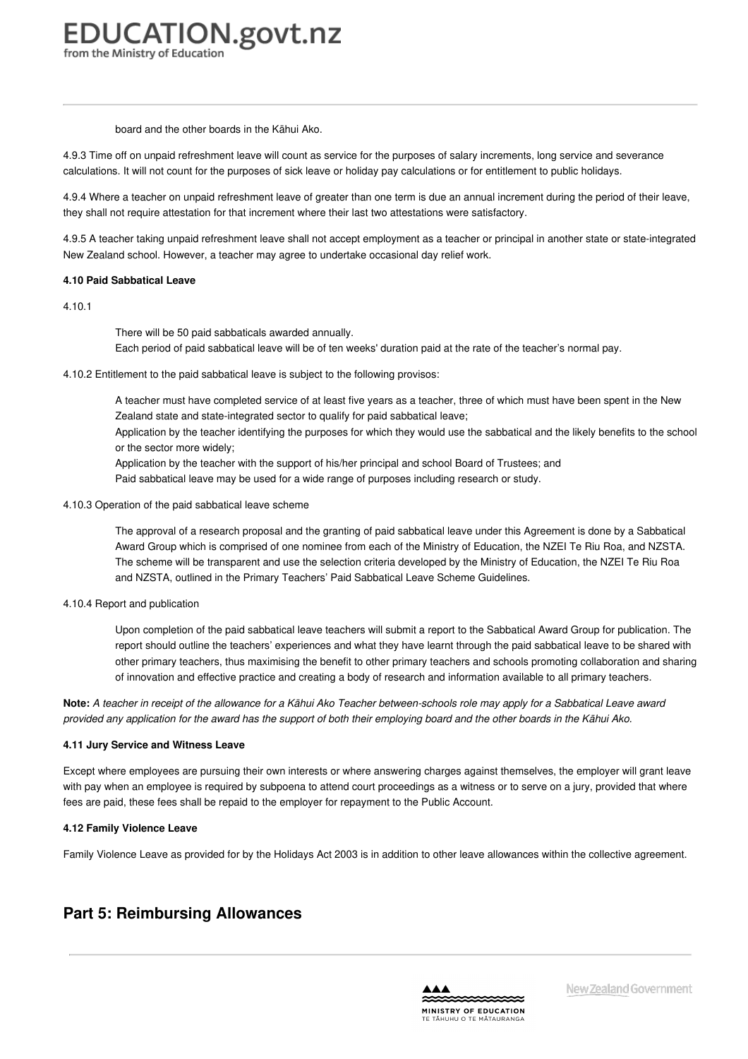#### board and the other boards in the Kāhui Ako.

4.9.3 Time off on unpaid refreshment leave will count as service for the purposes of salary increments, long service and severance calculations. It will not count for the purposes of sick leave or holiday pay calculations or for entitlement to public holidays.

4.9.4 Where a teacher on unpaid refreshment leave of greater than one term is due an annual increment during the period of their leave, they shall not require attestation for that increment where their last two attestations were satisfactory.

4.9.5 A teacher taking unpaid refreshment leave shall not accept employment as a teacher or principal in another state or state-integrated New Zealand school. However, a teacher may agree to undertake occasional day relief work.

#### **4.10 Paid [Sabbatical](https://www.education.govt.nz/school/people-and-employment/employment-agreements/collective-agreements/primary-teachers-collective-agreement/part-4-conditions-relating-to-leave/#cd_3695_4-10-paid-sabbatical-leave_Education%5CComplexDocuments%5CModel%5CComplexDocumentAccordionSection) Leave**

4.10.1

There will be 50 paid sabbaticals awarded annually.

Each period of paid sabbatical leave will be of ten weeks' duration paid at the rate of the teacher's normal pay.

4.10.2 Entitlement to the paid sabbatical leave is subject to the following provisos:

A teacher must have completed service of at least five years as a teacher, three of which must have been spent in the New Zealand state and state-integrated sector to qualify for paid sabbatical leave;

Application by the teacher identifying the purposes for which they would use the sabbatical and the likely benefits to the school or the sector more widely;

Application by the teacher with the support of his/her principal and school Board of Trustees; and

Paid sabbatical leave may be used for a wide range of purposes including research or study.

4.10.3 Operation of the paid sabbatical leave scheme

The approval of a research proposal and the granting of paid sabbatical leave under this Agreement is done by a Sabbatical Award Group which is comprised of one nominee from each of the Ministry of Education, the NZEI Te Riu Roa, and NZSTA. The scheme will be transparent and use the selection criteria developed by the Ministry of Education, the NZEI Te Riu Roa and NZSTA, outlined in the Primary Teachers' Paid Sabbatical Leave Scheme Guidelines.

4.10.4 Report and publication

Upon completion of the paid sabbatical leave teachers will submit a report to the Sabbatical Award Group for publication. The report should outline the teachers' experiences and what they have learnt through the paid sabbatical leave to be shared with other primary teachers, thus maximising the benefit to other primary teachers and schools promoting collaboration and sharing of innovation and effective practice and creating a body of research and information available to all primary teachers.

Note: A teacher in receipt of the allowance for a Kāhui Ako Teacher between-schools role may apply for a Sabbatical Leave award provided any application for the award has the support of both their employing board and the other boards in the Kāhui Ako.

#### **4.11 Jury Service and [Witness](https://www.education.govt.nz/school/people-and-employment/employment-agreements/collective-agreements/primary-teachers-collective-agreement/part-4-conditions-relating-to-leave/#cd_17696_4-11-jury-service-and-witness-leave_Education%5CComplexDocuments%5CModel%5CComplexDocumentAccordionSection) Leave**

Except where employees are pursuing their own interests or where answering charges against themselves, the employer will grant leave with pay when an employee is required by subpoena to attend court proceedings as a witness or to serve on a jury, provided that where fees are paid, these fees shall be repaid to the employer for repayment to the Public Account.

#### **4.12 Family [Violence](https://www.education.govt.nz/school/people-and-employment/employment-agreements/collective-agreements/primary-teachers-collective-agreement/part-4-conditions-relating-to-leave/#cd_17858_4-12-family-violence-leave_Education%5CComplexDocuments%5CModel%5CComplexDocumentAccordionSection) Leave**

Family Violence Leave as provided for by the Holidays Act 2003 is in addition to other leave allowances within the collective agreement.

### **Part 5: Reimbursing Allowances**

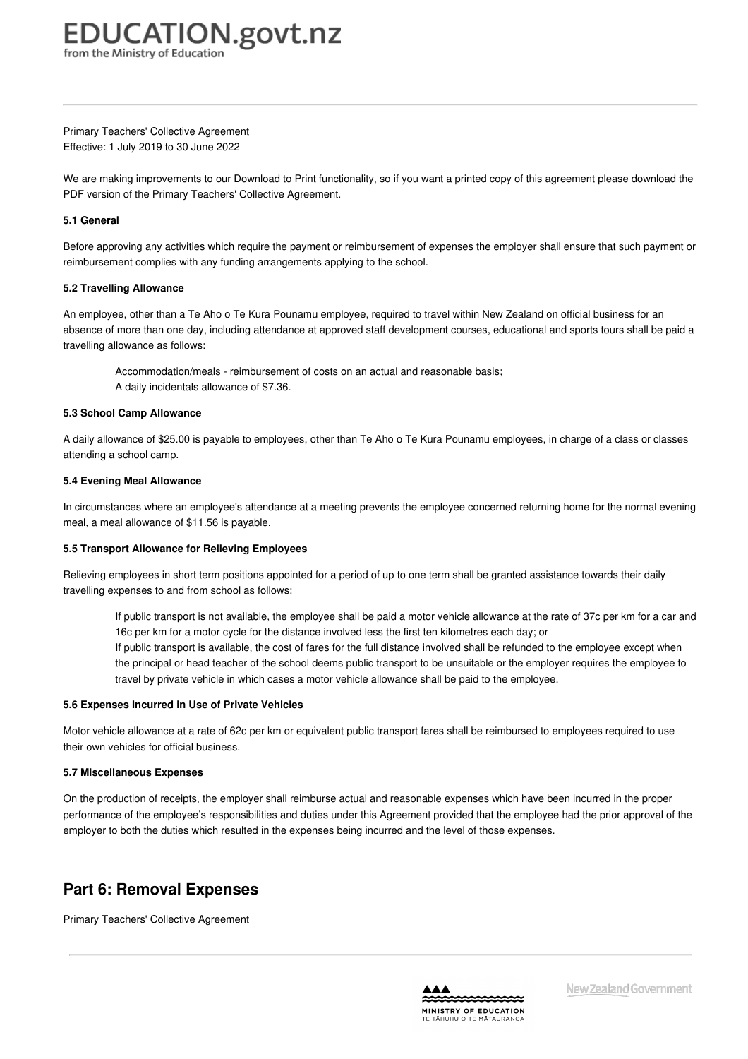<span id="page-31-0"></span>Primary Teachers' Collective Agreement Effective: 1 July 2019 to 30 June 2022

We are making improvements to our Download to Print functionality, so if you want a printed copy of this agreement please download the PDF version of the Primary Teachers' Collective Agreement.

#### **5.1 [General](https://www.education.govt.nz/school/people-and-employment/employment-agreements/collective-agreements/primary-teachers-collective-agreement/part-5-reimbursing-allowances/#cd_3699_5-1-general_Education%5CComplexDocuments%5CModel%5CComplexDocumentAccordionSection)**

Before approving any activities which require the payment or reimbursement of expenses the employer shall ensure that such payment or reimbursement complies with any funding arrangements applying to the school.

#### **5.2 Travelling [Allowance](https://www.education.govt.nz/school/people-and-employment/employment-agreements/collective-agreements/primary-teachers-collective-agreement/part-5-reimbursing-allowances/#cd_3700_5-2-travelling-allowance_Education%5CComplexDocuments%5CModel%5CComplexDocumentAccordionSection)**

An employee, other than a Te Aho o Te Kura Pounamu employee, required to travel within New Zealand on official business for an absence of more than one day, including attendance at approved staff development courses, educational and sports tours shall be paid a travelling allowance as follows:

Accommodation/meals - reimbursement of costs on an actual and reasonable basis; A daily incidentals allowance of \$7.36.

#### **5.3 School Camp [Allowance](https://www.education.govt.nz/school/people-and-employment/employment-agreements/collective-agreements/primary-teachers-collective-agreement/part-5-reimbursing-allowances/#cd_3701_5-3-school-camp-allowance-2_Education%5CComplexDocuments%5CModel%5CComplexDocumentAccordionSection)**

A daily allowance of \$25.00 is payable to employees, other than Te Aho o Te Kura Pounamu employees, in charge of a class or classes attending a school camp.

#### **5.4 Evening Meal [Allowance](https://www.education.govt.nz/school/people-and-employment/employment-agreements/collective-agreements/primary-teachers-collective-agreement/part-5-reimbursing-allowances/#cd_3702_5-4-evening-meal-allowance-2_Education%5CComplexDocuments%5CModel%5CComplexDocumentAccordionSection)**

In circumstances where an employee's attendance at a meeting prevents the employee concerned returning home for the normal evening meal, a meal allowance of \$11.56 is payable.

#### **5.5 Transport Allowance for Relieving [Employees](https://www.education.govt.nz/school/people-and-employment/employment-agreements/collective-agreements/primary-teachers-collective-agreement/part-5-reimbursing-allowances/#cd_3705_5-5-transport-allowance-for-relieving-employees_Education%5CComplexDocuments%5CModel%5CComplexDocumentAccordionSection)**

Relieving employees in short term positions appointed for a period of up to one term shall be granted assistance towards their daily travelling expenses to and from school as follows:

If public transport is not available, the employee shall be paid a motor vehicle allowance at the rate of 37c per km for a car and 16c per km for a motor cycle for the distance involved less the first ten kilometres each day; or

If public transport is available, the cost of fares for the full distance involved shall be refunded to the employee except when the principal or head teacher of the school deems public transport to be unsuitable or the employer requires the employee to travel by private vehicle in which cases a motor vehicle allowance shall be paid to the employee.

#### **5.6 [Expenses](https://www.education.govt.nz/school/people-and-employment/employment-agreements/collective-agreements/primary-teachers-collective-agreement/part-5-reimbursing-allowances/#cd_3706_5-6-expenses-incurred-in-use-of-private-vehicles_Education%5CComplexDocuments%5CModel%5CComplexDocumentAccordionSection) Incurred in Use of Private Vehicles**

Motor vehicle allowance at a rate of 62c per km or equivalent public transport fares shall be reimbursed to employees required to use their own vehicles for official business.

#### **5.7 [Miscellaneous](https://www.education.govt.nz/school/people-and-employment/employment-agreements/collective-agreements/primary-teachers-collective-agreement/part-5-reimbursing-allowances/#cd_3707_5-7-miscellaneous-expenses_Education%5CComplexDocuments%5CModel%5CComplexDocumentAccordionSection) Expenses**

On the production of receipts, the employer shall reimburse actual and reasonable expenses which have been incurred in the proper performance of the employee's responsibilities and duties under this Agreement provided that the employee had the prior approval of the employer to both the duties which resulted in the expenses being incurred and the level of those expenses.

### **Part 6: Removal Expenses**

Primary Teachers' Collective Agreement

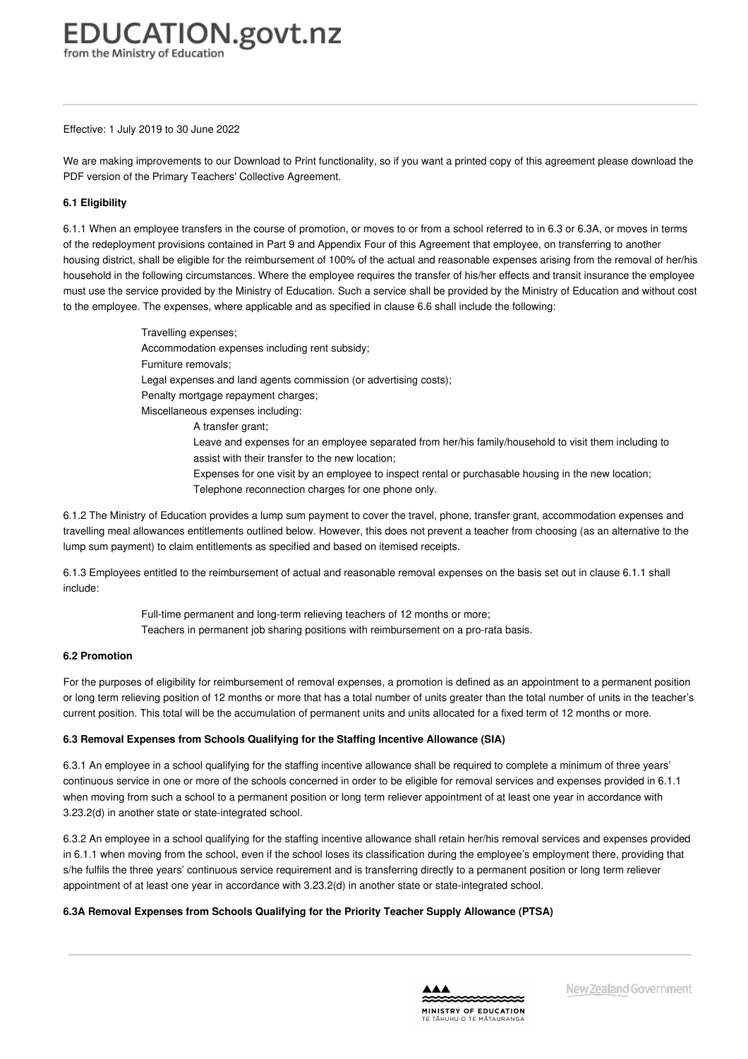#### Effective: 1 July 2019 to 30 June 2022

We are making improvements to our Download to Print functionality, so if you want a printed copy of this agreement please download the PDF version of the Primary Teachers' Collective Agreement.

#### **6.1 [Eligibility](https://www.education.govt.nz/school/people-and-employment/employment-agreements/collective-agreements/primary-teachers-collective-agreement/part-6-removal-expenses/#cd_3710_6-1-eligibility_Education%5CComplexDocuments%5CModel%5CComplexDocumentAccordionSection)**

6.1.1 When an employee transfers in the course of promotion, or moves to or from a school referred to in 6.3 or 6.3A, or moves in terms of the redeployment provisions contained in Part 9 and Appendix Four of this Agreement that employee, on transferring to another housing district, shall be eligible for the reimbursement of 100% of the actual and reasonable expenses arising from the removal of her/his household in the following circumstances. Where the employee requires the transfer of his/her effects and transit insurance the employee must use the service provided by the Ministry of Education. Such a service shall be provided by the Ministry of Education and without cost to the employee. The expenses, where applicable and as specified in clause 6.6 shall include the following:

> Travelling expenses; Accommodation expenses including rent subsidy; Furniture removals; Legal expenses and land agents commission (or advertising costs); Penalty mortgage repayment charges: Miscellaneous expenses including: A transfer grant; Leave and expenses for an employee separated from her/his family/household to visit them including to assist with their transfer to the new location; Expenses for one visit by an employee to inspect rental or purchasable housing in the new location; Telephone reconnection charges for one phone only.

6.1.2 The Ministry of Education provides a lump sum payment to cover the travel, phone, transfer grant, accommodation expenses and travelling meal allowances entitlements outlined below. However, this does not prevent a teacher from choosing (as an alternative to the lump sum payment) to claim entitlements as specified and based on itemised receipts.

6.1.3 Employees entitled to the reimbursement of actual and reasonable removal expenses on the basis set out in clause 6.1.1 shall include:

> Full-time permanent and long-term relieving teachers of 12 months or more; Teachers in permanent job sharing positions with reimbursement on a pro-rata basis.

#### **6.2 [Promotion](https://www.education.govt.nz/school/people-and-employment/employment-agreements/collective-agreements/primary-teachers-collective-agreement/part-6-removal-expenses/#cd_3711_6-2-promotion_Education%5CComplexDocuments%5CModel%5CComplexDocumentAccordionSection)**

For the purposes of eligibility for reimbursement of removal expenses, a promotion is defined as an appointment to a permanent position or long term relieving position of 12 months or more that has a total number of units greater than the total number of units in the teacher's current position. This total will be the accumulation of permanent units and units allocated for a fixed term of 12 months or more.

#### **6.3 Removal Expenses from Schools Qualifying for the Staffing Incentive [Allowance](https://www.education.govt.nz/school/people-and-employment/employment-agreements/collective-agreements/primary-teachers-collective-agreement/part-6-removal-expenses/#cd_3712_6-3-removal-expenses-from-schools-qualifying-for-the-staffing-incentive-allowance-sia_Education%5CComplexDocuments%5CModel%5CComplexDocumentAccordionSection) (SIA)**

6.3.1 An employee in a school qualifying for the staffing incentive allowance shall be required to complete a minimum of three years' continuous service in one or more of the schools concerned in order to be eligible for removal services and expenses provided in 6.1.1 when moving from such a school to a permanent position or long term reliever appointment of at least one year in accordance with 3.23.2(d) in another state or state-integrated school.

6.3.2 An employee in a school qualifying for the staffing incentive allowance shall retain her/his removal services and expenses provided in 6.1.1 when moving from the school, even if the school loses its classification during the employee's employment there, providing that s/he fulfils the three years' continuous service requirement and is transferring directly to a permanent position or long term reliever appointment of at least one year in accordance with 3.23.2(d) in another state or state-integrated school.

#### **6.3A Removal Expenses from Schools Qualifying for the Priority Teacher Supply [Allowance](https://www.education.govt.nz/school/people-and-employment/employment-agreements/collective-agreements/primary-teachers-collective-agreement/part-6-removal-expenses/#cd_3713_6-3a-removal-expenses-from-schools-qualifying-for-the-priority-teacher-supply-allowance-ptsa_Education%5CComplexDocuments%5CModel%5CComplexDocumentAccordionSection) (PTSA)**

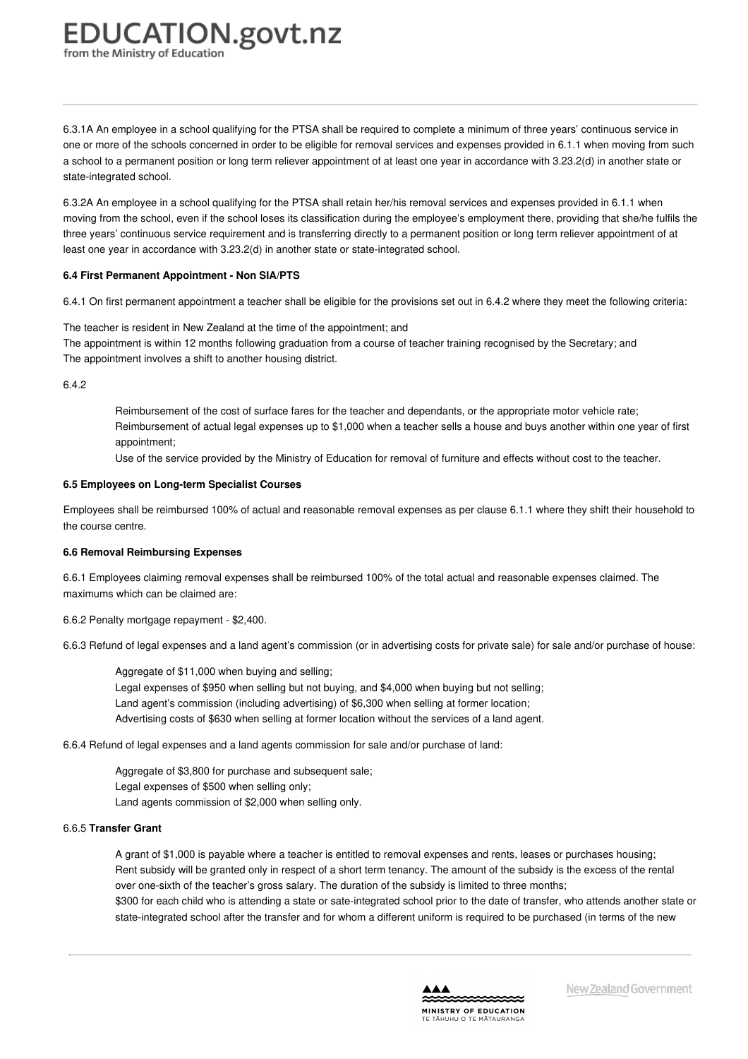## <span id="page-33-0"></span>**EDUCATION.govt.nz**

from the Ministry of Education

6.3.1A An employee in a school qualifying for the PTSA shall be required to complete a minimum of three years' continuous service in one or more of the schools concerned in order to be eligible for removal services and expenses provided in 6.1.1 when moving from such a school to a permanent position or long term reliever appointment of at least one year in accordance with 3.23.2(d) in another state or state-integrated school.

6.3.2A An employee in a school qualifying for the PTSA shall retain her/his removal services and expenses provided in 6.1.1 when moving from the school, even if the school loses its classification during the employee's employment there, providing that she/he fulfils the three years' continuous service requirement and is transferring directly to a permanent position or long term reliever appointment of at least one year in accordance with 3.23.2(d) in another state or state-integrated school.

#### **6.4 First Permanent [Appointment](https://www.education.govt.nz/school/people-and-employment/employment-agreements/collective-agreements/primary-teachers-collective-agreement/part-6-removal-expenses/#cd_3714_6-4-first-permanent-appointment-non-siapts_Education%5CComplexDocuments%5CModel%5CComplexDocumentAccordionSection) - Non SIA/PTS**

6.4.1 On first permanent appointment a teacher shall be eligible for the provisions set out in 6.4.2 where they meet the following criteria:

The teacher is resident in New Zealand at the time of the appointment; and The appointment is within 12 months following graduation from a course of teacher training recognised by the Secretary; and The appointment involves a shift to another housing district.

6.4.2

Reimbursement of the cost of surface fares for the teacher and dependants, or the appropriate motor vehicle rate; Reimbursement of actual legal expenses up to \$1,000 when a teacher sells a house and buys another within one year of first appointment;

Use of the service provided by the Ministry of Education for removal of furniture and effects without cost to the teacher.

#### **6.5 [Employees](https://www.education.govt.nz/school/people-and-employment/employment-agreements/collective-agreements/primary-teachers-collective-agreement/part-6-removal-expenses/#cd_3715_6-5-employees-on-long-term-specialist-courses_Education%5CComplexDocuments%5CModel%5CComplexDocumentAccordionSection) on Long-term Specialist Courses**

Employees shall be reimbursed 100% of actual and reasonable removal expenses as per clause 6.1.1 where they shift their household to the course centre.

#### **6.6 Removal [Reimbursing](https://www.education.govt.nz/school/people-and-employment/employment-agreements/collective-agreements/primary-teachers-collective-agreement/part-6-removal-expenses/#cd_3716_6-6-removal-reimbursing-expenses_Education%5CComplexDocuments%5CModel%5CComplexDocumentAccordionSection) Expenses**

6.6.1 Employees claiming removal expenses shall be reimbursed 100% of the total actual and reasonable expenses claimed. The maximums which can be claimed are:

6.6.2 Penalty mortgage repayment - \$2,400.

6.6.3 Refund of legal expenses and a land agent's commission (or in advertising costs for private sale) for sale and/or purchase of house:

Aggregate of \$11,000 when buying and selling; Legal expenses of \$950 when selling but not buying, and \$4,000 when buying but not selling; Land agent's commission (including advertising) of \$6,300 when selling at former location; Advertising costs of \$630 when selling at former location without the services of a land agent.

6.6.4 Refund of legal expenses and a land agents commission for sale and/or purchase of land:

Aggregate of \$3,800 for purchase and subsequent sale; Legal expenses of \$500 when selling only; Land agents commission of \$2,000 when selling only.

#### 6.6.5 **Transfer Grant**

A grant of \$1,000 is payable where a teacher is entitled to removal expenses and rents, leases or purchases housing; Rent subsidy will be granted only in respect of a short term tenancy. The amount of the subsidy is the excess of the rental over one-sixth of the teacher's gross salary. The duration of the subsidy is limited to three months; \$300 for each child who is attending a state or sate-integrated school prior to the date of transfer, who attends another state or state-integrated school after the transfer and for whom a different uniform is required to be purchased (in terms of the new

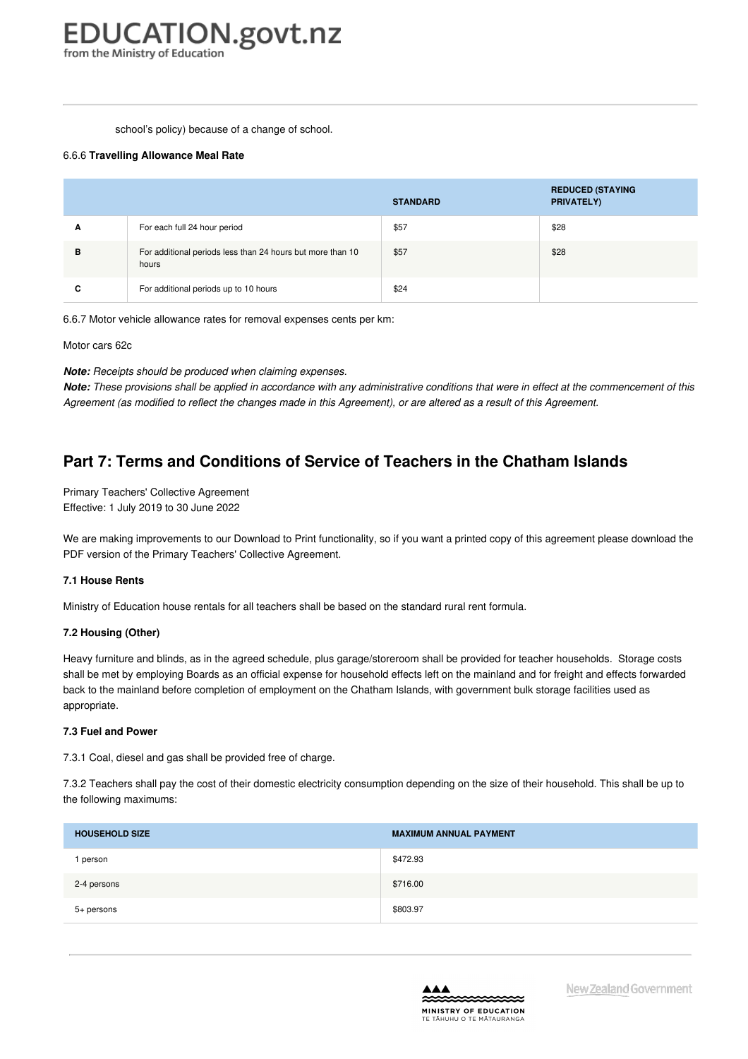#### school's policy) because of a change of school.

#### 6.6.6 **Travelling Allowance Meal Rate**

|   |                                                                     | <b>STANDARD</b> | <b>REDUCED (STAYING</b><br>PRIVATELY) |
|---|---------------------------------------------------------------------|-----------------|---------------------------------------|
| A | For each full 24 hour period                                        | \$57            | \$28                                  |
| в | For additional periods less than 24 hours but more than 10<br>hours | \$57            | \$28                                  |
| C | For additional periods up to 10 hours                               | \$24            |                                       |

6.6.7 Motor vehicle allowance rates for removal expenses cents per km:

Motor cars 62c

*Note: Receipts should be produced when claiming expenses.*

Note: These provisions shall be applied in accordance with any administrative conditions that were in effect at the commencement of this Agreement (as modified to reflect the changes made in this Agreement), or are altered as a result of this Agreement.

## **Part 7: Terms and Conditions of Service of Teachers in the Chatham Islands**

Primary Teachers' Collective Agreement Effective: 1 July 2019 to 30 June 2022

We are making improvements to our Download to Print functionality, so if you want a printed copy of this agreement please download the PDF version of the Primary Teachers' Collective Agreement.

#### **7.1 [House](https://www.education.govt.nz/school/people-and-employment/employment-agreements/collective-agreements/primary-teachers-collective-agreement/part-7-terms-and-conditions-of-service-of-teachers-in-the-chatham-islands/#cd_3719_7-1-house-rents_Education%5CComplexDocuments%5CModel%5CComplexDocumentAccordionSection) Rents**

Ministry of Education house rentals for all teachers shall be based on the standard rural rent formula.

#### **7.2 [Housing](https://www.education.govt.nz/school/people-and-employment/employment-agreements/collective-agreements/primary-teachers-collective-agreement/part-7-terms-and-conditions-of-service-of-teachers-in-the-chatham-islands/#cd_3720_7-2-housing-other_Education%5CComplexDocuments%5CModel%5CComplexDocumentAccordionSection) (Other)**

Heavy furniture and blinds, as in the agreed schedule, plus garage/storeroom shall be provided for teacher households. Storage costs shall be met by employing Boards as an official expense for household effects left on the mainland and for freight and effects forwarded back to the mainland before completion of employment on the Chatham Islands, with government bulk storage facilities used as appropriate.

#### **7.3 Fuel and [Power](https://www.education.govt.nz/school/people-and-employment/employment-agreements/collective-agreements/primary-teachers-collective-agreement/part-7-terms-and-conditions-of-service-of-teachers-in-the-chatham-islands/#cd_3721_7-3-fuel-and-power_Education%5CComplexDocuments%5CModel%5CComplexDocumentAccordionSection)**

7.3.1 Coal, diesel and gas shall be provided free of charge.

7.3.2 Teachers shall pay the cost of their domestic electricity consumption depending on the size of their household. This shall be up to the following maximums:

| <b>HOUSEHOLD SIZE</b> | <b>MAXIMUM ANNUAL PAYMENT</b> |
|-----------------------|-------------------------------|
| person                | \$472.93                      |
| 2-4 persons           | \$716.00                      |
| 5+ persons            | \$803.97                      |

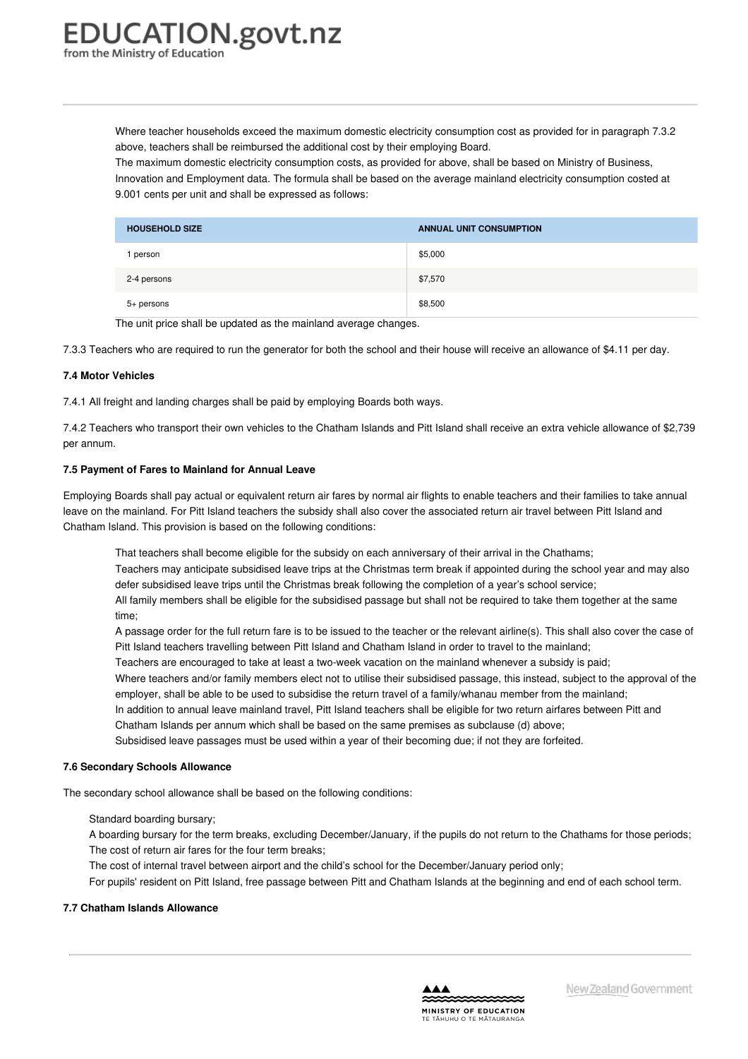<span id="page-35-0"></span>Where teacher households exceed the maximum domestic electricity consumption cost as provided for in paragraph 7.3.2 above, teachers shall be reimbursed the additional cost by their employing Board.

The maximum domestic electricity consumption costs, as provided for above, shall be based on Ministry of Business, Innovation and Employment data. The formula shall be based on the average mainland electricity consumption costed at 9.001 cents per unit and shall be expressed as follows:

| <b>HOUSEHOLD SIZE</b> | <b>ANNUAL UNIT CONSUMPTION</b> |
|-----------------------|--------------------------------|
| person                | \$5,000                        |
| 2-4 persons           | \$7,570                        |
| 5+ persons            | \$8,500                        |

The unit price shall be updated as the mainland average changes.

7.3.3 Teachers who are required to run the generator for both the school and their house will receive an allowance of \$4.11 per day.

#### **7.4 Motor [Vehicles](https://www.education.govt.nz/school/people-and-employment/employment-agreements/collective-agreements/primary-teachers-collective-agreement/part-7-terms-and-conditions-of-service-of-teachers-in-the-chatham-islands/#cd_3722_7-4-motor-vehicles_Education%5CComplexDocuments%5CModel%5CComplexDocumentAccordionSection)**

7.4.1 All freight and landing charges shall be paid by employing Boards both ways.

7.4.2 Teachers who transport their own vehicles to the Chatham Islands and Pitt Island shall receive an extra vehicle allowance of \$2,739 per annum.

#### **7.5 Payment of Fares to [Mainland](https://www.education.govt.nz/school/people-and-employment/employment-agreements/collective-agreements/primary-teachers-collective-agreement/part-7-terms-and-conditions-of-service-of-teachers-in-the-chatham-islands/#cd_3723_7-5-payment-of-fares-to-mainland-for-annual-leave_Education%5CComplexDocuments%5CModel%5CComplexDocumentAccordionSection) for Annual Leave**

Employing Boards shall pay actual or equivalent return air fares by normal air flights to enable teachers and their families to take annual leave on the mainland. For Pitt Island teachers the subsidy shall also cover the associated return air travel between Pitt Island and Chatham Island. This provision is based on the following conditions:

That teachers shall become eligible for the subsidy on each anniversary of their arrival in the Chathams; Teachers may anticipate subsidised leave trips at the Christmas term break if appointed during the school year and may also defer subsidised leave trips until the Christmas break following the completion of a year's school service; All family members shall be eligible for the subsidised passage but shall not be required to take them together at the same time;

A passage order for the full return fare is to be issued to the teacher or the relevant airline(s). This shall also cover the case of Pitt Island teachers travelling between Pitt Island and Chatham Island in order to travel to the mainland;

Teachers are encouraged to take at least a two-week vacation on the mainland whenever a subsidy is paid;

Where teachers and/or family members elect not to utilise their subsidised passage, this instead, subject to the approval of the employer, shall be able to be used to subsidise the return travel of a family/whanau member from the mainland;

In addition to annual leave mainland travel, Pitt Island teachers shall be eligible for two return airfares between Pitt and Chatham Islands per annum which shall be based on the same premises as subclause (d) above;

Subsidised leave passages must be used within a year of their becoming due; if not they are forfeited.

#### **7.6 [Secondary](https://www.education.govt.nz/school/people-and-employment/employment-agreements/collective-agreements/primary-teachers-collective-agreement/part-7-terms-and-conditions-of-service-of-teachers-in-the-chatham-islands/#cd_3724_7-6-secondary-schools-allowance_Education%5CComplexDocuments%5CModel%5CComplexDocumentAccordionSection) Schools Allowance**

The secondary school allowance shall be based on the following conditions:

#### Standard boarding bursary;

A boarding bursary for the term breaks, excluding December/January, if the pupils do not return to the Chathams for those periods; The cost of return air fares for the four term breaks;

The cost of internal travel between airport and the child's school for the December/January period only;

For pupils' resident on Pitt Island, free passage between Pitt and Chatham Islands at the beginning and end of each school term.

#### **7.7 Chatham Islands [Allowance](https://www.education.govt.nz/school/people-and-employment/employment-agreements/collective-agreements/primary-teachers-collective-agreement/part-7-terms-and-conditions-of-service-of-teachers-in-the-chatham-islands/#cd_3725_7-7-chatham-islands-allowance_Education%5CComplexDocuments%5CModel%5CComplexDocumentAccordionSection)**

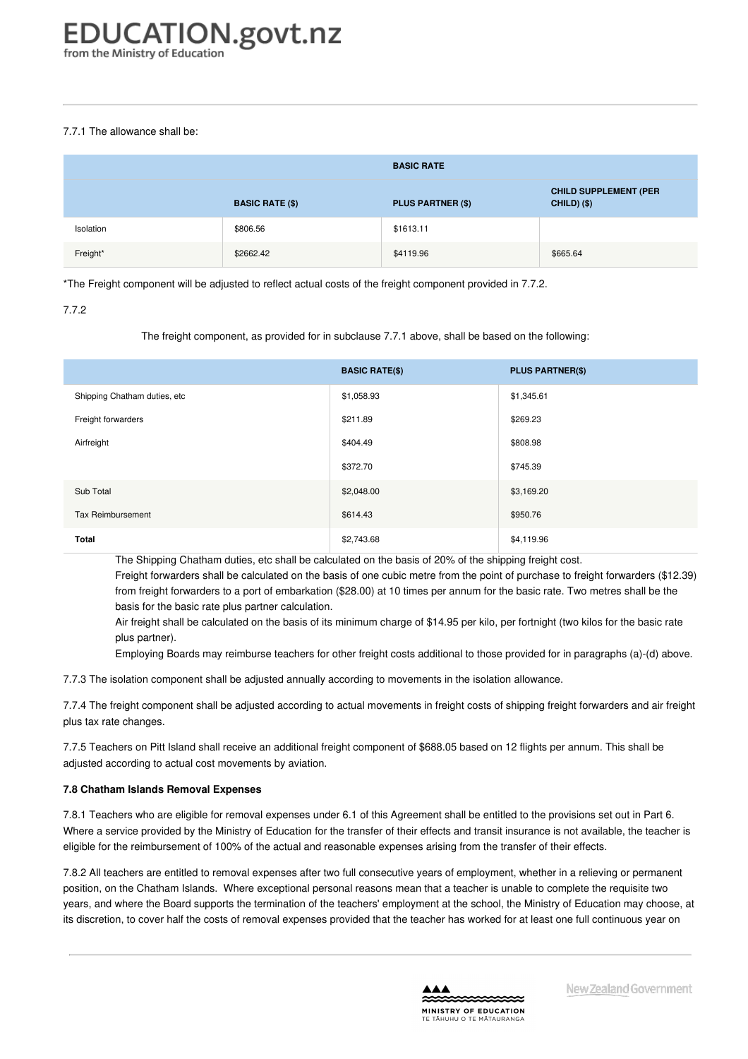#### 7.7.1 The allowance shall be:

|           |                        | <b>BASIC RATE</b>        |                                                    |
|-----------|------------------------|--------------------------|----------------------------------------------------|
|           | <b>BASIC RATE (\$)</b> | <b>PLUS PARTNER (\$)</b> | <b>CHILD SUPPLEMENT (PER</b><br><b>CHILD) (\$)</b> |
| Isolation | \$806.56               | \$1613.11                |                                                    |
| Freight*  | \$2662.42              | \$4119.96                | \$665.64                                           |

\*The Freight component will be adjusted to reflect actual costs of the freight component provided in 7.7.2.

#### 7.7.2

#### The freight component, as provided for in subclause 7.7.1 above, shall be based on the following:

|                              | <b>BASIC RATE(\$)</b> | <b>PLUS PARTNER(\$)</b> |
|------------------------------|-----------------------|-------------------------|
| Shipping Chatham duties, etc | \$1,058.93            | \$1,345.61              |
| Freight forwarders           | \$211.89              | \$269.23                |
| Airfreight                   | \$404.49              | \$808.98                |
|                              | \$372.70              | \$745.39                |
| Sub Total                    | \$2,048.00            | \$3,169.20              |
| Tax Reimbursement            | \$614.43              | \$950.76                |
| Total                        | \$2,743.68            | \$4,119.96              |

The Shipping Chatham duties, etc shall be calculated on the basis of 20% of the shipping freight cost.

Freight forwarders shall be calculated on the basis of one cubic metre from the point of purchase to freight forwarders (\$12.39) from freight forwarders to a port of embarkation (\$28.00) at 10 times per annum for the basic rate. Two metres shall be the basis for the basic rate plus partner calculation.

Air freight shall be calculated on the basis of its minimum charge of \$14.95 per kilo, per fortnight (two kilos for the basic rate plus partner).

Employing Boards may reimburse teachers for other freight costs additional to those provided for in paragraphs (a)-(d) above.

7.7.3 The isolation component shall be adjusted annually according to movements in the isolation allowance.

7.7.4 The freight component shall be adjusted according to actual movements in freight costs of shipping freight forwarders and air freight plus tax rate changes.

7.7.5 Teachers on Pitt Island shall receive an additional freight component of \$688.05 based on 12 flights per annum. This shall be adjusted according to actual cost movements by aviation.

#### **7.8 Chatham Islands Removal [Expenses](https://www.education.govt.nz/school/people-and-employment/employment-agreements/collective-agreements/primary-teachers-collective-agreement/part-7-terms-and-conditions-of-service-of-teachers-in-the-chatham-islands/#cd_3726_7-8-chatham-islands-removal-expenses_Education%5CComplexDocuments%5CModel%5CComplexDocumentAccordionSection)**

7.8.1 Teachers who are eligible for removal expenses under 6.1 of this Agreement shall be entitled to the provisions set out in Part 6. Where a service provided by the Ministry of Education for the transfer of their effects and transit insurance is not available, the teacher is eligible for the reimbursement of 100% of the actual and reasonable expenses arising from the transfer of their effects.

7.8.2 All teachers are entitled to removal expenses after two full consecutive years of employment, whether in a relieving or permanent position, on the Chatham Islands. Where exceptional personal reasons mean that a teacher is unable to complete the requisite two years, and where the Board supports the termination of the teachers' employment at the school, the Ministry of Education may choose, at its discretion, to cover half the costs of removal expenses provided that the teacher has worked for at least one full continuous year on

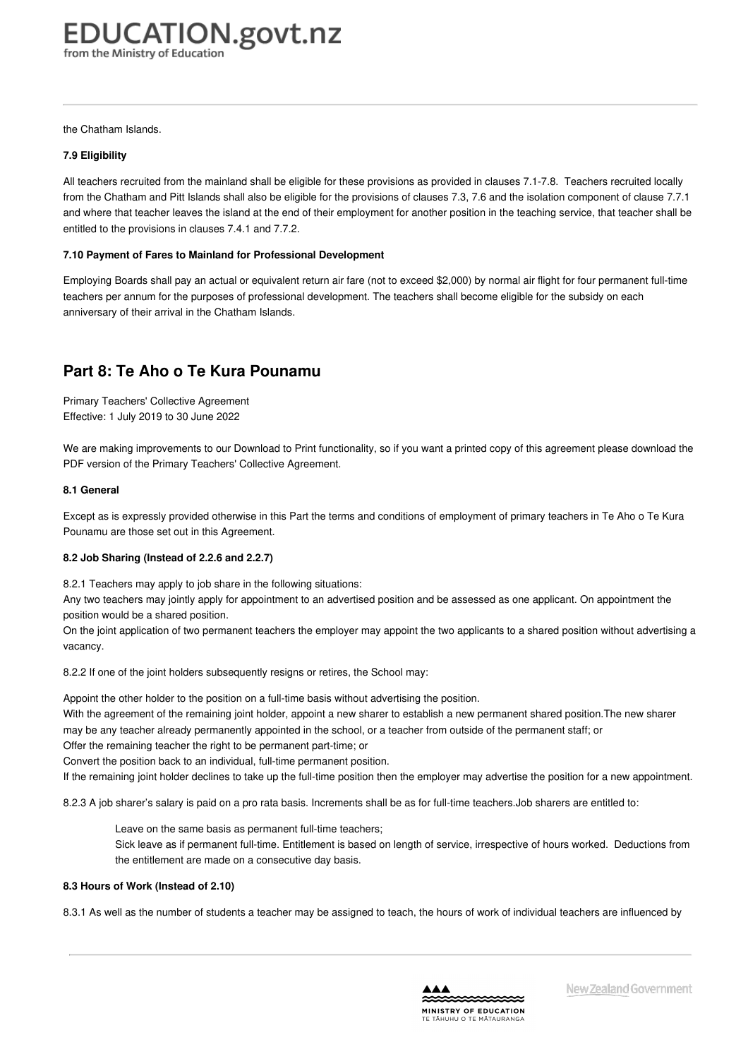the Chatham Islands.

#### **7.9 [Eligibility](https://www.education.govt.nz/school/people-and-employment/employment-agreements/collective-agreements/primary-teachers-collective-agreement/part-7-terms-and-conditions-of-service-of-teachers-in-the-chatham-islands/#cd_3727_7-9-eligibility_Education%5CComplexDocuments%5CModel%5CComplexDocumentAccordionSection)**

All teachers recruited from the mainland shall be eligible for these provisions as provided in clauses 7.1-7.8. Teachers recruited locally from the Chatham and Pitt Islands shall also be eligible for the provisions of clauses 7.3, 7.6 and the isolation component of clause 7.7.1 and where that teacher leaves the island at the end of their employment for another position in the teaching service, that teacher shall be entitled to the provisions in clauses 7.4.1 and 7.7.2.

#### **7.10 Payment of Fares to Mainland for Professional [Development](https://www.education.govt.nz/school/people-and-employment/employment-agreements/collective-agreements/primary-teachers-collective-agreement/part-7-terms-and-conditions-of-service-of-teachers-in-the-chatham-islands/#cd_3728_7-10-payment-of-fares-to-mainland-for-professional-development_Education%5CComplexDocuments%5CModel%5CComplexDocumentAccordionSection)**

Employing Boards shall pay an actual or equivalent return air fare (not to exceed \$2,000) by normal air flight for four permanent full-time teachers per annum for the purposes of professional development. The teachers shall become eligible for the subsidy on each anniversary of their arrival in the Chatham Islands.

### **Part 8: Te Aho o Te Kura Pounamu**

Primary Teachers' Collective Agreement Effective: 1 July 2019 to 30 June 2022

We are making improvements to our Download to Print functionality, so if you want a printed copy of this agreement please download the PDF version of the Primary Teachers' Collective Agreement.

#### **8.1 [General](https://www.education.govt.nz/school/people-and-employment/employment-agreements/collective-agreements/primary-teachers-collective-agreement/part-8-te-aho-o-te-kura-pounamu/#cd_3731_8-1-general_Education%5CComplexDocuments%5CModel%5CComplexDocumentAccordionSection)**

Except as is expressly provided otherwise in this Part the terms and conditions of employment of primary teachers in Te Aho o Te Kura Pounamu are those set out in this Agreement.

#### **8.2 Job Sharing [\(Instead](https://www.education.govt.nz/school/people-and-employment/employment-agreements/collective-agreements/primary-teachers-collective-agreement/part-8-te-aho-o-te-kura-pounamu/#cd_3732_8-2-job-sharing-instead-of-2-2-6-and-2-2-7_Education%5CComplexDocuments%5CModel%5CComplexDocumentAccordionSection) of 2.2.6 and 2.2.7)**

8.2.1 Teachers may apply to job share in the following situations:

Any two teachers may jointly apply for appointment to an advertised position and be assessed as one applicant. On appointment the position would be a shared position.

On the joint application of two permanent teachers the employer may appoint the two applicants to a shared position without advertising a vacancy.

8.2.2 If one of the joint holders subsequently resigns or retires, the School may:

Appoint the other holder to the position on a full-time basis without advertising the position.

With the agreement of the remaining joint holder, appoint a new sharer to establish a new permanent shared position.The new sharer may be any teacher already permanently appointed in the school, or a teacher from outside of the permanent staff; or

Offer the remaining teacher the right to be permanent part-time; or

Convert the position back to an individual, full-time permanent position.

If the remaining joint holder declines to take up the full-time position then the employer may advertise the position for a new appointment.

8.2.3 A job sharer's salary is paid on a pro rata basis. Increments shall be as for full-time teachers.Job sharers are entitled to:

Leave on the same basis as permanent full-time teachers; Sick leave as if permanent full-time. Entitlement is based on length of service, irrespective of hours worked. Deductions from the entitlement are made on a consecutive day basis.

#### **8.3 Hours of Work [\(Instead](https://www.education.govt.nz/school/people-and-employment/employment-agreements/collective-agreements/primary-teachers-collective-agreement/part-8-te-aho-o-te-kura-pounamu/#cd_3733_8-3-hours-of-work-instead-of-2-10_Education%5CComplexDocuments%5CModel%5CComplexDocumentAccordionSection) of 2.10)**

8.3.1 As well as the number of students a teacher may be assigned to teach, the hours of work of individual teachers are influenced by

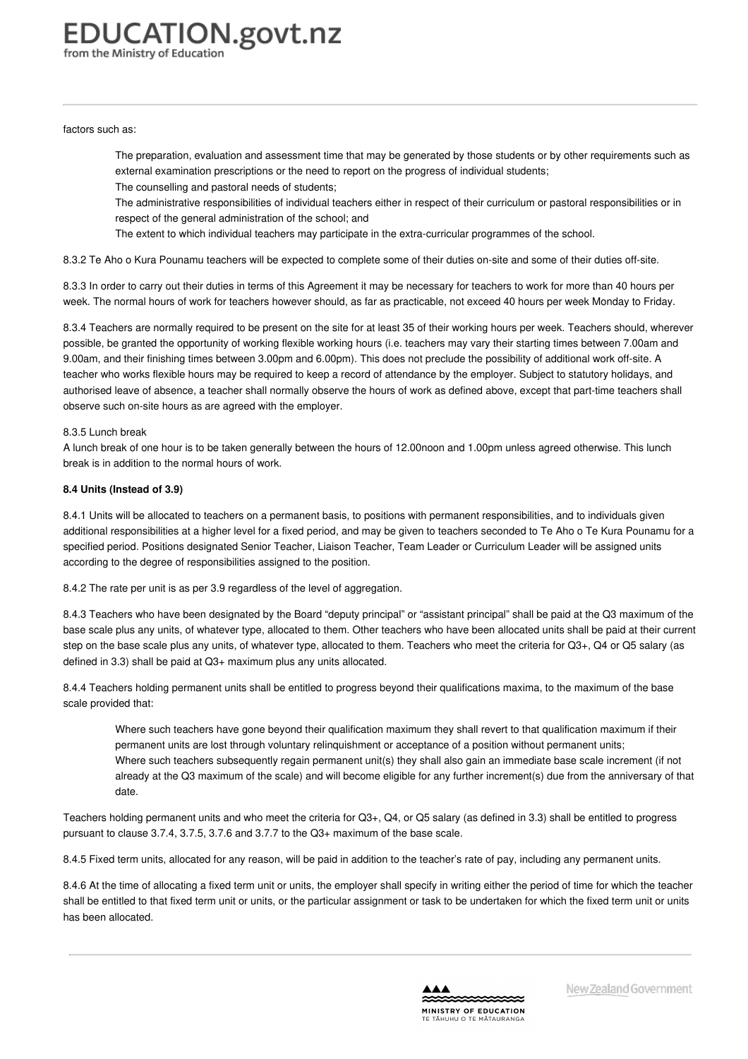factors such as:

The preparation, evaluation and assessment time that may be generated by those students or by other requirements such as external examination prescriptions or the need to report on the progress of individual students; The counselling and pastoral needs of students;

The administrative responsibilities of individual teachers either in respect of their curriculum or pastoral responsibilities or in respect of the general administration of the school; and

The extent to which individual teachers may participate in the extra-curricular programmes of the school.

8.3.2 Te Aho o Kura Pounamu teachers will be expected to complete some of their duties on-site and some of their duties off-site.

8.3.3 In order to carry out their duties in terms of this Agreement it may be necessary for teachers to work for more than 40 hours per week. The normal hours of work for teachers however should, as far as practicable, not exceed 40 hours per week Monday to Friday.

8.3.4 Teachers are normally required to be present on the site for at least 35 of their working hours per week. Teachers should, wherever possible, be granted the opportunity of working flexible working hours (i.e. teachers may vary their starting times between 7.00am and 9.00am, and their finishing times between 3.00pm and 6.00pm). This does not preclude the possibility of additional work off-site. A teacher who works flexible hours may be required to keep a record of attendance by the employer. Subject to statutory holidays, and authorised leave of absence, a teacher shall normally observe the hours of work as defined above, except that part-time teachers shall observe such on-site hours as are agreed with the employer.

#### 8.3.5 Lunch break

A lunch break of one hour is to be taken generally between the hours of 12.00noon and 1.00pm unless agreed otherwise. This lunch break is in addition to the normal hours of work.

#### **8.4 Units [\(Instead](https://www.education.govt.nz/school/people-and-employment/employment-agreements/collective-agreements/primary-teachers-collective-agreement/part-8-te-aho-o-te-kura-pounamu/#cd_3734_8-4-units-instead-of-3-2-and-3-10_Education%5CComplexDocuments%5CModel%5CComplexDocumentAccordionSection) of 3.9)**

8.4.1 Units will be allocated to teachers on a permanent basis, to positions with permanent responsibilities, and to individuals given additional responsibilities at a higher level for a fixed period, and may be given to teachers seconded to Te Aho o Te Kura Pounamu for a specified period. Positions designated Senior Teacher, Liaison Teacher, Team Leader or Curriculum Leader will be assigned units according to the degree of responsibilities assigned to the position.

8.4.2 The rate per unit is as per 3.9 regardless of the level of aggregation.

8.4.3 Teachers who have been designated by the Board "deputy principal" or "assistant principal" shall be paid at the Q3 maximum of the base scale plus any units, of whatever type, allocated to them. Other teachers who have been allocated units shall be paid at their current step on the base scale plus any units, of whatever type, allocated to them. Teachers who meet the criteria for Q3+, Q4 or Q5 salary (as defined in 3.3) shall be paid at Q3+ maximum plus any units allocated.

8.4.4 Teachers holding permanent units shall be entitled to progress beyond their qualifications maxima, to the maximum of the base scale provided that:

Where such teachers have gone beyond their qualification maximum they shall revert to that qualification maximum if their permanent units are lost through voluntary relinquishment or acceptance of a position without permanent units; Where such teachers subsequently regain permanent unit(s) they shall also gain an immediate base scale increment (if not already at the Q3 maximum of the scale) and will become eligible for any further increment(s) due from the anniversary of that date.

Teachers holding permanent units and who meet the criteria for Q3+, Q4, or Q5 salary (as defined in 3.3) shall be entitled to progress pursuant to clause 3.7.4, 3.7.5, 3.7.6 and 3.7.7 to the Q3+ maximum of the base scale.

8.4.5 Fixed term units, allocated for any reason, will be paid in addition to the teacher's rate of pay, including any permanent units.

8.4.6 At the time of allocating a fixed term unit or units, the employer shall specify in writing either the period of time for which the teacher shall be entitled to that fixed term unit or units, or the particular assignment or task to be undertaken for which the fixed term unit or units has been allocated.

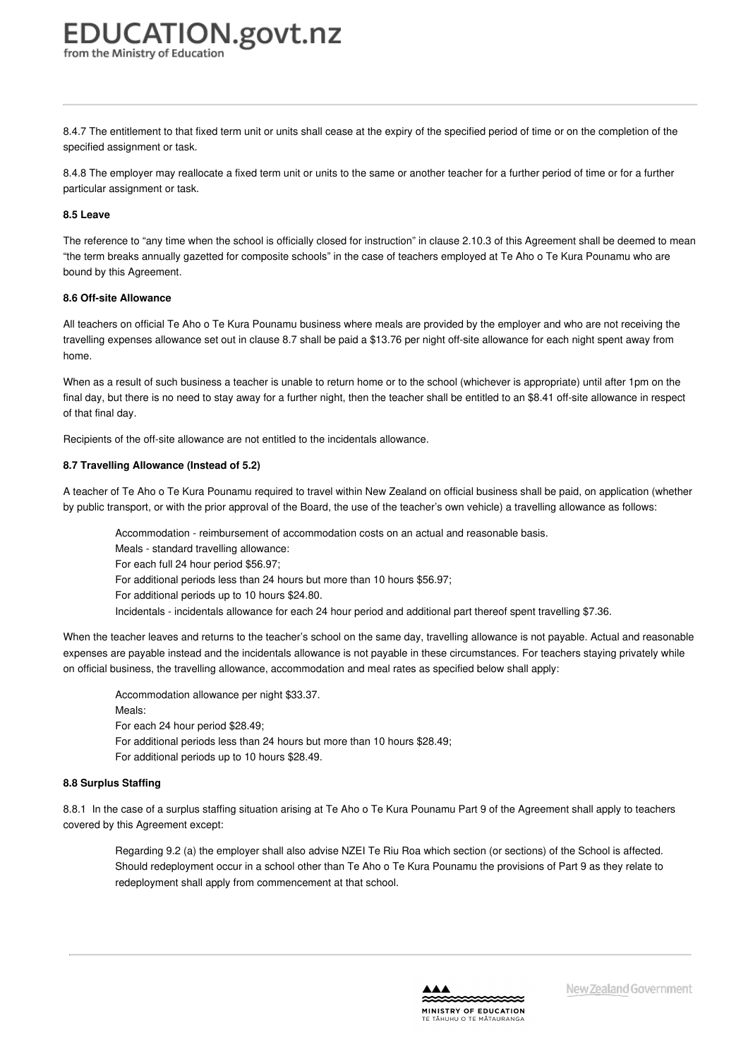8.4.7 The entitlement to that fixed term unit or units shall cease at the expiry of the specified period of time or on the completion of the specified assignment or task.

8.4.8 The employer may reallocate a fixed term unit or units to the same or another teacher for a further period of time or for a further particular assignment or task.

#### **8.5 [Leave](https://www.education.govt.nz/school/people-and-employment/employment-agreements/collective-agreements/primary-teachers-collective-agreement/part-8-te-aho-o-te-kura-pounamu/#cd_3735_8-5-leave_Education%5CComplexDocuments%5CModel%5CComplexDocumentAccordionSection)**

The reference to "any time when the school is officially closed for instruction" in clause 2.10.3 of this Agreement shall be deemed to mean "the term breaks annually gazetted for composite schools" in the case of teachers employed at Te Aho o Te Kura Pounamu who are bound by this Agreement.

#### **8.6 Off-site [Allowance](https://www.education.govt.nz/school/people-and-employment/employment-agreements/collective-agreements/primary-teachers-collective-agreement/part-8-te-aho-o-te-kura-pounamu/#cd_3736_8-6-off-site-allowance_Education%5CComplexDocuments%5CModel%5CComplexDocumentAccordionSection)**

All teachers on official Te Aho o Te Kura Pounamu business where meals are provided by the employer and who are not receiving the travelling expenses allowance set out in clause 8.7 shall be paid a \$13.76 per night off-site allowance for each night spent away from home.

When as a result of such business a teacher is unable to return home or to the school (whichever is appropriate) until after 1pm on the final day, but there is no need to stay away for a further night, then the teacher shall be entitled to an \$8.41 off-site allowance in respect of that final day.

Recipients of the off-site allowance are not entitled to the incidentals allowance.

#### **8.7 Travelling [Allowance](https://www.education.govt.nz/school/people-and-employment/employment-agreements/collective-agreements/primary-teachers-collective-agreement/part-8-te-aho-o-te-kura-pounamu/#cd_3737_8-7-travelling-allowance-instead-of-5-2_Education%5CComplexDocuments%5CModel%5CComplexDocumentAccordionSection) (Instead of 5.2)**

A teacher of Te Aho o Te Kura Pounamu required to travel within New Zealand on official business shall be paid, on application (whether by public transport, or with the prior approval of the Board, the use of the teacher's own vehicle) a travelling allowance as follows:

Accommodation - reimbursement of accommodation costs on an actual and reasonable basis.

Meals - standard travelling allowance:

For each full 24 hour period \$56.97;

For additional periods less than 24 hours but more than 10 hours \$56.97;

For additional periods up to 10 hours \$24.80.

Incidentals - incidentals allowance for each 24 hour period and additional part thereof spent travelling \$7.36.

When the teacher leaves and returns to the teacher's school on the same day, travelling allowance is not payable. Actual and reasonable expenses are payable instead and the incidentals allowance is not payable in these circumstances. For teachers staying privately while on official business, the travelling allowance, accommodation and meal rates as specified below shall apply:

Accommodation allowance per night \$33.37. Meals: For each 24 hour period \$28.49; For additional periods less than 24 hours but more than 10 hours \$28.49; For additional periods up to 10 hours \$28.49.

#### **8.8 [Surplus](https://www.education.govt.nz/school/people-and-employment/employment-agreements/collective-agreements/primary-teachers-collective-agreement/part-8-te-aho-o-te-kura-pounamu/#cd_3738_8-8-surplus-staffing_Education%5CComplexDocuments%5CModel%5CComplexDocumentAccordionSection) Staffing**

8.8.1 In the case of a surplus staffing situation arising at Te Aho o Te Kura Pounamu Part 9 of the Agreement shall apply to teachers covered by this Agreement except:

Regarding 9.2 (a) the employer shall also advise NZEI Te Riu Roa which section (or sections) of the School is affected. Should redeployment occur in a school other than Te Aho o Te Kura Pounamu the provisions of Part 9 as they relate to redeployment shall apply from commencement at that school.

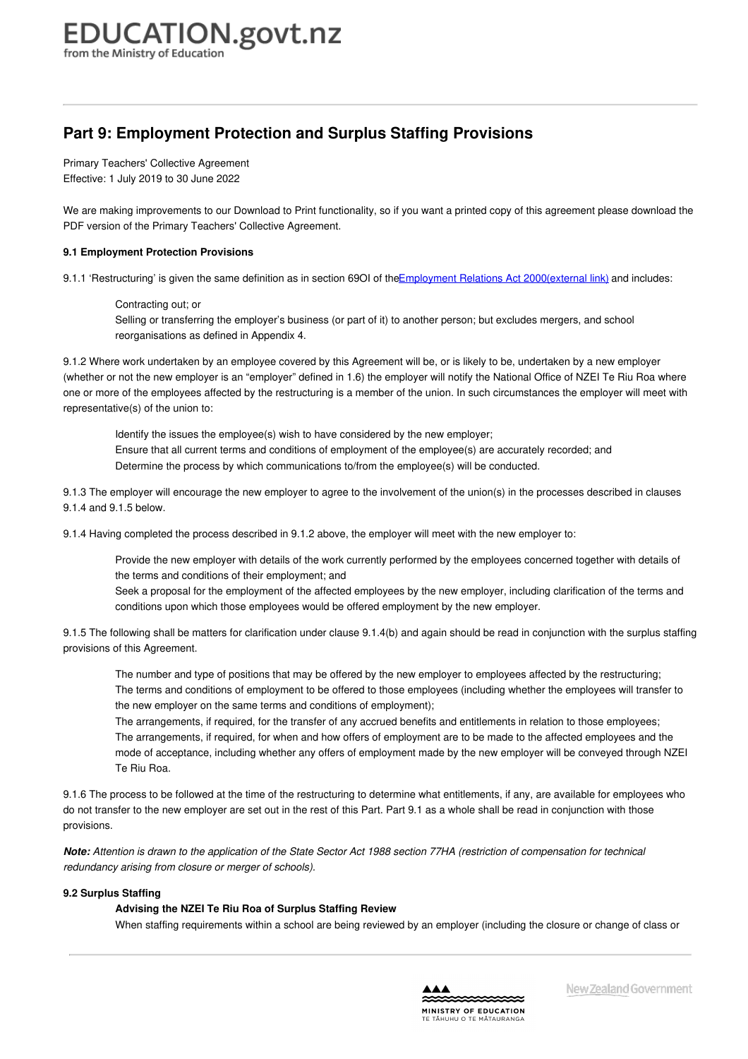## **Part 9: Employment Protection and Surplus Staffing Provisions**

Primary Teachers' Collective Agreement Effective: 1 July 2019 to 30 June 2022

We are making improvements to our Download to Print functionality, so if you want a printed copy of this agreement please download the PDF version of the Primary Teachers' Collective Agreement.

#### **9.1 [Employment](https://www.education.govt.nz/school/people-and-employment/employment-agreements/collective-agreements/primary-teachers-collective-agreement/part-9-employment-protection-and-surplus-staffing-provisions/#cd_3741_9-1-employment-protection-provisions_Education%5CComplexDocuments%5CModel%5CComplexDocumentAccordionSection) Protection Provisions**

9.1.1 'Restructuring' is given the same definition as in section 69OI of the Employment Relations Act [2000\(external](http://www.legislation.govt.nz/act/public/2000/0024/latest/DLM58317.html) link) and includes:

Contracting out; or Selling or transferring the employer's business (or part of it) to another person; but excludes mergers, and school reorganisations as defined in Appendix 4.

9.1.2 Where work undertaken by an employee covered by this Agreement will be, or is likely to be, undertaken by a new employer (whether or not the new employer is an "employer" defined in 1.6) the employer will notify the National Office of NZEI Te Riu Roa where one or more of the employees affected by the restructuring is a member of the union. In such circumstances the employer will meet with representative(s) of the union to:

Identify the issues the employee(s) wish to have considered by the new employer; Ensure that all current terms and conditions of employment of the employee(s) are accurately recorded; and Determine the process by which communications to/from the employee(s) will be conducted.

9.1.3 The employer will encourage the new employer to agree to the involvement of the union(s) in the processes described in clauses 9.1.4 and 9.1.5 below.

9.1.4 Having completed the process described in 9.1.2 above, the employer will meet with the new employer to:

Provide the new employer with details of the work currently performed by the employees concerned together with details of the terms and conditions of their employment; and

Seek a proposal for the employment of the affected employees by the new employer, including clarification of the terms and conditions upon which those employees would be offered employment by the new employer.

9.1.5 The following shall be matters for clarification under clause 9.1.4(b) and again should be read in conjunction with the surplus staffing provisions of this Agreement.

The number and type of positions that may be offered by the new employer to employees affected by the restructuring; The terms and conditions of employment to be offered to those employees (including whether the employees will transfer to the new employer on the same terms and conditions of employment);

The arrangements, if required, for the transfer of any accrued benefits and entitlements in relation to those employees; The arrangements, if required, for when and how offers of employment are to be made to the affected employees and the mode of acceptance, including whether any offers of employment made by the new employer will be conveyed through NZEI Te Riu Roa.

9.1.6 The process to be followed at the time of the restructuring to determine what entitlements, if any, are available for employees who do not transfer to the new employer are set out in the rest of this Part. Part 9.1 as a whole shall be read in conjunction with those provisions.

Note: Attention is drawn to the application of the State Sector Act 1988 section 77HA (restriction of compensation for technical *redundancy arising from closure or merger of schools).*

#### **9.2 [Surplus](https://www.education.govt.nz/school/people-and-employment/employment-agreements/collective-agreements/primary-teachers-collective-agreement/part-9-employment-protection-and-surplus-staffing-provisions/#cd_3742_9-2-surplus-staffing_Education%5CComplexDocuments%5CModel%5CComplexDocumentAccordionSection) Staffing**

#### **Advising the NZEI Te Riu Roa of Surplus Staffing Review**

When staffing requirements within a school are being reviewed by an employer (including the closure or change of class or

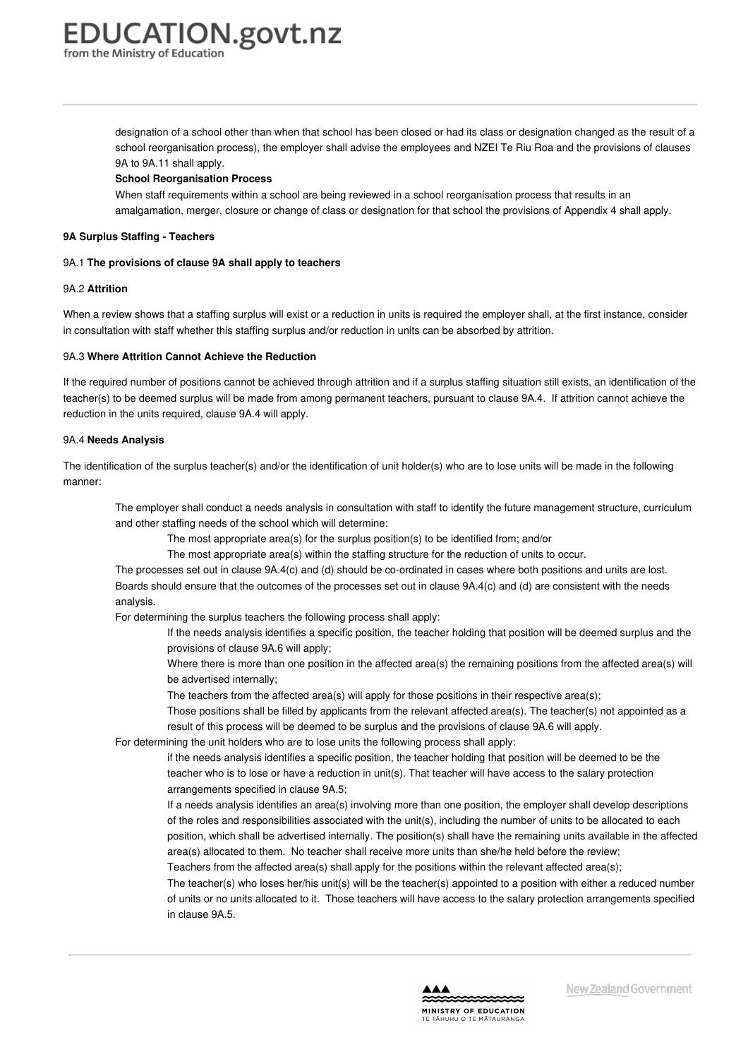from the Ministry of Education

designation of a school other than when that school has been closed or had its class or designation changed as the result of a school reorganisation process), the employer shall advise the employees and NZEI Te Riu Roa and the provisions of clauses 9A to 9A.11 shall apply.

#### **School Reorganisation Process**

When staff requirements within a school are being reviewed in a school reorganisation process that results in an amalgamation, merger, closure or change of class or designation for that school the provisions of Appendix 4 shall apply.

#### **9A Surplus Staffing - [Teachers](https://www.education.govt.nz/school/people-and-employment/employment-agreements/collective-agreements/primary-teachers-collective-agreement/part-9-employment-protection-and-surplus-staffing-provisions/#cd_3743_9a-surplus-staffing-teachers_Education%5CComplexDocuments%5CModel%5CComplexDocumentAccordionSection)**

#### 9A.1 **The provisions of clause 9A shall apply to teachers**

#### 9A.2 **Attrition**

When a review shows that a staffing surplus will exist or a reduction in units is required the employer shall, at the first instance, consider in consultation with staff whether this staffing surplus and/or reduction in units can be absorbed by attrition.

#### 9A.3 **Where Attrition Cannot Achieve the Reduction**

If the required number of positions cannot be achieved through attrition and if a surplus staffing situation still exists, an identification of the teacher(s) to be deemed surplus will be made from among permanent teachers, pursuant to clause 9A.4. If attrition cannot achieve the reduction in the units required, clause 9A.4 will apply.

#### 9A.4 **Needs Analysis**

The identification of the surplus teacher(s) and/or the identification of unit holder(s) who are to lose units will be made in the following manner:

The employer shall conduct a needs analysis in consultation with staff to identify the future management structure, curriculum and other staffing needs of the school which will determine:

The most appropriate area(s) for the surplus position(s) to be identified from; and/or

The most appropriate area(s) within the staffing structure for the reduction of units to occur.

The processes set out in clause 9A.4(c) and (d) should be co-ordinated in cases where both positions and units are lost. Boards should ensure that the outcomes of the processes set out in clause 9A.4(c) and (d) are consistent with the needs analysis.

For determining the surplus teachers the following process shall apply:

- If the needs analysis identifies a specific position, the teacher holding that position will be deemed surplus and the provisions of clause 9A.6 will apply;
- Where there is more than one position in the affected area(s) the remaining positions from the affected area(s) will be advertised internally;
- The teachers from the affected area(s) will apply for those positions in their respective area(s);
- Those positions shall be filled by applicants from the relevant affected area(s). The teacher(s) not appointed as a result of this process will be deemed to be surplus and the provisions of clause 9A.6 will apply.

For determining the unit holders who are to lose units the following process shall apply:

if the needs analysis identifies a specific position, the teacher holding that position will be deemed to be the teacher who is to lose or have a reduction in unit(s). That teacher will have access to the salary protection arrangements specified in clause 9A.5;

If a needs analysis identifies an area(s) involving more than one position, the employer shall develop descriptions of the roles and responsibilities associated with the unit(s), including the number of units to be allocated to each position, which shall be advertised internally. The position(s) shall have the remaining units available in the affected area(s) allocated to them. No teacher shall receive more units than she/he held before the review;

Teachers from the affected area(s) shall apply for the positions within the relevant affected area(s);

The teacher(s) who loses her/his unit(s) will be the teacher(s) appointed to a position with either a reduced number of units or no units allocated to it. Those teachers will have access to the salary protection arrangements specified in clause 9A.5.

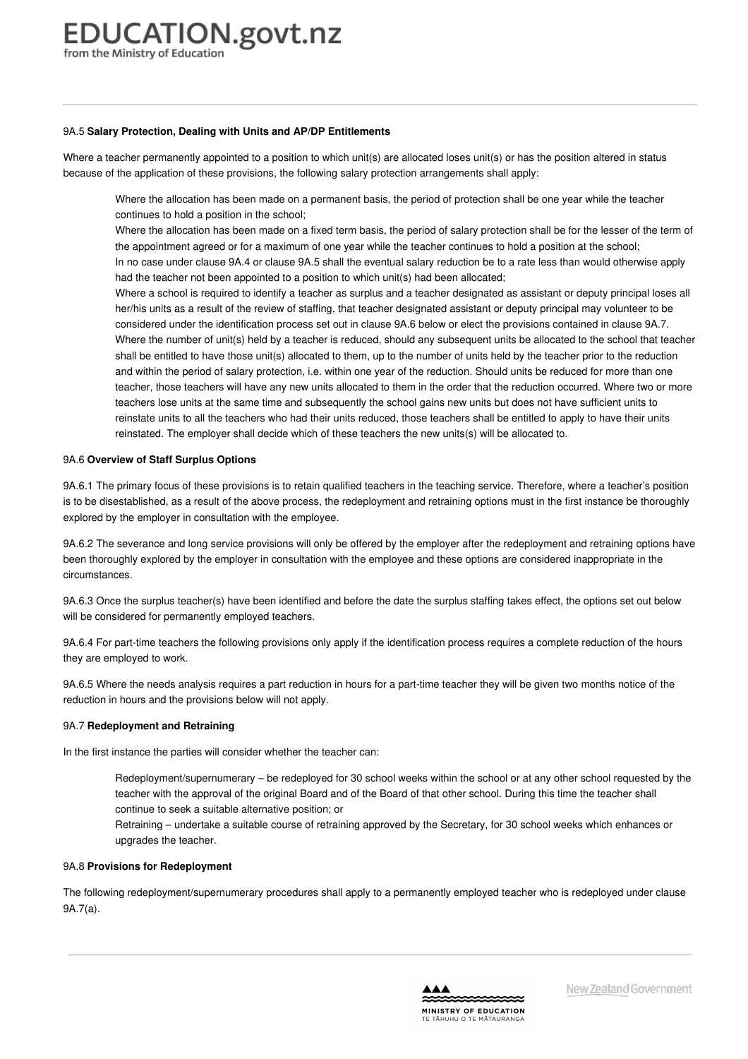#### 9A.5 **Salary Protection, Dealing with Units and AP/DP Entitlements**

Where a teacher permanently appointed to a position to which unit(s) are allocated loses unit(s) or has the position altered in status because of the application of these provisions, the following salary protection arrangements shall apply:

Where the allocation has been made on a permanent basis, the period of protection shall be one year while the teacher continues to hold a position in the school;

Where the allocation has been made on a fixed term basis, the period of salary protection shall be for the lesser of the term of the appointment agreed or for a maximum of one year while the teacher continues to hold a position at the school; In no case under clause 9A.4 or clause 9A.5 shall the eventual salary reduction be to a rate less than would otherwise apply had the teacher not been appointed to a position to which unit(s) had been allocated;

Where a school is required to identify a teacher as surplus and a teacher designated as assistant or deputy principal loses all her/his units as a result of the review of staffing, that teacher designated assistant or deputy principal may volunteer to be considered under the identification process set out in clause 9A.6 below or elect the provisions contained in clause 9A.7. Where the number of unit(s) held by a teacher is reduced, should any subsequent units be allocated to the school that teacher shall be entitled to have those unit(s) allocated to them, up to the number of units held by the teacher prior to the reduction and within the period of salary protection, i.e. within one year of the reduction. Should units be reduced for more than one teacher, those teachers will have any new units allocated to them in the order that the reduction occurred. Where two or more teachers lose units at the same time and subsequently the school gains new units but does not have sufficient units to reinstate units to all the teachers who had their units reduced, those teachers shall be entitled to apply to have their units reinstated. The employer shall decide which of these teachers the new units(s) will be allocated to.

#### 9A.6 **Overview of Staff Surplus Options**

9A.6.1 The primary focus of these provisions is to retain qualified teachers in the teaching service. Therefore, where a teacher's position is to be disestablished, as a result of the above process, the redeployment and retraining options must in the first instance be thoroughly explored by the employer in consultation with the employee.

9A.6.2 The severance and long service provisions will only be offered by the employer after the redeployment and retraining options have been thoroughly explored by the employer in consultation with the employee and these options are considered inappropriate in the circumstances.

9A.6.3 Once the surplus teacher(s) have been identified and before the date the surplus staffing takes effect, the options set out below will be considered for permanently employed teachers.

9A.6.4 For part-time teachers the following provisions only apply if the identification process requires a complete reduction of the hours they are employed to work.

9A.6.5 Where the needs analysis requires a part reduction in hours for a part-time teacher they will be given two months notice of the reduction in hours and the provisions below will not apply.

#### 9A.7 **Redeployment and Retraining**

In the first instance the parties will consider whether the teacher can:

Redeployment/supernumerary – be redeployed for 30 school weeks within the school or at any other school requested by the teacher with the approval of the original Board and of the Board of that other school. During this time the teacher shall continue to seek a suitable alternative position; or

Retraining – undertake a suitable course of retraining approved by the Secretary, for 30 school weeks which enhances or upgrades the teacher.

#### 9A.8 **Provisions for Redeployment**

The following redeployment/supernumerary procedures shall apply to a permanently employed teacher who is redeployed under clause 9A.7(a).

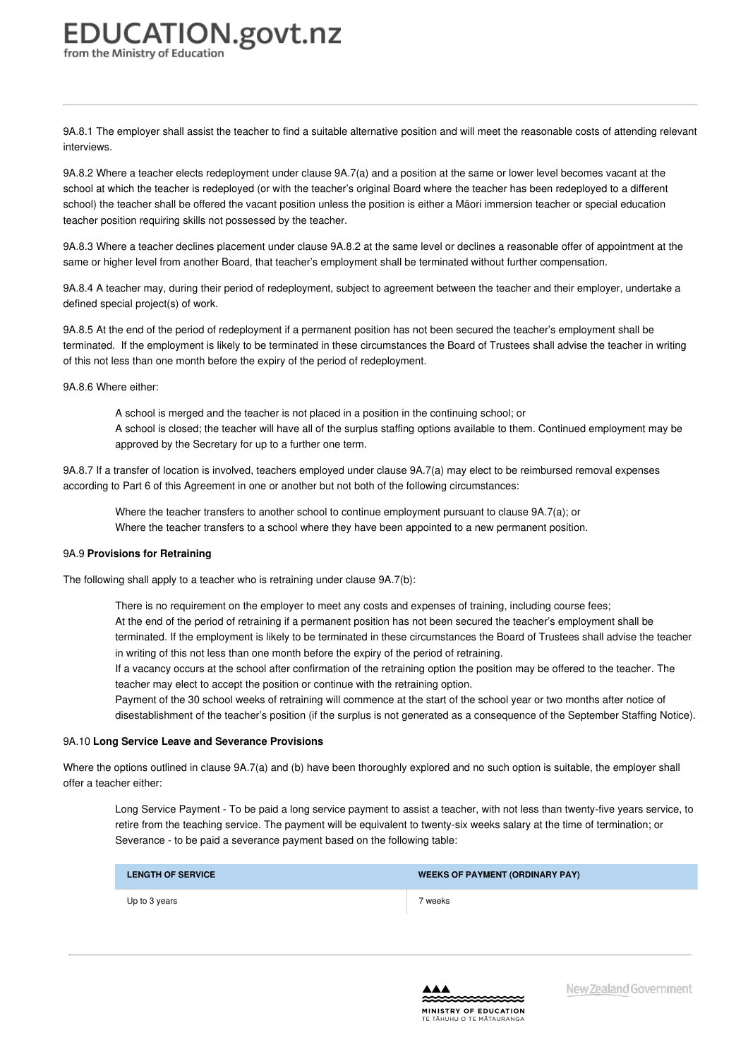9A.8.1 The employer shall assist the teacher to find a suitable alternative position and will meet the reasonable costs of attending relevant interviews.

9A.8.2 Where a teacher elects redeployment under clause 9A.7(a) and a position at the same or lower level becomes vacant at the school at which the teacher is redeployed (or with the teacher's original Board where the teacher has been redeployed to a different school) the teacher shall be offered the vacant position unless the position is either a Māori immersion teacher or special education teacher position requiring skills not possessed by the teacher.

9A.8.3 Where a teacher declines placement under clause 9A.8.2 at the same level or declines a reasonable offer of appointment at the same or higher level from another Board, that teacher's employment shall be terminated without further compensation.

9A.8.4 A teacher may, during their period of redeployment, subject to agreement between the teacher and their employer, undertake a defined special project(s) of work.

9A.8.5 At the end of the period of redeployment if a permanent position has not been secured the teacher's employment shall be terminated. If the employment is likely to be terminated in these circumstances the Board of Trustees shall advise the teacher in writing of this not less than one month before the expiry of the period of redeployment.

9A.8.6 Where either:

A school is merged and the teacher is not placed in a position in the continuing school; or A school is closed; the teacher will have all of the surplus staffing options available to them. Continued employment may be approved by the Secretary for up to a further one term.

9A.8.7 If a transfer of location is involved, teachers employed under clause 9A.7(a) may elect to be reimbursed removal expenses according to Part 6 of this Agreement in one or another but not both of the following circumstances:

Where the teacher transfers to another school to continue employment pursuant to clause 9A.7(a); or Where the teacher transfers to a school where they have been appointed to a new permanent position.

#### 9A.9 **Provisions for Retraining**

The following shall apply to a teacher who is retraining under clause 9A.7(b):

There is no requirement on the employer to meet any costs and expenses of training, including course fees; At the end of the period of retraining if a permanent position has not been secured the teacher's employment shall be terminated. If the employment is likely to be terminated in these circumstances the Board of Trustees shall advise the teacher in writing of this not less than one month before the expiry of the period of retraining.

If a vacancy occurs at the school after confirmation of the retraining option the position may be offered to the teacher. The teacher may elect to accept the position or continue with the retraining option.

Payment of the 30 school weeks of retraining will commence at the start of the school year or two months after notice of disestablishment of the teacher's position (if the surplus is not generated as a consequence of the September Staffing Notice).

#### 9A.10 **Long Service Leave and Severance Provisions**

Where the options outlined in clause 9A.7(a) and (b) have been thoroughly explored and no such option is suitable, the employer shall offer a teacher either:

Long Service Payment - To be paid a long service payment to assist a teacher, with not less than twenty-five years service, to retire from the teaching service. The payment will be equivalent to twenty-six weeks salary at the time of termination; or Severance - to be paid a severance payment based on the following table:

| <b>LENGTH OF SERVICE</b> | <b>WEEKS OF PAYMENT (ORDINARY PAY)</b> |
|--------------------------|----------------------------------------|
| Up to 3 years            | 7 weeks                                |

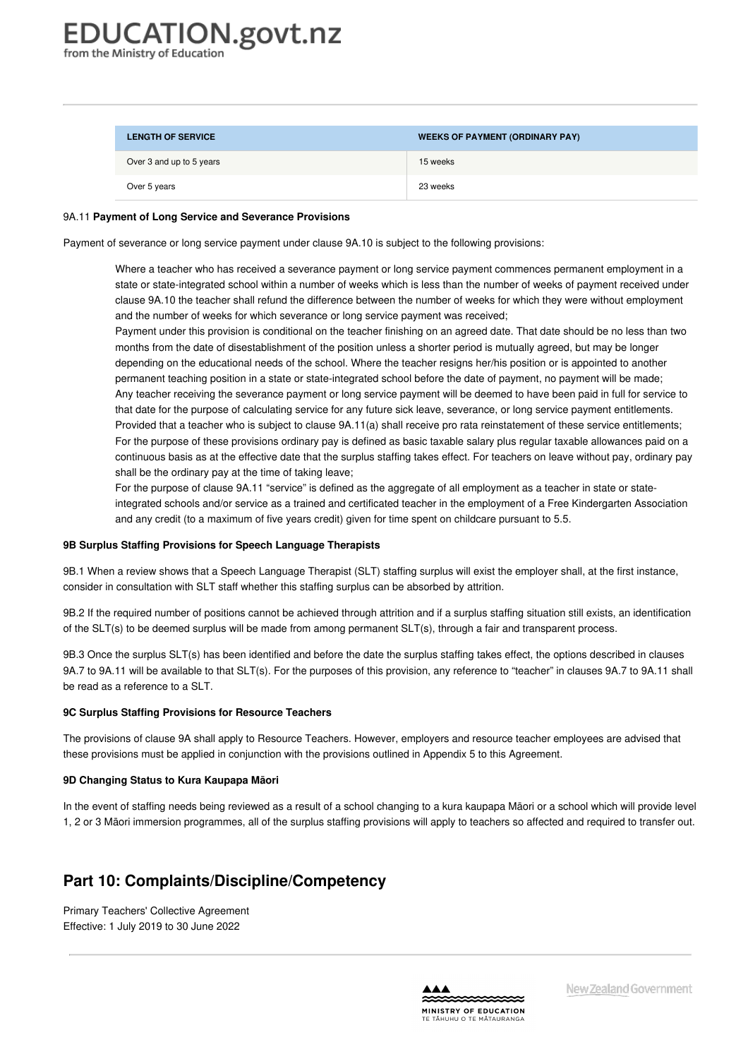| <b>LENGTH OF SERVICE</b> | <b>WEEKS OF PAYMENT (ORDINARY PAY)</b> |
|--------------------------|----------------------------------------|
| Over 3 and up to 5 years | 15 weeks                               |
| Over 5 years             | 23 weeks                               |

#### 9A.11 **Payment of Long Service and Severance Provisions**

Payment of severance or long service payment under clause 9A.10 is subject to the following provisions:

Where a teacher who has received a severance payment or long service payment commences permanent employment in a state or state-integrated school within a number of weeks which is less than the number of weeks of payment received under clause 9A.10 the teacher shall refund the difference between the number of weeks for which they were without employment and the number of weeks for which severance or long service payment was received;

Payment under this provision is conditional on the teacher finishing on an agreed date. That date should be no less than two months from the date of disestablishment of the position unless a shorter period is mutually agreed, but may be longer depending on the educational needs of the school. Where the teacher resigns her/his position or is appointed to another permanent teaching position in a state or state-integrated school before the date of payment, no payment will be made; Any teacher receiving the severance payment or long service payment will be deemed to have been paid in full for service to that date for the purpose of calculating service for any future sick leave, severance, or long service payment entitlements. Provided that a teacher who is subject to clause 9A.11(a) shall receive pro rata reinstatement of these service entitlements; For the purpose of these provisions ordinary pay is defined as basic taxable salary plus regular taxable allowances paid on a continuous basis as at the effective date that the surplus staffing takes effect. For teachers on leave without pay, ordinary pay shall be the ordinary pay at the time of taking leave;

For the purpose of clause 9A.11 "service" is defined as the aggregate of all employment as a teacher in state or stateintegrated schools and/or service as a trained and certificated teacher in the employment of a Free Kindergarten Association and any credit (to a maximum of five years credit) given for time spent on childcare pursuant to 5.5.

#### **9B Surplus Staffing [Provisions](https://www.education.govt.nz/school/people-and-employment/employment-agreements/collective-agreements/primary-teachers-collective-agreement/part-9-employment-protection-and-surplus-staffing-provisions/#cd_3744_9b-surplus-staffing-provisions-for-speech-language-therapists_Education%5CComplexDocuments%5CModel%5CComplexDocumentAccordionSection) for Speech Language Therapists**

9B.1 When a review shows that a Speech Language Therapist (SLT) staffing surplus will exist the employer shall, at the first instance, consider in consultation with SLT staff whether this staffing surplus can be absorbed by attrition.

9B.2 If the required number of positions cannot be achieved through attrition and if a surplus staffing situation still exists, an identification of the SLT(s) to be deemed surplus will be made from among permanent SLT(s), through a fair and transparent process.

9B.3 Once the surplus SLT(s) has been identified and before the date the surplus staffing takes effect, the options described in clauses 9A.7 to 9A.11 will be available to that SLT(s). For the purposes of this provision, any reference to "teacher" in clauses 9A.7 to 9A.11 shall be read as a reference to a SLT.

#### **9C Surplus Staffing [Provisions](https://www.education.govt.nz/school/people-and-employment/employment-agreements/collective-agreements/primary-teachers-collective-agreement/part-9-employment-protection-and-surplus-staffing-provisions/#cd_3745_9c-surplus-staffing-provisions-for-resource-teachers_Education%5CComplexDocuments%5CModel%5CComplexDocumentAccordionSection) for Resource Teachers**

The provisions of clause 9A shall apply to Resource Teachers. However, employers and resource teacher employees are advised that these provisions must be applied in conjunction with the provisions outlined in Appendix 5 to this Agreement.

#### **9D [Changing](https://www.education.govt.nz/school/people-and-employment/employment-agreements/collective-agreements/primary-teachers-collective-agreement/part-9-employment-protection-and-surplus-staffing-provisions/#cd_3746_9d-changing-status-to-kura-kaupapa-maori_Education%5CComplexDocuments%5CModel%5CComplexDocumentAccordionSection) Status to Kura Kaupapa Māori**

In the event of staffing needs being reviewed as a result of a school changing to a kura kaupapa Māori or a school which will provide level 1, 2 or 3 Māori immersion programmes, all of the surplus staffing provisions will apply to teachers so affected and required to transfer out.

### **Part 10: Complaints/Discipline/Competency**

Primary Teachers' Collective Agreement Effective: 1 July 2019 to 30 June 2022

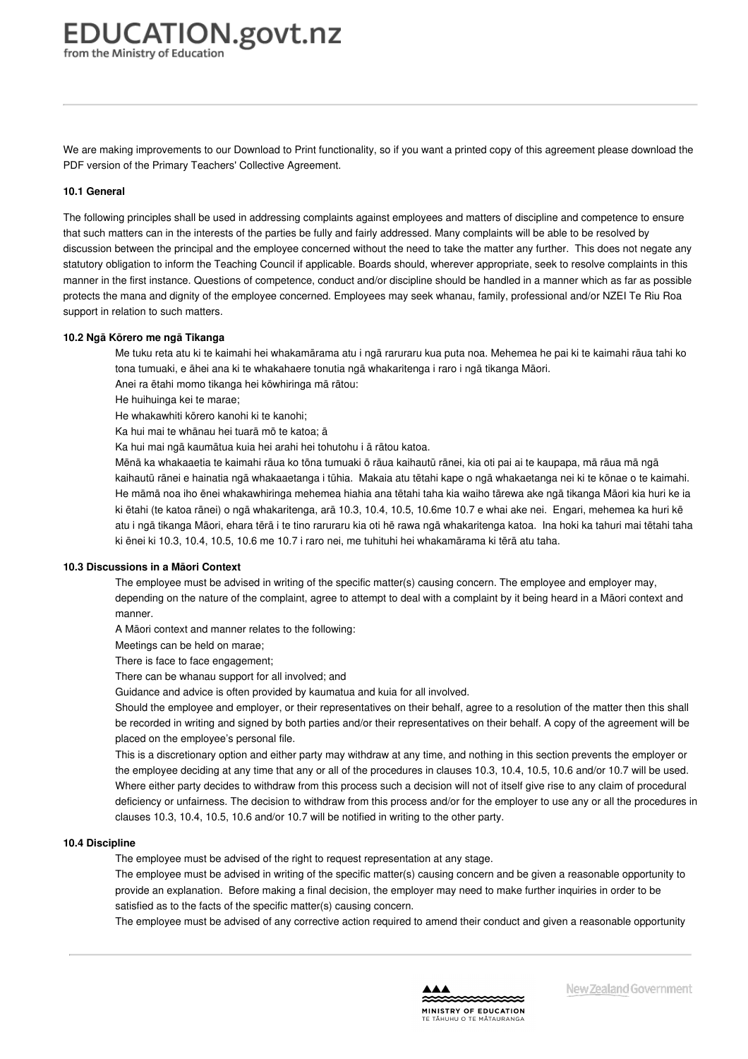We are making improvements to our Download to Print functionality, so if you want a printed copy of this agreement please download the PDF version of the Primary Teachers' Collective Agreement.

#### **10.1 [General](https://www.education.govt.nz/school/people-and-employment/employment-agreements/collective-agreements/primary-teachers-collective-agreement/part-10-complaintsdisciplinecompetency/#cd_3749_10-1-general_Education%5CComplexDocuments%5CModel%5CComplexDocumentAccordionSection)**

The following principles shall be used in addressing complaints against employees and matters of discipline and competence to ensure that such matters can in the interests of the parties be fully and fairly addressed. Many complaints will be able to be resolved by discussion between the principal and the employee concerned without the need to take the matter any further. This does not negate any statutory obligation to inform the Teaching Council if applicable. Boards should, wherever appropriate, seek to resolve complaints in this manner in the first instance. Questions of competence, conduct and/or discipline should be handled in a manner which as far as possible protects the mana and dignity of the employee concerned. Employees may seek whanau, family, professional and/or NZEI Te Riu Roa support in relation to such matters.

#### **10.2 Ngā Kōrero me ngā [Tikanga](https://www.education.govt.nz/school/people-and-employment/employment-agreements/collective-agreements/primary-teachers-collective-agreement/part-10-complaintsdisciplinecompetency/#cd_3750_10-2-nga-korero-me-nga-tikanga_Education%5CComplexDocuments%5CModel%5CComplexDocumentAccordionSection)**

Me tuku reta atu ki te kaimahi hei whakamārama atu i ngā raruraru kua puta noa. Mehemea he pai ki te kaimahi rāua tahi ko tona tumuaki, e āhei ana ki te whakahaere tonutia ngā whakaritenga i raro i ngā tikanga Māori.

Anei ra ētahi momo tikanga hei kōwhiringa mā rātou:

He huihuinga kei te marae;

He whakawhiti kōrero kanohi ki te kanohi;

Ka hui mai te whānau hei tuarā mō te katoa; ā

Ka hui mai ngā kaumātua kuia hei arahi hei tohutohu i ā rātou katoa.

Mēnā ka whakaaetia te kaimahi rāua ko tōna tumuaki ō rāua kaihautū rānei, kia oti pai ai te kaupapa, mā rāua mā ngā kaihautū rānei e hainatia ngā whakaaetanga i tūhia. Makaia atu tētahi kape o ngā whakaetanga nei ki te kōnae o te kaimahi. He māmā noa iho ēnei whakawhiringa mehemea hiahia ana tētahi taha kia waiho tārewa ake ngā tikanga Māori kia huri ke ia ki ētahi (te katoa rānei) o ngā whakaritenga, arā 10.3, 10.4, 10.5, 10.6me 10.7 e whai ake nei. Engari, mehemea ka huri kē atu i ngā tikanga Māori, ehara tērā i te tino raruraru kia oti hē rawa ngā whakaritenga katoa. Ina hoki ka tahuri mai tētahi taha ki ēnei ki 10.3, 10.4, 10.5, 10.6 me 10.7 i raro nei, me tuhituhi hei whakamārama ki tērā atu taha.

#### **10.3 [Discussions](https://www.education.govt.nz/school/people-and-employment/employment-agreements/collective-agreements/primary-teachers-collective-agreement/part-10-complaintsdisciplinecompetency/#cd_3751_10-3-discussions-in-a-maori-context_Education%5CComplexDocuments%5CModel%5CComplexDocumentAccordionSection) in a Māori Context**

The employee must be advised in writing of the specific matter(s) causing concern. The employee and employer may, depending on the nature of the complaint, agree to attempt to deal with a complaint by it being heard in a Māori context and manner.

A Māori context and manner relates to the following:

Meetings can be held on marae;

There is face to face engagement;

There can be whanau support for all involved; and

Guidance and advice is often provided by kaumatua and kuia for all involved.

Should the employee and employer, or their representatives on their behalf, agree to a resolution of the matter then this shall be recorded in writing and signed by both parties and/or their representatives on their behalf. A copy of the agreement will be placed on the employee's personal file.

This is a discretionary option and either party may withdraw at any time, and nothing in this section prevents the employer or the employee deciding at any time that any or all of the procedures in clauses 10.3, 10.4, 10.5, 10.6 and/or 10.7 will be used. Where either party decides to withdraw from this process such a decision will not of itself give rise to any claim of procedural deficiency or unfairness. The decision to withdraw from this process and/or for the employer to use any or all the procedures in clauses 10.3, 10.4, 10.5, 10.6 and/or 10.7 will be notified in writing to the other party.

#### **10.4 [Discipline](https://www.education.govt.nz/school/people-and-employment/employment-agreements/collective-agreements/primary-teachers-collective-agreement/part-10-complaintsdisciplinecompetency/#cd_3752_10-4-discipline_Education%5CComplexDocuments%5CModel%5CComplexDocumentAccordionSection)**

The employee must be advised of the right to request representation at any stage.

The employee must be advised in writing of the specific matter(s) causing concern and be given a reasonable opportunity to provide an explanation. Before making a final decision, the employer may need to make further inquiries in order to be satisfied as to the facts of the specific matter(s) causing concern.

The employee must be advised of any corrective action required to amend their conduct and given a reasonable opportunity

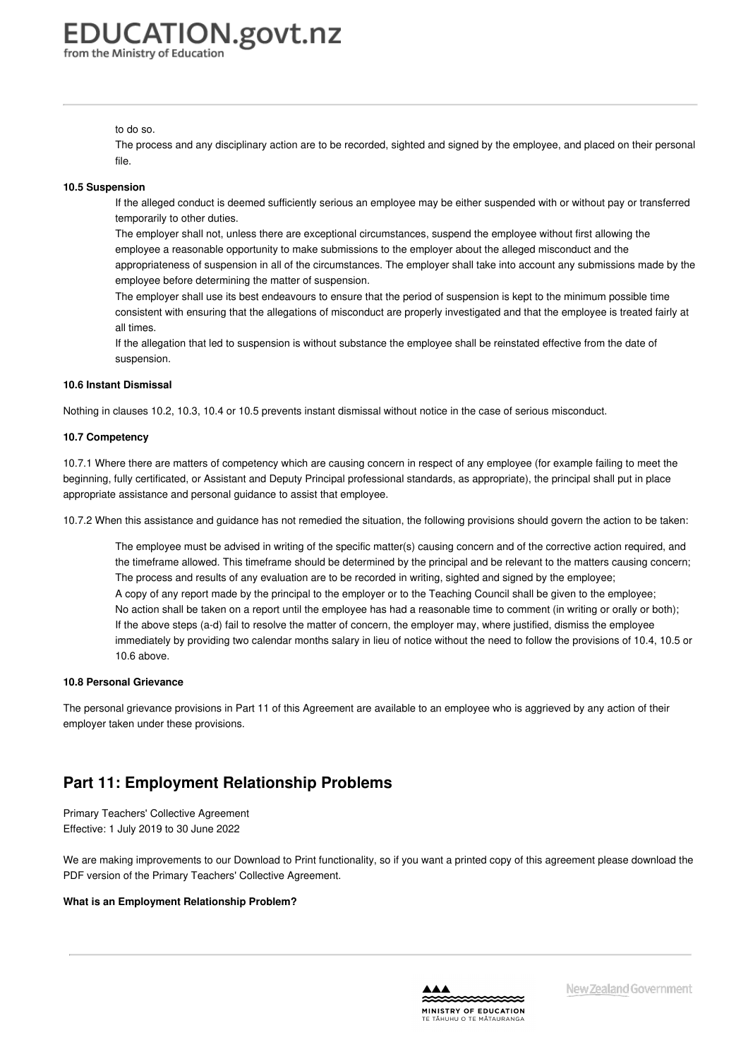#### to do so.

The process and any disciplinary action are to be recorded, sighted and signed by the employee, and placed on their personal file.

#### **10.5 [Suspension](https://www.education.govt.nz/school/people-and-employment/employment-agreements/collective-agreements/primary-teachers-collective-agreement/part-10-complaintsdisciplinecompetency/#cd_3753_10-5-suspension_Education%5CComplexDocuments%5CModel%5CComplexDocumentAccordionSection)**

If the alleged conduct is deemed sufficiently serious an employee may be either suspended with or without pay or transferred temporarily to other duties.

The employer shall not, unless there are exceptional circumstances, suspend the employee without first allowing the employee a reasonable opportunity to make submissions to the employer about the alleged misconduct and the appropriateness of suspension in all of the circumstances. The employer shall take into account any submissions made by the employee before determining the matter of suspension.

The employer shall use its best endeavours to ensure that the period of suspension is kept to the minimum possible time consistent with ensuring that the allegations of misconduct are properly investigated and that the employee is treated fairly at all times.

If the allegation that led to suspension is without substance the employee shall be reinstated effective from the date of suspension.

#### **10.6 Instant [Dismissal](https://www.education.govt.nz/school/people-and-employment/employment-agreements/collective-agreements/primary-teachers-collective-agreement/part-10-complaintsdisciplinecompetency/#cd_3754_10-6-instant-dismissal_Education%5CComplexDocuments%5CModel%5CComplexDocumentAccordionSection)**

Nothing in clauses 10.2, 10.3, 10.4 or 10.5 prevents instant dismissal without notice in the case of serious misconduct.

#### **10.7 [Competency](https://www.education.govt.nz/school/people-and-employment/employment-agreements/collective-agreements/primary-teachers-collective-agreement/part-10-complaintsdisciplinecompetency/#cd_3755_10-7-competency_Education%5CComplexDocuments%5CModel%5CComplexDocumentAccordionSection)**

10.7.1 Where there are matters of competency which are causing concern in respect of any employee (for example failing to meet the beginning, fully certificated, or Assistant and Deputy Principal professional standards, as appropriate), the principal shall put in place appropriate assistance and personal guidance to assist that employee.

10.7.2 When this assistance and guidance has not remedied the situation, the following provisions should govern the action to be taken:

The employee must be advised in writing of the specific matter(s) causing concern and of the corrective action required, and the timeframe allowed. This timeframe should be determined by the principal and be relevant to the matters causing concern; The process and results of any evaluation are to be recorded in writing, sighted and signed by the employee; A copy of any report made by the principal to the employer or to the Teaching Council shall be given to the employee; No action shall be taken on a report until the employee has had a reasonable time to comment (in writing or orally or both); If the above steps (a-d) fail to resolve the matter of concern, the employer may, where justified, dismiss the employee immediately by providing two calendar months salary in lieu of notice without the need to follow the provisions of 10.4, 10.5 or 10.6 above.

#### **10.8 Personal [Grievance](https://www.education.govt.nz/school/people-and-employment/employment-agreements/collective-agreements/primary-teachers-collective-agreement/part-10-complaintsdisciplinecompetency/#cd_3756_10-8-personal-grievance_Education%5CComplexDocuments%5CModel%5CComplexDocumentAccordionSection)**

The personal grievance provisions in Part 11 of this Agreement are available to an employee who is aggrieved by any action of their employer taken under these provisions.

## **Part 11: Employment Relationship Problems**

Primary Teachers' Collective Agreement Effective: 1 July 2019 to 30 June 2022

We are making improvements to our Download to Print functionality, so if you want a printed copy of this agreement please download the PDF version of the Primary Teachers' Collective Agreement.

#### **What is an [Employment](https://www.education.govt.nz/school/people-and-employment/employment-agreements/collective-agreements/primary-teachers-collective-agreement/part-11-employment-relationship-problems/#cd_3760_what-is-an-employment-relationship-problem_Education%5CComplexDocuments%5CModel%5CComplexDocumentAccordionSection) Relationship Problem?**

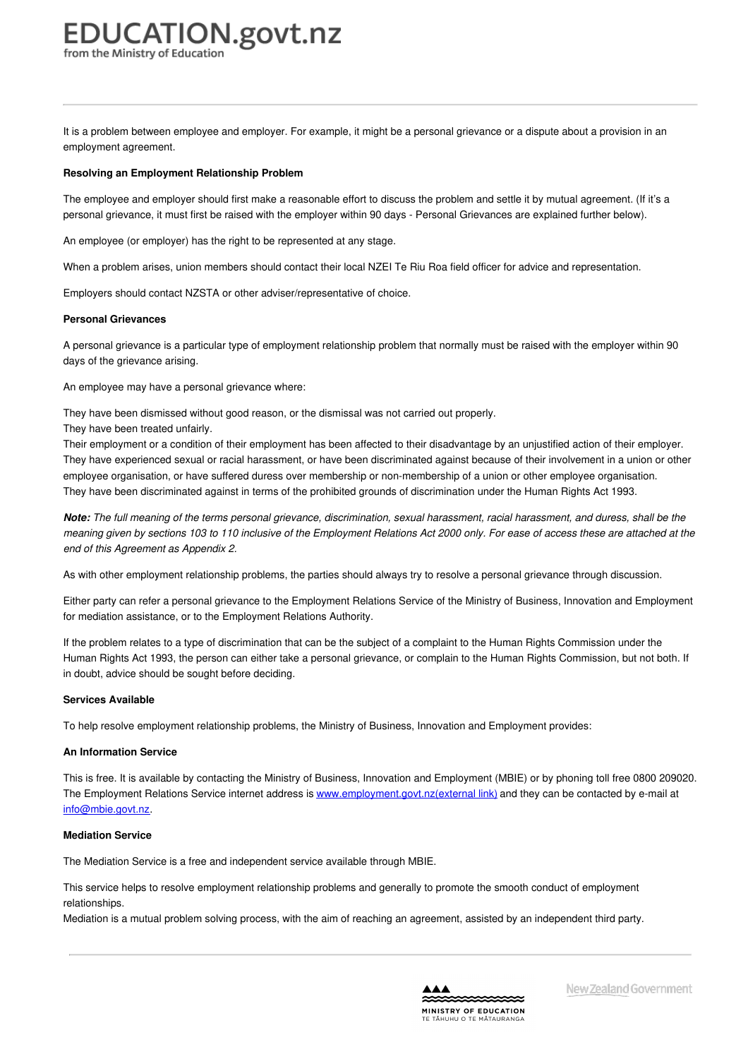It is a problem between employee and employer. For example, it might be a personal grievance or a dispute about a provision in an employment agreement.

#### **Resolving an [Employment](https://www.education.govt.nz/school/people-and-employment/employment-agreements/collective-agreements/primary-teachers-collective-agreement/part-11-employment-relationship-problems/#cd_3761_resolving-an-employment-relationship-problem_Education%5CComplexDocuments%5CModel%5CComplexDocumentAccordionSection) Relationship Problem**

The employee and employer should first make a reasonable effort to discuss the problem and settle it by mutual agreement. (If it's a personal grievance, it must first be raised with the employer within 90 days - Personal Grievances are explained further below).

An employee (or employer) has the right to be represented at any stage.

When a problem arises, union members should contact their local NZEI Te Riu Roa field officer for advice and representation.

Employers should contact NZSTA or other adviser/representative of choice.

#### **Personal [Grievances](https://www.education.govt.nz/school/people-and-employment/employment-agreements/collective-agreements/primary-teachers-collective-agreement/part-11-employment-relationship-problems/#cd_3762_personal-grievances_Education%5CComplexDocuments%5CModel%5CComplexDocumentAccordionSection)**

A personal grievance is a particular type of employment relationship problem that normally must be raised with the employer within 90 days of the grievance arising.

An employee may have a personal grievance where:

They have been dismissed without good reason, or the dismissal was not carried out properly.

They have been treated unfairly.

Their employment or a condition of their employment has been affected to their disadvantage by an unjustified action of their employer. They have experienced sexual or racial harassment, or have been discriminated against because of their involvement in a union or other employee organisation, or have suffered duress over membership or non-membership of a union or other employee organisation. They have been discriminated against in terms of the prohibited grounds of discrimination under the Human Rights Act 1993.

Note: The full meaning of the terms personal grievance, discrimination, sexual harassment, racial harassment, and duress, shall be the meaning given by sections 103 to 110 inclusive of the Employment Relations Act 2000 only. For ease of access these are attached at the *end of this Agreement as Appendix 2.*

As with other employment relationship problems, the parties should always try to resolve a personal grievance through discussion.

Either party can refer a personal grievance to the Employment Relations Service of the Ministry of Business, Innovation and Employment for mediation assistance, or to the Employment Relations Authority.

If the problem relates to a type of discrimination that can be the subject of a complaint to the Human Rights Commission under the Human Rights Act 1993, the person can either take a personal grievance, or complain to the Human Rights Commission, but not both. If in doubt, advice should be sought before deciding.

#### **Services [Available](https://www.education.govt.nz/school/people-and-employment/employment-agreements/collective-agreements/primary-teachers-collective-agreement/part-11-employment-relationship-problems/#cd_3763_services-available_Education%5CComplexDocuments%5CModel%5CComplexDocumentAccordionSection)**

To help resolve employment relationship problems, the Ministry of Business, Innovation and Employment provides:

#### **An Information Service**

This is free. It is available by contacting the Ministry of Business, Innovation and Employment (MBIE) or by phoning toll free 0800 209020. The Employment Relations Service internet address is [www.employment.govt.nz\(external](http://www.employment.govt.nz) link) and they can be contacted by e-mail at [info@mbie.govt.nz](mailto:info@mbie.govt.nz).

#### **Mediation Service**

The Mediation Service is a free and independent service available through MBIE.

This service helps to resolve employment relationship problems and generally to promote the smooth conduct of employment relationships.

Mediation is a mutual problem solving process, with the aim of reaching an agreement, assisted by an independent third party.

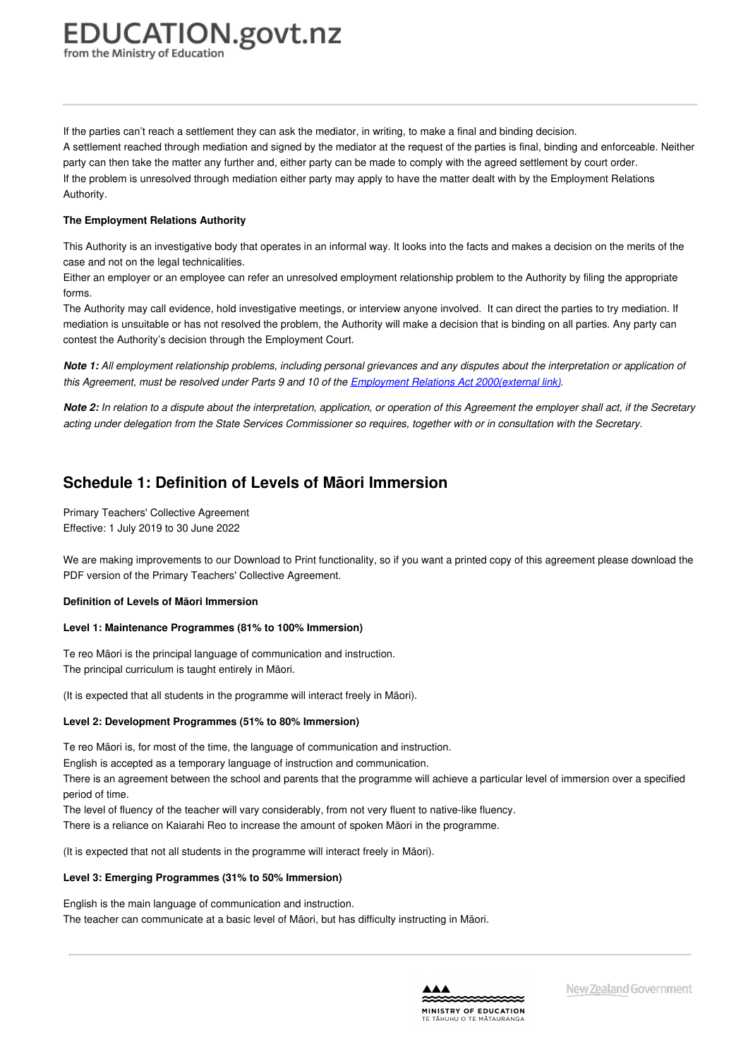from the Ministry of Education

If the parties can't reach a settlement they can ask the mediator, in writing, to make a final and binding decision. A settlement reached through mediation and signed by the mediator at the request of the parties is final, binding and enforceable. Neither party can then take the matter any further and, either party can be made to comply with the agreed settlement by court order. If the problem is unresolved through mediation either party may apply to have the matter dealt with by the Employment Relations Authority.

#### **The Employment Relations Authority**

This Authority is an investigative body that operates in an informal way. It looks into the facts and makes a decision on the merits of the case and not on the legal technicalities.

Either an employer or an employee can refer an unresolved employment relationship problem to the Authority by filing the appropriate forms.

The Authority may call evidence, hold investigative meetings, or interview anyone involved. It can direct the parties to try mediation. If mediation is unsuitable or has not resolved the problem, the Authority will make a decision that is binding on all parties. Any party can contest the Authority's decision through the Employment Court.

Note 1: All employment relationship problems, including personal grievances and any disputes about the interpretation or application of this Agreement, must be resolved under Parts 9 and 10 of the Employment Relations Act [2000\(external](http://www.legislation.govt.nz/act/public/2000/0024/latest/DLM58317.html) link).

Note 2: In relation to a dispute about the interpretation, application, or operation of this Agreement the employer shall act, if the Secretary acting under delegation from the State Services Commissioner so requires, together with or in consultation with the Secretary.

## **Schedule 1: Definition of Levels of Māori Immersion**

Primary Teachers' Collective Agreement Effective: 1 July 2019 to 30 June 2022

We are making improvements to our Download to Print functionality, so if you want a printed copy of this agreement please download the PDF version of the Primary Teachers' Collective Agreement.

#### **Definition of Levels of Māori [Immersion](https://www.education.govt.nz/school/people-and-employment/employment-agreements/collective-agreements/primary-teachers-collective-agreement/schedule-1-definition-of-levels-of-maori-immersion/#cd_3766_definition-of-levels-of-maori-immersion_Education%5CComplexDocuments%5CModel%5CComplexDocumentAccordionSection)**

#### **Level 1: Maintenance Programmes (81% to 100% Immersion)**

Te reo Māori is the principal language of communication and instruction. The principal curriculum is taught entirely in Māori.

(It is expected that all students in the programme will interact freely in Māori).

#### **Level 2: Development Programmes (51% to 80% Immersion)**

Te reo Māori is, for most of the time, the language of communication and instruction.

English is accepted as a temporary language of instruction and communication.

There is an agreement between the school and parents that the programme will achieve a particular level of immersion over a specified period of time.

The level of fluency of the teacher will vary considerably, from not very fluent to native-like fluency.

There is a reliance on Kaiarahi Reo to increase the amount of spoken Māori in the programme.

(It is expected that not all students in the programme will interact freely in Māori).

#### **Level 3: Emerging Programmes (31% to 50% Immersion)**

English is the main language of communication and instruction. The teacher can communicate at a basic level of Māori, but has difficulty instructing in Māori.

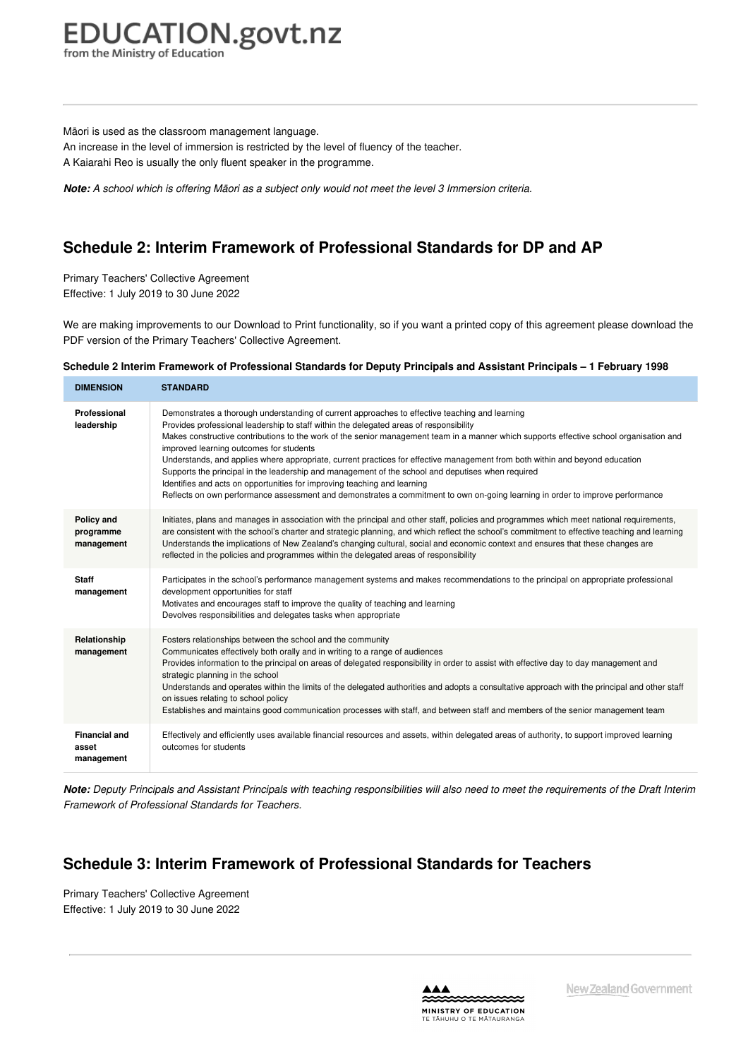from the Ministry of Education

Māori is used as the classroom management language.

An increase in the level of immersion is restricted by the level of fluency of the teacher.

A Kaiarahi Reo is usually the only fluent speaker in the programme.

Note: A school which is offering Māori as a subject only would not meet the level 3 Immersion criteria.

## **Schedule 2: Interim Framework of Professional Standards for DP and AP**

Primary Teachers' Collective Agreement Effective: 1 July 2019 to 30 June 2022

We are making improvements to our Download to Print functionality, so if you want a printed copy of this agreement please download the PDF version of the Primary Teachers' Collective Agreement.

#### Schedule 2 Interim Framework of [Professional](https://www.education.govt.nz/school/people-and-employment/employment-agreements/collective-agreements/primary-teachers-collective-agreement/schedule-2-interim-framework-of-professional-standards-for-dp-and-ap/#cd_3769_schedule-2-interim-framework-of-professional-standards-for-deputy-principals-and-assistant-principals-1-february-1998_Education%5CComplexDocuments%5CModel%5CComplexDocumentAccordionSection) Standards for Deputy Principals and Assistant Principals - 1 February 1998

| <b>DIMENSION</b>                            | <b>STANDARD</b>                                                                                                                                                                                                                                                                                                                                                                                                                                                                                                                                                                                                                                                                                                                                                                                                                  |
|---------------------------------------------|----------------------------------------------------------------------------------------------------------------------------------------------------------------------------------------------------------------------------------------------------------------------------------------------------------------------------------------------------------------------------------------------------------------------------------------------------------------------------------------------------------------------------------------------------------------------------------------------------------------------------------------------------------------------------------------------------------------------------------------------------------------------------------------------------------------------------------|
| Professional<br>leadership                  | Demonstrates a thorough understanding of current approaches to effective teaching and learning<br>Provides professional leadership to staff within the delegated areas of responsibility<br>Makes constructive contributions to the work of the senior management team in a manner which supports effective school organisation and<br>improved learning outcomes for students<br>Understands, and applies where appropriate, current practices for effective management from both within and beyond education<br>Supports the principal in the leadership and management of the school and deputises when required<br>Identifies and acts on opportunities for improving teaching and learning<br>Reflects on own performance assessment and demonstrates a commitment to own on-going learning in order to improve performance |
| Policy and<br>programme<br>management       | Initiates, plans and manages in association with the principal and other staff, policies and programmes which meet national requirements,<br>are consistent with the school's charter and strategic planning, and which reflect the school's commitment to effective teaching and learning<br>Understands the implications of New Zealand's changing cultural, social and economic context and ensures that these changes are<br>reflected in the policies and programmes within the delegated areas of responsibility                                                                                                                                                                                                                                                                                                           |
| <b>Staff</b><br>management                  | Participates in the school's performance management systems and makes recommendations to the principal on appropriate professional<br>development opportunities for staff<br>Motivates and encourages staff to improve the quality of teaching and learning<br>Devolves responsibilities and delegates tasks when appropriate                                                                                                                                                                                                                                                                                                                                                                                                                                                                                                    |
| Relationship<br>management                  | Fosters relationships between the school and the community<br>Communicates effectively both orally and in writing to a range of audiences<br>Provides information to the principal on areas of delegated responsibility in order to assist with effective day to day management and<br>strategic planning in the school<br>Understands and operates within the limits of the delegated authorities and adopts a consultative approach with the principal and other staff<br>on issues relating to school policy<br>Establishes and maintains good communication processes with staff, and between staff and members of the senior management team                                                                                                                                                                                |
| <b>Financial and</b><br>asset<br>management | Effectively and efficiently uses available financial resources and assets, within delegated areas of authority, to support improved learning<br>outcomes for students                                                                                                                                                                                                                                                                                                                                                                                                                                                                                                                                                                                                                                                            |

Note: Deputy Principals and Assistant Principals with teaching responsibilities will also need to meet the requirements of the Draft Interim *Framework of Professional Standards for Teachers.*

## **Schedule 3: Interim Framework of Professional Standards for Teachers**

Primary Teachers' Collective Agreement Effective: 1 July 2019 to 30 June 2022

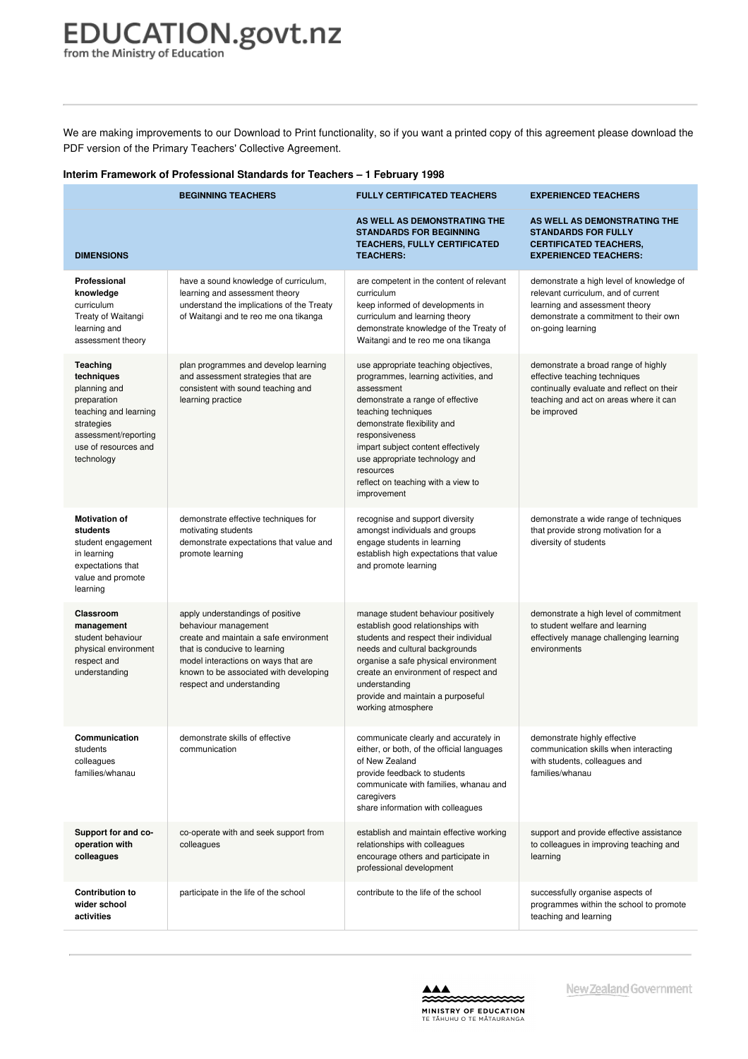We are making improvements to our Download to Print functionality, so if you want a printed copy of this agreement please download the PDF version of the Primary Teachers' Collective Agreement.

#### **Interim Framework of [Professional](https://www.education.govt.nz/school/people-and-employment/employment-agreements/collective-agreements/primary-teachers-collective-agreement/schedule-3-interim-framework-of-professional-standards-for-teachers/#cd_3772_interim-framework-of-professional-standards-for-teachers-1-february-1998_Education%5CComplexDocuments%5CModel%5CComplexDocumentAccordionSection) Standards for Teachers – 1 February 1998**

|                                                                                                                                                            | <b>BEGINNING TEACHERS</b>                                                                                                                                                                                                                         | <b>FULLY CERTIFICATED TEACHERS</b>                                                                                                                                                                                                                                                                                                               | <b>EXPERIENCED TEACHERS</b>                                                                                                                                                     |
|------------------------------------------------------------------------------------------------------------------------------------------------------------|---------------------------------------------------------------------------------------------------------------------------------------------------------------------------------------------------------------------------------------------------|--------------------------------------------------------------------------------------------------------------------------------------------------------------------------------------------------------------------------------------------------------------------------------------------------------------------------------------------------|---------------------------------------------------------------------------------------------------------------------------------------------------------------------------------|
| <b>DIMENSIONS</b>                                                                                                                                          |                                                                                                                                                                                                                                                   | AS WELL AS DEMONSTRATING THE<br><b>STANDARDS FOR BEGINNING</b><br><b>TEACHERS, FULLY CERTIFICATED</b><br><b>TEACHERS:</b>                                                                                                                                                                                                                        | AS WELL AS DEMONSTRATING THE<br><b>STANDARDS FOR FULLY</b><br><b>CERTIFICATED TEACHERS,</b><br><b>EXPERIENCED TEACHERS:</b>                                                     |
| Professional<br>knowledge<br>curriculum<br>Treaty of Waitangi<br>learning and<br>assessment theory                                                         | have a sound knowledge of curriculum,<br>learning and assessment theory<br>understand the implications of the Treaty<br>of Waitangi and te reo me ona tikanga                                                                                     | are competent in the content of relevant<br>curriculum<br>keep informed of developments in<br>curriculum and learning theory<br>demonstrate knowledge of the Treaty of<br>Waitangi and te reo me ona tikanga                                                                                                                                     | demonstrate a high level of knowledge of<br>relevant curriculum, and of current<br>learning and assessment theory<br>demonstrate a commitment to their own<br>on-going learning |
| Teaching<br>techniques<br>planning and<br>preparation<br>teaching and learning<br>strategies<br>assessment/reporting<br>use of resources and<br>technology | plan programmes and develop learning<br>and assessment strategies that are<br>consistent with sound teaching and<br>learning practice                                                                                                             | use appropriate teaching objectives,<br>programmes, learning activities, and<br>assessment<br>demonstrate a range of effective<br>teaching techniques<br>demonstrate flexibility and<br>responsiveness<br>impart subject content effectively<br>use appropriate technology and<br>resources<br>reflect on teaching with a view to<br>improvement | demonstrate a broad range of highly<br>effective teaching techniques<br>continually evaluate and reflect on their<br>teaching and act on areas where it can<br>be improved      |
| <b>Motivation of</b><br>students<br>student engagement<br>in learning<br>expectations that<br>value and promote<br>learning                                | demonstrate effective techniques for<br>motivating students<br>demonstrate expectations that value and<br>promote learning                                                                                                                        | recognise and support diversity<br>amongst individuals and groups<br>engage students in learning<br>establish high expectations that value<br>and promote learning                                                                                                                                                                               | demonstrate a wide range of techniques<br>that provide strong motivation for a<br>diversity of students                                                                         |
| Classroom<br>management<br>student behaviour<br>physical environment<br>respect and<br>understanding                                                       | apply understandings of positive<br>behaviour management<br>create and maintain a safe environment<br>that is conducive to learning<br>model interactions on ways that are<br>known to be associated with developing<br>respect and understanding | manage student behaviour positively<br>establish good relationships with<br>students and respect their individual<br>needs and cultural backgrounds<br>organise a safe physical environment<br>create an environment of respect and<br>understanding<br>provide and maintain a purposeful<br>working atmosphere                                  | demonstrate a high level of commitment<br>to student welfare and learning<br>effectively manage challenging learning<br>environments                                            |
| Communication<br>students<br>colleagues<br>families/whanau                                                                                                 | demonstrate skills of effective<br>communication                                                                                                                                                                                                  | communicate clearly and accurately in<br>either, or both, of the official languages<br>of New Zealand<br>provide feedback to students<br>communicate with families, whanau and<br>caregivers<br>share information with colleagues                                                                                                                | demonstrate highly effective<br>communication skills when interacting<br>with students, colleagues and<br>families/whanau                                                       |
| Support for and co-<br>operation with<br>colleagues                                                                                                        | co-operate with and seek support from<br>colleagues                                                                                                                                                                                               | establish and maintain effective working<br>relationships with colleagues<br>encourage others and participate in<br>professional development                                                                                                                                                                                                     | support and provide effective assistance<br>to colleagues in improving teaching and<br>learning                                                                                 |
| <b>Contribution to</b><br>wider school<br>activities                                                                                                       | participate in the life of the school                                                                                                                                                                                                             | contribute to the life of the school                                                                                                                                                                                                                                                                                                             | successfully organise aspects of<br>programmes within the school to promote<br>teaching and learning                                                                            |

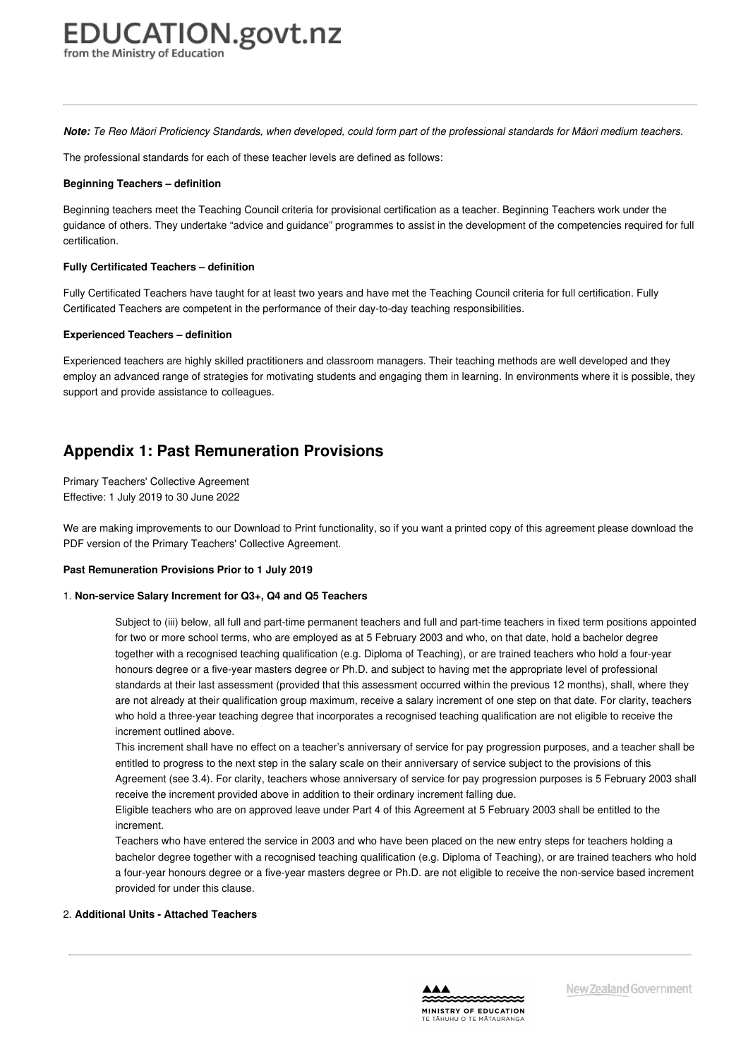Note: Te Reo Māori Proficiency Standards, when developed, could form part of the professional standards for Māori medium teachers.

The professional standards for each of these teacher levels are defined as follows:

#### **Beginning Teachers – definition**

Beginning teachers meet the Teaching Council criteria for provisional certification as a teacher. Beginning Teachers work under the guidance of others. They undertake "advice and guidance" programmes to assist in the development of the competencies required for full certification.

#### **Fully Certificated Teachers – definition**

Fully Certificated Teachers have taught for at least two years and have met the Teaching Council criteria for full certification. Fully Certificated Teachers are competent in the performance of their day-to-day teaching responsibilities.

#### **Experienced Teachers – definition**

Experienced teachers are highly skilled practitioners and classroom managers. Their teaching methods are well developed and they employ an advanced range of strategies for motivating students and engaging them in learning. In environments where it is possible, they support and provide assistance to colleagues.

### **Appendix 1: Past Remuneration Provisions**

Primary Teachers' Collective Agreement Effective: 1 July 2019 to 30 June 2022

We are making improvements to our Download to Print functionality, so if you want a printed copy of this agreement please download the PDF version of the Primary Teachers' Collective Agreement.

#### **Past [Remuneration](https://www.education.govt.nz/school/people-and-employment/employment-agreements/collective-agreements/primary-teachers-collective-agreement/appendix-1-isolation-allowance-rates/#cd_3775_isolation-allowance-rates_Education%5CComplexDocuments%5CModel%5CComplexDocumentAccordionSection) Provisions Prior to 1 July 2019**

#### 1. **Non-service Salary Increment for Q3+, Q4 and Q5 Teachers**

Subject to (iii) below, all full and part-time permanent teachers and full and part-time teachers in fixed term positions appointed for two or more school terms, who are employed as at 5 February 2003 and who, on that date, hold a bachelor degree together with a recognised teaching qualification (e.g. Diploma of Teaching), or are trained teachers who hold a four-year honours degree or a five-year masters degree or Ph.D. and subject to having met the appropriate level of professional standards at their last assessment (provided that this assessment occurred within the previous 12 months), shall, where they are not already at their qualification group maximum, receive a salary increment of one step on that date. For clarity, teachers who hold a three-year teaching degree that incorporates a recognised teaching qualification are not eligible to receive the increment outlined above.

This increment shall have no effect on a teacher's anniversary of service for pay progression purposes, and a teacher shall be entitled to progress to the next step in the salary scale on their anniversary of service subject to the provisions of this Agreement (see 3.4). For clarity, teachers whose anniversary of service for pay progression purposes is 5 February 2003 shall receive the increment provided above in addition to their ordinary increment falling due.

Eligible teachers who are on approved leave under Part 4 of this Agreement at 5 February 2003 shall be entitled to the increment.

Teachers who have entered the service in 2003 and who have been placed on the new entry steps for teachers holding a bachelor degree together with a recognised teaching qualification (e.g. Diploma of Teaching), or are trained teachers who hold a four-year honours degree or a five-year masters degree or Ph.D. are not eligible to receive the non-service based increment provided for under this clause.

#### 2. **Additional Units - Attached Teachers**

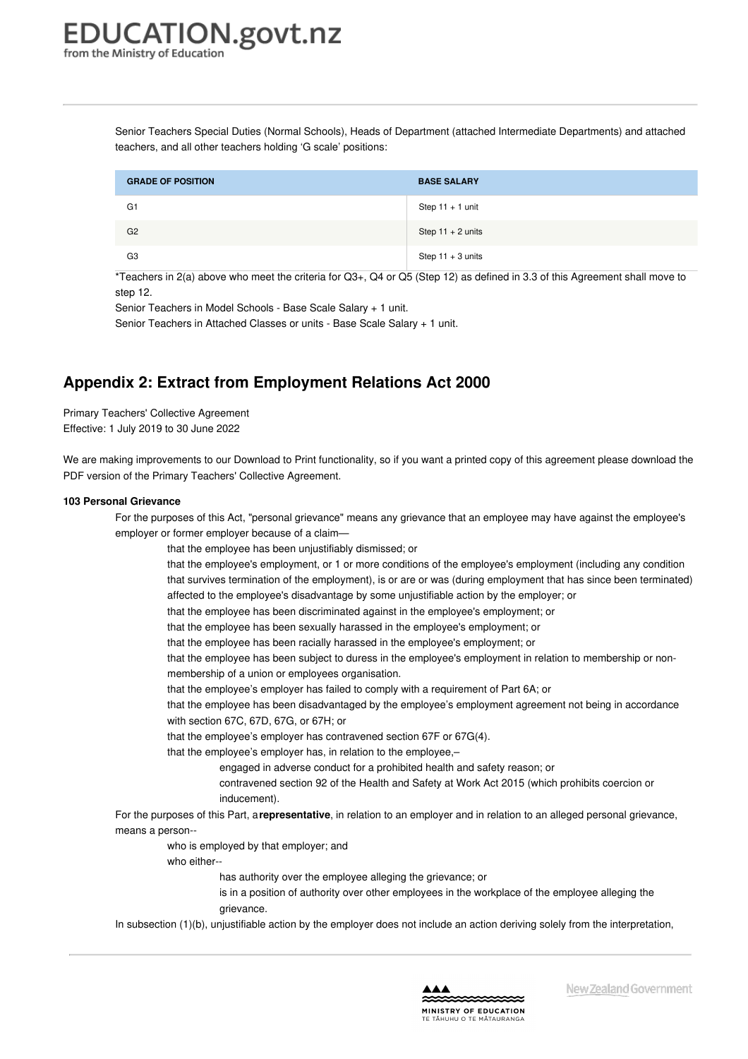Senior Teachers Special Duties (Normal Schools), Heads of Department (attached Intermediate Departments) and attached teachers, and all other teachers holding 'G scale' positions:

| <b>GRADE OF POSITION</b> | <b>BASE SALARY</b>  |
|--------------------------|---------------------|
| G <sub>1</sub>           | Step $11 + 1$ unit  |
| G <sub>2</sub>           | Step $11 + 2$ units |
| G <sub>3</sub>           | Step $11 + 3$ units |

\*Teachers in 2(a) above who meet the criteria for Q3+, Q4 or Q5 (Step 12) as defined in 3.3 of this Agreement shall move to step 12.

Senior Teachers in Model Schools - Base Scale Salary + 1 unit.

Senior Teachers in Attached Classes or units - Base Scale Salary + 1 unit.

## **Appendix 2: Extract from Employment Relations Act 2000**

Primary Teachers' Collective Agreement Effective: 1 July 2019 to 30 June 2022

We are making improvements to our Download to Print functionality, so if you want a printed copy of this agreement please download the PDF version of the Primary Teachers' Collective Agreement.

#### **103 Personal [Grievance](https://www.education.govt.nz/school/people-and-employment/employment-agreements/collective-agreements/primary-teachers-collective-agreement/appendix-2-extract-from-employment-relations-act-2000/#cd_4187_103-personal-grievance_Education%5CComplexDocuments%5CModel%5CComplexDocumentAccordionSection)**

For the purposes of this Act, "personal grievance" means any grievance that an employee may have against the employee's employer or former employer because of a claim—

that the employee has been unjustifiably dismissed; or

that the employee's employment, or 1 or more conditions of the employee's employment (including any condition that survives termination of the employment), is or are or was (during employment that has since been terminated) affected to the employee's disadvantage by some unjustifiable action by the employer; or

that the employee has been discriminated against in the employee's employment; or

that the employee has been sexually harassed in the employee's employment; or

that the employee has been racially harassed in the employee's employment; or

that the employee has been subject to duress in the employee's employment in relation to membership or nonmembership of a union or employees organisation.

that the employee's employer has failed to comply with a requirement of Part 6A; or

that the employee has been disadvantaged by the employee's employment agreement not being in accordance with section 67C, 67D, 67G, or 67H; or

that the employee's employer has contravened section 67F or 67G(4).

that the employee's employer has, in relation to the employee,–

engaged in adverse conduct for a prohibited health and safety reason; or

contravened section 92 of the Health and Safety at Work Act 2015 (which prohibits coercion or inducement).

For the purposes of this Part, a**representative**, in relation to an employer and in relation to an alleged personal grievance, means a person--

who is employed by that employer; and

who either--

has authority over the employee alleging the grievance; or

is in a position of authority over other employees in the workplace of the employee alleging the grievance.

In subsection (1)(b), unjustifiable action by the employer does not include an action deriving solely from the interpretation,

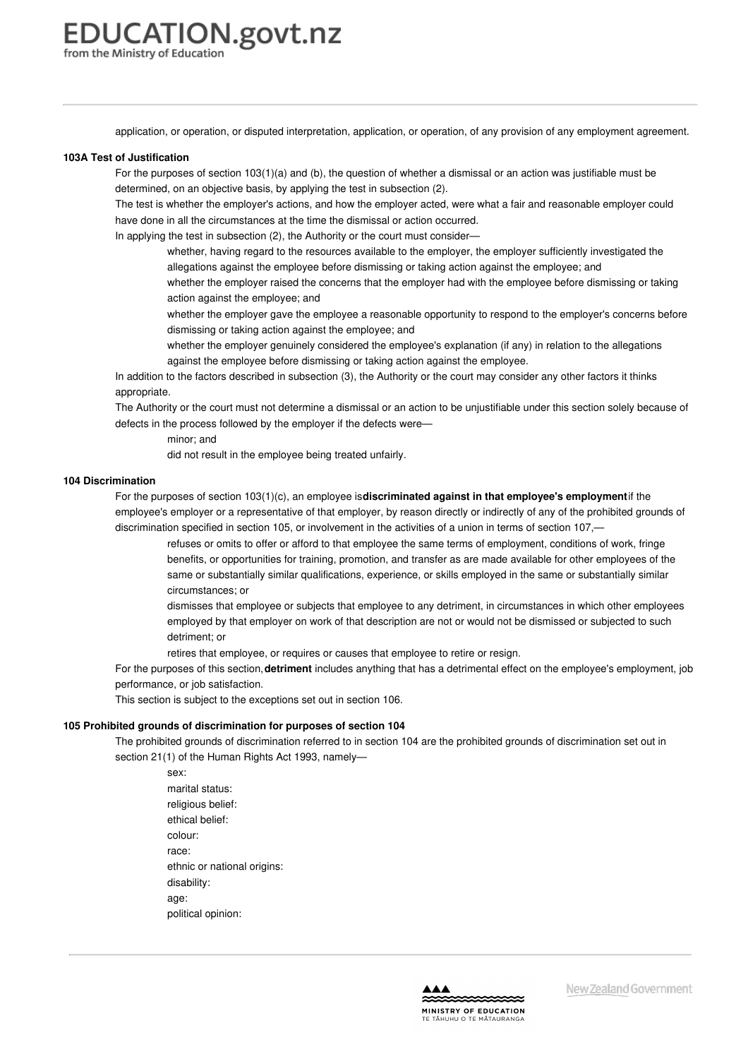application, or operation, or disputed interpretation, application, or operation, of any provision of any employment agreement.

#### **103A Test of [Justification](https://www.education.govt.nz/school/people-and-employment/employment-agreements/collective-agreements/primary-teachers-collective-agreement/appendix-2-extract-from-employment-relations-act-2000/#cd_4188_103a-test-of-justification_Education%5CComplexDocuments%5CModel%5CComplexDocumentAccordionSection)**

For the purposes of section 103(1)(a) and (b), the question of whether a dismissal or an action was justifiable must be determined, on an objective basis, by applying the test in subsection (2).

The test is whether the employer's actions, and how the employer acted, were what a fair and reasonable employer could have done in all the circumstances at the time the dismissal or action occurred.

In applying the test in subsection (2), the Authority or the court must consider—

- whether, having regard to the resources available to the employer, the employer sufficiently investigated the allegations against the employee before dismissing or taking action against the employee; and
- whether the employer raised the concerns that the employer had with the employee before dismissing or taking action against the employee; and
- whether the employer gave the employee a reasonable opportunity to respond to the employer's concerns before dismissing or taking action against the employee; and
- whether the employer genuinely considered the employee's explanation (if any) in relation to the allegations against the employee before dismissing or taking action against the employee.

In addition to the factors described in subsection (3), the Authority or the court may consider any other factors it thinks appropriate.

The Authority or the court must not determine a dismissal or an action to be unjustifiable under this section solely because of defects in the process followed by the employer if the defects were—

minor; and

did not result in the employee being treated unfairly.

#### **104 [Discrimination](https://www.education.govt.nz/school/people-and-employment/employment-agreements/collective-agreements/primary-teachers-collective-agreement/appendix-2-extract-from-employment-relations-act-2000/#cd_4189_104-discrimination_Education%5CComplexDocuments%5CModel%5CComplexDocumentAccordionSection)**

For the purposes of section 103(1)(c), an employee is**discriminated against in that employee's employment**if the employee's employer or a representative of that employer, by reason directly or indirectly of any of the prohibited grounds of discrimination specified in section 105, or involvement in the activities of a union in terms of section 107,—

refuses or omits to offer or afford to that employee the same terms of employment, conditions of work, fringe benefits, or opportunities for training, promotion, and transfer as are made available for other employees of the same or substantially similar qualifications, experience, or skills employed in the same or substantially similar circumstances; or

dismisses that employee or subjects that employee to any detriment, in circumstances in which other employees employed by that employer on work of that description are not or would not be dismissed or subjected to such detriment; or

retires that employee, or requires or causes that employee to retire or resign.

For the purposes of this section,**detriment** includes anything that has a detrimental effect on the employee's employment, job performance, or job satisfaction.

This section is subject to the exceptions set out in section 106.

#### **105 Prohibited grounds of [discrimination](https://www.education.govt.nz/school/people-and-employment/employment-agreements/collective-agreements/primary-teachers-collective-agreement/appendix-2-extract-from-employment-relations-act-2000/#cd_4190_105-prohibited-grounds-of-discrimination-for-purposes-of-section-104_Education%5CComplexDocuments%5CModel%5CComplexDocumentAccordionSection) for purposes of section 104**

The prohibited grounds of discrimination referred to in section 104 are the prohibited grounds of discrimination set out in section 21(1) of the Human Rights Act 1993, namely—

sex: marital status: religious belief: ethical belief: colour: race: ethnic or national origins: disability: age: political opinion:

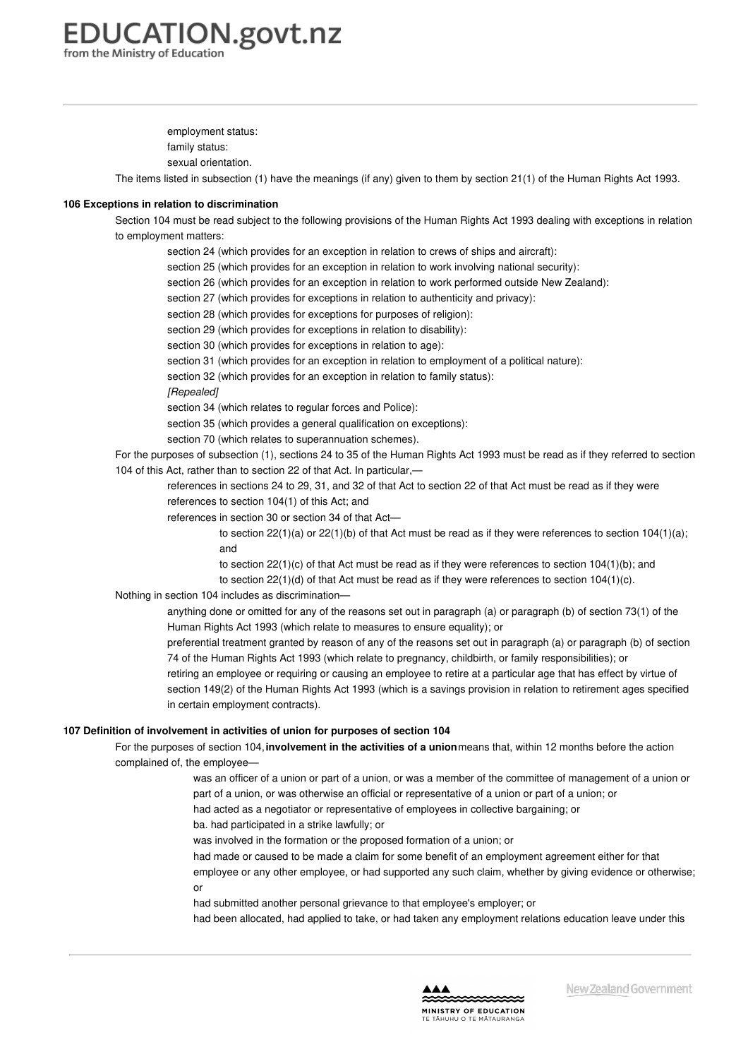employment status:

family status:

sexual orientation.

The items listed in subsection (1) have the meanings (if any) given to them by section 21(1) of the Human Rights Act 1993.

#### **106 Exceptions in relation to [discrimination](https://www.education.govt.nz/school/people-and-employment/employment-agreements/collective-agreements/primary-teachers-collective-agreement/appendix-2-extract-from-employment-relations-act-2000/#cd_4191_106-exceptions-in-relation-to-discrimination_Education%5CComplexDocuments%5CModel%5CComplexDocumentAccordionSection)**

Section 104 must be read subject to the following provisions of the Human Rights Act 1993 dealing with exceptions in relation to employment matters:

section 24 (which provides for an exception in relation to crews of ships and aircraft):

section 25 (which provides for an exception in relation to work involving national security):

section 26 (which provides for an exception in relation to work performed outside New Zealand):

section 27 (which provides for exceptions in relation to authenticity and privacy):

section 28 (which provides for exceptions for purposes of religion):

section 29 (which provides for exceptions in relation to disability):

section 30 (which provides for exceptions in relation to age):

section 31 (which provides for an exception in relation to employment of a political nature):

section 32 (which provides for an exception in relation to family status):

*[Repealed]*

section 34 (which relates to regular forces and Police):

section 35 (which provides a general qualification on exceptions):

section 70 (which relates to superannuation schemes).

For the purposes of subsection (1), sections 24 to 35 of the Human Rights Act 1993 must be read as if they referred to section 104 of this Act, rather than to section 22 of that Act. In particular,—

references in sections 24 to 29, 31, and 32 of that Act to section 22 of that Act must be read as if they were references to section 104(1) of this Act; and

references in section 30 or section 34 of that Act—

to section  $22(1)(a)$  or  $22(1)(b)$  of that Act must be read as if they were references to section  $104(1)(a)$ ; and

to section  $22(1)(c)$  of that Act must be read as if they were references to section  $104(1)(b)$ ; and to section 22(1)(d) of that Act must be read as if they were references to section 104(1)(c).

Nothing in section 104 includes as discrimination—

anything done or omitted for any of the reasons set out in paragraph (a) or paragraph (b) of section 73(1) of the Human Rights Act 1993 (which relate to measures to ensure equality); or

preferential treatment granted by reason of any of the reasons set out in paragraph (a) or paragraph (b) of section 74 of the Human Rights Act 1993 (which relate to pregnancy, childbirth, or family responsibilities); or retiring an employee or requiring or causing an employee to retire at a particular age that has effect by virtue of section 149(2) of the Human Rights Act 1993 (which is a savings provision in relation to retirement ages specified in certain employment contracts).

#### **107 Definition of [involvement](https://www.education.govt.nz/school/people-and-employment/employment-agreements/collective-agreements/primary-teachers-collective-agreement/appendix-2-extract-from-employment-relations-act-2000/#cd_4192_107-definition-of-involvement-in-activities-of-union-for-purposes-of-section-104_Education%5CComplexDocuments%5CModel%5CComplexDocumentAccordionSection) in activities of union for purposes of section 104**

For the purposes of section 104,**involvement in the activities of a union**means that, within 12 months before the action complained of, the employee—

> was an officer of a union or part of a union, or was a member of the committee of management of a union or part of a union, or was otherwise an official or representative of a union or part of a union; or

had acted as a negotiator or representative of employees in collective bargaining; or

ba. had participated in a strike lawfully; or

was involved in the formation or the proposed formation of a union; or

had made or caused to be made a claim for some benefit of an employment agreement either for that employee or any other employee, or had supported any such claim, whether by giving evidence or otherwise; or

had submitted another personal grievance to that employee's employer; or

had been allocated, had applied to take, or had taken any employment relations education leave under this

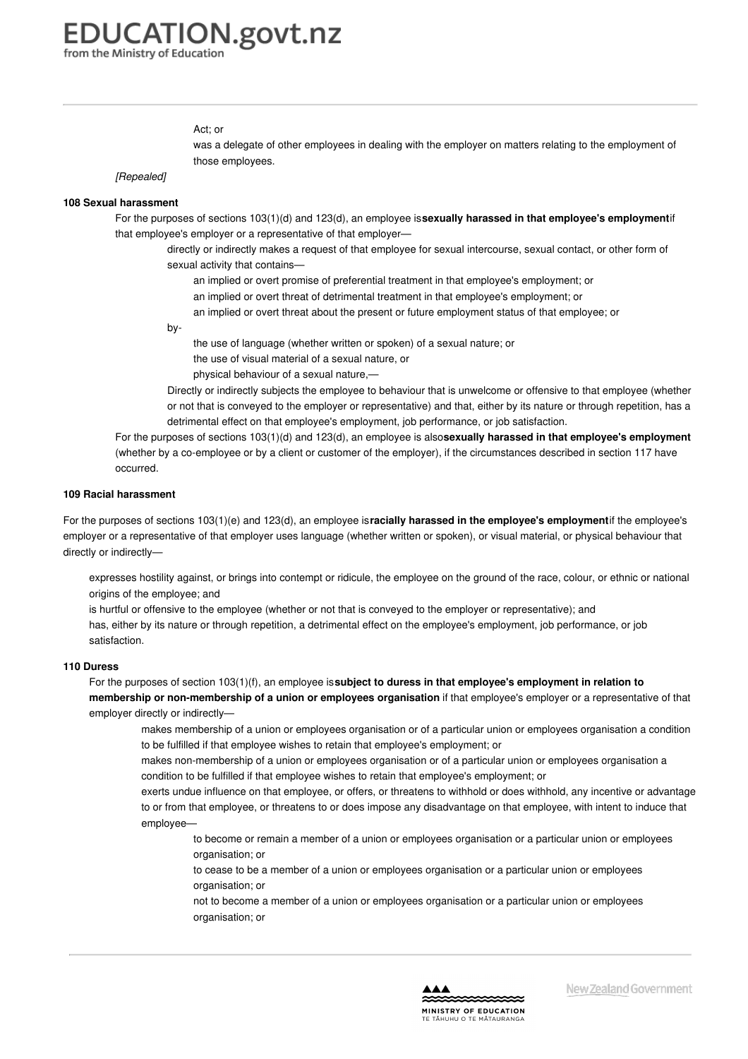from the Ministry of Education

#### Act; or

was a delegate of other employees in dealing with the employer on matters relating to the employment of those employees.

*[Repealed]*

#### **108 Sexual [harassment](https://www.education.govt.nz/school/people-and-employment/employment-agreements/collective-agreements/primary-teachers-collective-agreement/appendix-2-extract-from-employment-relations-act-2000/#cd_4193_108-sexual-harassment_Education%5CComplexDocuments%5CModel%5CComplexDocumentAccordionSection)**

For the purposes of sections 103(1)(d) and 123(d), an employee is**sexually harassed in that employee's employment**if that employee's employer or a representative of that employer—

directly or indirectly makes a request of that employee for sexual intercourse, sexual contact, or other form of sexual activity that contains—

- an implied or overt promise of preferential treatment in that employee's employment; or
- an implied or overt threat of detrimental treatment in that employee's employment; or
- an implied or overt threat about the present or future employment status of that employee; or

by-

the use of language (whether written or spoken) of a sexual nature; or

the use of visual material of a sexual nature, or

physical behaviour of a sexual nature,—

Directly or indirectly subjects the employee to behaviour that is unwelcome or offensive to that employee (whether or not that is conveyed to the employer or representative) and that, either by its nature or through repetition, has a detrimental effect on that employee's employment, job performance, or job satisfaction.

For the purposes of sections 103(1)(d) and 123(d), an employee is also**sexually harassed in that employee's employment** (whether by a co-employee or by a client or customer of the employer), if the circumstances described in section 117 have occurred.

#### **109 Racial [harassment](https://www.education.govt.nz/school/people-and-employment/employment-agreements/collective-agreements/primary-teachers-collective-agreement/appendix-2-extract-from-employment-relations-act-2000/#cd_4194_109-racial-harassment_Education%5CComplexDocuments%5CModel%5CComplexDocumentAccordionSection)**

For the purposes of sections 103(1)(e) and 123(d), an employee is**racially harassed in the employee's employment**if the employee's employer or a representative of that employer uses language (whether written or spoken), or visual material, or physical behaviour that directly or indirectly—

expresses hostility against, or brings into contempt or ridicule, the employee on the ground of the race, colour, or ethnic or national origins of the employee; and

is hurtful or offensive to the employee (whether or not that is conveyed to the employer or representative); and has, either by its nature or through repetition, a detrimental effect on the employee's employment, job performance, or job satisfaction.

#### **110 [Duress](https://www.education.govt.nz/school/people-and-employment/employment-agreements/collective-agreements/primary-teachers-collective-agreement/appendix-2-extract-from-employment-relations-act-2000/#cd_4195_110-duress_Education%5CComplexDocuments%5CModel%5CComplexDocumentAccordionSection)**

For the purposes of section 103(1)(f), an employee is**subject to duress in that employee's employment in relation to membership or non-membership of a union or employees organisation** if that employee's employer or a representative of that employer directly or indirectly—

makes membership of a union or employees organisation or of a particular union or employees organisation a condition to be fulfilled if that employee wishes to retain that employee's employment; or

makes non-membership of a union or employees organisation or of a particular union or employees organisation a condition to be fulfilled if that employee wishes to retain that employee's employment; or

exerts undue influence on that employee, or offers, or threatens to withhold or does withhold, any incentive or advantage to or from that employee, or threatens to or does impose any disadvantage on that employee, with intent to induce that employee—

- to become or remain a member of a union or employees organisation or a particular union or employees organisation; or
- to cease to be a member of a union or employees organisation or a particular union or employees organisation; or

not to become a member of a union or employees organisation or a particular union or employees organisation; or

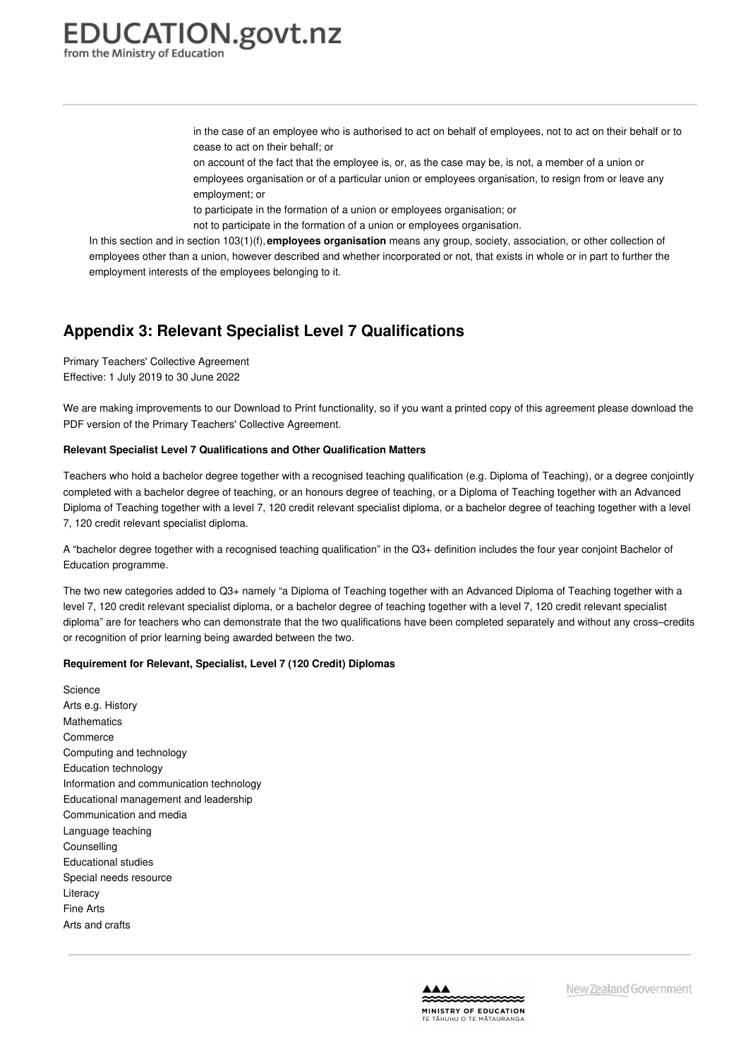> in the case of an employee who is authorised to act on behalf of employees, not to act on their behalf or to cease to act on their behalf; or

on account of the fact that the employee is, or, as the case may be, is not, a member of a union or employees organisation or of a particular union or employees organisation, to resign from or leave any employment; or

to participate in the formation of a union or employees organisation; or

not to participate in the formation of a union or employees organisation.

In this section and in section 103(1)(f),**employees organisation** means any group, society, association, or other collection of employees other than a union, however described and whether incorporated or not, that exists in whole or in part to further the employment interests of the employees belonging to it.

### **Appendix 3: Relevant Specialist Level 7 Qualifications**

Primary Teachers' Collective Agreement Effective: 1 July 2019 to 30 June 2022

We are making improvements to our Download to Print functionality, so if you want a printed copy of this agreement please download the PDF version of the Primary Teachers' Collective Agreement.

#### **Relevant Specialist Level 7 [Qualifications](https://www.education.govt.nz/school/people-and-employment/employment-agreements/collective-agreements/primary-teachers-collective-agreement/appendix-3-relevant-specialist-level-7-qualifications/#cd_4197_relevant-specialist-level-7-qualifications-and-other-qualification-matters_Education%5CComplexDocuments%5CModel%5CComplexDocumentAccordionSection) and Other Qualification Matters**

Teachers who hold a bachelor degree together with a recognised teaching qualification (e.g. Diploma of Teaching), or a degree conjointly completed with a bachelor degree of teaching, or an honours degree of teaching, or a Diploma of Teaching together with an Advanced Diploma of Teaching together with a level 7, 120 credit relevant specialist diploma, or a bachelor degree of teaching together with a level 7, 120 credit relevant specialist diploma.

A "bachelor degree together with a recognised teaching qualification" in the Q3+ definition includes the four year conjoint Bachelor of Education programme.

The two new categories added to Q3+ namely "a Diploma of Teaching together with an Advanced Diploma of Teaching together with a level 7, 120 credit relevant specialist diploma, or a bachelor degree of teaching together with a level 7, 120 credit relevant specialist diploma" are for teachers who can demonstrate that the two qualifications have been completed separately and without any cross–credits or recognition of prior learning being awarded between the two.

#### **Requirement for Relevant, Specialist, Level 7 (120 Credit) Diplomas**

**Science** Arts e.g. History Mathematics Commerce Computing and technology Education technology Information and communication technology Educational management and leadership Communication and media Language teaching **Counselling** Educational studies Special needs resource **Literacy** Fine Arts Arts and crafts

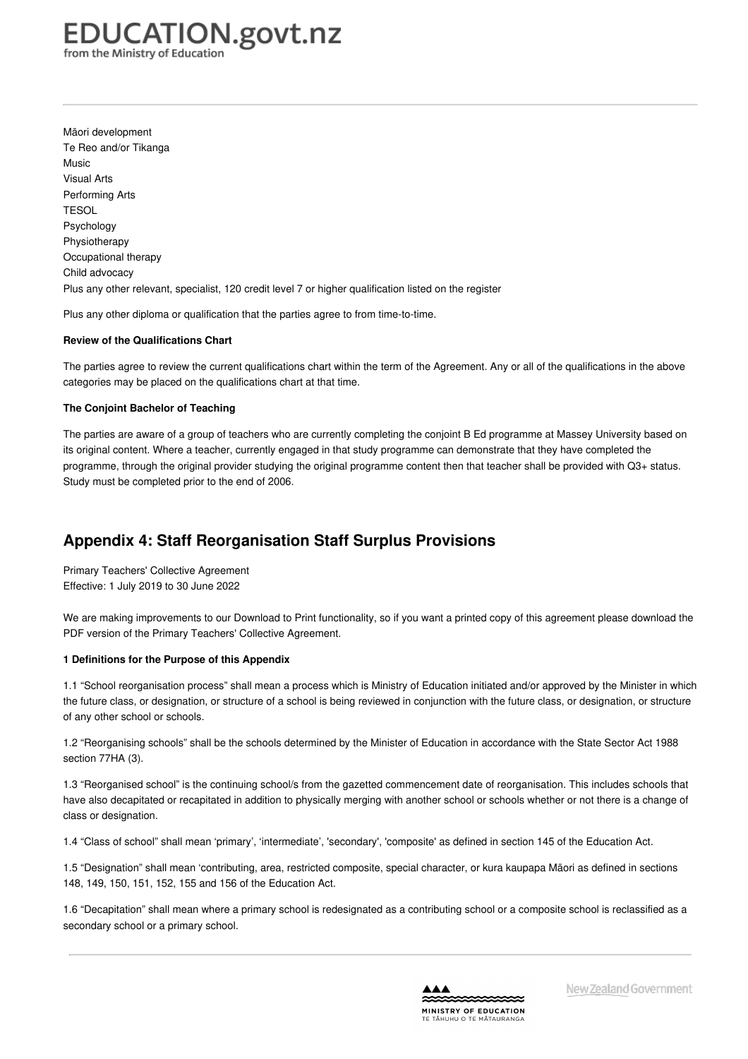from the Ministry of Education

Māori development Te Reo and/or Tikanga Music Visual Arts Performing Arts **TESOL** Psychology Physiotherapy Occupational therapy Child advocacy Plus any other relevant, specialist, 120 credit level 7 or higher qualification listed on the register

Plus any other diploma or qualification that the parties agree to from time-to-time.

#### **Review of the Qualifications Chart**

The parties agree to review the current qualifications chart within the term of the Agreement. Any or all of the qualifications in the above categories may be placed on the qualifications chart at that time.

#### **The Conjoint Bachelor of Teaching**

The parties are aware of a group of teachers who are currently completing the conjoint B Ed programme at Massey University based on its original content. Where a teacher, currently engaged in that study programme can demonstrate that they have completed the programme, through the original provider studying the original programme content then that teacher shall be provided with Q3+ status. Study must be completed prior to the end of 2006.

## **Appendix 4: Staff Reorganisation Staff Surplus Provisions**

Primary Teachers' Collective Agreement Effective: 1 July 2019 to 30 June 2022

We are making improvements to our Download to Print functionality, so if you want a printed copy of this agreement please download the PDF version of the Primary Teachers' Collective Agreement.

#### **1 [Definitions](https://www.education.govt.nz/school/people-and-employment/employment-agreements/collective-agreements/primary-teachers-collective-agreement/appendix-4-staff-reorganisation-staff-surplus-provisions/#cd_4199_1-definitions-for-the-purpose-of-this-appendix_Education%5CComplexDocuments%5CModel%5CComplexDocumentAccordionSection) for the Purpose of this Appendix**

1.1 "School reorganisation process" shall mean a process which is Ministry of Education initiated and/or approved by the Minister in which the future class, or designation, or structure of a school is being reviewed in conjunction with the future class, or designation, or structure of any other school or schools.

1.2 "Reorganising schools" shall be the schools determined by the Minister of Education in accordance with the State Sector Act 1988 section 77HA (3).

1.3 "Reorganised school" is the continuing school/s from the gazetted commencement date of reorganisation. This includes schools that have also decapitated or recapitated in addition to physically merging with another school or schools whether or not there is a change of class or designation.

1.4 "Class of school" shall mean 'primary', 'intermediate', 'secondary', 'composite' as defined in section 145 of the Education Act.

1.5 "Designation" shall mean 'contributing, area, restricted composite, special character, or kura kaupapa Māori as defined in sections 148, 149, 150, 151, 152, 155 and 156 of the Education Act.

1.6 "Decapitation" shall mean where a primary school is redesignated as a contributing school or a composite school is reclassified as a secondary school or a primary school.

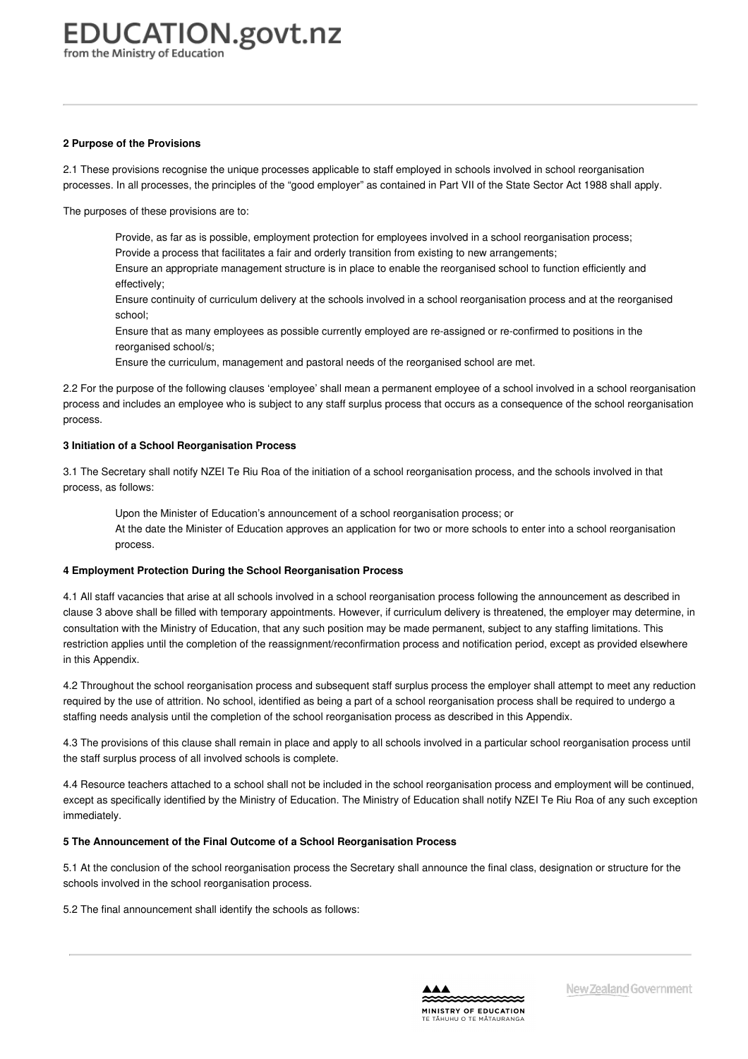#### **2 Purpose of the [Provisions](https://www.education.govt.nz/school/people-and-employment/employment-agreements/collective-agreements/primary-teachers-collective-agreement/appendix-4-staff-reorganisation-staff-surplus-provisions/#cd_4200_2-purpose-of-the-provisions_Education%5CComplexDocuments%5CModel%5CComplexDocumentAccordionSection)**

2.1 These provisions recognise the unique processes applicable to staff employed in schools involved in school reorganisation processes. In all processes, the principles of the "good employer" as contained in Part VII of the State Sector Act 1988 shall apply.

The purposes of these provisions are to:

Provide, as far as is possible, employment protection for employees involved in a school reorganisation process; Provide a process that facilitates a fair and orderly transition from existing to new arrangements;

Ensure an appropriate management structure is in place to enable the reorganised school to function efficiently and effectively;

Ensure continuity of curriculum delivery at the schools involved in a school reorganisation process and at the reorganised school;

Ensure that as many employees as possible currently employed are re-assigned or re-confirmed to positions in the reorganised school/s;

Ensure the curriculum, management and pastoral needs of the reorganised school are met.

2.2 For the purpose of the following clauses 'employee' shall mean a permanent employee of a school involved in a school reorganisation process and includes an employee who is subject to any staff surplus process that occurs as a consequence of the school reorganisation process.

#### **3 Initiation of a School [Reorganisation](https://www.education.govt.nz/school/people-and-employment/employment-agreements/collective-agreements/primary-teachers-collective-agreement/appendix-4-staff-reorganisation-staff-surplus-provisions/#cd_4201_3-initiation-of-a-school-reorganisation-process_Education%5CComplexDocuments%5CModel%5CComplexDocumentAccordionSection) Process**

3.1 The Secretary shall notify NZEI Te Riu Roa of the initiation of a school reorganisation process, and the schools involved in that process, as follows:

Upon the Minister of Education's announcement of a school reorganisation process; or At the date the Minister of Education approves an application for two or more schools to enter into a school reorganisation process.

#### **4 Employment Protection During the School [Reorganisation](https://www.education.govt.nz/school/people-and-employment/employment-agreements/collective-agreements/primary-teachers-collective-agreement/appendix-4-staff-reorganisation-staff-surplus-provisions/#cd_4202_4-employment-protection-during-the-school-reorganisation-process_Education%5CComplexDocuments%5CModel%5CComplexDocumentAccordionSection) Process**

4.1 All staff vacancies that arise at all schools involved in a school reorganisation process following the announcement as described in clause 3 above shall be filled with temporary appointments. However, if curriculum delivery is threatened, the employer may determine, in consultation with the Ministry of Education, that any such position may be made permanent, subject to any staffing limitations. This restriction applies until the completion of the reassignment/reconfirmation process and notification period, except as provided elsewhere in this Appendix.

4.2 Throughout the school reorganisation process and subsequent staff surplus process the employer shall attempt to meet any reduction required by the use of attrition. No school, identified as being a part of a school reorganisation process shall be required to undergo a staffing needs analysis until the completion of the school reorganisation process as described in this Appendix.

4.3 The provisions of this clause shall remain in place and apply to all schools involved in a particular school reorganisation process until the staff surplus process of all involved schools is complete.

4.4 Resource teachers attached to a school shall not be included in the school reorganisation process and employment will be continued, except as specifically identified by the Ministry of Education. The Ministry of Education shall notify NZEI Te Riu Roa of any such exception immediately.

#### **5 The [Announcement](https://www.education.govt.nz/school/people-and-employment/employment-agreements/collective-agreements/primary-teachers-collective-agreement/appendix-4-staff-reorganisation-staff-surplus-provisions/#cd_4203_5-the-announcement-of-the-final-outcome-of-a-school-reorganisation-process_Education%5CComplexDocuments%5CModel%5CComplexDocumentAccordionSection) of the Final Outcome of a School Reorganisation Process**

5.1 At the conclusion of the school reorganisation process the Secretary shall announce the final class, designation or structure for the schools involved in the school reorganisation process.

5.2 The final announcement shall identify the schools as follows:

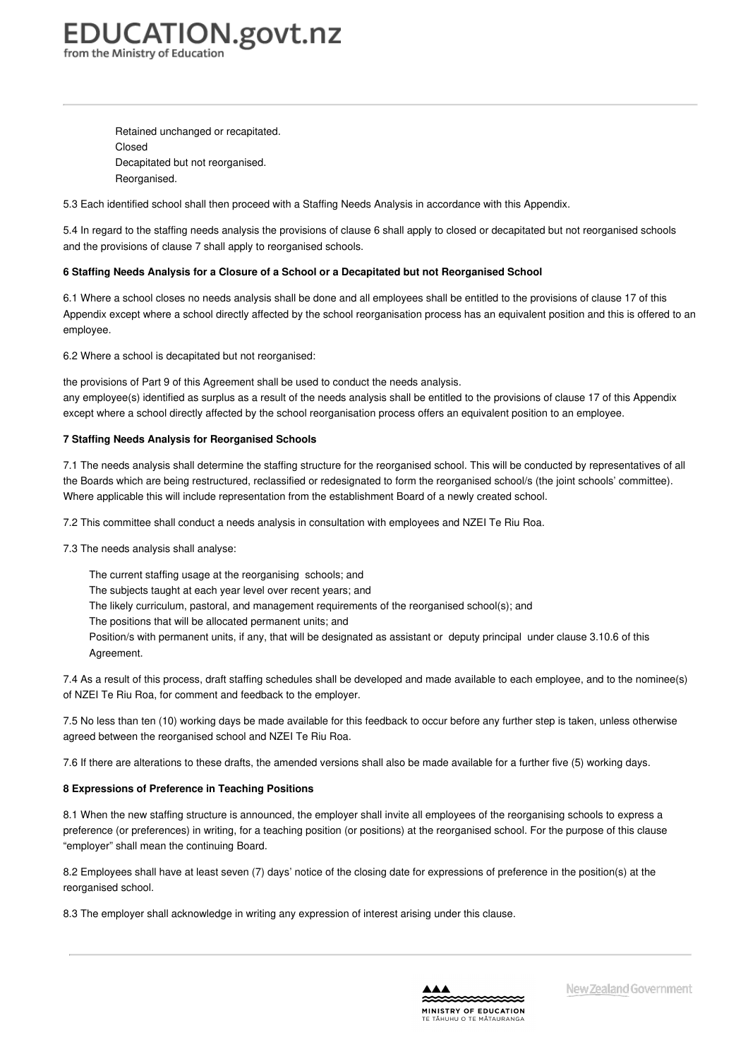Retained unchanged or recapitated. Closed Decapitated but not reorganised. Reorganised.

5.3 Each identified school shall then proceed with a Staffing Needs Analysis in accordance with this Appendix.

5.4 In regard to the staffing needs analysis the provisions of clause 6 shall apply to closed or decapitated but not reorganised schools and the provisions of clause 7 shall apply to reorganised schools.

#### **6 Staffing Needs Analysis for a Closure of a School or a Decapitated but not [Reorganised](https://www.education.govt.nz/school/people-and-employment/employment-agreements/collective-agreements/primary-teachers-collective-agreement/appendix-4-staff-reorganisation-staff-surplus-provisions/#cd_4204_6-staffing-needs-analysis-for-a-closure-of-a-school-or-a-decapitated-but-not-reorganised-school_Education%5CComplexDocuments%5CModel%5CComplexDocumentAccordionSection) School**

6.1 Where a school closes no needs analysis shall be done and all employees shall be entitled to the provisions of clause 17 of this Appendix except where a school directly affected by the school reorganisation process has an equivalent position and this is offered to an employee.

6.2 Where a school is decapitated but not reorganised:

the provisions of Part 9 of this Agreement shall be used to conduct the needs analysis. any employee(s) identified as surplus as a result of the needs analysis shall be entitled to the provisions of clause 17 of this Appendix except where a school directly affected by the school reorganisation process offers an equivalent position to an employee.

#### **7 Staffing Needs Analysis for [Reorganised](https://www.education.govt.nz/school/people-and-employment/employment-agreements/collective-agreements/primary-teachers-collective-agreement/appendix-4-staff-reorganisation-staff-surplus-provisions/#cd_4205_7-staffing-needs-analysis-for-reorganised-schools_Education%5CComplexDocuments%5CModel%5CComplexDocumentAccordionSection) Schools**

7.1 The needs analysis shall determine the staffing structure for the reorganised school. This will be conducted by representatives of all the Boards which are being restructured, reclassified or redesignated to form the reorganised school/s (the joint schools' committee). Where applicable this will include representation from the establishment Board of a newly created school.

7.2 This committee shall conduct a needs analysis in consultation with employees and NZEI Te Riu Roa.

7.3 The needs analysis shall analyse:

The current staffing usage at the reorganising schools; and The subjects taught at each year level over recent years; and The likely curriculum, pastoral, and management requirements of the reorganised school(s); and The positions that will be allocated permanent units; and Position/s with permanent units, if any, that will be designated as assistant or deputy principal under clause 3.10.6 of this Agreement.

7.4 As a result of this process, draft staffing schedules shall be developed and made available to each employee, and to the nominee(s) of NZEI Te Riu Roa, for comment and feedback to the employer.

7.5 No less than ten (10) working days be made available for this feedback to occur before any further step is taken, unless otherwise agreed between the reorganised school and NZEI Te Riu Roa.

7.6 If there are alterations to these drafts, the amended versions shall also be made available for a further five (5) working days.

#### **8 [Expressions](https://www.education.govt.nz/school/people-and-employment/employment-agreements/collective-agreements/primary-teachers-collective-agreement/appendix-4-staff-reorganisation-staff-surplus-provisions/#cd_4206_8-expressions-of-preference-in-teaching-positions_Education%5CComplexDocuments%5CModel%5CComplexDocumentAccordionSection) of Preference in Teaching Positions**

8.1 When the new staffing structure is announced, the employer shall invite all employees of the reorganising schools to express a preference (or preferences) in writing, for a teaching position (or positions) at the reorganised school. For the purpose of this clause "employer" shall mean the continuing Board.

8.2 Employees shall have at least seven (7) days' notice of the closing date for expressions of preference in the position(s) at the reorganised school.

8.3 The employer shall acknowledge in writing any expression of interest arising under this clause.

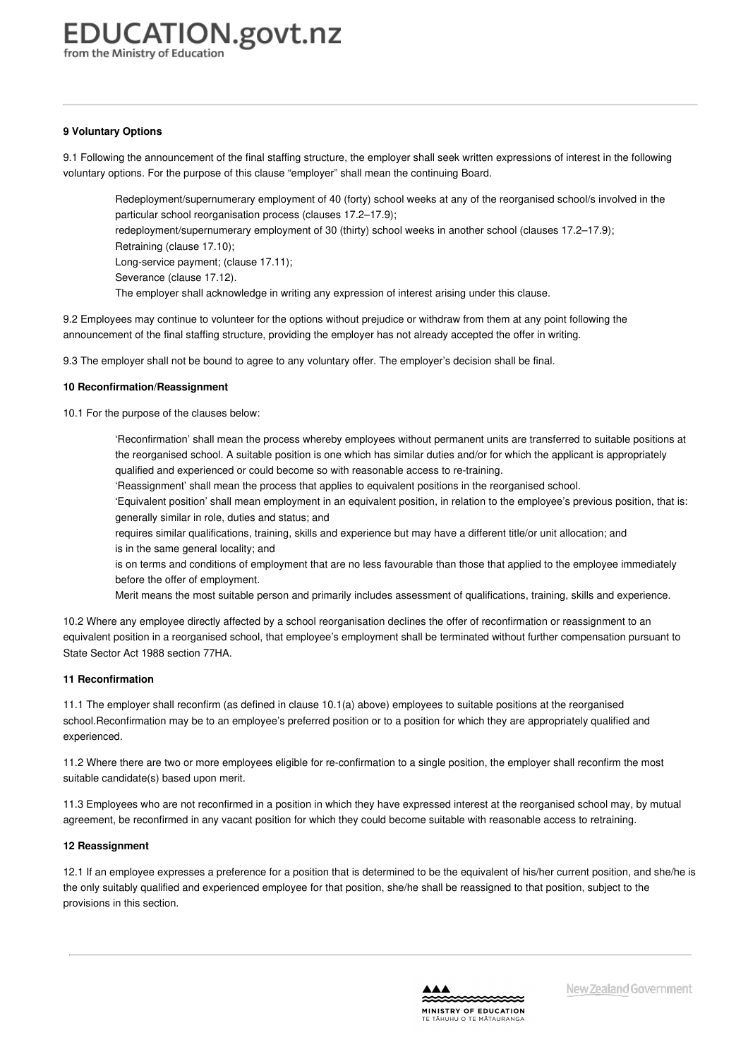from the Ministry of Education

#### **9 [Voluntary](https://www.education.govt.nz/school/people-and-employment/employment-agreements/collective-agreements/primary-teachers-collective-agreement/appendix-4-staff-reorganisation-staff-surplus-provisions/#cd_4207_9-voluntary-options_Education%5CComplexDocuments%5CModel%5CComplexDocumentAccordionSection) Options**

9.1 Following the announcement of the final staffing structure, the employer shall seek written expressions of interest in the following voluntary options. For the purpose of this clause "employer" shall mean the continuing Board.

Redeployment/supernumerary employment of 40 (forty) school weeks at any of the reorganised school/s involved in the particular school reorganisation process (clauses 17.2–17.9);

redeployment/supernumerary employment of 30 (thirty) school weeks in another school (clauses 17.2–17.9); Retraining (clause 17.10);

Long-service payment; (clause 17.11);

Severance (clause 17.12).

The employer shall acknowledge in writing any expression of interest arising under this clause.

9.2 Employees may continue to volunteer for the options without prejudice or withdraw from them at any point following the announcement of the final staffing structure, providing the employer has not already accepted the offer in writing.

9.3 The employer shall not be bound to agree to any voluntary offer. The employer's decision shall be final.

#### **10 [Reconfirmation/Reassignment](https://www.education.govt.nz/school/people-and-employment/employment-agreements/collective-agreements/primary-teachers-collective-agreement/appendix-4-staff-reorganisation-staff-surplus-provisions/#cd_4208_10-reconfirmationreassignment_Education%5CComplexDocuments%5CModel%5CComplexDocumentAccordionSection)**

10.1 For the purpose of the clauses below:

'Reconfirmation' shall mean the process whereby employees without permanent units are transferred to suitable positions at the reorganised school. A suitable position is one which has similar duties and/or for which the applicant is appropriately qualified and experienced or could become so with reasonable access to re-training.

'Reassignment' shall mean the process that applies to equivalent positions in the reorganised school.

'Equivalent position' shall mean employment in an equivalent position, in relation to the employee's previous position, that is: generally similar in role, duties and status; and

requires similar qualifications, training, skills and experience but may have a different title/or unit allocation; and is in the same general locality; and

is on terms and conditions of employment that are no less favourable than those that applied to the employee immediately before the offer of employment.

Merit means the most suitable person and primarily includes assessment of qualifications, training, skills and experience.

10.2 Where any employee directly affected by a school reorganisation declines the offer of reconfirmation or reassignment to an equivalent position in a reorganised school, that employee's employment shall be terminated without further compensation pursuant to State Sector Act 1988 section 77HA.

#### **11 [Reconfirmation](https://www.education.govt.nz/school/people-and-employment/employment-agreements/collective-agreements/primary-teachers-collective-agreement/appendix-4-staff-reorganisation-staff-surplus-provisions/#cd_4209_11-reconfirmation_Education%5CComplexDocuments%5CModel%5CComplexDocumentAccordionSection)**

11.1 The employer shall reconfirm (as defined in clause 10.1(a) above) employees to suitable positions at the reorganised school.Reconfirmation may be to an employee's preferred position or to a position for which they are appropriately qualified and experienced.

11.2 Where there are two or more employees eligible for re-confirmation to a single position, the employer shall reconfirm the most suitable candidate(s) based upon merit.

11.3 Employees who are not reconfirmed in a position in which they have expressed interest at the reorganised school may, by mutual agreement, be reconfirmed in any vacant position for which they could become suitable with reasonable access to retraining.

#### **12 [Reassignment](https://www.education.govt.nz/school/people-and-employment/employment-agreements/collective-agreements/primary-teachers-collective-agreement/appendix-4-staff-reorganisation-staff-surplus-provisions/#cd_4210_12-reassignment_Education%5CComplexDocuments%5CModel%5CComplexDocumentAccordionSection)**

12.1 If an employee expresses a preference for a position that is determined to be the equivalent of his/her current position, and she/he is the only suitably qualified and experienced employee for that position, she/he shall be reassigned to that position, subject to the provisions in this section.

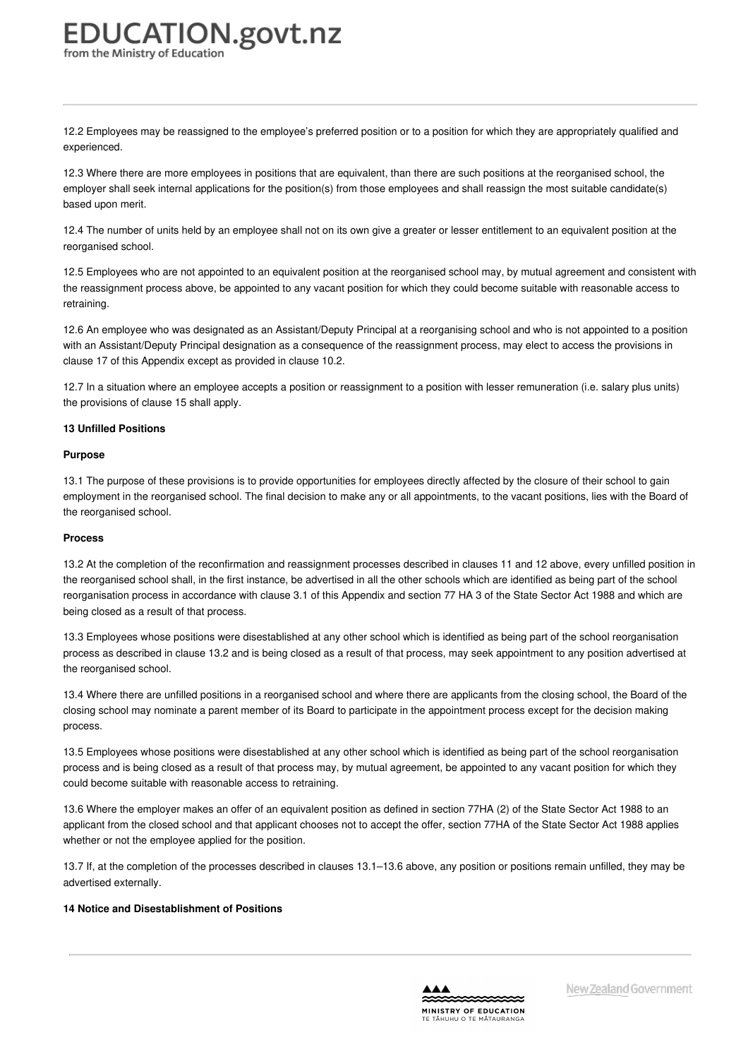12.2 Employees may be reassigned to the employee's preferred position or to a position for which they are appropriately qualified and experienced.

12.3 Where there are more employees in positions that are equivalent, than there are such positions at the reorganised school, the employer shall seek internal applications for the position(s) from those employees and shall reassign the most suitable candidate(s) based upon merit.

12.4 The number of units held by an employee shall not on its own give a greater or lesser entitlement to an equivalent position at the reorganised school.

12.5 Employees who are not appointed to an equivalent position at the reorganised school may, by mutual agreement and consistent with the reassignment process above, be appointed to any vacant position for which they could become suitable with reasonable access to retraining.

12.6 An employee who was designated as an Assistant/Deputy Principal at a reorganising school and who is not appointed to a position with an Assistant/Deputy Principal designation as a consequence of the reassignment process, may elect to access the provisions in clause 17 of this Appendix except as provided in clause 10.2.

12.7 In a situation where an employee accepts a position or reassignment to a position with lesser remuneration (i.e. salary plus units) the provisions of clause 15 shall apply.

#### **13 Unfilled [Positions](https://www.education.govt.nz/school/people-and-employment/employment-agreements/collective-agreements/primary-teachers-collective-agreement/appendix-4-staff-reorganisation-staff-surplus-provisions/#cd_4211_13-unfilled-positions_Education%5CComplexDocuments%5CModel%5CComplexDocumentAccordionSection)**

#### **Purpose**

13.1 The purpose of these provisions is to provide opportunities for employees directly affected by the closure of their school to gain employment in the reorganised school. The final decision to make any or all appointments, to the vacant positions, lies with the Board of the reorganised school.

#### **Process**

13.2 At the completion of the reconfirmation and reassignment processes described in clauses 11 and 12 above, every unfilled position in the reorganised school shall, in the first instance, be advertised in all the other schools which are identified as being part of the school reorganisation process in accordance with clause 3.1 of this Appendix and section 77 HA 3 of the State Sector Act 1988 and which are being closed as a result of that process.

13.3 Employees whose positions were disestablished at any other school which is identified as being part of the school reorganisation process as described in clause 13.2 and is being closed as a result of that process, may seek appointment to any position advertised at the reorganised school.

13.4 Where there are unfilled positions in a reorganised school and where there are applicants from the closing school, the Board of the closing school may nominate a parent member of its Board to participate in the appointment process except for the decision making process.

13.5 Employees whose positions were disestablished at any other school which is identified as being part of the school reorganisation process and is being closed as a result of that process may, by mutual agreement, be appointed to any vacant position for which they could become suitable with reasonable access to retraining.

13.6 Where the employer makes an offer of an equivalent position as defined in section 77HA (2) of the State Sector Act 1988 to an applicant from the closed school and that applicant chooses not to accept the offer, section 77HA of the State Sector Act 1988 applies whether or not the employee applied for the position.

13.7 If, at the completion of the processes described in clauses 13.1–13.6 above, any position or positions remain unfilled, they may be advertised externally.

#### **14 Notice and [Disestablishment](https://www.education.govt.nz/school/people-and-employment/employment-agreements/collective-agreements/primary-teachers-collective-agreement/appendix-4-staff-reorganisation-staff-surplus-provisions/#cd_4212_14-notice-and-disestablishment-of-positions_Education%5CComplexDocuments%5CModel%5CComplexDocumentAccordionSection) of Positions**

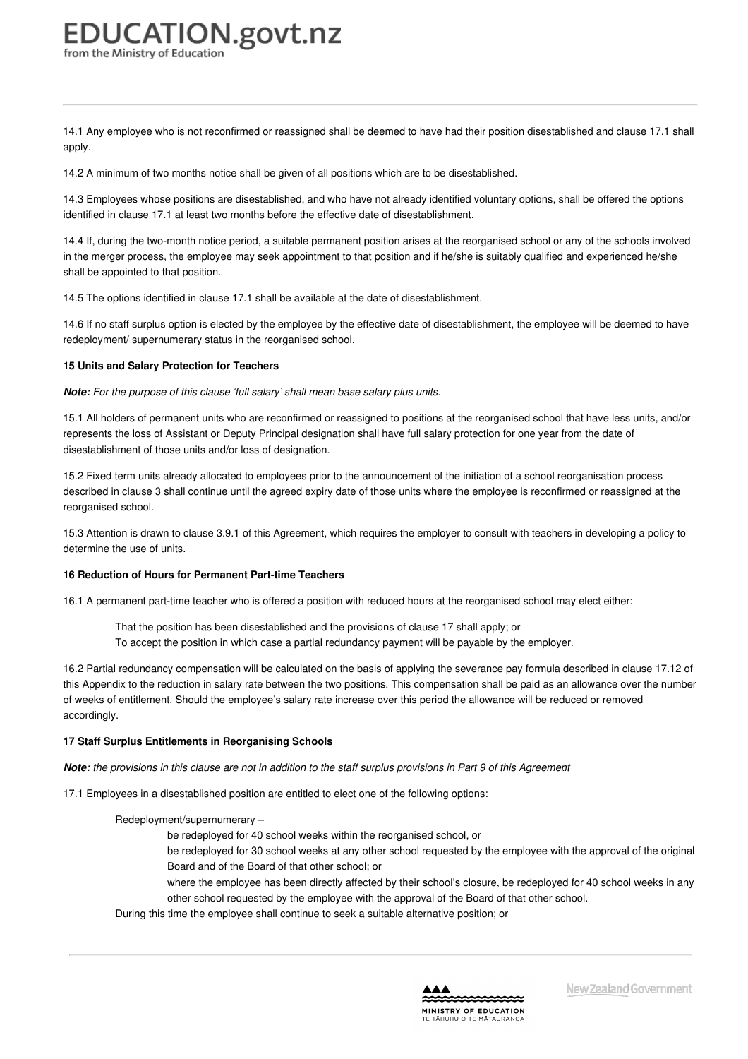14.1 Any employee who is not reconfirmed or reassigned shall be deemed to have had their position disestablished and clause 17.1 shall apply.

14.2 A minimum of two months notice shall be given of all positions which are to be disestablished.

14.3 Employees whose positions are disestablished, and who have not already identified voluntary options, shall be offered the options identified in clause 17.1 at least two months before the effective date of disestablishment.

14.4 If, during the two-month notice period, a suitable permanent position arises at the reorganised school or any of the schools involved in the merger process, the employee may seek appointment to that position and if he/she is suitably qualified and experienced he/she shall be appointed to that position.

14.5 The options identified in clause 17.1 shall be available at the date of disestablishment.

14.6 If no staff surplus option is elected by the employee by the effective date of disestablishment, the employee will be deemed to have redeployment/ supernumerary status in the reorganised school.

#### **15 Units and Salary [Protection](https://www.education.govt.nz/school/people-and-employment/employment-agreements/collective-agreements/primary-teachers-collective-agreement/appendix-4-staff-reorganisation-staff-surplus-provisions/#cd_4213_15-units-and-salary-protection-for-teachers_Education%5CComplexDocuments%5CModel%5CComplexDocumentAccordionSection) for Teachers**

*Note: For the purpose of this clause 'full salary' shall mean base salary plus units.*

15.1 All holders of permanent units who are reconfirmed or reassigned to positions at the reorganised school that have less units, and/or represents the loss of Assistant or Deputy Principal designation shall have full salary protection for one year from the date of disestablishment of those units and/or loss of designation.

15.2 Fixed term units already allocated to employees prior to the announcement of the initiation of a school reorganisation process described in clause 3 shall continue until the agreed expiry date of those units where the employee is reconfirmed or reassigned at the reorganised school.

15.3 Attention is drawn to clause 3.9.1 of this Agreement, which requires the employer to consult with teachers in developing a policy to determine the use of units.

#### **16 Reduction of Hours for [Permanent](https://www.education.govt.nz/school/people-and-employment/employment-agreements/collective-agreements/primary-teachers-collective-agreement/appendix-4-staff-reorganisation-staff-surplus-provisions/#cd_4214_16-reduction-of-hours-for-permanent-part-time-teachers_Education%5CComplexDocuments%5CModel%5CComplexDocumentAccordionSection) Part-time Teachers**

16.1 A permanent part-time teacher who is offered a position with reduced hours at the reorganised school may elect either:

- That the position has been disestablished and the provisions of clause 17 shall apply; or
- To accept the position in which case a partial redundancy payment will be payable by the employer.

16.2 Partial redundancy compensation will be calculated on the basis of applying the severance pay formula described in clause 17.12 of this Appendix to the reduction in salary rate between the two positions. This compensation shall be paid as an allowance over the number of weeks of entitlement. Should the employee's salary rate increase over this period the allowance will be reduced or removed accordingly.

#### **17 Staff Surplus Entitlements in [Reorganising](https://www.education.govt.nz/school/people-and-employment/employment-agreements/collective-agreements/primary-teachers-collective-agreement/appendix-4-staff-reorganisation-staff-surplus-provisions/#cd_4215_17-staff-surplus-entitlements-in-reorganising-schools_Education%5CComplexDocuments%5CModel%5CComplexDocumentAccordionSection) Schools**

Note: the provisions in this clause are not in addition to the staff surplus provisions in Part 9 of this Agreement

17.1 Employees in a disestablished position are entitled to elect one of the following options:

#### Redeployment/supernumerary –

be redeployed for 40 school weeks within the reorganised school, or

be redeployed for 30 school weeks at any other school requested by the employee with the approval of the original Board and of the Board of that other school; or

where the employee has been directly affected by their school's closure, be redeployed for 40 school weeks in any other school requested by the employee with the approval of the Board of that other school.

During this time the employee shall continue to seek a suitable alternative position; or

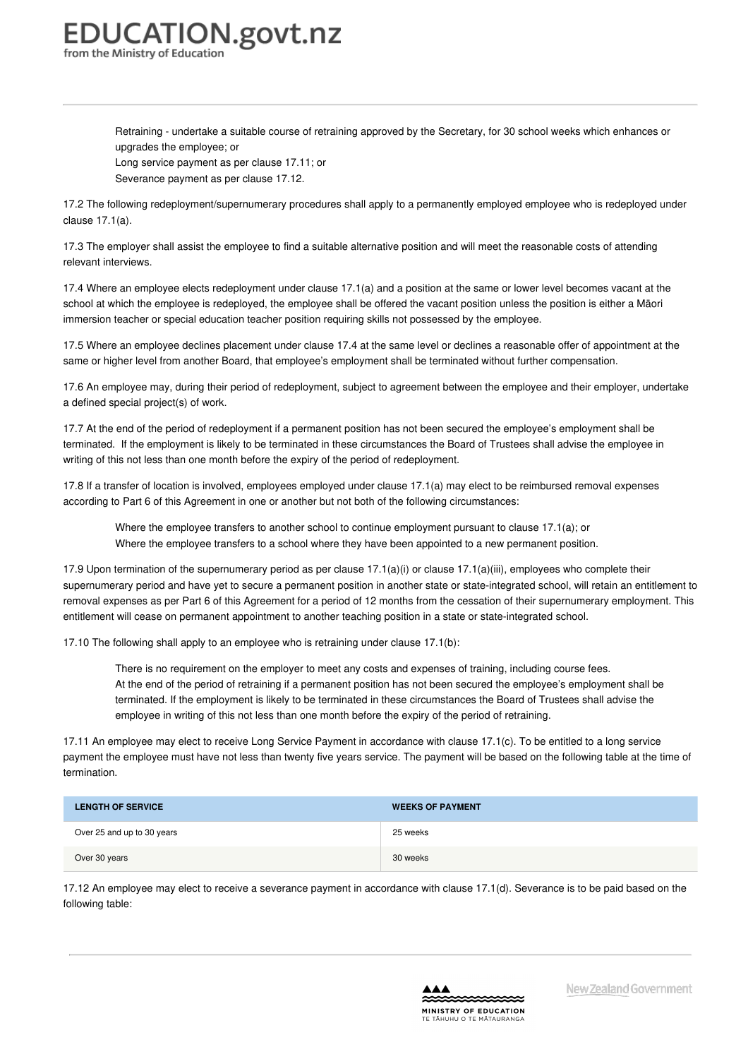Retraining - undertake a suitable course of retraining approved by the Secretary, for 30 school weeks which enhances or upgrades the employee; or

Long service payment as per clause 17.11; or Severance payment as per clause 17.12.

17.2 The following redeployment/supernumerary procedures shall apply to a permanently employed employee who is redeployed under clause 17.1(a).

17.3 The employer shall assist the employee to find a suitable alternative position and will meet the reasonable costs of attending relevant interviews.

17.4 Where an employee elects redeployment under clause 17.1(a) and a position at the same or lower level becomes vacant at the school at which the employee is redeployed, the employee shall be offered the vacant position unless the position is either a Māori immersion teacher or special education teacher position requiring skills not possessed by the employee.

17.5 Where an employee declines placement under clause 17.4 at the same level or declines a reasonable offer of appointment at the same or higher level from another Board, that employee's employment shall be terminated without further compensation.

17.6 An employee may, during their period of redeployment, subject to agreement between the employee and their employer, undertake a defined special project(s) of work.

17.7 At the end of the period of redeployment if a permanent position has not been secured the employee's employment shall be terminated. If the employment is likely to be terminated in these circumstances the Board of Trustees shall advise the employee in writing of this not less than one month before the expiry of the period of redeployment.

17.8 If a transfer of location is involved, employees employed under clause 17.1(a) may elect to be reimbursed removal expenses according to Part 6 of this Agreement in one or another but not both of the following circumstances:

Where the employee transfers to another school to continue employment pursuant to clause 17.1(a); or Where the employee transfers to a school where they have been appointed to a new permanent position.

17.9 Upon termination of the supernumerary period as per clause 17.1(a)(i) or clause 17.1(a)(iii), employees who complete their supernumerary period and have yet to secure a permanent position in another state or state-integrated school, will retain an entitlement to removal expenses as per Part 6 of this Agreement for a period of 12 months from the cessation of their supernumerary employment. This entitlement will cease on permanent appointment to another teaching position in a state or state-integrated school.

17.10 The following shall apply to an employee who is retraining under clause 17.1(b):

There is no requirement on the employer to meet any costs and expenses of training, including course fees. At the end of the period of retraining if a permanent position has not been secured the employee's employment shall be terminated. If the employment is likely to be terminated in these circumstances the Board of Trustees shall advise the employee in writing of this not less than one month before the expiry of the period of retraining.

17.11 An employee may elect to receive Long Service Payment in accordance with clause 17.1(c). To be entitled to a long service payment the employee must have not less than twenty five years service. The payment will be based on the following table at the time of termination.

| <b>LENGTH OF SERVICE</b>   | <b>WEEKS OF PAYMENT</b> |
|----------------------------|-------------------------|
| Over 25 and up to 30 years | 25 weeks                |
| Over 30 years              | 30 weeks                |

17.12 An employee may elect to receive a severance payment in accordance with clause 17.1(d). Severance is to be paid based on the following table:

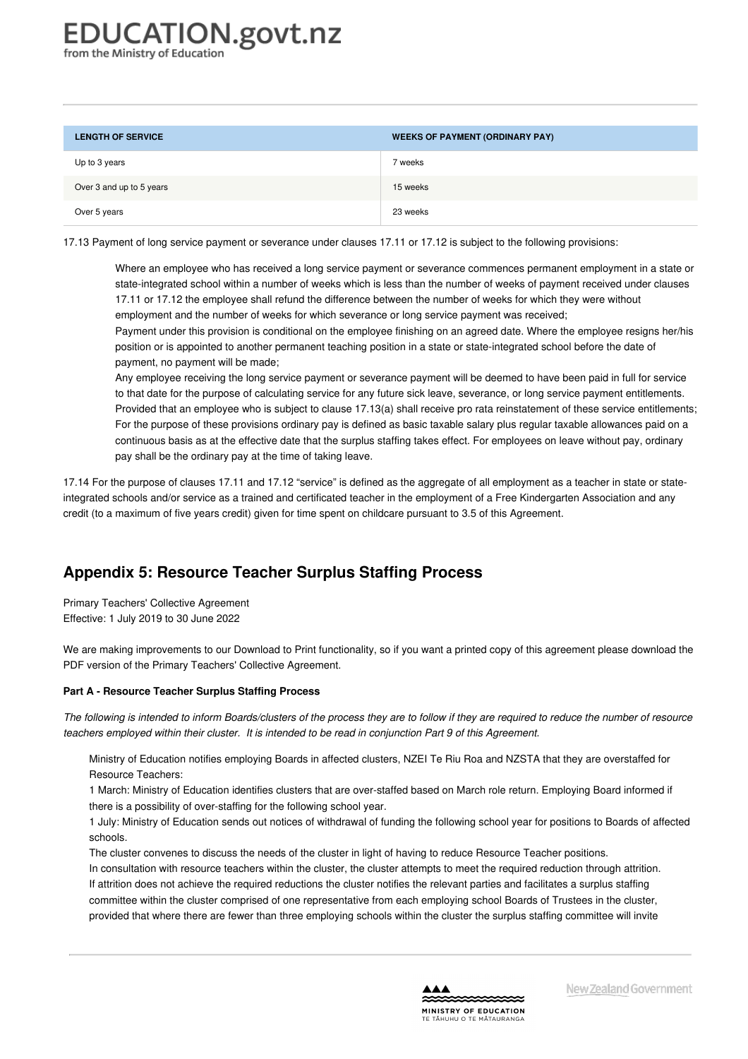**LENGTH OF SERVICE WEEKS OF PAYMENT (ORDINARY PAY)** Up to 3 years 7 weeks Over 3 and up to 5 years 15 weeks Over 5 years 23 weeks

17.13 Payment of long service payment or severance under clauses 17.11 or 17.12 is subject to the following provisions:

Where an employee who has received a long service payment or severance commences permanent employment in a state or state-integrated school within a number of weeks which is less than the number of weeks of payment received under clauses 17.11 or 17.12 the employee shall refund the difference between the number of weeks for which they were without employment and the number of weeks for which severance or long service payment was received;

Payment under this provision is conditional on the employee finishing on an agreed date. Where the employee resigns her/his position or is appointed to another permanent teaching position in a state or state-integrated school before the date of payment, no payment will be made;

Any employee receiving the long service payment or severance payment will be deemed to have been paid in full for service to that date for the purpose of calculating service for any future sick leave, severance, or long service payment entitlements. Provided that an employee who is subject to clause 17.13(a) shall receive pro rata reinstatement of these service entitlements; For the purpose of these provisions ordinary pay is defined as basic taxable salary plus regular taxable allowances paid on a continuous basis as at the effective date that the surplus staffing takes effect. For employees on leave without pay, ordinary pay shall be the ordinary pay at the time of taking leave.

17.14 For the purpose of clauses 17.11 and 17.12 "service" is defined as the aggregate of all employment as a teacher in state or stateintegrated schools and/or service as a trained and certificated teacher in the employment of a Free Kindergarten Association and any credit (to a maximum of five years credit) given for time spent on childcare pursuant to 3.5 of this Agreement.

## **Appendix 5: Resource Teacher Surplus Staffing Process**

Primary Teachers' Collective Agreement Effective: 1 July 2019 to 30 June 2022

We are making improvements to our Download to Print functionality, so if you want a printed copy of this agreement please download the PDF version of the Primary Teachers' Collective Agreement.

#### **Part A - [Resource](https://www.education.govt.nz/school/people-and-employment/employment-agreements/collective-agreements/primary-teachers-collective-agreement/appendix-5-resource-teacher-surplus-staffing-process/#cd_4217_part-a-resource-teacher-surplus-staffing-process_Education%5CComplexDocuments%5CModel%5CComplexDocumentAccordionSection) Teacher Surplus Staffing Process**

The following is intended to inform Boards/clusters of the process they are to follow if they are required to reduce the number of resource teachers employed within their cluster. It is intended to be read in conjunction Part 9 of this Agreement.

Ministry of Education notifies employing Boards in affected clusters, NZEI Te Riu Roa and NZSTA that they are overstaffed for Resource Teachers:

1 March: Ministry of Education identifies clusters that are over-staffed based on March role return. Employing Board informed if there is a possibility of over-staffing for the following school year.

1 July: Ministry of Education sends out notices of withdrawal of funding the following school year for positions to Boards of affected schools.

The cluster convenes to discuss the needs of the cluster in light of having to reduce Resource Teacher positions. In consultation with resource teachers within the cluster, the cluster attempts to meet the required reduction through attrition. If attrition does not achieve the required reductions the cluster notifies the relevant parties and facilitates a surplus staffing committee within the cluster comprised of one representative from each employing school Boards of Trustees in the cluster, provided that where there are fewer than three employing schools within the cluster the surplus staffing committee will invite

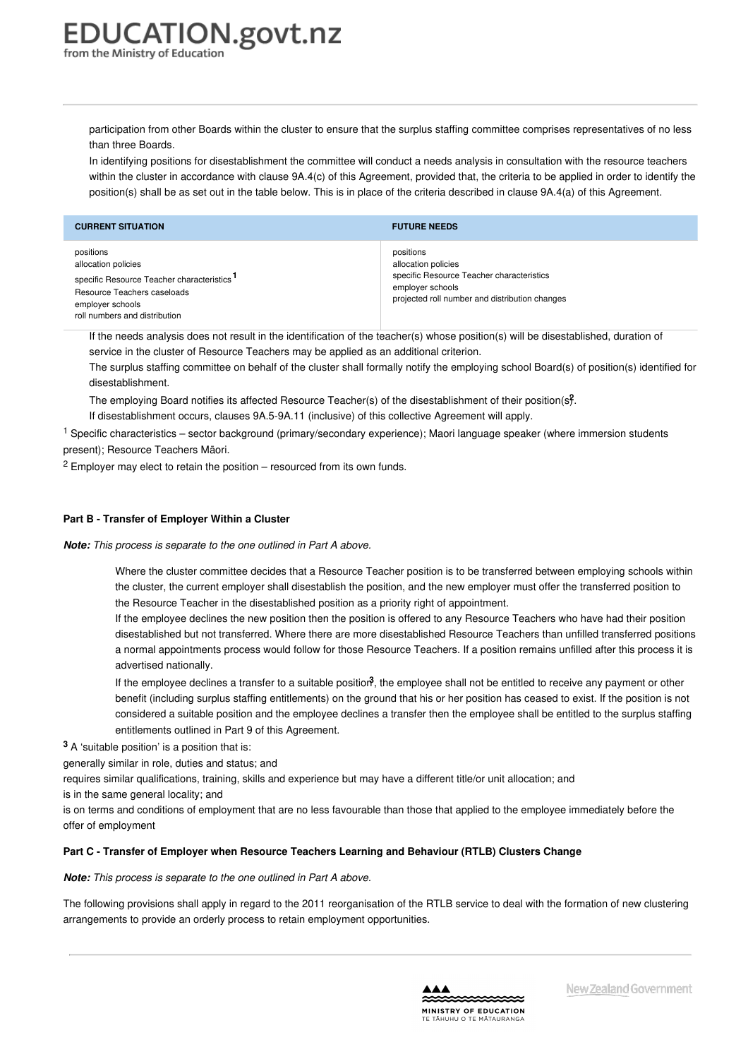participation from other Boards within the cluster to ensure that the surplus staffing committee comprises representatives of no less than three Boards.

In identifying positions for disestablishment the committee will conduct a needs analysis in consultation with the resource teachers within the cluster in accordance with clause 9A.4(c) of this Agreement, provided that, the criteria to be applied in order to identify the position(s) shall be as set out in the table below. This is in place of the criteria described in clause 9A.4(a) of this Agreement.

| <b>CURRENT SITUATION</b>                                                                                                                                                       | <b>FUTURE NEEDS</b>                                                                                                                                 |
|--------------------------------------------------------------------------------------------------------------------------------------------------------------------------------|-----------------------------------------------------------------------------------------------------------------------------------------------------|
| positions<br>allocation policies<br>specific Resource Teacher characteristics <sup>1</sup><br>Resource Teachers caseloads<br>employer schools<br>roll numbers and distribution | positions<br>allocation policies<br>specific Resource Teacher characteristics<br>employer schools<br>projected roll number and distribution changes |

If the needs analysis does not result in the identification of the teacher(s) whose position(s) will be disestablished, duration of service in the cluster of Resource Teachers may be applied as an additional criterion.

The surplus staffing committee on behalf of the cluster shall formally notify the employing school Board(s) of position(s) identified for disestablishment.

<span id="page-65-0"></span>The employing Board notifies its affected Resource Teacher([s\)](#page-65-1) of the disestablishment of their position(s $\hat{J}$ . If disestablishment occurs, clauses 9A.5-9A.11 (inclusive) of this collective Agreement will apply.

<sup>1</sup> Specific characteristics – sector background (primary/secondary experience); Maori language speaker (where immersion students present); Resource Teachers Māori.

 $2$  Employer may elect to retain the position – resourced from its own funds.

#### **Part B - Transfer of [Employer](https://www.education.govt.nz/school/people-and-employment/employment-agreements/collective-agreements/primary-teachers-collective-agreement/appendix-5-resource-teacher-surplus-staffing-process/#cd_4218_part-b-transfer-of-employer-within-a-cluster_Education%5CComplexDocuments%5CModel%5CComplexDocumentAccordionSection) Within a Cluster**

*Note: This process is separate to the one outlined in Part A above.*

<span id="page-65-1"></span>Where the cluster committee decides that a Resource Teacher position is to be transferred between employing schools within the cluster, the current employer shall disestablish the position, and the new employer must offer the transferred position to the Resource Teacher in the disestablished position as a priority right of appointment.

If the employee declines the new position then the position is offered to any Resource Teachers who have had their position disestablished but not transferred. Where there are more disestablished Resource Teachers than unfilled transferred positions a normal appointments process would follow for those Resource Teachers. If a position remains unfilled after this process it is advertised nationally.

If the employee decli[n](#page-0-0)es a transfer to a suitable position<sup>3</sup>, the employee shall not be entitled to receive any payment or other benefit (including surplus staffing entitlements) on the ground that his or her position has ceased to exist. If the position is not considered a suitable position and the employee declines a transfer then the employee shall be entitled to the surplus staffing entitlements outlined in Part 9 of this Agreement.

**<sup>3</sup>** A 'suitable position' is a position that is:

generally similar in role, duties and status; and

requires similar qualifications, training, skills and experience but may have a different title/or unit allocation; and

is in the same general locality; and

is on terms and conditions of employment that are no less favourable than those that applied to the employee immediately before the offer of employment

#### **Part C - Transfer of Employer when Resource Teachers Learning and [Behaviour](https://www.education.govt.nz/school/people-and-employment/employment-agreements/collective-agreements/primary-teachers-collective-agreement/appendix-5-resource-teacher-surplus-staffing-process/#cd_4219_part-c-transfer-of-employer-when-resource-teachers-learning-and-behaviour-rtlb-clusters-change_Education%5CComplexDocuments%5CModel%5CComplexDocumentAccordionSection) (RTLB) Clusters Change**

#### *Note: This process is separate to the one outlined in Part A above.*

The following provisions shall apply in regard to the 2011 reorganisation of the RTLB service to deal with the formation of new clustering arrangements to provide an orderly process to retain employment opportunities.

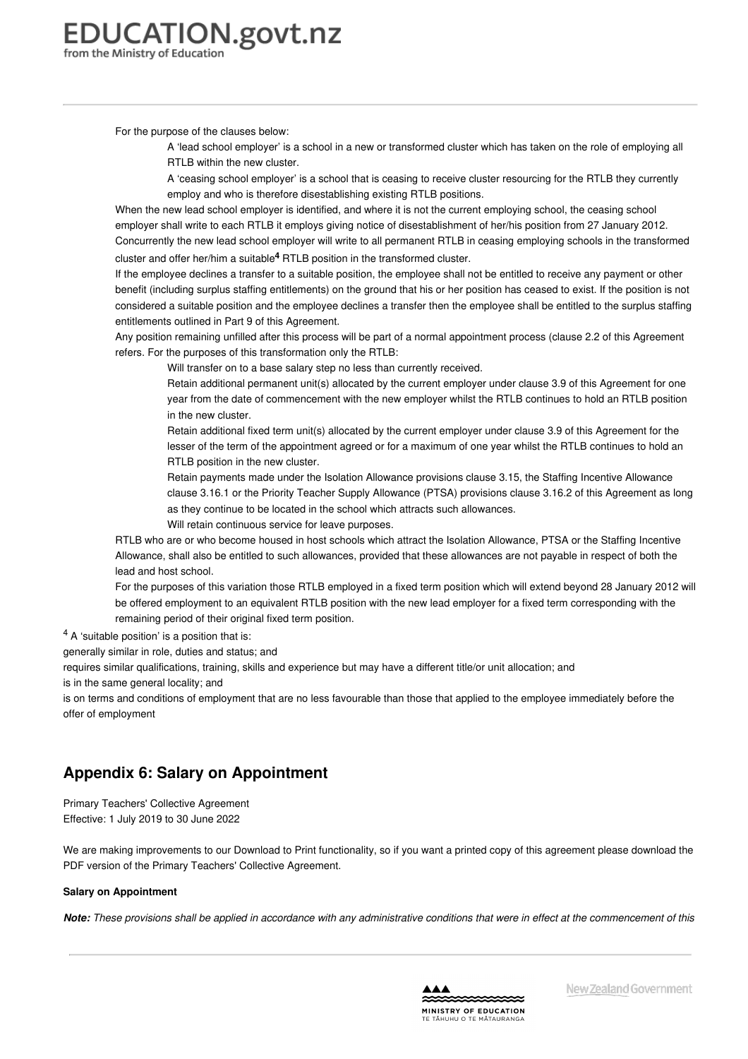For the purpose of the clauses below:

A 'lead school employer' is a school in a new or transformed cluster which has taken on the role of employing all RTLB within the new cluster.

A 'ceasing school employer' is a school that is ceasing to receive cluster resourcing for the RTLB they currently employ and who is therefore disestablishing existing RTLB positions.

When the new lead school employer is identified, and where it is not the current employing school, the ceasing school employer shall write to each RTLB it employs giving notice of disestablishment of her/his position from 27 January 2012. Concurrently the new lead school employer will write to all permanent RTLB in ceasing employing schools in the transformed cluster and offer her/him a suitable **[4](#page-66-0)** RTLB position in the transformed cluster.

If the employee declines a transfer to a suitable position, the employee shall not be entitled to receive any payment or other benefit (including surplus staffing entitlements) on the ground that his or her position has ceased to exist. If the position is not considered a suitable position and the employee declines a transfer then the employee shall be entitled to the surplus staffing entitlements outlined in Part 9 of this Agreement.

Any position remaining unfilled after this process will be part of a normal appointment process (clause 2.2 of this Agreement refers. For the purposes of this transformation only the RTLB:

Will transfer on to a base salary step no less than currently received.

Retain additional permanent unit(s) allocated by the current employer under clause 3.9 of this Agreement for one year from the date of commencement with the new employer whilst the RTLB continues to hold an RTLB position in the new cluster.

Retain additional fixed term unit(s) allocated by the current employer under clause 3.9 of this Agreement for the lesser of the term of the appointment agreed or for a maximum of one year whilst the RTLB continues to hold an RTLB position in the new cluster.

Retain payments made under the Isolation Allowance provisions clause 3.15, the Staffing Incentive Allowance clause 3.16.1 or the Priority Teacher Supply Allowance (PTSA) provisions clause 3.16.2 of this Agreement as long as they continue to be located in the school which attracts such allowances.

Will retain continuous service for leave purposes.

RTLB who are or who become housed in host schools which attract the Isolation Allowance, PTSA or the Staffing Incentive Allowance, shall also be entitled to such allowances, provided that these allowances are not payable in respect of both the lead and host school.

<span id="page-66-0"></span>For the purposes of this variation those RTLB employed in a fixed term position which will extend beyond 28 January 2012 will be offered employment to an equivalent RTLB position with the new lead employer for a fixed term corresponding with the remaining period of their original fixed term position.

<sup>4</sup> A 'suitable position' is a position that is:

generally similar in role, duties and status; and

requires similar qualifications, training, skills and experience but may have a different title/or unit allocation; and

is in the same general locality; and

is on terms and conditions of employment that are no less favourable than those that applied to the employee immediately before the offer of employment

## **Appendix 6: Salary on Appointment**

Primary Teachers' Collective Agreement Effective: 1 July 2019 to 30 June 2022

We are making improvements to our Download to Print functionality, so if you want a printed copy of this agreement please download the PDF version of the Primary Teachers' Collective Agreement.

#### **Salary on [Appointment](https://www.education.govt.nz/school/people-and-employment/employment-agreements/collective-agreements/primary-teachers-collective-agreement/appendix-6-salary-on-appointment/#cd_11182_salary-on-appointment_Education%5CComplexDocuments%5CModel%5CComplexDocumentAccordionSection)**

Note: These provisions shall be applied in accordance with any administrative conditions that were in effect at the commencement of this

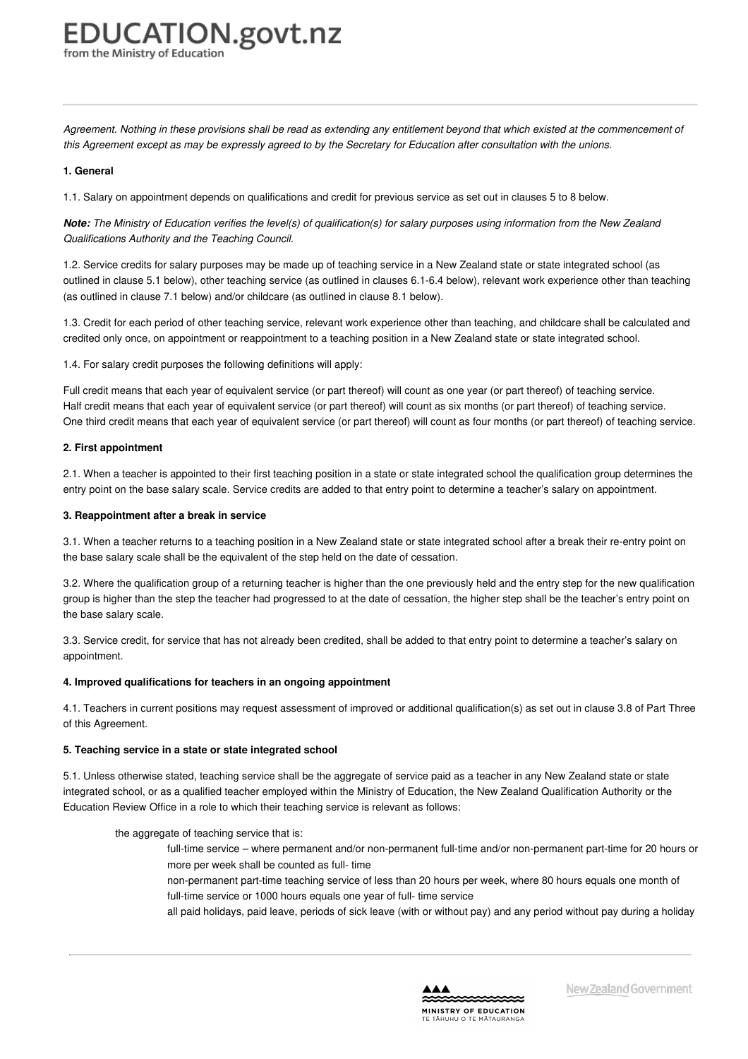from the Ministry of Educatior

Agreement. Nothing in these provisions shall be read as extending any entitlement beyond that which existed at the commencement of this Agreement except as may be expressly agreed to by the Secretary for Education after consultation with the unions.

#### **1. General**

1.1. Salary on appointment depends on qualifications and credit for previous service as set out in clauses 5 to 8 below.

Note: The Ministry of Education verifies the level(s) of qualification(s) for salary purposes using information from the New Zealand *Qualifications Authority and the Teaching Council.*

1.2. Service credits for salary purposes may be made up of teaching service in a New Zealand state or state integrated school (as outlined in clause 5.1 below), other teaching service (as outlined in clauses 6.1-6.4 below), relevant work experience other than teaching (as outlined in clause 7.1 below) and/or childcare (as outlined in clause 8.1 below).

1.3. Credit for each period of other teaching service, relevant work experience other than teaching, and childcare shall be calculated and credited only once, on appointment or reappointment to a teaching position in a New Zealand state or state integrated school.

1.4. For salary credit purposes the following definitions will apply:

Full credit means that each year of equivalent service (or part thereof) will count as one year (or part thereof) of teaching service. Half credit means that each year of equivalent service (or part thereof) will count as six months (or part thereof) of teaching service. One third credit means that each year of equivalent service (or part thereof) will count as four months (or part thereof) of teaching service.

#### **2. First appointment**

2.1. When a teacher is appointed to their first teaching position in a state or state integrated school the qualification group determines the entry point on the base salary scale. Service credits are added to that entry point to determine a teacher's salary on appointment.

#### **3. Reappointment after a break in service**

3.1. When a teacher returns to a teaching position in a New Zealand state or state integrated school after a break their re-entry point on the base salary scale shall be the equivalent of the step held on the date of cessation.

3.2. Where the qualification group of a returning teacher is higher than the one previously held and the entry step for the new qualification group is higher than the step the teacher had progressed to at the date of cessation, the higher step shall be the teacher's entry point on the base salary scale.

3.3. Service credit, for service that has not already been credited, shall be added to that entry point to determine a teacher's salary on appointment.

#### **4. Improved qualifications for teachers in an ongoing appointment**

4.1. Teachers in current positions may request assessment of improved or additional qualification(s) as set out in clause 3.8 of Part Three of this Agreement.

#### **5. Teaching service in a state or state integrated school**

5.1. Unless otherwise stated, teaching service shall be the aggregate of service paid as a teacher in any New Zealand state or state integrated school, or as a qualified teacher employed within the Ministry of Education, the New Zealand Qualification Authority or the Education Review Office in a role to which their teaching service is relevant as follows:

#### the aggregate of teaching service that is:

- full-time service where permanent and/or non-permanent full-time and/or non-permanent part-time for 20 hours or more per week shall be counted as full- time
- non-permanent part-time teaching service of less than 20 hours per week, where 80 hours equals one month of full-time service or 1000 hours equals one year of full- time service
- all paid holidays, paid leave, periods of sick leave (with or without pay) and any period without pay during a holiday

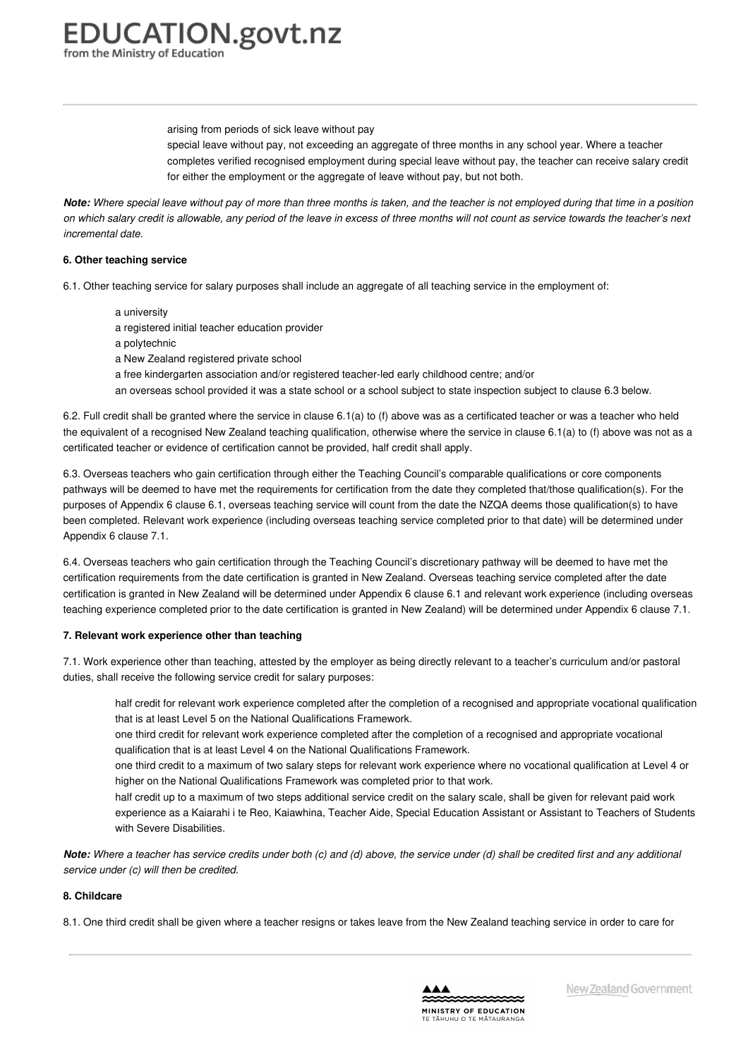arising from periods of sick leave without pay

special leave without pay, not exceeding an aggregate of three months in any school year. Where a teacher completes verified recognised employment during special leave without pay, the teacher can receive salary credit for either the employment or the aggregate of leave without pay, but not both.

Note: Where special leave without pay of more than three months is taken, and the teacher is not employed during that time in a position on which salary credit is allowable, any period of the leave in excess of three months will not count as service towards the teacher's next *incremental date.*

#### **6. Other teaching service**

6.1. Other teaching service for salary purposes shall include an aggregate of all teaching service in the employment of:

a university a registered initial teacher education provider a polytechnic a New Zealand registered private school a free kindergarten association and/or registered teacher-led early childhood centre; and/or an overseas school provided it was a state school or a school subject to state inspection subject to clause 6.3 below.

6.2. Full credit shall be granted where the service in clause 6.1(a) to (f) above was as a certificated teacher or was a teacher who held the equivalent of a recognised New Zealand teaching qualification, otherwise where the service in clause 6.1(a) to (f) above was not as a certificated teacher or evidence of certification cannot be provided, half credit shall apply.

6.3. Overseas teachers who gain certification through either the Teaching Council's comparable qualifications or core components pathways will be deemed to have met the requirements for certification from the date they completed that/those qualification(s). For the purposes of Appendix 6 clause 6.1, overseas teaching service will count from the date the NZQA deems those qualification(s) to have been completed. Relevant work experience (including overseas teaching service completed prior to that date) will be determined under Appendix 6 clause 7.1.

6.4. Overseas teachers who gain certification through the Teaching Council's discretionary pathway will be deemed to have met the certification requirements from the date certification is granted in New Zealand. Overseas teaching service completed after the date certification is granted in New Zealand will be determined under Appendix 6 clause 6.1 and relevant work experience (including overseas teaching experience completed prior to the date certification is granted in New Zealand) will be determined under Appendix 6 clause 7.1.

#### **7. Relevant work experience other than teaching**

7.1. Work experience other than teaching, attested by the employer as being directly relevant to a teacher's curriculum and/or pastoral duties, shall receive the following service credit for salary purposes:

half credit for relevant work experience completed after the completion of a recognised and appropriate vocational qualification that is at least Level 5 on the National Qualifications Framework.

one third credit for relevant work experience completed after the completion of a recognised and appropriate vocational qualification that is at least Level 4 on the National Qualifications Framework.

one third credit to a maximum of two salary steps for relevant work experience where no vocational qualification at Level 4 or higher on the National Qualifications Framework was completed prior to that work.

half credit up to a maximum of two steps additional service credit on the salary scale, shall be given for relevant paid work experience as a Kaiarahi i te Reo, Kaiawhina, Teacher Aide, Special Education Assistant or Assistant to Teachers of Students with Severe Disabilities.

Note: Where a teacher has service credits under both (c) and (d) above, the service under (d) shall be credited first and any additional *service under (c) will then be credited.*

#### **8. Childcare**

8.1. One third credit shall be given where a teacher resigns or takes leave from the New Zealand teaching service in order to care for

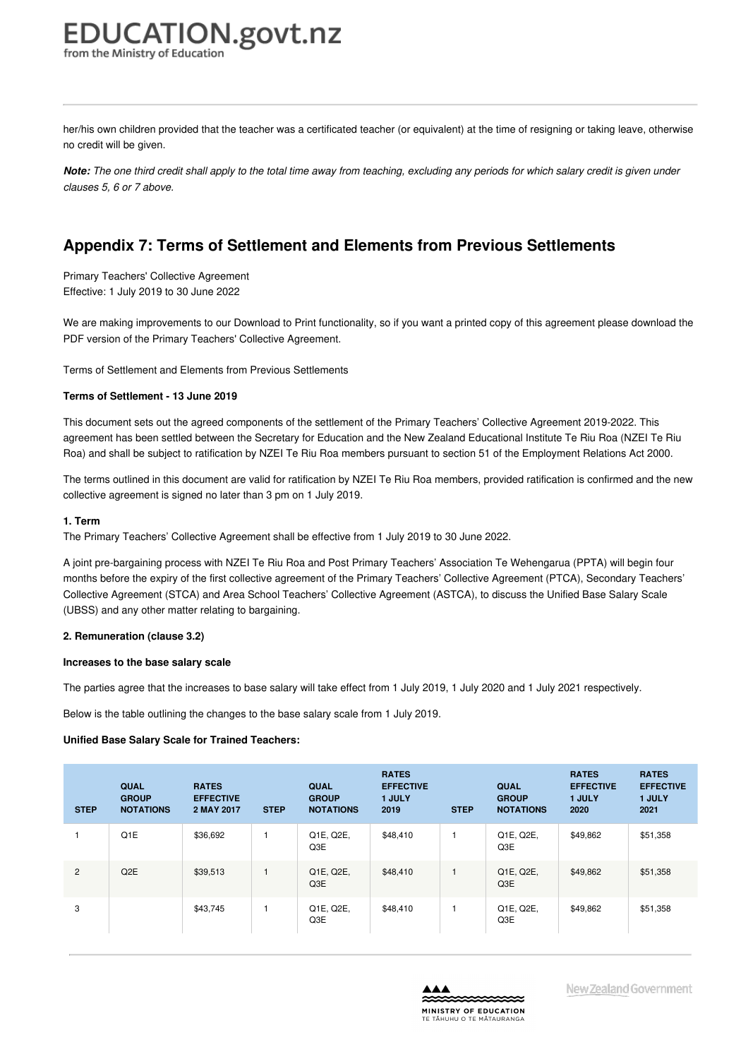her/his own children provided that the teacher was a certificated teacher (or equivalent) at the time of resigning or taking leave, otherwise no credit will be given.

Note: The one third credit shall apply to the total time away from teaching, excluding any periods for which salary credit is given under *clauses 5, 6 or 7 above.*

## **Appendix 7: Terms of Settlement and Elements from Previous Settlements**

Primary Teachers' Collective Agreement Effective: 1 July 2019 to 30 June 2022

We are making improvements to our Download to Print functionality, so if you want a printed copy of this agreement please download the PDF version of the Primary Teachers' Collective Agreement.

Terms of Settlement and Elements from Previous Settlements

#### **Terms of [Settlement](https://www.education.govt.nz/school/people-and-employment/employment-agreements/collective-agreements/primary-teachers-collective-agreement/appendix-7-terms-of-settlement-and-elements-from-previous-settlements/#cd_4221_terms-of-settlement-primary-teachers-collective-agreement_Education%5CComplexDocuments%5CModel%5CComplexDocumentAccordionSection) - 13 June 2019**

This document sets out the agreed components of the settlement of the Primary Teachers' Collective Agreement 2019-2022. This agreement has been settled between the Secretary for Education and the New Zealand Educational Institute Te Riu Roa (NZEI Te Riu Roa) and shall be subject to ratification by NZEI Te Riu Roa members pursuant to section 51 of the Employment Relations Act 2000.

The terms outlined in this document are valid for ratification by NZEI Te Riu Roa members, provided ratification is confirmed and the new collective agreement is signed no later than 3 pm on 1 July 2019.

#### **1. Term**

The Primary Teachers' Collective Agreement shall be effective from 1 July 2019 to 30 June 2022.

A joint pre-bargaining process with NZEI Te Riu Roa and Post Primary Teachers' Association Te Wehengarua (PPTA) will begin four months before the expiry of the first collective agreement of the Primary Teachers' Collective Agreement (PTCA), Secondary Teachers' Collective Agreement (STCA) and Area School Teachers' Collective Agreement (ASTCA), to discuss the Unified Base Salary Scale (UBSS) and any other matter relating to bargaining.

#### **2. Remuneration (clause 3.2)**

#### **Increases to the base salary scale**

The parties agree that the increases to base salary will take effect from 1 July 2019, 1 July 2020 and 1 July 2021 respectively.

Below is the table outlining the changes to the base salary scale from 1 July 2019.

#### **Unified Base Salary Scale for Trained Teachers:**

| <b>STEP</b>    | <b>QUAL</b><br><b>GROUP</b><br><b>NOTATIONS</b> | <b>RATES</b><br><b>EFFECTIVE</b><br>2 MAY 2017 | <b>STEP</b> | <b>QUAL</b><br><b>GROUP</b><br><b>NOTATIONS</b> | <b>RATES</b><br><b>EFFECTIVE</b><br>1 JULY<br>2019 | <b>STEP</b> | QUAL<br><b>GROUP</b><br><b>NOTATIONS</b> | <b>RATES</b><br><b>EFFECTIVE</b><br>1 JULY<br>2020 | <b>RATES</b><br><b>EFFECTIVE</b><br>1 JULY<br>2021 |
|----------------|-------------------------------------------------|------------------------------------------------|-------------|-------------------------------------------------|----------------------------------------------------|-------------|------------------------------------------|----------------------------------------------------|----------------------------------------------------|
|                | Q1E                                             | \$36,692                                       |             | Q1E, Q2E,<br>Q3E                                | \$48,410                                           |             | Q1E, Q2E,<br>Q3E                         | \$49,862                                           | \$51,358                                           |
| $\overline{2}$ | Q <sub>2</sub> E                                | \$39,513                                       |             | Q1E, Q2E,<br>Q3E                                | \$48,410                                           |             | Q1E, Q2E,<br>Q3E                         | \$49,862                                           | \$51,358                                           |
| 3              |                                                 | \$43,745                                       |             | Q1E, Q2E,<br>Q3E                                | \$48,410                                           |             | Q1E, Q2E,<br>Q3E                         | \$49,862                                           | \$51,358                                           |

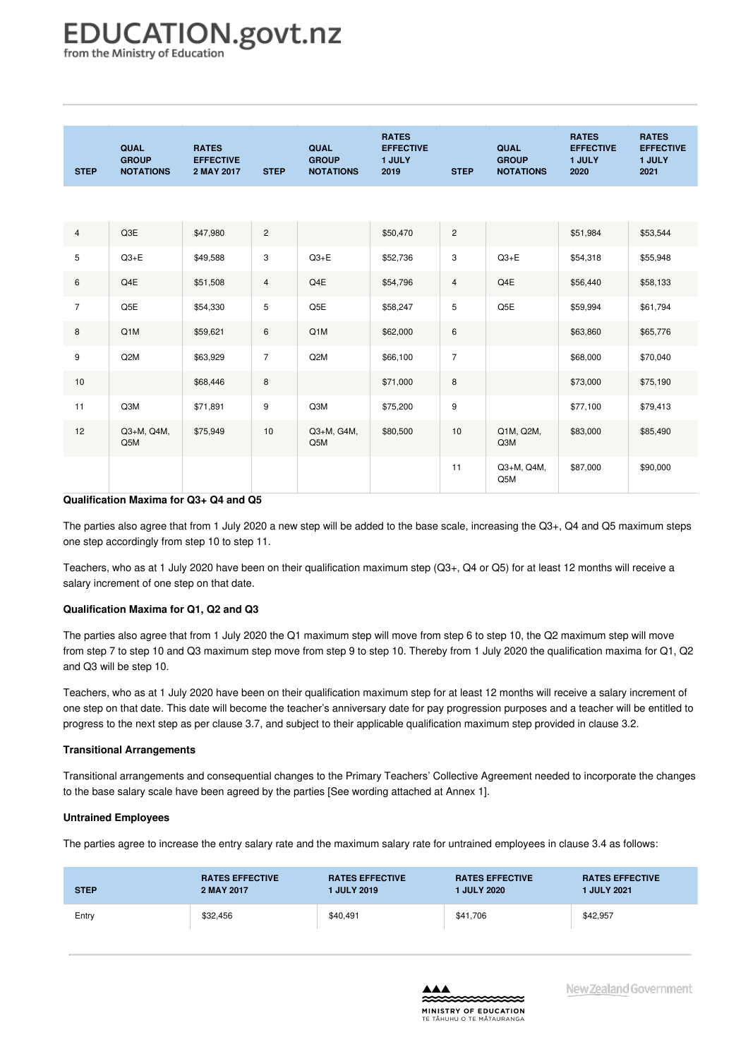from the Ministry of Education

| <b>STEP</b>    | <b>QUAL</b><br><b>GROUP</b><br><b>NOTATIONS</b> | <b>RATES</b><br><b>EFFECTIVE</b><br>2 MAY 2017 | <b>STEP</b>    | <b>QUAL</b><br><b>GROUP</b><br><b>NOTATIONS</b> | <b>RATES</b><br><b>EFFECTIVE</b><br>1 JULY<br>2019 | <b>STEP</b>    | QUAL<br><b>GROUP</b><br><b>NOTATIONS</b> | <b>RATES</b><br><b>EFFECTIVE</b><br>1 JULY<br>2020 | <b>RATES</b><br><b>EFFECTIVE</b><br>1 JULY<br>2021 |
|----------------|-------------------------------------------------|------------------------------------------------|----------------|-------------------------------------------------|----------------------------------------------------|----------------|------------------------------------------|----------------------------------------------------|----------------------------------------------------|
|                |                                                 |                                                |                |                                                 |                                                    |                |                                          |                                                    |                                                    |
| $\overline{4}$ | Q3E                                             | \$47,980                                       | $\mathbf{2}$   |                                                 | \$50,470                                           | $\overline{c}$ |                                          | \$51,984                                           | \$53,544                                           |
| 5              | $Q3+E$                                          | \$49,588                                       | 3              | $Q3 + E$                                        | \$52,736                                           | 3              | $Q3+E$                                   | \$54,318                                           | \$55,948                                           |
| 6              | Q4E                                             | \$51,508                                       | $\overline{4}$ | Q4E                                             | \$54,796                                           | $\overline{4}$ | Q4E                                      | \$56,440                                           | \$58,133                                           |
| $\overline{7}$ | Q5E                                             | \$54,330                                       | 5              | Q5E                                             | \$58,247                                           | 5              | Q5E                                      | \$59,994                                           | \$61,794                                           |
| 8              | Q1M                                             | \$59,621                                       | 6              | Q1M                                             | \$62,000                                           | 6              |                                          | \$63,860                                           | \$65,776                                           |
| 9              | Q <sub>2</sub> M                                | \$63,929                                       | $\overline{7}$ | Q <sub>2</sub> M                                | \$66,100                                           | $\overline{7}$ |                                          | \$68,000                                           | \$70,040                                           |
| 10             |                                                 | \$68,446                                       | 8              |                                                 | \$71,000                                           | 8              |                                          | \$73,000                                           | \$75,190                                           |
| 11             | Q3M                                             | \$71,891                                       | 9              | Q3M                                             | \$75,200                                           | 9              |                                          | \$77,100                                           | \$79,413                                           |
| 12             | Q3+M, Q4M,<br>Q5M                               | \$75,949                                       | 10             | Q3+M, G4M,<br>Q5M                               | \$80,500                                           | 10             | Q1M, Q2M,<br>Q3M                         | \$83,000                                           | \$85,490                                           |
|                |                                                 |                                                |                |                                                 |                                                    | 11             | Q3+M, Q4M,<br>Q5M                        | \$87,000                                           | \$90,000                                           |

#### **Qualification Maxima for Q3+ Q4 and Q5**

The parties also agree that from 1 July 2020 a new step will be added to the base scale, increasing the Q3+, Q4 and Q5 maximum steps one step accordingly from step 10 to step 11.

Teachers, who as at 1 July 2020 have been on their qualification maximum step (Q3+, Q4 or Q5) for at least 12 months will receive a salary increment of one step on that date.

#### **Qualification Maxima for Q1, Q2 and Q3**

The parties also agree that from 1 July 2020 the Q1 maximum step will move from step 6 to step 10, the Q2 maximum step will move from step 7 to step 10 and Q3 maximum step move from step 9 to step 10. Thereby from 1 July 2020 the qualification maxima for Q1, Q2 and Q3 will be step 10.

Teachers, who as at 1 July 2020 have been on their qualification maximum step for at least 12 months will receive a salary increment of one step on that date. This date will become the teacher's anniversary date for pay progression purposes and a teacher will be entitled to progress to the next step as per clause 3.7, and subject to their applicable qualification maximum step provided in clause 3.2.

#### **Transitional Arrangements**

Transitional arrangements and consequential changes to the Primary Teachers' Collective Agreement needed to incorporate the changes to the base salary scale have been agreed by the parties [See wording attached at Annex 1].

#### **Untrained Employees**

The parties agree to increase the entry salary rate and the maximum salary rate for untrained employees in clause 3.4 as follows:

| <b>STEP</b> | <b>RATES EFFECTIVE</b> | <b>RATES EFFECTIVE</b> | <b>RATES EFFECTIVE</b> | <b>RATES EFFECTIVE</b> |
|-------------|------------------------|------------------------|------------------------|------------------------|
|             | 2 MAY 2017             | <b>I JULY 2019</b>     | 1 JULY 2020            | <b>1 JULY 2021</b>     |
| Entry       | \$32,456               | \$40,491               | \$41,706               | \$42,957               |

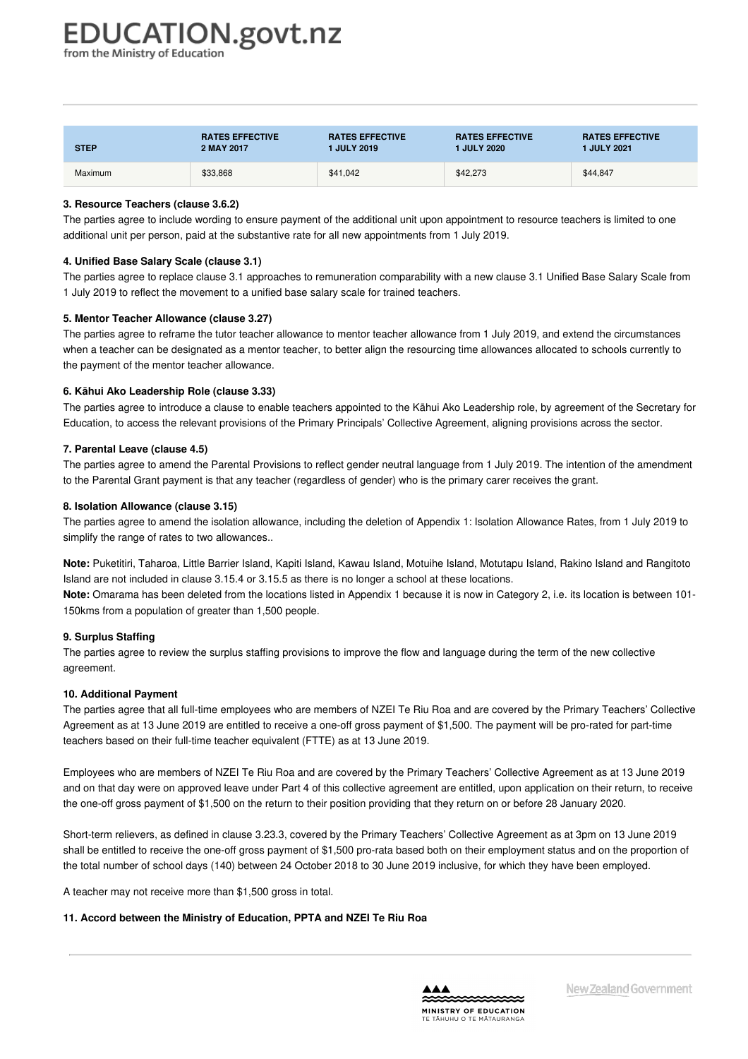from the Ministry of Education

| <b>STEP</b> | <b>RATES EFFECTIVE</b> | <b>RATES EFFECTIVE</b> | <b>RATES EFFECTIVE</b> | <b>RATES EFFECTIVE</b> |
|-------------|------------------------|------------------------|------------------------|------------------------|
|             | 2 MAY 2017             | 1 JULY 2019            | 1 JULY 2020            | <b>1 JULY 2021</b>     |
| Maximum     | \$33,868               | \$41.042               | \$42,273               | \$44,847               |

#### **3. Resource Teachers (clause 3.6.2)**

The parties agree to include wording to ensure payment of the additional unit upon appointment to resource teachers is limited to one additional unit per person, paid at the substantive rate for all new appointments from 1 July 2019.

#### **4. Unified Base Salary Scale (clause 3.1)**

The parties agree to replace clause 3.1 approaches to remuneration comparability with a new clause 3.1 Unified Base Salary Scale from 1 July 2019 to reflect the movement to a unified base salary scale for trained teachers.

#### **5. Mentor Teacher Allowance (clause 3.27)**

The parties agree to reframe the tutor teacher allowance to mentor teacher allowance from 1 July 2019, and extend the circumstances when a teacher can be designated as a mentor teacher, to better align the resourcing time allowances allocated to schools currently to the payment of the mentor teacher allowance.

#### **6. Kāhui Ako Leadership Role (clause 3.33)**

The parties agree to introduce a clause to enable teachers appointed to the Kāhui Ako Leadership role, by agreement of the Secretary for Education, to access the relevant provisions of the Primary Principals' Collective Agreement, aligning provisions across the sector.

#### **7. Parental Leave (clause 4.5)**

The parties agree to amend the Parental Provisions to reflect gender neutral language from 1 July 2019. The intention of the amendment to the Parental Grant payment is that any teacher (regardless of gender) who is the primary carer receives the grant.

#### **8. Isolation Allowance (clause 3.15)**

The parties agree to amend the isolation allowance, including the deletion of Appendix 1: Isolation Allowance Rates, from 1 July 2019 to simplify the range of rates to two allowances..

**Note:** Puketitiri, Taharoa, Little Barrier Island, Kapiti Island, Kawau Island, Motuihe Island, Motutapu Island, Rakino Island and Rangitoto Island are not included in clause 3.15.4 or 3.15.5 as there is no longer a school at these locations. **Note:** Omarama has been deleted from the locations listed in Appendix 1 because it is now in Category 2, i.e. its location is between 101- 150kms from a population of greater than 1,500 people.

#### **9. Surplus Staffing**

The parties agree to review the surplus staffing provisions to improve the flow and language during the term of the new collective agreement.

#### **10. Additional Payment**

The parties agree that all full-time employees who are members of NZEI Te Riu Roa and are covered by the Primary Teachers' Collective Agreement as at 13 June 2019 are entitled to receive a one-off gross payment of \$1,500. The payment will be pro-rated for part-time teachers based on their full-time teacher equivalent (FTTE) as at 13 June 2019.

Employees who are members of NZEI Te Riu Roa and are covered by the Primary Teachers' Collective Agreement as at 13 June 2019 and on that day were on approved leave under Part 4 of this collective agreement are entitled, upon application on their return, to receive the one-off gross payment of \$1,500 on the return to their position providing that they return on or before 28 January 2020.

Short-term relievers, as defined in clause 3.23.3, covered by the Primary Teachers' Collective Agreement as at 3pm on 13 June 2019 shall be entitled to receive the one-off gross payment of \$1,500 pro-rata based both on their employment status and on the proportion of the total number of school days (140) between 24 October 2018 to 30 June 2019 inclusive, for which they have been employed.

A teacher may not receive more than \$1,500 gross in total.

#### **11. Accord between the Ministry of Education, PPTA and NZEI Te Riu Roa**

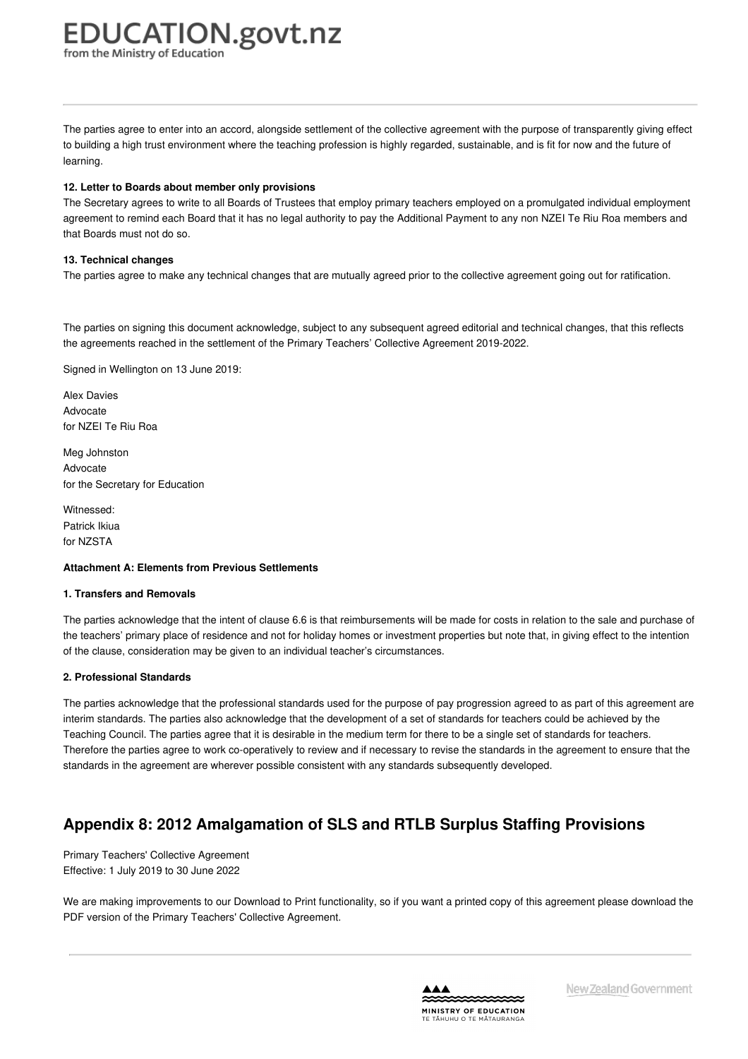# **EDUCATION.govt.nz**

from the Ministry of Education

The parties agree to enter into an accord, alongside settlement of the collective agreement with the purpose of transparently giving effect to building a high trust environment where the teaching profession is highly regarded, sustainable, and is fit for now and the future of learning.

# **12. Letter to Boards about member only provisions**

The Secretary agrees to write to all Boards of Trustees that employ primary teachers employed on a promulgated individual employment agreement to remind each Board that it has no legal authority to pay the Additional Payment to any non NZEI Te Riu Roa members and that Boards must not do so.

# **13. Technical changes**

The parties agree to make any technical changes that are mutually agreed prior to the collective agreement going out for ratification.

The parties on signing this document acknowledge, subject to any subsequent agreed editorial and technical changes, that this reflects the agreements reached in the settlement of the Primary Teachers' Collective Agreement 2019-2022.

Signed in Wellington on 13 June 2019:

Alex Davies Advocate for NZEI Te Riu Roa

Meg Johnston Advocate for the Secretary for Education

Witnessed: Patrick Ikiua for NZSTA

## **Attachment A: Elements from Previous [Settlements](https://www.education.govt.nz/school/people-and-employment/employment-agreements/collective-agreements/primary-teachers-collective-agreement/appendix-7-terms-of-settlement-and-elements-from-previous-settlements/#cd_4236_attachment-a-elements-from-previous-settlements_Education%5CComplexDocuments%5CModel%5CComplexDocumentAccordionSection)**

## **1. Transfers and Removals**

The parties acknowledge that the intent of clause 6.6 is that reimbursements will be made for costs in relation to the sale and purchase of the teachers' primary place of residence and not for holiday homes or investment properties but note that, in giving effect to the intention of the clause, consideration may be given to an individual teacher's circumstances.

# **2. Professional Standards**

The parties acknowledge that the professional standards used for the purpose of pay progression agreed to as part of this agreement are interim standards. The parties also acknowledge that the development of a set of standards for teachers could be achieved by the Teaching Council. The parties agree that it is desirable in the medium term for there to be a single set of standards for teachers. Therefore the parties agree to work co-operatively to review and if necessary to revise the standards in the agreement to ensure that the standards in the agreement are wherever possible consistent with any standards subsequently developed.

# **Appendix 8: 2012 Amalgamation of SLS and RTLB Surplus Staffing Provisions**

Primary Teachers' Collective Agreement Effective: 1 July 2019 to 30 June 2022

We are making improvements to our Download to Print functionality, so if you want a printed copy of this agreement please download the PDF version of the Primary Teachers' Collective Agreement.

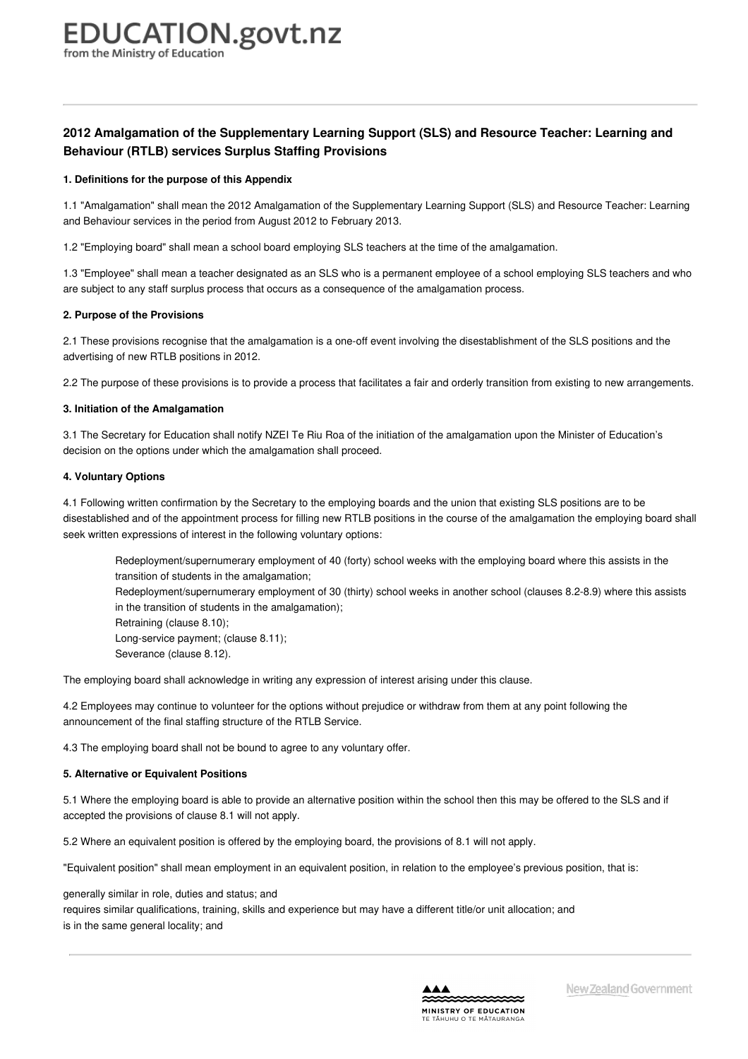# **2012 Amalgamation of the Supplementary Learning Support (SLS) and Resource Teacher: Learning and Behaviour (RTLB) services Surplus Staffing Provisions**

## **1. [Definitions](https://www.education.govt.nz/school/people-and-employment/employment-agreements/collective-agreements/primary-teachers-collective-agreement/appendix-8-2012-amalgamation-of-sls-and-rtlb-surplus-staffing-provisions/#cd_4240_1-definitions-for-the-purpose-of-this-appendix_Education%5CComplexDocuments%5CModel%5CComplexDocumentAccordionSection) for the purpose of this Appendix**

1.1 "Amalgamation" shall mean the 2012 Amalgamation of the Supplementary Learning Support (SLS) and Resource Teacher: Learning and Behaviour services in the period from August 2012 to February 2013.

1.2 "Employing board" shall mean a school board employing SLS teachers at the time of the amalgamation.

1.3 "Employee" shall mean a teacher designated as an SLS who is a permanent employee of a school employing SLS teachers and who are subject to any staff surplus process that occurs as a consequence of the amalgamation process.

# **2. Purpose of the [Provisions](https://www.education.govt.nz/school/people-and-employment/employment-agreements/collective-agreements/primary-teachers-collective-agreement/appendix-8-2012-amalgamation-of-sls-and-rtlb-surplus-staffing-provisions/#cd_4241_2-purpose-of-the-provisions_Education%5CComplexDocuments%5CModel%5CComplexDocumentAccordionSection)**

2.1 These provisions recognise that the amalgamation is a one-off event involving the disestablishment of the SLS positions and the advertising of new RTLB positions in 2012.

2.2 The purpose of these provisions is to provide a process that facilitates a fair and orderly transition from existing to new arrangements.

# **3. Initiation of the [Amalgamation](https://www.education.govt.nz/school/people-and-employment/employment-agreements/collective-agreements/primary-teachers-collective-agreement/appendix-8-2012-amalgamation-of-sls-and-rtlb-surplus-staffing-provisions/#cd_4242_3-initiation-of-the-amalgamation_Education%5CComplexDocuments%5CModel%5CComplexDocumentAccordionSection)**

3.1 The Secretary for Education shall notify NZEI Te Riu Roa of the initiation of the amalgamation upon the Minister of Education's decision on the options under which the amalgamation shall proceed.

# **4. [Voluntary](https://www.education.govt.nz/school/people-and-employment/employment-agreements/collective-agreements/primary-teachers-collective-agreement/appendix-8-2012-amalgamation-of-sls-and-rtlb-surplus-staffing-provisions/#cd_4243_4-voluntary-options_Education%5CComplexDocuments%5CModel%5CComplexDocumentAccordionSection) Options**

4.1 Following written confirmation by the Secretary to the employing boards and the union that existing SLS positions are to be disestablished and of the appointment process for filling new RTLB positions in the course of the amalgamation the employing board shall seek written expressions of interest in the following voluntary options:

Redeployment/supernumerary employment of 40 (forty) school weeks with the employing board where this assists in the transition of students in the amalgamation;

Redeployment/supernumerary employment of 30 (thirty) school weeks in another school (clauses 8.2-8.9) where this assists in the transition of students in the amalgamation);

Retraining (clause 8.10); Long-service payment; (clause 8.11); Severance (clause 8.12).

The employing board shall acknowledge in writing any expression of interest arising under this clause.

4.2 Employees may continue to volunteer for the options without prejudice or withdraw from them at any point following the announcement of the final staffing structure of the RTLB Service.

4.3 The employing board shall not be bound to agree to any voluntary offer.

# **5. [Alternative](https://www.education.govt.nz/school/people-and-employment/employment-agreements/collective-agreements/primary-teachers-collective-agreement/appendix-8-2012-amalgamation-of-sls-and-rtlb-surplus-staffing-provisions/#cd_4244_5-alternative-or-equivalent-positions_Education%5CComplexDocuments%5CModel%5CComplexDocumentAccordionSection) or Equivalent Positions**

5.1 Where the employing board is able to provide an alternative position within the school then this may be offered to the SLS and if accepted the provisions of clause 8.1 will not apply.

5.2 Where an equivalent position is offered by the employing board, the provisions of 8.1 will not apply.

"Equivalent position" shall mean employment in an equivalent position, in relation to the employee's previous position, that is:

generally similar in role, duties and status; and

requires similar qualifications, training, skills and experience but may have a different title/or unit allocation; and is in the same general locality; and

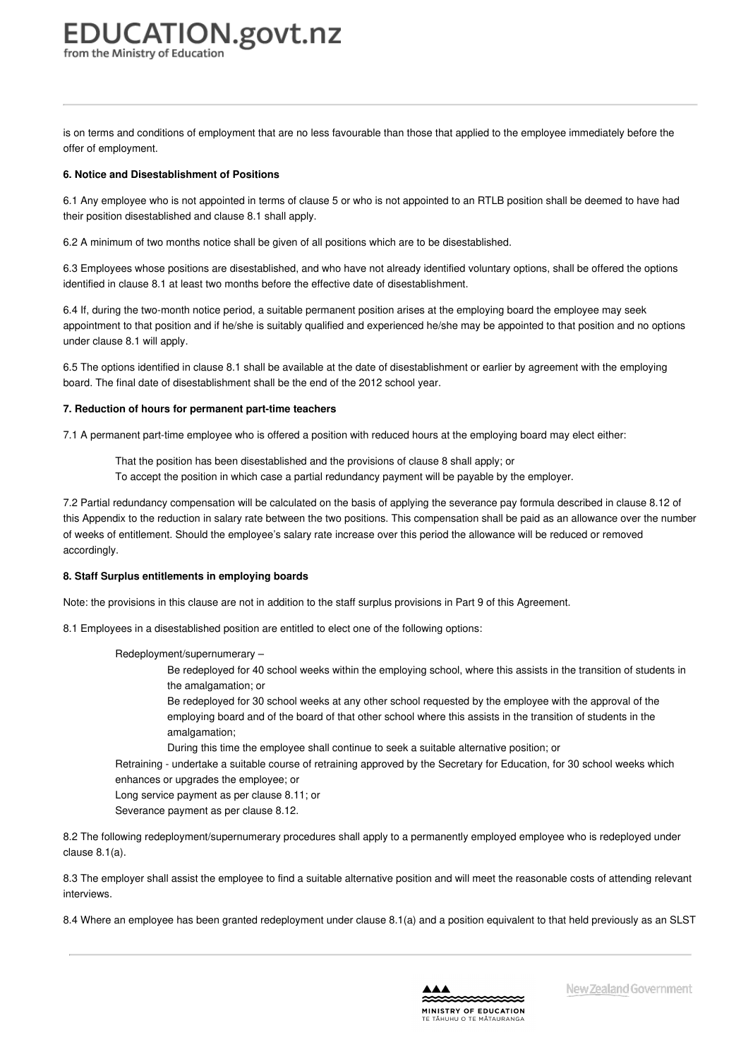# **EDUCATION.govt.nz** from the Ministry of Educatior

is on terms and conditions of employment that are no less favourable than those that applied to the employee immediately before the offer of employment.

# **6. Notice and [Disestablishment](https://www.education.govt.nz/school/people-and-employment/employment-agreements/collective-agreements/primary-teachers-collective-agreement/appendix-8-2012-amalgamation-of-sls-and-rtlb-surplus-staffing-provisions/#cd_4245_6-notice-and-disestablishment-of-positions_Education%5CComplexDocuments%5CModel%5CComplexDocumentAccordionSection) of Positions**

6.1 Any employee who is not appointed in terms of clause 5 or who is not appointed to an RTLB position shall be deemed to have had their position disestablished and clause 8.1 shall apply.

6.2 A minimum of two months notice shall be given of all positions which are to be disestablished.

6.3 Employees whose positions are disestablished, and who have not already identified voluntary options, shall be offered the options identified in clause 8.1 at least two months before the effective date of disestablishment.

6.4 If, during the two-month notice period, a suitable permanent position arises at the employing board the employee may seek appointment to that position and if he/she is suitably qualified and experienced he/she may be appointed to that position and no options under clause 8.1 will apply.

6.5 The options identified in clause 8.1 shall be available at the date of disestablishment or earlier by agreement with the employing board. The final date of disestablishment shall be the end of the 2012 school year.

#### **7. Reduction of hours for [permanent](https://www.education.govt.nz/school/people-and-employment/employment-agreements/collective-agreements/primary-teachers-collective-agreement/appendix-8-2012-amalgamation-of-sls-and-rtlb-surplus-staffing-provisions/#cd_4246_7-reduction-of-hours-for-permanent-part-time-teachers_Education%5CComplexDocuments%5CModel%5CComplexDocumentAccordionSection) part-time teachers**

7.1 A permanent part-time employee who is offered a position with reduced hours at the employing board may elect either:

That the position has been disestablished and the provisions of clause 8 shall apply; or

To accept the position in which case a partial redundancy payment will be payable by the employer.

7.2 Partial redundancy compensation will be calculated on the basis of applying the severance pay formula described in clause 8.12 of this Appendix to the reduction in salary rate between the two positions. This compensation shall be paid as an allowance over the number of weeks of entitlement. Should the employee's salary rate increase over this period the allowance will be reduced or removed accordingly.

## **8. Staff Surplus [entitlements](https://www.education.govt.nz/school/people-and-employment/employment-agreements/collective-agreements/primary-teachers-collective-agreement/appendix-8-2012-amalgamation-of-sls-and-rtlb-surplus-staffing-provisions/#cd_4247_8-staff-surplus-entitlements-in-employing-boards_Education%5CComplexDocuments%5CModel%5CComplexDocumentAccordionSection) in employing boards**

Note: the provisions in this clause are not in addition to the staff surplus provisions in Part 9 of this Agreement.

8.1 Employees in a disestablished position are entitled to elect one of the following options:

Redeployment/supernumerary –

Be redeployed for 40 school weeks within the employing school, where this assists in the transition of students in the amalgamation; or

Be redeployed for 30 school weeks at any other school requested by the employee with the approval of the employing board and of the board of that other school where this assists in the transition of students in the amalgamation;

During this time the employee shall continue to seek a suitable alternative position; or

Retraining - undertake a suitable course of retraining approved by the Secretary for Education, for 30 school weeks which enhances or upgrades the employee; or

Long service payment as per clause 8.11; or

Severance payment as per clause 8.12.

8.2 The following redeployment/supernumerary procedures shall apply to a permanently employed employee who is redeployed under clause 8.1(a).

8.3 The employer shall assist the employee to find a suitable alternative position and will meet the reasonable costs of attending relevant interviews.

8.4 Where an employee has been granted redeployment under clause 8.1(a) and a position equivalent to that held previously as an SLST

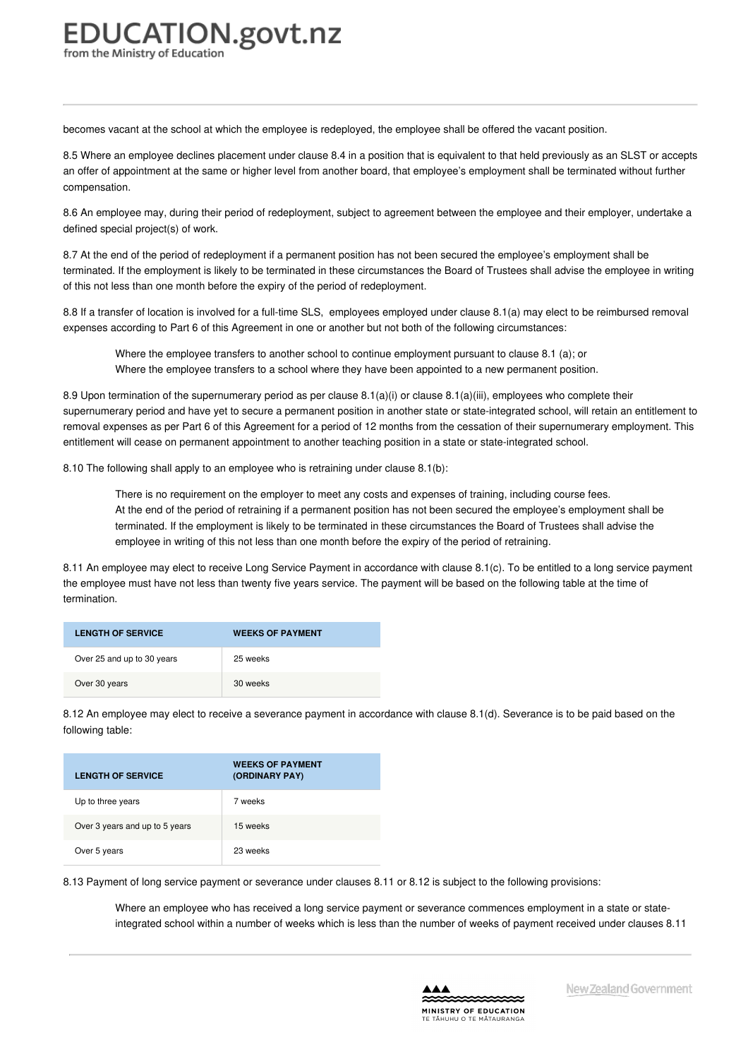# **EDUCATION.govt.nz** from the Ministry of Education

becomes vacant at the school at which the employee is redeployed, the employee shall be offered the vacant position.

8.5 Where an employee declines placement under clause 8.4 in a position that is equivalent to that held previously as an SLST or accepts an offer of appointment at the same or higher level from another board, that employee's employment shall be terminated without further compensation.

8.6 An employee may, during their period of redeployment, subject to agreement between the employee and their employer, undertake a defined special project(s) of work.

8.7 At the end of the period of redeployment if a permanent position has not been secured the employee's employment shall be terminated. If the employment is likely to be terminated in these circumstances the Board of Trustees shall advise the employee in writing of this not less than one month before the expiry of the period of redeployment.

8.8 If a transfer of location is involved for a full-time SLS, employees employed under clause 8.1(a) may elect to be reimbursed removal expenses according to Part 6 of this Agreement in one or another but not both of the following circumstances:

Where the employee transfers to another school to continue employment pursuant to clause 8.1 (a); or Where the employee transfers to a school where they have been appointed to a new permanent position.

8.9 Upon termination of the supernumerary period as per clause 8.1(a)(i) or clause 8.1(a)(iii), employees who complete their supernumerary period and have yet to secure a permanent position in another state or state-integrated school, will retain an entitlement to removal expenses as per Part 6 of this Agreement for a period of 12 months from the cessation of their supernumerary employment. This entitlement will cease on permanent appointment to another teaching position in a state or state-integrated school.

8.10 The following shall apply to an employee who is retraining under clause 8.1(b):

There is no requirement on the employer to meet any costs and expenses of training, including course fees. At the end of the period of retraining if a permanent position has not been secured the employee's employment shall be terminated. If the employment is likely to be terminated in these circumstances the Board of Trustees shall advise the employee in writing of this not less than one month before the expiry of the period of retraining.

8.11 An employee may elect to receive Long Service Payment in accordance with clause 8.1(c). To be entitled to a long service payment the employee must have not less than twenty five years service. The payment will be based on the following table at the time of termination.

| <b>LENGTH OF SERVICE</b>   | <b>WEEKS OF PAYMENT</b> |
|----------------------------|-------------------------|
| Over 25 and up to 30 years | 25 weeks                |
| Over 30 years              | 30 weeks                |

8.12 An employee may elect to receive a severance payment in accordance with clause 8.1(d). Severance is to be paid based on the following table:

| <b>LENGTH OF SERVICE</b>       | <b>WEEKS OF PAYMENT</b><br>(ORDINARY PAY) |
|--------------------------------|-------------------------------------------|
| Up to three years              | 7 weeks                                   |
| Over 3 years and up to 5 years | 15 weeks                                  |
| Over 5 years                   | 23 weeks                                  |

8.13 Payment of long service payment or severance under clauses 8.11 or 8.12 is subject to the following provisions:

Where an employee who has received a long service payment or severance commences employment in a state or stateintegrated school within a number of weeks which is less than the number of weeks of payment received under clauses 8.11